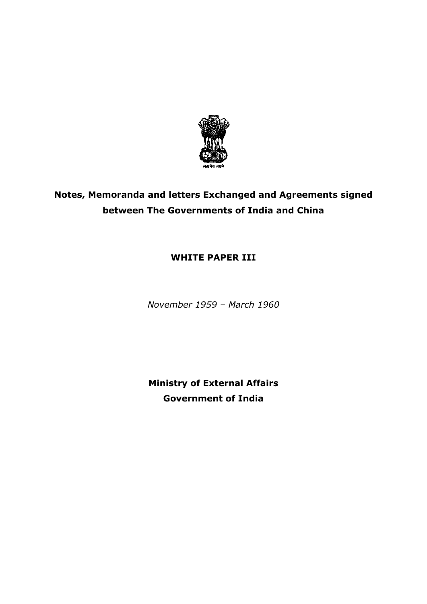

# **Notes, Memoranda and letters Exchanged and Agreements signed between The Governments of India and China**

### **WHITE PAPER III**

*November 1959 – March 1960*

**Ministry of External Affairs Government of India**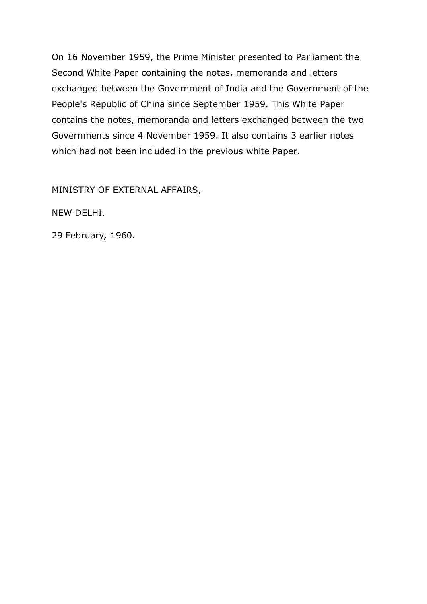On 16 November 1959, the Prime Minister presented to Parliament the Second White Paper containing the notes, memoranda and letters exchanged between the Government of India and the Government of the People's Republic of China since September 1959. This White Paper contains the notes, memoranda and letters exchanged between the two Governments since 4 November 1959. It also contains 3 earlier notes which had not been included in the previous white Paper.

MINISTRY OF EXTERNAL AFFAIRS,

NEW DELHI.

29 February*,* 1960.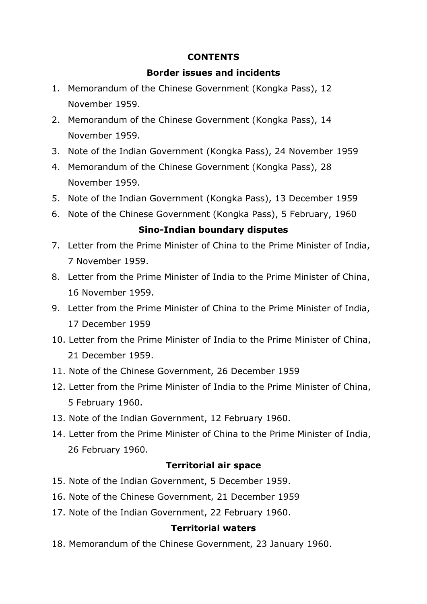### **CONTENTS**

### **Border issues and incidents**

- 1. Memorandum of the Chinese Government (Kongka Pass), 12 November 1959.
- 2. Memorandum of the Chinese Government (Kongka Pass), 14 November 1959.
- 3. Note of the Indian Government (Kongka Pass), 24 November 1959
- 4. Memorandum of the Chinese Government (Kongka Pass), 28 November 1959.
- 5. Note of the Indian Government (Kongka Pass), 13 December 1959
- 6. Note of the Chinese Government (Kongka Pass), 5 February, 1960

### **Sino-Indian boundary disputes**

- 7. Letter from the Prime Minister of China to the Prime Minister of India, 7 November 1959.
- 8. Letter from the Prime Minister of India to the Prime Minister of China, 16 November 1959.
- 9. Letter from the Prime Minister of China to the Prime Minister of India, 17 December 1959
- 10. Letter from the Prime Minister of India to the Prime Minister of China, 21 December 1959.
- 11. Note of the Chinese Government, 26 December 1959
- 12. Letter from the Prime Minister of India to the Prime Minister of China, 5 February 1960.
- 13. Note of the Indian Government, 12 February 1960.
- 14. Letter from the Prime Minister of China to the Prime Minister of India, 26 February 1960.

## **Territorial air space**

- 15. Note of the Indian Government, 5 December 1959.
- 16. Note of the Chinese Government, 21 December 1959
- 17. Note of the Indian Government, 22 February 1960.

## **Territorial waters**

18. Memorandum of the Chinese Government, 23 January 1960.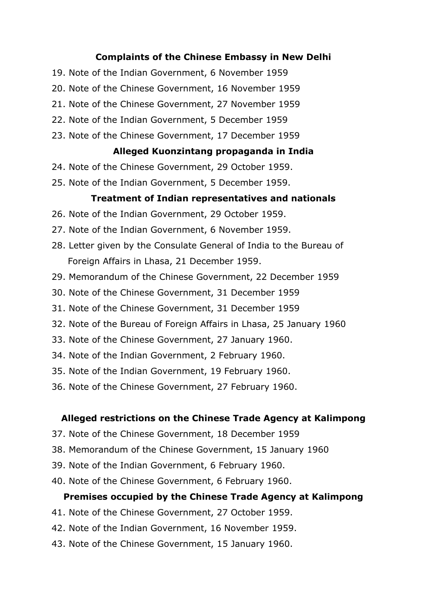#### **Complaints of the Chinese Embassy in New Delhi**

- 19. Note of the Indian Government, 6 November 1959
- 20. Note of the Chinese Government, 16 November 1959
- 21. Note of the Chinese Government, 27 November 1959
- 22. Note of the Indian Government, 5 December 1959
- 23. Note of the Chinese Government, 17 December 1959

#### **Alleged Kuonzintang propaganda in India**

- 24. Note of the Chinese Government, 29 October 1959.
- 25. Note of the Indian Government, 5 December 1959.

#### **Treatment of Indian representatives and nationals**

- 26. Note of the Indian Government, 29 October 1959.
- 27. Note of the Indian Government, 6 November 1959.
- 28. Letter given by the Consulate General of India to the Bureau of Foreign Affairs in Lhasa, 21 December 1959.
- 29. Memorandum of the Chinese Government, 22 December 1959
- 30. Note of the Chinese Government, 31 December 1959
- 31. Note of the Chinese Government, 31 December 1959
- 32. Note of the Bureau of Foreign Affairs in Lhasa, 25 January 1960
- 33. Note of the Chinese Government, 27 January 1960.
- 34. Note of the Indian Government, 2 February 1960.
- 35. Note of the Indian Government, 19 February 1960.
- 36. Note of the Chinese Government, 27 February 1960.

#### **Alleged restrictions on the Chinese Trade Agency at Kalimpong**

- 37. Note of the Chinese Government, 18 December 1959
- 38. Memorandum of the Chinese Government, 15 January 1960
- 39. Note of the Indian Government, 6 February 1960.
- 40. Note of the Chinese Government, 6 February 1960.

#### **Premises occupied by the Chinese Trade Agency at Kalimpong**

- 41. Note of the Chinese Government, 27 October 1959.
- 42. Note of the Indian Government, 16 November 1959.
- 43. Note of the Chinese Government, 15 January 1960.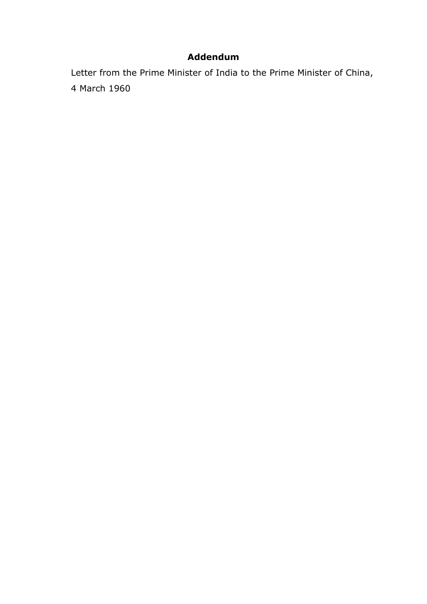## **Addendum**

Letter from the Prime Minister of India to the Prime Minister of China, 4 March 1960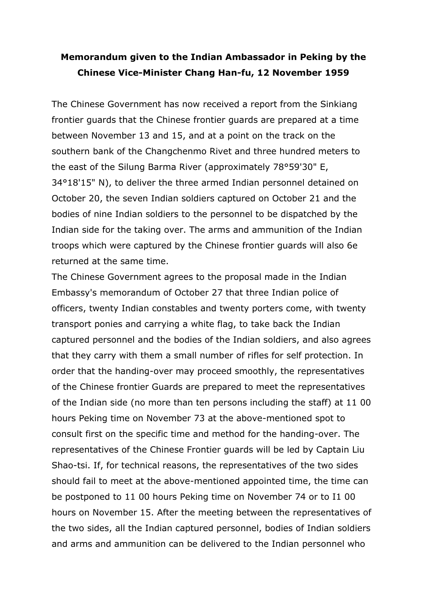## **Memorandum given to the Indian Ambassador in Peking by the Chinese Vice-Minister Chang Han-fu, 12 November 1959**

The Chinese Government has now received a report from the Sinkiang frontier guards that the Chinese frontier guards are prepared at a time between November 13 and 15, and at a point on the track on the southern bank of the Changchenmo Rivet and three hundred meters to the east of the Silung Barma River (approximately 78°59'30" E, 34°18'15" N), to deliver the three armed Indian personnel detained on October 20, the seven Indian soldiers captured on October 21 and the bodies of nine Indian soldiers to the personnel to be dispatched by the Indian side for the taking over. The arms and ammunition of the Indian troops which were captured by the Chinese frontier guards will also 6e returned at the same time.

The Chinese Government agrees to the proposal made in the Indian Embassy's memorandum of October 27 that three Indian police of officers, twenty Indian constables and twenty porters come, with twenty transport ponies and carrying a white flag, to take back the Indian captured personnel and the bodies of the Indian soldiers, and also agrees that they carry with them a small number of rifles for self protection. In order that the handing-over may proceed smoothly, the representatives of the Chinese frontier Guards are prepared to meet the representatives of the Indian side (no more than ten persons including the staff) at 11 00 hours Peking time on November 73 at the above-mentioned spot to consult first on the specific time and method for the handing-over. The representatives of the Chinese Frontier guards will be led by Captain Liu Shao-tsi. If, for technical reasons, the representatives of the two sides should fail to meet at the above-mentioned appointed time, the time can be postponed to 11 00 hours Peking time on November 74 or to I1 00 hours on November 15. After the meeting between the representatives of the two sides, all the Indian captured personnel, bodies of Indian soldiers and arms and ammunition can be delivered to the Indian personnel who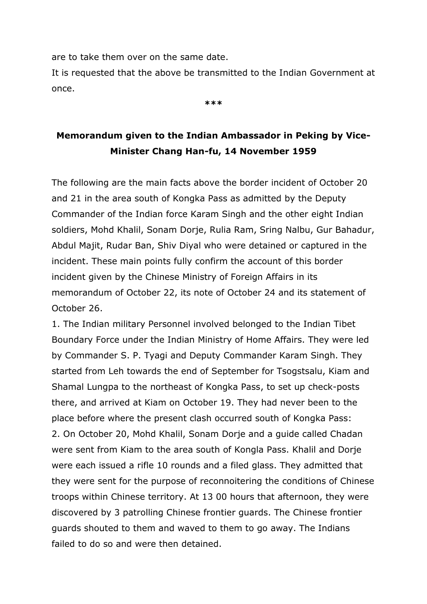are to take them over on the same date.

It is requested that the above be transmitted to the Indian Government at once.

**\*\*\***

# **Memorandum given to the Indian Ambassador in Peking by Vice-Minister Chang Han-fu, 14 November 1959**

The following are the main facts above the border incident of October 20 and 21 in the area south of Kongka Pass as admitted by the Deputy Commander of the Indian force Karam Singh and the other eight Indian soldiers, Mohd Khalil, Sonam Dorje, Rulia Ram, Sring Nalbu, Gur Bahadur, Abdul Majit, Rudar Ban, Shiv Diyal who were detained or captured in the incident. These main points fully confirm the account of this border incident given by the Chinese Ministry of Foreign Affairs in its memorandum of October 22, its note of October 24 and its statement of October 26.

1. The Indian military Personnel involved belonged to the Indian Tibet Boundary Force under the Indian Ministry of Home Affairs. They were led by Commander S. P. Tyagi and Deputy Commander Karam Singh. They started from Leh towards the end of September for Tsogstsalu, Kiam and Shamal Lungpa to the northeast of Kongka Pass, to set up check-posts there, and arrived at Kiam on October 19. They had never been to the place before where the present clash occurred south of Kongka Pass: 2. On October 20, Mohd Khalil, Sonam Dorje and a guide called Chadan were sent from Kiam to the area south of Kongla Pass. Khalil and Dorje were each issued a rifle 10 rounds and a filed glass. They admitted that they were sent for the purpose of reconnoitering the conditions of Chinese troops within Chinese territory. At 13 00 hours that afternoon, they were discovered by 3 patrolling Chinese frontier guards. The Chinese frontier guards shouted to them and waved to them to go away. The Indians failed to do so and were then detained.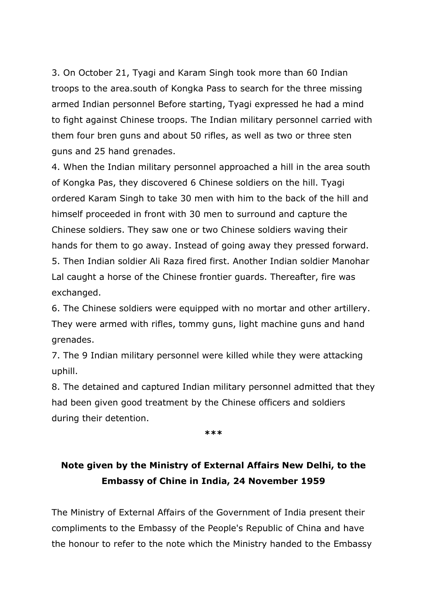3. On October 21, Tyagi and Karam Singh took more than 60 Indian troops to the area.south of Kongka Pass to search for the three missing armed Indian personnel Before starting, Tyagi expressed he had a mind to fight against Chinese troops. The Indian military personnel carried with them four bren guns and about 50 rifles, as well as two or three sten guns and 25 hand grenades.

4. When the Indian military personnel approached a hill in the area south of Kongka Pas, they discovered 6 Chinese soldiers on the hill. Tyagi ordered Karam Singh to take 30 men with him to the back of the hill and himself proceeded in front with 30 men to surround and capture the Chinese soldiers. They saw one or two Chinese soldiers waving their hands for them to go away. Instead of going away they pressed forward. 5. Then Indian soldier Ali Raza fired first. Another Indian soldier Manohar Lal caught a horse of the Chinese frontier guards. Thereafter, fire was exchanged.

6. The Chinese soldiers were equipped with no mortar and other artillery. They were armed with rifles, tommy guns, light machine guns and hand grenades.

7. The 9 Indian military personnel were killed while they were attacking uphill.

8. The detained and captured Indian military personnel admitted that they had been given good treatment by the Chinese officers and soldiers during their detention.

**\*\*\***

# **Note given by the Ministry of External Affairs New Delhi, to the Embassy of Chine in India, 24 November 1959**

The Ministry of External Affairs of the Government of India present their compliments to the Embassy of the People's Republic of China and have the honour to refer to the note which the Ministry handed to the Embassy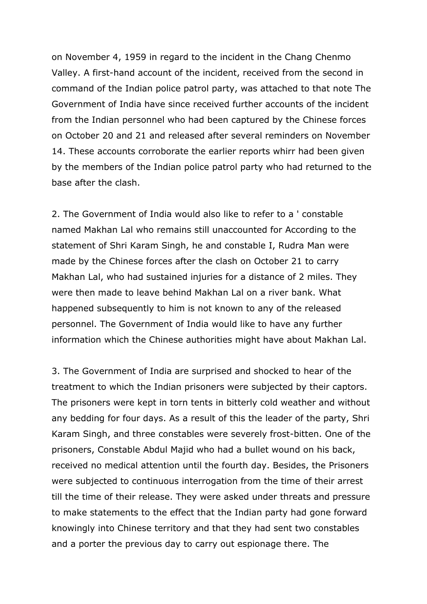on November 4, 1959 in regard to the incident in the Chang Chenmo Valley. A first-hand account of the incident, received from the second in command of the Indian police patrol party, was attached to that note The Government of India have since received further accounts of the incident from the Indian personnel who had been captured by the Chinese forces on October 20 and 21 and released after several reminders on November 14. These accounts corroborate the earlier reports whirr had been given by the members of the Indian police patrol party who had returned to the base after the clash.

2. The Government of India would also like to refer to a ' constable named Makhan Lal who remains still unaccounted for According to the statement of Shri Karam Singh, he and constable I, Rudra Man were made by the Chinese forces after the clash on October 21 to carry Makhan Lal, who had sustained injuries for a distance of 2 miles. They were then made to leave behind Makhan Lal on a river bank. What happened subsequently to him is not known to any of the released personnel. The Government of India would like to have any further information which the Chinese authorities might have about Makhan Lal.

3. The Government of India are surprised and shocked to hear of the treatment to which the Indian prisoners were subjected by their captors. The prisoners were kept in torn tents in bitterly cold weather and without any bedding for four days. As a result of this the leader of the party, Shri Karam Singh, and three constables were severely frost-bitten. One of the prisoners, Constable Abdul Majid who had a bullet wound on his back, received no medical attention until the fourth day. Besides, the Prisoners were subjected to continuous interrogation from the time of their arrest till the time of their release. They were asked under threats and pressure to make statements to the effect that the Indian party had gone forward knowingly into Chinese territory and that they had sent two constables and a porter the previous day to carry out espionage there. The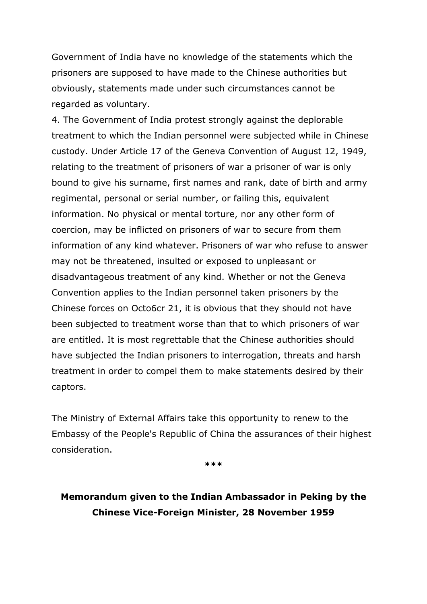Government of India have no knowledge of the statements which the prisoners are supposed to have made to the Chinese authorities but obviously, statements made under such circumstances cannot be regarded as voluntary.

4. The Government of India protest strongly against the deplorable treatment to which the Indian personnel were subjected while in Chinese custody. Under Article 17 of the Geneva Convention of August 12, 1949, relating to the treatment of prisoners of war a prisoner of war is only bound to give his surname, first names and rank, date of birth and army regimental, personal or serial number, or failing this, equivalent information. No physical or mental torture, nor any other form of coercion, may be inflicted on prisoners of war to secure from them information of any kind whatever. Prisoners of war who refuse to answer may not be threatened, insulted or exposed to unpleasant or disadvantageous treatment of any kind. Whether or not the Geneva Convention applies to the Indian personnel taken prisoners by the Chinese forces on Octo6cr 21, it is obvious that they should not have been subjected to treatment worse than that to which prisoners of war are entitled. It is most regrettable that the Chinese authorities should have subjected the Indian prisoners to interrogation, threats and harsh treatment in order to compel them to make statements desired by their captors.

The Ministry of External Affairs take this opportunity to renew to the Embassy of the People's Republic of China the assurances of their highest consideration.

**\*\*\***

## **Memorandum given to the Indian Ambassador in Peking by the Chinese Vice-Foreign Minister, 28 November 1959**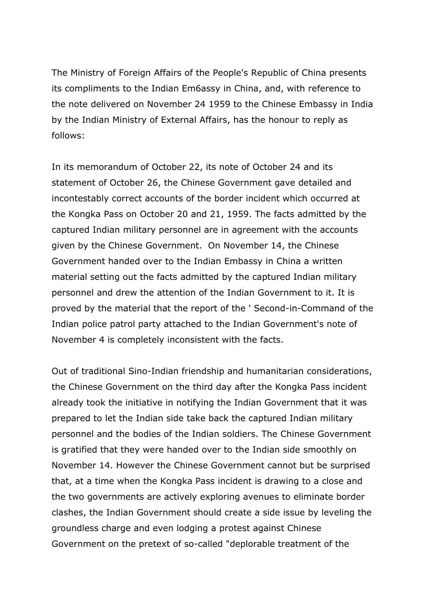The Ministry of Foreign Affairs of the People's Republic of China presents its compliments to the Indian Em6assy in China, and, with reference to the note delivered on November 24 1959 to the Chinese Embassy in India by the Indian Ministry of External Affairs, has the honour to reply as follows:

In its memorandum of October 22, its note of October 24 and its statement of October 26, the Chinese Government gave detailed and incontestably correct accounts of the border incident which occurred at the Kongka Pass on October 20 and 21, 1959. The facts admitted by the captured Indian military personnel are in agreement with the accounts given by the Chinese Government. On November 14, the Chinese Government handed over to the Indian Embassy in China a written material setting out the facts admitted by the captured Indian military personnel and drew the attention of the Indian Government to it. It is proved by the material that the report of the ' Second-in-Command of the Indian police patrol party attached to the Indian Government's note of November 4 is completely inconsistent with the facts.

Out of traditional Sino-Indian friendship and humanitarian considerations, the Chinese Government on the third day after the Kongka Pass incident already took the initiative in notifying the Indian Government that it was prepared to let the Indian side take back the captured Indian military personnel and the bodies of the Indian soldiers. The Chinese Government is gratified that they were handed over to the Indian side smoothly on November 14. However the Chinese Government cannot but be surprised that, at a time when the Kongka Pass incident is drawing to a close and the two governments are actively exploring avenues to eliminate border clashes, the Indian Government should create a side issue by leveling the groundless charge and even lodging a protest against Chinese Government on the pretext of so-called "deplorable treatment of the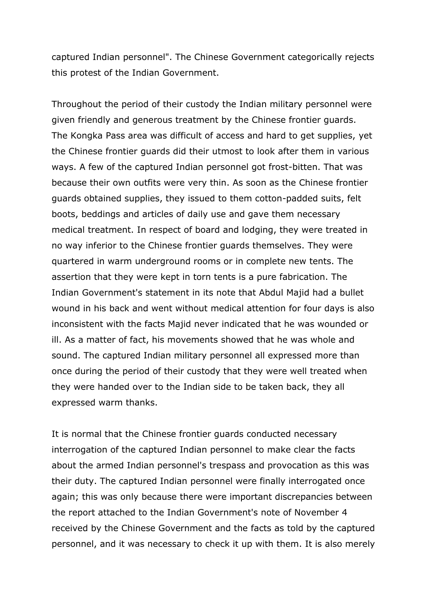captured Indian personnel". The Chinese Government categorically rejects this protest of the Indian Government.

Throughout the period of their custody the Indian military personnel were given friendly and generous treatment by the Chinese frontier guards. The Kongka Pass area was difficult of access and hard to get supplies, yet the Chinese frontier guards did their utmost to look after them in various ways. A few of the captured Indian personnel got frost-bitten. That was because their own outfits were very thin. As soon as the Chinese frontier guards obtained supplies, they issued to them cotton-padded suits, felt boots, beddings and articles of daily use and gave them necessary medical treatment. In respect of board and lodging, they were treated in no way inferior to the Chinese frontier guards themselves. They were quartered in warm underground rooms or in complete new tents. The assertion that they were kept in torn tents is a pure fabrication. The Indian Government's statement in its note that Abdul Majid had a bullet wound in his back and went without medical attention for four days is also inconsistent with the facts Majid never indicated that he was wounded or ill. As a matter of fact, his movements showed that he was whole and sound. The captured Indian military personnel all expressed more than once during the period of their custody that they were well treated when they were handed over to the Indian side to be taken back, they all expressed warm thanks.

It is normal that the Chinese frontier guards conducted necessary interrogation of the captured Indian personnel to make clear the facts about the armed Indian personnel's trespass and provocation as this was their duty. The captured Indian personnel were finally interrogated once again; this was only because there were important discrepancies between the report attached to the Indian Government's note of November 4 received by the Chinese Government and the facts as told by the captured personnel, and it was necessary to check it up with them. It is also merely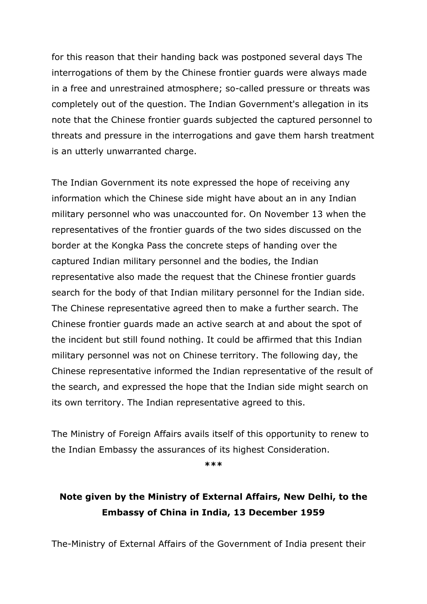for this reason that their handing back was postponed several days The interrogations of them by the Chinese frontier guards were always made in a free and unrestrained atmosphere; so-called pressure or threats was completely out of the question. The Indian Government's allegation in its note that the Chinese frontier guards subjected the captured personnel to threats and pressure in the interrogations and gave them harsh treatment is an utterly unwarranted charge.

The Indian Government its note expressed the hope of receiving any information which the Chinese side might have about an in any Indian military personnel who was unaccounted for. On November 13 when the representatives of the frontier guards of the two sides discussed on the border at the Kongka Pass the concrete steps of handing over the captured Indian military personnel and the bodies, the Indian representative also made the request that the Chinese frontier guards search for the body of that Indian military personnel for the Indian side. The Chinese representative agreed then to make a further search. The Chinese frontier guards made an active search at and about the spot of the incident but still found nothing. It could be affirmed that this Indian military personnel was not on Chinese territory. The following day, the Chinese representative informed the Indian representative of the result of the search, and expressed the hope that the Indian side might search on its own territory. The Indian representative agreed to this.

The Ministry of Foreign Affairs avails itself of this opportunity to renew to the Indian Embassy the assurances of its highest Consideration.

**\*\*\***

# **Note given by the Ministry of External Affairs, New Delhi, to the Embassy of China in India, 13 December 1959**

The-Ministry of External Affairs of the Government of India present their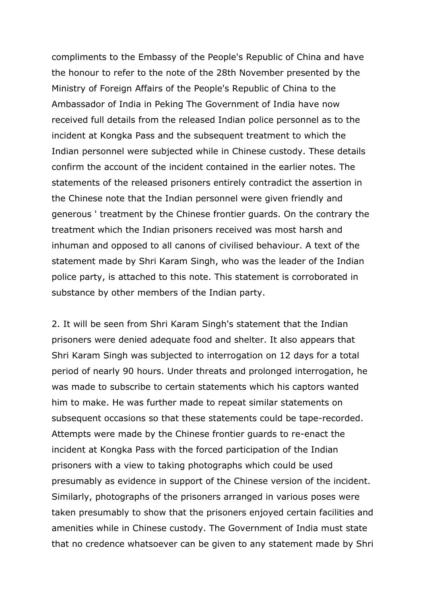compliments to the Embassy of the People's Republic of China and have the honour to refer to the note of the 28th November presented by the Ministry of Foreign Affairs of the People's Republic of China to the Ambassador of India in Peking The Government of India have now received full details from the released Indian police personnel as to the incident at Kongka Pass and the subsequent treatment to which the Indian personnel were subjected while in Chinese custody. These details confirm the account of the incident contained in the earlier notes. The statements of the released prisoners entirely contradict the assertion in the Chinese note that the Indian personnel were given friendly and generous ' treatment by the Chinese frontier guards. On the contrary the treatment which the Indian prisoners received was most harsh and inhuman and opposed to all canons of civilised behaviour. A text of the statement made by Shri Karam Singh, who was the leader of the Indian police party, is attached to this note. This statement is corroborated in substance by other members of the Indian party.

2. It will be seen from Shri Karam Singh's statement that the Indian prisoners were denied adequate food and shelter. It also appears that Shri Karam Singh was subjected to interrogation on 12 days for a total period of nearly 90 hours. Under threats and prolonged interrogation, he was made to subscribe to certain statements which his captors wanted him to make. He was further made to repeat similar statements on subsequent occasions so that these statements could be tape-recorded. Attempts were made by the Chinese frontier guards to re-enact the incident at Kongka Pass with the forced participation of the Indian prisoners with a view to taking photographs which could be used presumably as evidence in support of the Chinese version of the incident. Similarly, photographs of the prisoners arranged in various poses were taken presumably to show that the prisoners enjoyed certain facilities and amenities while in Chinese custody. The Government of India must state that no credence whatsoever can be given to any statement made by Shri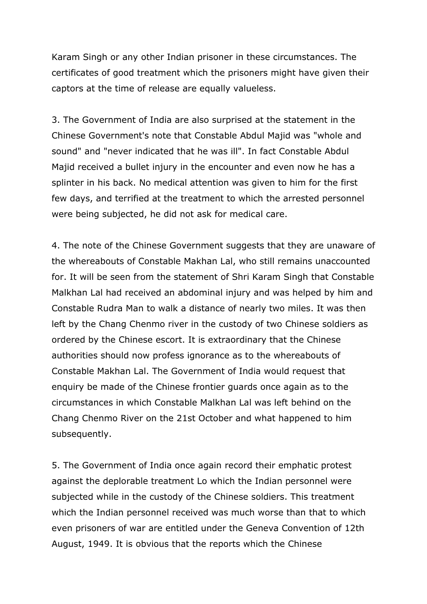Karam Singh or any other Indian prisoner in these circumstances. The certificates of good treatment which the prisoners might have given their captors at the time of release are equally valueless.

3. The Government of India are also surprised at the statement in the Chinese Government's note that Constable Abdul Majid was "whole and sound" and "never indicated that he was ill". In fact Constable Abdul Majid received a bullet injury in the encounter and even now he has a splinter in his back. No medical attention was given to him for the first few days, and terrified at the treatment to which the arrested personnel were being subjected, he did not ask for medical care.

4. The note of the Chinese Government suggests that they are unaware of the whereabouts of Constable Makhan Lal, who still remains unaccounted for. It will be seen from the statement of Shri Karam Singh that Constable Malkhan Lal had received an abdominal injury and was helped by him and Constable Rudra Man to walk a distance of nearly two miles. It was then left by the Chang Chenmo river in the custody of two Chinese soldiers as ordered by the Chinese escort. It is extraordinary that the Chinese authorities should now profess ignorance as to the whereabouts of Constable Makhan Lal. The Government of India would request that enquiry be made of the Chinese frontier guards once again as to the circumstances in which Constable Malkhan Lal was left behind on the Chang Chenmo River on the 21st October and what happened to him subsequently.

5. The Government of India once again record their emphatic protest against the deplorable treatment Lo which the Indian personnel were subjected while in the custody of the Chinese soldiers. This treatment which the Indian personnel received was much worse than that to which even prisoners of war are entitled under the Geneva Convention of 12th August, 1949. It is obvious that the reports which the Chinese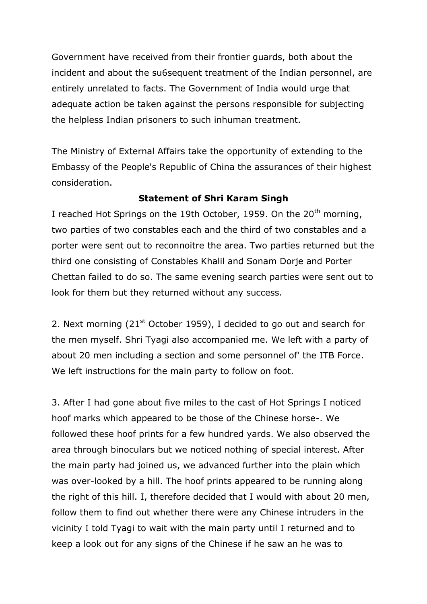Government have received from their frontier guards, both about the incident and about the su6sequent treatment of the Indian personnel, are entirely unrelated to facts. The Government of India would urge that adequate action be taken against the persons responsible for subjecting the helpless Indian prisoners to such inhuman treatment.

The Ministry of External Affairs take the opportunity of extending to the Embassy of the People's Republic of China the assurances of their highest consideration.

### **Statement of Shri Karam Singh**

I reached Hot Springs on the 19th October, 1959. On the  $20<sup>th</sup>$  morning, two parties of two constables each and the third of two constables and a porter were sent out to reconnoitre the area. Two parties returned but the third one consisting of Constables Khalil and Sonam Dorje and Porter Chettan failed to do so. The same evening search parties were sent out to look for them but they returned without any success.

2. Next morning  $(21^{st}$  October 1959), I decided to go out and search for the men myself. Shri Tyagi also accompanied me. We left with a party of about 20 men including a section and some personnel of' the ITB Force. We left instructions for the main party to follow on foot.

3. After I had gone about five miles to the cast of Hot Springs I noticed hoof marks which appeared to be those of the Chinese horse-. We followed these hoof prints for a few hundred yards. We also observed the area through binoculars but we noticed nothing of special interest. After the main party had joined us, we advanced further into the plain which was over-looked by a hill. The hoof prints appeared to be running along the right of this hill. I, therefore decided that I would with about 20 men, follow them to find out whether there were any Chinese intruders in the vicinity I told Tyagi to wait with the main party until I returned and to keep a look out for any signs of the Chinese if he saw an he was to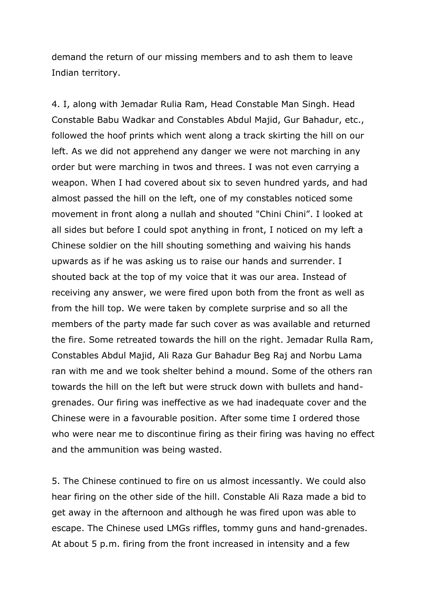demand the return of our missing members and to ash them to leave Indian territory.

4. I, along with Jemadar Rulia Ram, Head Constable Man Singh. Head Constable Babu Wadkar and Constables Abdul Majid, Gur Bahadur, etc., followed the hoof prints which went along a track skirting the hill on our left. As we did not apprehend any danger we were not marching in any order but were marching in twos and threes. I was not even carrying a weapon. When I had covered about six to seven hundred yards, and had almost passed the hill on the left, one of my constables noticed some movement in front along a nullah and shouted "Chini Chini". I looked at all sides but before I could spot anything in front, I noticed on my left a Chinese soldier on the hill shouting something and waiving his hands upwards as if he was asking us to raise our hands and surrender. I shouted back at the top of my voice that it was our area. Instead of receiving any answer, we were fired upon both from the front as well as from the hill top. We were taken by complete surprise and so all the members of the party made far such cover as was available and returned the fire. Some retreated towards the hill on the right. Jemadar Rulla Ram, Constables Abdul Majid, Ali Raza Gur Bahadur Beg Raj and Norbu Lama ran with me and we took shelter behind a mound. Some of the others ran towards the hill on the left but were struck down with bullets and handgrenades. Our firing was ineffective as we had inadequate cover and the Chinese were in a favourable position. After some time I ordered those who were near me to discontinue firing as their firing was having no effect and the ammunition was being wasted.

5. The Chinese continued to fire on us almost incessantly. We could also hear firing on the other side of the hill. Constable Ali Raza made a bid to get away in the afternoon and although he was fired upon was able to escape. The Chinese used LMGs riffles, tommy guns and hand-grenades. At about 5 p.m. firing from the front increased in intensity and a few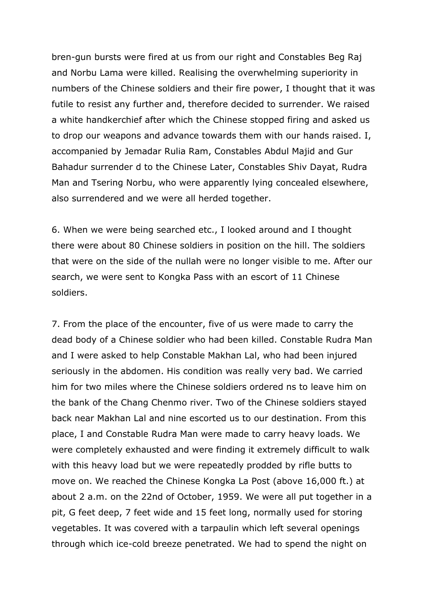bren-gun bursts were fired at us from our right and Constables Beg Raj and Norbu Lama were killed. Realising the overwhelming superiority in numbers of the Chinese soldiers and their fire power, I thought that it was futile to resist any further and, therefore decided to surrender. We raised a white handkerchief after which the Chinese stopped firing and asked us to drop our weapons and advance towards them with our hands raised. I, accompanied by Jemadar Rulia Ram, Constables Abdul Majid and Gur Bahadur surrender d to the Chinese Later, Constables Shiv Dayat, Rudra Man and Tsering Norbu, who were apparently lying concealed elsewhere, also surrendered and we were all herded together.

6. When we were being searched etc., I looked around and I thought there were about 80 Chinese soldiers in position on the hill. The soldiers that were on the side of the nullah were no longer visible to me. After our search, we were sent to Kongka Pass with an escort of 11 Chinese soldiers.

7. From the place of the encounter, five of us were made to carry the dead body of a Chinese soldier who had been killed. Constable Rudra Man and I were asked to help Constable Makhan Lal, who had been injured seriously in the abdomen. His condition was really very bad. We carried him for two miles where the Chinese soldiers ordered ns to leave him on the bank of the Chang Chenmo river. Two of the Chinese soldiers stayed back near Makhan Lal and nine escorted us to our destination. From this place, I and Constable Rudra Man were made to carry heavy loads. We were completely exhausted and were finding it extremely difficult to walk with this heavy load but we were repeatedly prodded by rifle butts to move on. We reached the Chinese Kongka La Post (above 16,000 ft.) at about 2 a.m. on the 22nd of October, 1959. We were all put together in a pit, G feet deep, 7 feet wide and 15 feet long, normally used for storing vegetables. It was covered with a tarpaulin which left several openings through which ice-cold breeze penetrated. We had to spend the night on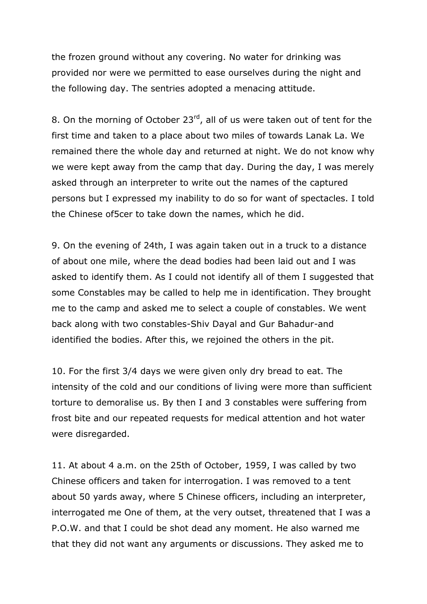the frozen ground without any covering. No water for drinking was provided nor were we permitted to ease ourselves during the night and the following day. The sentries adopted a menacing attitude.

8. On the morning of October 23<sup>rd</sup>, all of us were taken out of tent for the first time and taken to a place about two miles of towards Lanak La. We remained there the whole day and returned at night. We do not know why we were kept away from the camp that day. During the day, I was merely asked through an interpreter to write out the names of the captured persons but I expressed my inability to do so for want of spectacles. I told the Chinese of5cer to take down the names, which he did.

9. On the evening of 24th, I was again taken out in a truck to a distance of about one mile, where the dead bodies had been laid out and I was asked to identify them. As I could not identify all of them I suggested that some Constables may be called to help me in identification. They brought me to the camp and asked me to select a couple of constables. We went back along with two constables-Shiv Dayal and Gur Bahadur-and identified the bodies. After this, we rejoined the others in the pit.

10. For the first 3/4 days we were given only dry bread to eat. The intensity of the cold and our conditions of living were more than sufficient torture to demoralise us. By then I and 3 constables were suffering from frost bite and our repeated requests for medical attention and hot water were disregarded.

11. At about 4 a.m. on the 25th of October, 1959, I was called by two Chinese officers and taken for interrogation. I was removed to a tent about 50 yards away, where 5 Chinese officers, including an interpreter, interrogated me One of them, at the very outset, threatened that I was a P.O.W. and that I could be shot dead any moment. He also warned me that they did not want any arguments or discussions. They asked me to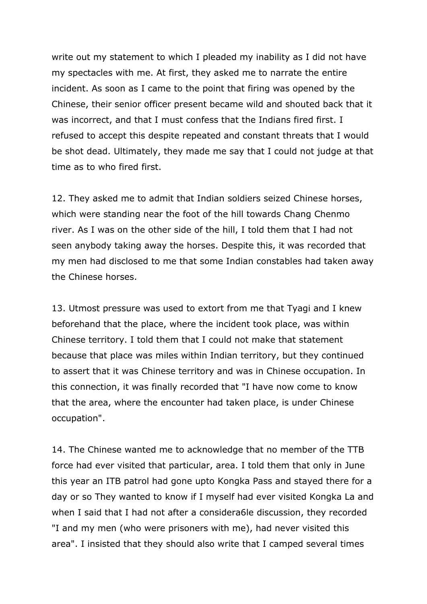write out my statement to which I pleaded my inability as I did not have my spectacles with me. At first, they asked me to narrate the entire incident. As soon as I came to the point that firing was opened by the Chinese, their senior officer present became wild and shouted back that it was incorrect, and that I must confess that the Indians fired first. I refused to accept this despite repeated and constant threats that I would be shot dead. Ultimately, they made me say that I could not judge at that time as to who fired first.

12. They asked me to admit that Indian soldiers seized Chinese horses, which were standing near the foot of the hill towards Chang Chenmo river. As I was on the other side of the hill, I told them that I had not seen anybody taking away the horses. Despite this, it was recorded that my men had disclosed to me that some Indian constables had taken away the Chinese horses.

13. Utmost pressure was used to extort from me that Tyagi and I knew beforehand that the place, where the incident took place, was within Chinese territory. I told them that I could not make that statement because that place was miles within Indian territory, but they continued to assert that it was Chinese territory and was in Chinese occupation. In this connection, it was finally recorded that "I have now come to know that the area, where the encounter had taken place, is under Chinese occupation".

14. The Chinese wanted me to acknowledge that no member of the TTB force had ever visited that particular, area. I told them that only in June this year an ITB patrol had gone upto Kongka Pass and stayed there for a day or so They wanted to know if I myself had ever visited Kongka La and when I said that I had not after a considera6le discussion, they recorded "I and my men (who were prisoners with me), had never visited this area". I insisted that they should also write that I camped several times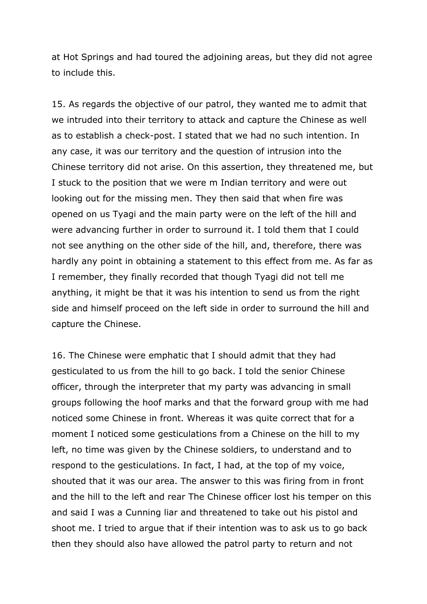at Hot Springs and had toured the adjoining areas, but they did not agree to include this.

15. As regards the objective of our patrol, they wanted me to admit that we intruded into their territory to attack and capture the Chinese as well as to establish a check-post. I stated that we had no such intention. In any case, it was our territory and the question of intrusion into the Chinese territory did not arise. On this assertion, they threatened me, but I stuck to the position that we were m Indian territory and were out looking out for the missing men. They then said that when fire was opened on us Tyagi and the main party were on the left of the hill and were advancing further in order to surround it. I told them that I could not see anything on the other side of the hill, and, therefore, there was hardly any point in obtaining a statement to this effect from me. As far as I remember, they finally recorded that though Tyagi did not tell me anything, it might be that it was his intention to send us from the right side and himself proceed on the left side in order to surround the hill and capture the Chinese.

16. The Chinese were emphatic that I should admit that they had gesticulated to us from the hill to go back. I told the senior Chinese officer, through the interpreter that my party was advancing in small groups following the hoof marks and that the forward group with me had noticed some Chinese in front. Whereas it was quite correct that for a moment I noticed some gesticulations from a Chinese on the hill to my left, no time was given by the Chinese soldiers, to understand and to respond to the gesticulations. In fact, I had, at the top of my voice, shouted that it was our area. The answer to this was firing from in front and the hill to the left and rear The Chinese officer lost his temper on this and said I was a Cunning liar and threatened to take out his pistol and shoot me. I tried to argue that if their intention was to ask us to go back then they should also have allowed the patrol party to return and not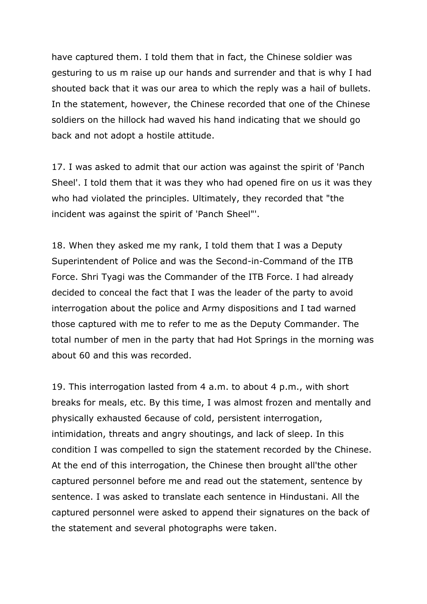have captured them. I told them that in fact, the Chinese soldier was gesturing to us m raise up our hands and surrender and that is why I had shouted back that it was our area to which the reply was a hail of bullets. In the statement, however, the Chinese recorded that one of the Chinese soldiers on the hillock had waved his hand indicating that we should go back and not adopt a hostile attitude.

17. I was asked to admit that our action was against the spirit of 'Panch Sheel'. I told them that it was they who had opened fire on us it was they who had violated the principles. Ultimately, they recorded that "the incident was against the spirit of 'Panch Sheel"'.

18. When they asked me my rank, I told them that I was a Deputy Superintendent of Police and was the Second-in-Command of the ITB Force. Shri Tyagi was the Commander of the ITB Force. I had already decided to conceal the fact that I was the leader of the party to avoid interrogation about the police and Army dispositions and I tad warned those captured with me to refer to me as the Deputy Commander. The total number of men in the party that had Hot Springs in the morning was about 60 and this was recorded.

19. This interrogation lasted from 4 a.m. to about 4 p.m., with short breaks for meals, etc. By this time, I was almost frozen and mentally and physically exhausted 6ecause of cold, persistent interrogation, intimidation, threats and angry shoutings, and lack of sleep. In this condition I was compelled to sign the statement recorded by the Chinese. At the end of this interrogation, the Chinese then brought all'the other captured personnel before me and read out the statement, sentence by sentence. I was asked to translate each sentence in Hindustani. All the captured personnel were asked to append their signatures on the back of the statement and several photographs were taken.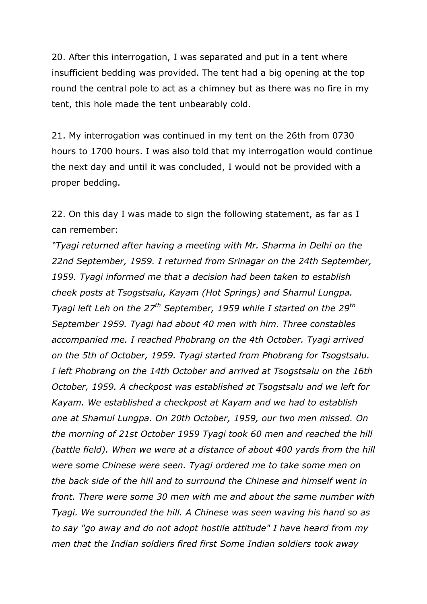20. After this interrogation, I was separated and put in a tent where insufficient bedding was provided. The tent had a big opening at the top round the central pole to act as a chimney but as there was no fire in my tent, this hole made the tent unbearably cold.

21. My interrogation was continued in my tent on the 26th from 0730 hours to 1700 hours. I was also told that my interrogation would continue the next day and until it was concluded, I would not be provided with a proper bedding.

22. On this day I was made to sign the following statement, as far as I can remember:

*"Tyagi returned after having a meeting with Mr. Sharma in Delhi on the 22nd September, 1959. I returned from Srinagar on the 24th September, 1959. Tyagi informed me that a decision had been taken to establish cheek posts at Tsogstsalu, Kayam (Hot Springs) and Shamul Lungpa. Tyagi left Leh on the 27th September, 1959 while I started on the 29th September 1959. Tyagi had about 40 men with him. Three constables accompanied me. I reached Phobrang on the 4th October. Tyagi arrived on the 5th of October, 1959. Tyagi started from Phobrang for Tsogstsalu. I left Phobrang on the 14th October and arrived at Tsogstsalu on the 16th October, 1959. A checkpost was established at Tsogstsalu and we left for Kayam. We established a checkpost at Kayam and we had to establish one at Shamul Lungpa. On 20th October, 1959, our two men missed. On the morning of 21st October 1959 Tyagi took 60 men and reached the hill (battle field). When we were at a distance of about 400 yards from the hill were some Chinese were seen. Tyagi ordered me to take some men on the back side of the hill and to surround the Chinese and himself went in front. There were some 30 men with me and about the same number with Tyagi. We surrounded the hill. A Chinese was seen waving his hand so as to say "go away and do not adopt hostile attitude" I have heard from my men that the Indian soldiers fired first Some Indian soldiers took away*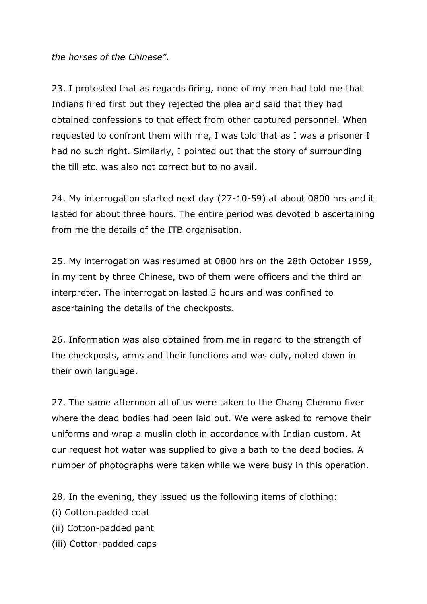*the horses of the Chinese".*

23. I protested that as regards firing, none of my men had told me that Indians fired first but they rejected the plea and said that they had obtained confessions to that effect from other captured personnel. When requested to confront them with me, I was told that as I was a prisoner I had no such right. Similarly, I pointed out that the story of surrounding the till etc. was also not correct but to no avail.

24. My interrogation started next day (27-10-59) at about 0800 hrs and it lasted for about three hours. The entire period was devoted b ascertaining from me the details of the ITB organisation.

25. My interrogation was resumed at 0800 hrs on the 28th October 1959, in my tent by three Chinese, two of them were officers and the third an interpreter. The interrogation lasted 5 hours and was confined to ascertaining the details of the checkposts.

26. Information was also obtained from me in regard to the strength of the checkposts, arms and their functions and was duly, noted down in their own language.

27. The same afternoon all of us were taken to the Chang Chenmo fiver where the dead bodies had been laid out. We were asked to remove their uniforms and wrap a muslin cloth in accordance with Indian custom. At our request hot water was supplied to give a bath to the dead bodies. A number of photographs were taken while we were busy in this operation.

28. In the evening, they issued us the following items of clothing:

(i) Cotton.padded coat

(ii) Cotton-padded pant

(iii) Cotton-padded caps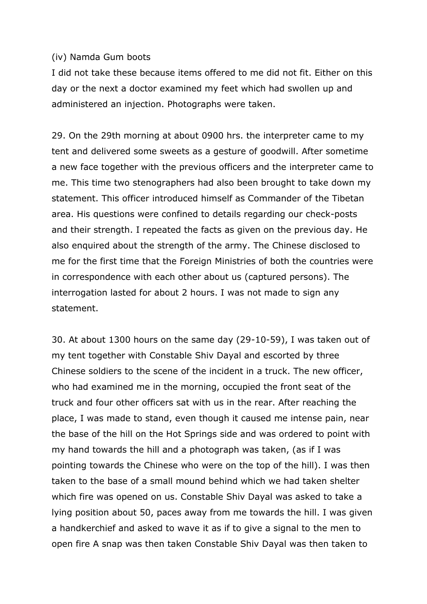#### (iv) Namda Gum boots

I did not take these because items offered to me did not fit. Either on this day or the next a doctor examined my feet which had swollen up and administered an injection. Photographs were taken.

29. On the 29th morning at about 0900 hrs. the interpreter came to my tent and delivered some sweets as a gesture of goodwill. After sometime a new face together with the previous officers and the interpreter came to me. This time two stenographers had also been brought to take down my statement. This officer introduced himself as Commander of the Tibetan area. His questions were confined to details regarding our check-posts and their strength. I repeated the facts as given on the previous day. He also enquired about the strength of the army. The Chinese disclosed to me for the first time that the Foreign Ministries of both the countries were in correspondence with each other about us (captured persons). The interrogation lasted for about 2 hours. I was not made to sign any statement.

30. At about 1300 hours on the same day (29-10-59), I was taken out of my tent together with Constable Shiv Dayal and escorted by three Chinese soldiers to the scene of the incident in a truck. The new officer, who had examined me in the morning, occupied the front seat of the truck and four other officers sat with us in the rear. After reaching the place, I was made to stand, even though it caused me intense pain, near the base of the hill on the Hot Springs side and was ordered to point with my hand towards the hill and a photograph was taken, (as if I was pointing towards the Chinese who were on the top of the hill). I was then taken to the base of a small mound behind which we had taken shelter which fire was opened on us. Constable Shiv Dayal was asked to take a lying position about 50, paces away from me towards the hill. I was given a handkerchief and asked to wave it as if to give a signal to the men to open fire A snap was then taken Constable Shiv Dayal was then taken to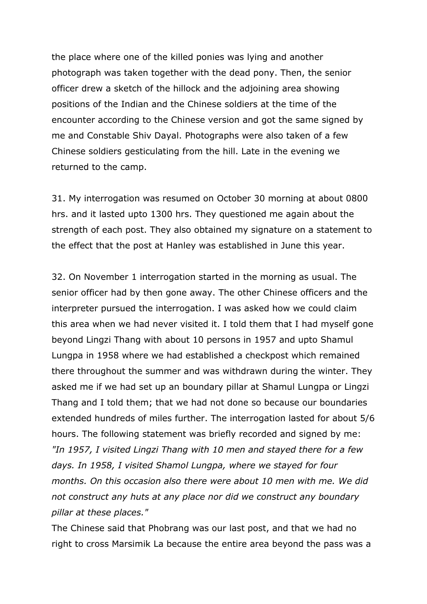the place where one of the killed ponies was lying and another photograph was taken together with the dead pony. Then, the senior officer drew a sketch of the hillock and the adjoining area showing positions of the Indian and the Chinese soldiers at the time of the encounter according to the Chinese version and got the same signed by me and Constable Shiv Dayal. Photographs were also taken of a few Chinese soldiers gesticulating from the hill. Late in the evening we returned to the camp.

31. My interrogation was resumed on October 30 morning at about 0800 hrs. and it lasted upto 1300 hrs. They questioned me again about the strength of each post. They also obtained my signature on a statement to the effect that the post at Hanley was established in June this year.

32. On November 1 interrogation started in the morning as usual. The senior officer had by then gone away. The other Chinese officers and the interpreter pursued the interrogation. I was asked how we could claim this area when we had never visited it. I told them that I had myself gone beyond Lingzi Thang with about 10 persons in 1957 and upto Shamul Lungpa in 1958 where we had established a checkpost which remained there throughout the summer and was withdrawn during the winter. They asked me if we had set up an boundary pillar at Shamul Lungpa or Lingzi Thang and I told them; that we had not done so because our boundaries extended hundreds of miles further. The interrogation lasted for about 5/6 hours. The following statement was briefly recorded and signed by me: *"In 1957, I visited Lingzi Thang with 10 men and stayed there for a few days. In 1958, I visited Shamol Lungpa, where we stayed for four months. On this occasion also there were about 10 men with me. We did not construct any huts at any place nor did we construct any boundary pillar at these places."*

The Chinese said that Phobrang was our last post, and that we had no right to cross Marsimik La because the entire area beyond the pass was a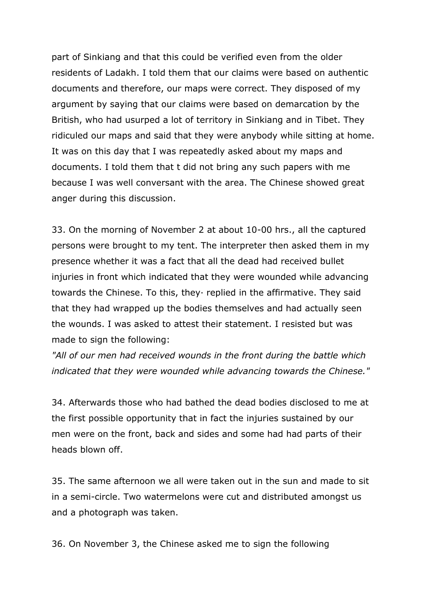part of Sinkiang and that this could be verified even from the older residents of Ladakh. I told them that our claims were based on authentic documents and therefore, our maps were correct. They disposed of my argument by saying that our claims were based on demarcation by the British, who had usurped a lot of territory in Sinkiang and in Tibet. They ridiculed our maps and said that they were anybody while sitting at home. It was on this day that I was repeatedly asked about my maps and documents. I told them that t did not bring any such papers with me because I was well conversant with the area. The Chinese showed great anger during this discussion.

33. On the morning of November 2 at about 10-00 hrs., all the captured persons were brought to my tent. The interpreter then asked them in my presence whether it was a fact that all the dead had received bullet injuries in front which indicated that they were wounded while advancing towards the Chinese. To this, they· replied in the affirmative. They said that they had wrapped up the bodies themselves and had actually seen the wounds. I was asked to attest their statement. I resisted but was made to sign the following:

*"All of our men had received wounds in the front during the battle which indicated that they were wounded while advancing towards the Chinese."*

34. Afterwards those who had bathed the dead bodies disclosed to me at the first possible opportunity that in fact the injuries sustained by our men were on the front, back and sides and some had had parts of their heads blown off.

35. The same afternoon we all were taken out in the sun and made to sit in a semi-circle. Two watermelons were cut and distributed amongst us and a photograph was taken.

36. On November 3, the Chinese asked me to sign the following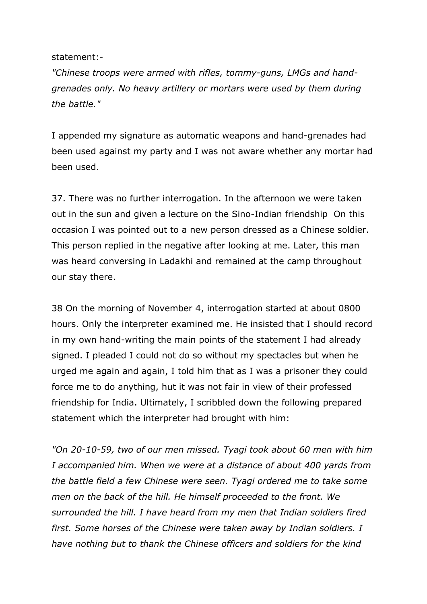#### statement:-

*"Chinese troops were armed with rifles, tommy-guns, LMGs and handgrenades only. No heavy artillery or mortars were used by them during the battle."*

I appended my signature as automatic weapons and hand-grenades had been used against my party and I was not aware whether any mortar had been used.

37. There was no further interrogation. In the afternoon we were taken out in the sun and given a lecture on the Sino-Indian friendship On this occasion I was pointed out to a new person dressed as a Chinese soldier. This person replied in the negative after looking at me. Later, this man was heard conversing in Ladakhi and remained at the camp throughout our stay there.

38 On the morning of November 4, interrogation started at about 0800 hours. Only the interpreter examined me. He insisted that I should record in my own hand-writing the main points of the statement I had already signed. I pleaded I could not do so without my spectacles but when he urged me again and again, I told him that as I was a prisoner they could force me to do anything, hut it was not fair in view of their professed friendship for India. Ultimately, I scribbled down the following prepared statement which the interpreter had brought with him:

*"On 20-10-59, two of our men missed. Tyagi took about 60 men with him I accompanied him. When we were at a distance of about 400 yards from the battle field a few Chinese were seen. Tyagi ordered me to take some men on the back of the hill. He himself proceeded to the front. We surrounded the hill. I have heard from my men that Indian soldiers fired first. Some horses of the Chinese were taken away by Indian soldiers. I have nothing but to thank the Chinese officers and soldiers for the kind*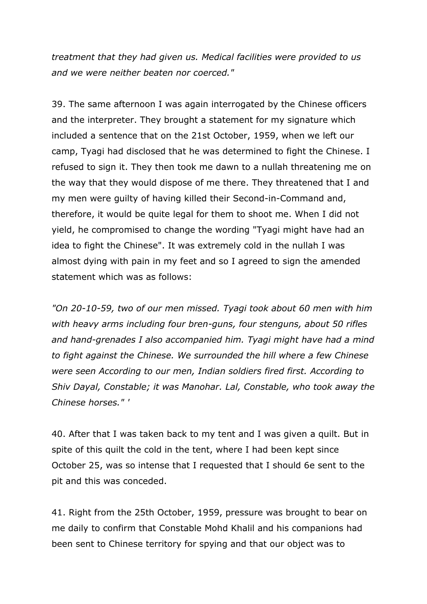*treatment that they had given us. Medical facilities were provided to us and we were neither beaten nor coerced."*

39. The same afternoon I was again interrogated by the Chinese officers and the interpreter. They brought a statement for my signature which included a sentence that on the 21st October, 1959, when we left our camp, Tyagi had disclosed that he was determined to fight the Chinese. I refused to sign it. They then took me dawn to a nullah threatening me on the way that they would dispose of me there. They threatened that I and my men were guilty of having killed their Second-in-Command and, therefore, it would be quite legal for them to shoot me. When I did not yield, he compromised to change the wording "Tyagi might have had an idea to fight the Chinese". It was extremely cold in the nullah I was almost dying with pain in my feet and so I agreed to sign the amended statement which was as follows:

*"On 20-10-59, two of our men missed. Tyagi took about 60 men with him with heavy arms including four bren-guns, four stenguns, about 50 rifles and hand-grenades I also accompanied him. Tyagi might have had a mind to fight against the Chinese. We surrounded the hill where a few Chinese were seen According to our men, Indian soldiers fired first. According to Shiv Dayal, Constable; it was Manohar. Lal, Constable, who took away the Chinese horses." '*

40. After that I was taken back to my tent and I was given a quilt. But in spite of this quilt the cold in the tent, where I had been kept since October 25, was so intense that I requested that I should 6e sent to the pit and this was conceded.

41. Right from the 25th October, 1959, pressure was brought to bear on me daily to confirm that Constable Mohd Khalil and his companions had been sent to Chinese territory for spying and that our object was to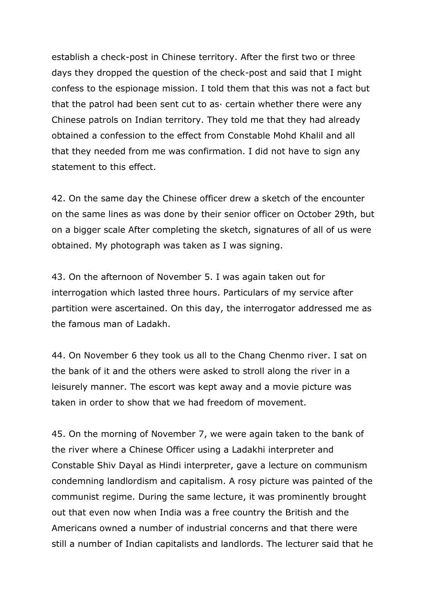establish a check-post in Chinese territory. After the first two or three days they dropped the question of the check-post and said that I might confess to the espionage mission. I told them that this was not a fact but that the patrol had been sent cut to as· certain whether there were any Chinese patrols on Indian territory. They told me that they had already obtained a confession to the effect from Constable Mohd Khalil and all that they needed from me was confirmation. I did not have to sign any statement to this effect.

42. On the same day the Chinese officer drew a sketch of the encounter on the same lines as was done by their senior officer on October 29th, but on a bigger scale After completing the sketch, signatures of all of us were obtained. My photograph was taken as I was signing.

43. On the afternoon of November 5. I was again taken out for interrogation which lasted three hours. Particulars of my service after partition were ascertained. On this day, the interrogator addressed me as the famous man of Ladakh.

44. On November 6 they took us all to the Chang Chenmo river. I sat on the bank of it and the others were asked to stroll along the river in a leisurely manner. The escort was kept away and a movie picture was taken in order to show that we had freedom of movement.

45. On the morning of November 7, we were again taken to the bank of the river where a Chinese Officer using a Ladakhi interpreter and Constable Shiv Dayal as Hindi interpreter, gave a lecture on communism condemning landlordism and capitalism. A rosy picture was painted of the communist regime. During the same lecture, it was prominently brought out that even now when India was a free country the British and the Americans owned a number of industrial concerns and that there were still a number of Indian capitalists and landlords. The lecturer said that he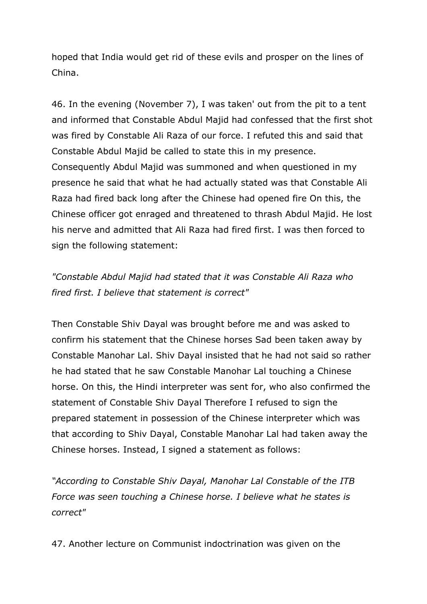hoped that India would get rid of these evils and prosper on the lines of China.

46. In the evening (November 7), I was taken' out from the pit to a tent and informed that Constable Abdul Majid had confessed that the first shot was fired by Constable Ali Raza of our force. I refuted this and said that Constable Abdul Majid be called to state this in my presence. Consequently Abdul Majid was summoned and when questioned in my presence he said that what he had actually stated was that Constable Ali Raza had fired back long after the Chinese had opened fire On this, the Chinese officer got enraged and threatened to thrash Abdul Majid. He lost his nerve and admitted that Ali Raza had fired first. I was then forced to sign the following statement:

*"Constable Abdul Majid had stated that it was Constable Ali Raza who fired first. I believe that statement is correct"*

Then Constable Shiv Dayal was brought before me and was asked to confirm his statement that the Chinese horses Sad been taken away by Constable Manohar Lal. Shiv Dayal insisted that he had not said so rather he had stated that he saw Constable Manohar Lal touching a Chinese horse. On this, the Hindi interpreter was sent for, who also confirmed the statement of Constable Shiv Dayal Therefore I refused to sign the prepared statement in possession of the Chinese interpreter which was that according to Shiv Dayal, Constable Manohar Lal had taken away the Chinese horses. Instead, I signed a statement as follows:

*"According to Constable Shiv Dayal, Manohar Lal Constable of the ITB Force was seen touching a Chinese horse. I believe what he states is correct"*

47. Another lecture on Communist indoctrination was given on the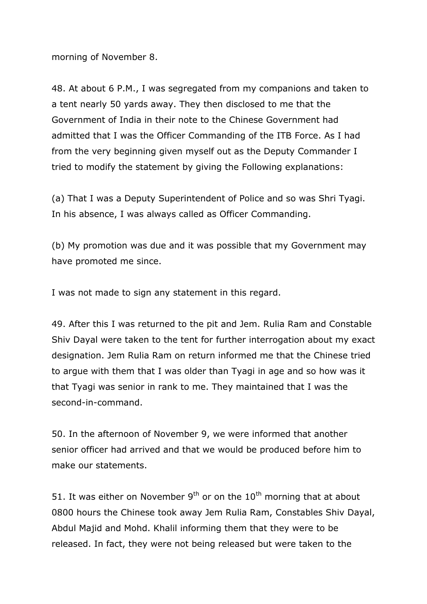morning of November 8.

48. At about 6 P.M., I was segregated from my companions and taken to a tent nearly 50 yards away. They then disclosed to me that the Government of India in their note to the Chinese Government had admitted that I was the Officer Commanding of the ITB Force. As I had from the very beginning given myself out as the Deputy Commander I tried to modify the statement by giving the Following explanations:

(a) That I was a Deputy Superintendent of Police and so was Shri Tyagi. In his absence, I was always called as Officer Commanding.

(b) My promotion was due and it was possible that my Government may have promoted me since.

I was not made to sign any statement in this regard.

49. After this I was returned to the pit and Jem. Rulia Ram and Constable Shiv Dayal were taken to the tent for further interrogation about my exact designation. Jem Rulia Ram on return informed me that the Chinese tried to argue with them that I was older than Tyagi in age and so how was it that Tyagi was senior in rank to me. They maintained that I was the second-in-command.

50. In the afternoon of November 9, we were informed that another senior officer had arrived and that we would be produced before him to make our statements.

51. It was either on November  $9<sup>th</sup>$  or on the  $10<sup>th</sup>$  morning that at about 0800 hours the Chinese took away Jem Rulia Ram, Constables Shiv Dayal, Abdul Majid and Mohd. Khalil informing them that they were to be released. In fact, they were not being released but were taken to the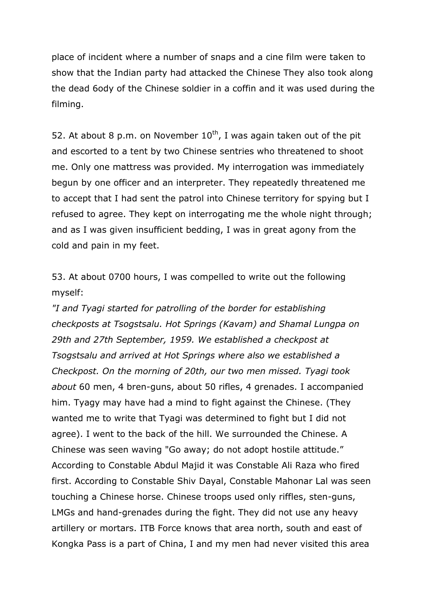place of incident where a number of snaps and a cine film were taken to show that the Indian party had attacked the Chinese They also took along the dead 6ody of the Chinese soldier in a coffin and it was used during the filming.

52. At about 8 p.m. on November  $10^{th}$ , I was again taken out of the pit and escorted to a tent by two Chinese sentries who threatened to shoot me. Only one mattress was provided. My interrogation was immediately begun by one officer and an interpreter. They repeatedly threatened me to accept that I had sent the patrol into Chinese territory for spying but I refused to agree. They kept on interrogating me the whole night through; and as I was given insufficient bedding, I was in great agony from the cold and pain in my feet.

53. At about 0700 hours, I was compelled to write out the following myself:

*"I and Tyagi started for patrolling of the border for establishing checkposts at Tsogstsalu. Hot Springs (Kavam) and Shamal Lungpa on 29th and 27th September, 1959. We established a checkpost at Tsogstsalu and arrived at Hot Springs where also we established a Checkpost. On the morning of 20th, our two men missed. Tyagi took about* 60 men, 4 bren-guns, about 50 rifles, 4 grenades. I accompanied him. Tyagy may have had a mind to fight against the Chinese. (They wanted me to write that Tyagi was determined to fight but I did not agree). I went to the back of the hill. We surrounded the Chinese. A Chinese was seen waving "Go away; do not adopt hostile attitude." According to Constable Abdul Majid it was Constable Ali Raza who fired first. According to Constable Shiv Dayal, Constable Mahonar Lal was seen touching a Chinese horse. Chinese troops used only riffles, sten-guns, LMGs and hand-grenades during the fight. They did not use any heavy artillery or mortars. ITB Force knows that area north, south and east of Kongka Pass is a part of China, I and my men had never visited this area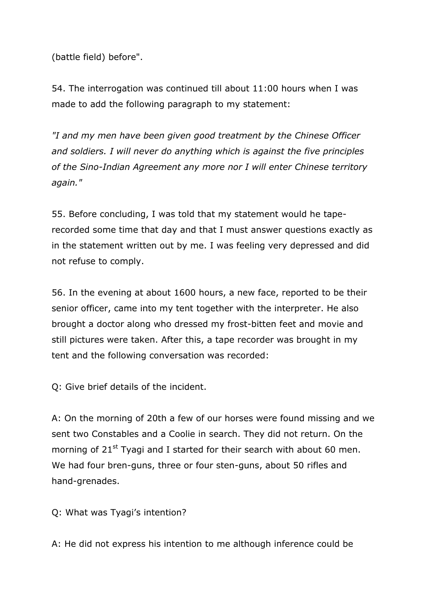(battle field) before".

54. The interrogation was continued till about 11:00 hours when I was made to add the following paragraph to my statement:

*"I and my men have been given good treatment by the Chinese Officer and soldiers. I will never do anything which is against the five principles of the Sino-Indian Agreement any more nor I will enter Chinese territory again."*

55. Before concluding, I was told that my statement would he taperecorded some time that day and that I must answer questions exactly as in the statement written out by me. I was feeling very depressed and did not refuse to comply.

56. In the evening at about 1600 hours, a new face, reported to be their senior officer, came into my tent together with the interpreter. He also brought a doctor along who dressed my frost-bitten feet and movie and still pictures were taken. After this, a tape recorder was brought in my tent and the following conversation was recorded:

Q: Give brief details of the incident.

A: On the morning of 20th a few of our horses were found missing and we sent two Constables and a Coolie in search. They did not return. On the morning of  $21^{st}$  Tyagi and I started for their search with about 60 men. We had four bren-guns, three or four sten-guns, about 50 rifles and hand-grenades.

Q: What was Tyagi's intention?

A: He did not express his intention to me although inference could be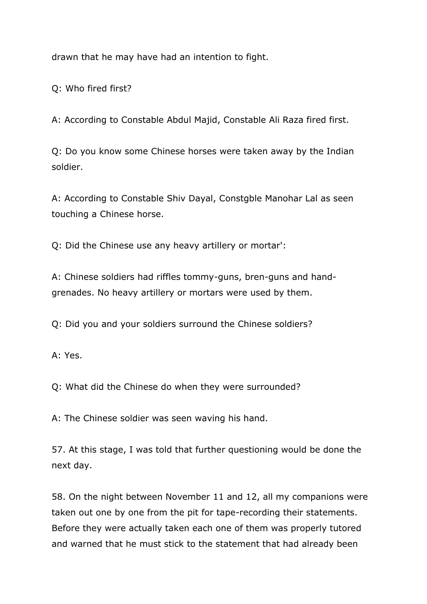drawn that he may have had an intention to fight.

Q: Who fired first?

A: According to Constable Abdul Majid, Constable Ali Raza fired first.

Q: Do you know some Chinese horses were taken away by the Indian soldier.

A: According to Constable Shiv Dayal, Constgble Manohar Lal as seen touching a Chinese horse.

Q: Did the Chinese use any heavy artillery or mortar':

A: Chinese soldiers had riffles tommy-guns, bren-guns and handgrenades. No heavy artillery or mortars were used by them.

Q: Did you and your soldiers surround the Chinese soldiers?

A: Yes.

Q: What did the Chinese do when they were surrounded?

A: The Chinese soldier was seen waving his hand.

57. At this stage, I was told that further questioning would be done the next day.

58. On the night between November 11 and 12, all my companions were taken out one by one from the pit for tape-recording their statements. Before they were actually taken each one of them was properly tutored and warned that he must stick to the statement that had already been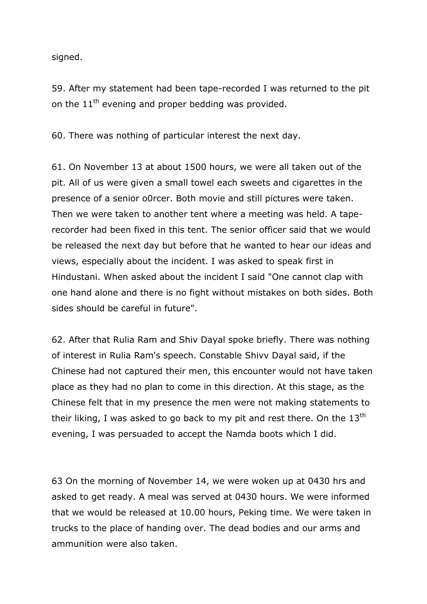signed.

59. After my statement had been tape-recorded I was returned to the pit on the  $11<sup>th</sup>$  evening and proper bedding was provided.

60. There was nothing of particular interest the next day.

61. On November 13 at about 1500 hours, we were all taken out of the pit. All of us were given a small towel each sweets and cigarettes in the presence of a senior o0rcer. Both movie and still pictures were taken. Then we were taken to another tent where a meeting was held. A taperecorder had been fixed in this tent. The senior officer said that we would be released the next day but before that he wanted to hear our ideas and views, especially about the incident. I was asked to speak first in Hindustani. When asked about the incident I said "One cannot clap with one hand alone and there is no fight without mistakes on both sides. Both sides should be careful in future".

62. After that Rulia Ram and Shiv Dayal spoke briefly. There was nothing of interest in Rulia Ram's speech. Constable Shivv Dayal said, if the Chinese had not captured their men, this encounter would not have taken place as they had no plan to come in this direction. At this stage, as the Chinese felt that in my presence the men were not making statements to their liking, I was asked to go back to my pit and rest there. On the  $13<sup>th</sup>$ evening, I was persuaded to accept the Namda boots which I did.

63 On the morning of November 14, we were woken up at 0430 hrs and asked to get ready. A meal was served at 0430 hours. We were informed that we would be released at 10.00 hours, Peking time. We were taken in trucks to the place of handing over. The dead bodies and our arms and ammunition were also taken.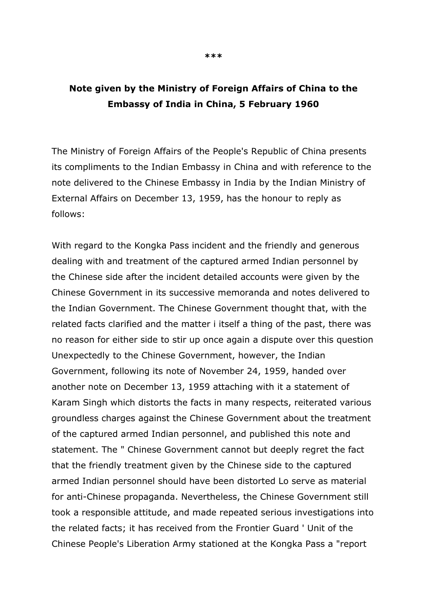## **Note given by the Ministry of Foreign Affairs of China to the Embassy of India in China, 5 February 1960**

The Ministry of Foreign Affairs of the People's Republic of China presents its compliments to the Indian Embassy in China and with reference to the note delivered to the Chinese Embassy in India by the Indian Ministry of External Affairs on December 13, 1959, has the honour to reply as follows:

With regard to the Kongka Pass incident and the friendly and generous dealing with and treatment of the captured armed Indian personnel by the Chinese side after the incident detailed accounts were given by the Chinese Government in its successive memoranda and notes delivered to the Indian Government. The Chinese Government thought that, with the related facts clarified and the matter i itself a thing of the past, there was no reason for either side to stir up once again a dispute over this question Unexpectedly to the Chinese Government, however, the Indian Government, following its note of November 24, 1959, handed over another note on December 13, 1959 attaching with it a statement of Karam Singh which distorts the facts in many respects, reiterated various groundless charges against the Chinese Government about the treatment of the captured armed Indian personnel, and published this note and statement. The " Chinese Government cannot but deeply regret the fact that the friendly treatment given by the Chinese side to the captured armed Indian personnel should have been distorted Lo serve as material for anti-Chinese propaganda. Nevertheless, the Chinese Government still took a responsible attitude, and made repeated serious investigations into the related facts; it has received from the Frontier Guard ' Unit of the Chinese People's Liberation Army stationed at the Kongka Pass a "report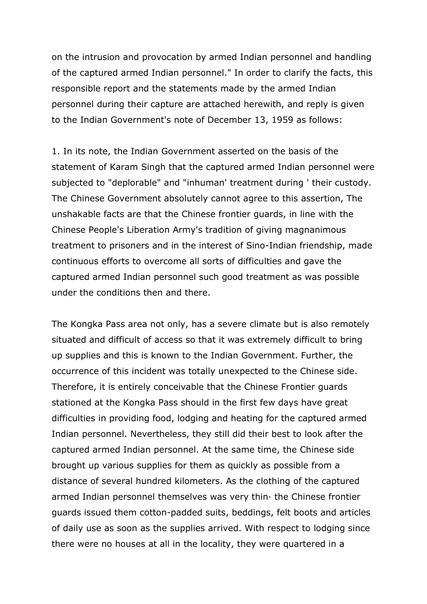on the intrusion and provocation by armed Indian personnel and handling of the captured armed Indian personnel." In order to clarify the facts, this responsible report and the statements made by the armed Indian personnel during their capture are attached herewith, and reply is given to the Indian Government's note of December 13, 1959 as follows:

1. In its note, the Indian Government asserted on the basis of the statement of Karam Singh that the captured armed Indian personnel were subjected to "deplorable" and "inhuman' treatment during ' their custody. The Chinese Government absolutely cannot agree to this assertion, The unshakable facts are that the Chinese frontier guards, in line with the Chinese People's Liberation Army's tradition of giving magnanimous treatment to prisoners and in the interest of Sino-Indian friendship, made continuous efforts to overcome all sorts of difficulties and gave the captured armed Indian personnel such good treatment as was possible under the conditions then and there.

The Kongka Pass area not only, has a severe climate but is also remotely situated and difficult of access so that it was extremely difficult to bring up supplies and this is known to the Indian Government. Further, the occurrence of this incident was totally unexpected to the Chinese side. Therefore, it is entirely conceivable that the Chinese Frontier guards stationed at the Kongka Pass should in the first few days have great difficulties in providing food, lodging and heating for the captured armed Indian personnel. Nevertheless, they still did their best to look after the captured armed Indian personnel. At the same time, the Chinese side brought up various supplies for them as quickly as possible from a distance of several hundred kilometers. As the clothing of the captured armed Indian personnel themselves was very thin· the Chinese frontier guards issued them cotton-padded suits, beddings, felt boots and articles of daily use as soon as the supplies arrived. With respect to lodging since there were no houses at all in the locality, they were quartered in a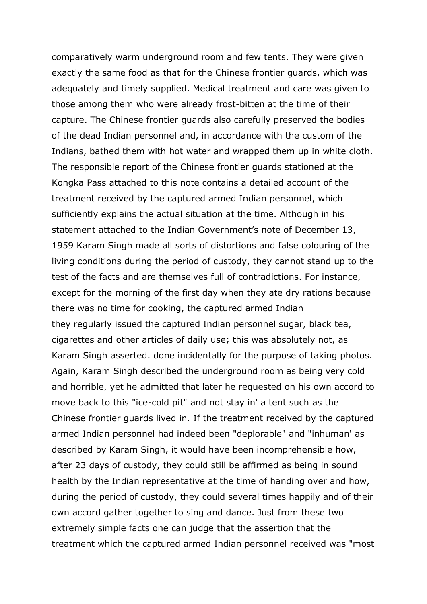comparatively warm underground room and few tents. They were given exactly the same food as that for the Chinese frontier guards, which was adequately and timely supplied. Medical treatment and care was given to those among them who were already frost-bitten at the time of their capture. The Chinese frontier guards also carefully preserved the bodies of the dead Indian personnel and, in accordance with the custom of the Indians, bathed them with hot water and wrapped them up in white cloth. The responsible report of the Chinese frontier guards stationed at the Kongka Pass attached to this note contains a detailed account of the treatment received by the captured armed Indian personnel, which sufficiently explains the actual situation at the time. Although in his statement attached to the Indian Government's note of December 13, 1959 Karam Singh made all sorts of distortions and false colouring of the living conditions during the period of custody, they cannot stand up to the test of the facts and are themselves full of contradictions. For instance, except for the morning of the first day when they ate dry rations because there was no time for cooking, the captured armed Indian they regularly issued the captured Indian personnel sugar, black tea, cigarettes and other articles of daily use; this was absolutely not, as Karam Singh asserted. done incidentally for the purpose of taking photos. Again, Karam Singh described the underground room as being very cold and horrible, yet he admitted that later he requested on his own accord to move back to this "ice-cold pit" and not stay in' a tent such as the Chinese frontier guards lived in. If the treatment received by the captured armed Indian personnel had indeed been "deplorable" and "inhuman' as described by Karam Singh, it would have been incomprehensible how, after 23 days of custody, they could still be affirmed as being in sound health by the Indian representative at the time of handing over and how, during the period of custody, they could several times happily and of their own accord gather together to sing and dance. Just from these two extremely simple facts one can judge that the assertion that the treatment which the captured armed Indian personnel received was "most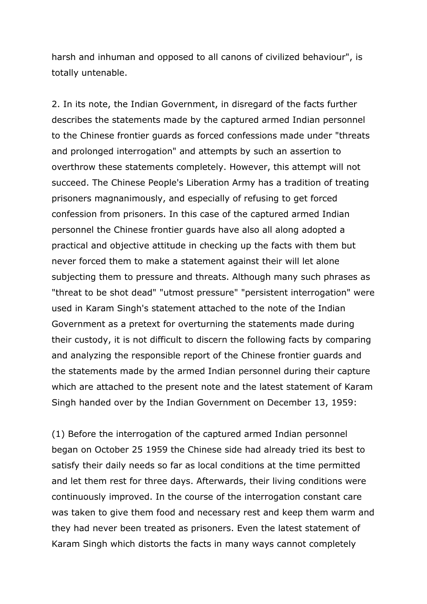harsh and inhuman and opposed to all canons of civilized behaviour", is totally untenable.

2. In its note, the Indian Government, in disregard of the facts further describes the statements made by the captured armed Indian personnel to the Chinese frontier guards as forced confessions made under "threats and prolonged interrogation" and attempts by such an assertion to overthrow these statements completely. However, this attempt will not succeed. The Chinese People's Liberation Army has a tradition of treating prisoners magnanimously, and especially of refusing to get forced confession from prisoners. In this case of the captured armed Indian personnel the Chinese frontier guards have also all along adopted a practical and objective attitude in checking up the facts with them but never forced them to make a statement against their will let alone subjecting them to pressure and threats. Although many such phrases as "threat to be shot dead" "utmost pressure" "persistent interrogation" were used in Karam Singh's statement attached to the note of the Indian Government as a pretext for overturning the statements made during their custody, it is not difficult to discern the following facts by comparing and analyzing the responsible report of the Chinese frontier guards and the statements made by the armed Indian personnel during their capture which are attached to the present note and the latest statement of Karam Singh handed over by the Indian Government on December 13, 1959:

(1) Before the interrogation of the captured armed Indian personnel began on October 25 1959 the Chinese side had already tried its best to satisfy their daily needs so far as local conditions at the time permitted and let them rest for three days. Afterwards, their living conditions were continuously improved. In the course of the interrogation constant care was taken to give them food and necessary rest and keep them warm and they had never been treated as prisoners. Even the latest statement of Karam Singh which distorts the facts in many ways cannot completely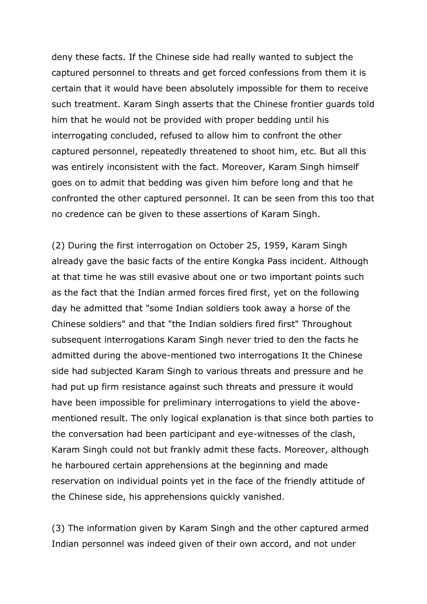deny these facts. If the Chinese side had really wanted to subject the captured personnel to threats and get forced confessions from them it is certain that it would have been absolutely impossible for them to receive such treatment. Karam Singh asserts that the Chinese frontier guards told him that he would not be provided with proper bedding until his interrogating concluded, refused to allow him to confront the other captured personnel, repeatedly threatened to shoot him, etc. But all this was entirely inconsistent with the fact. Moreover, Karam Singh himself goes on to admit that bedding was given him before long and that he confronted the other captured personnel. It can be seen from this too that no credence can be given to these assertions of Karam Singh.

(2) During the first interrogation on October 25, 1959, Karam Singh already gave the basic facts of the entire Kongka Pass incident. Although at that time he was still evasive about one or two important points such as the fact that the Indian armed forces fired first, yet on the following day he admitted that "some Indian soldiers took away a horse of the Chinese soldiers" and that "the Indian soldiers fired first" Throughout subsequent interrogations Karam Singh never tried to den the facts he admitted during the above-mentioned two interrogations It the Chinese side had subjected Karam Singh to various threats and pressure and he had put up firm resistance against such threats and pressure it would have been impossible for preliminary interrogations to yield the abovementioned result. The only logical explanation is that since both parties to the conversation had been participant and eye-witnesses of the clash, Karam Singh could not but frankly admit these facts. Moreover, although he harboured certain apprehensions at the beginning and made reservation on individual points yet in the face of the friendly attitude of the Chinese side, his apprehensions quickly vanished.

(3) The information given by Karam Singh and the other captured armed Indian personnel was indeed given of their own accord, and not under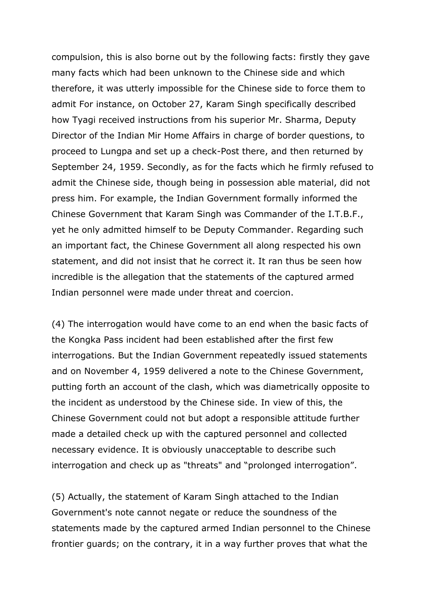compulsion, this is also borne out by the following facts: firstly they gave many facts which had been unknown to the Chinese side and which therefore, it was utterly impossible for the Chinese side to force them to admit For instance, on October 27, Karam Singh specifically described how Tyagi received instructions from his superior Mr. Sharma, Deputy Director of the Indian Mir Home Affairs in charge of border questions, to proceed to Lungpa and set up a check-Post there, and then returned by September 24, 1959. Secondly, as for the facts which he firmly refused to admit the Chinese side, though being in possession able material, did not press him. For example, the Indian Government formally informed the Chinese Government that Karam Singh was Commander of the I.T.B.F., yet he only admitted himself to be Deputy Commander. Regarding such an important fact, the Chinese Government all along respected his own statement, and did not insist that he correct it. It ran thus be seen how incredible is the allegation that the statements of the captured armed Indian personnel were made under threat and coercion.

(4) The interrogation would have come to an end when the basic facts of the Kongka Pass incident had been established after the first few interrogations. But the Indian Government repeatedly issued statements and on November 4, 1959 delivered a note to the Chinese Government, putting forth an account of the clash, which was diametrically opposite to the incident as understood by the Chinese side. In view of this, the Chinese Government could not but adopt a responsible attitude further made a detailed check up with the captured personnel and collected necessary evidence. It is obviously unacceptable to describe such interrogation and check up as "threats" and "prolonged interrogation".

(5) Actually, the statement of Karam Singh attached to the Indian Government's note cannot negate or reduce the soundness of the statements made by the captured armed Indian personnel to the Chinese frontier guards; on the contrary, it in a way further proves that what the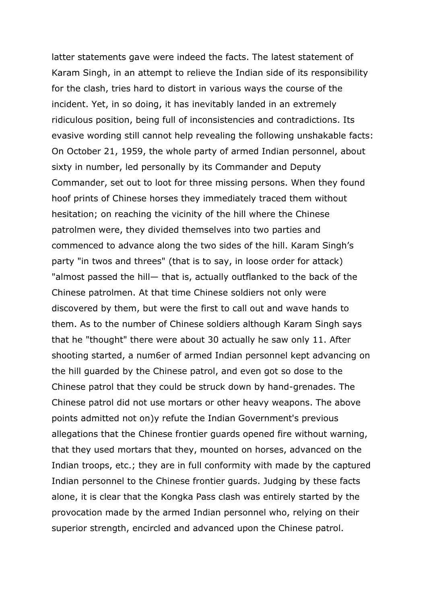latter statements gave were indeed the facts. The latest statement of Karam Singh, in an attempt to relieve the Indian side of its responsibility for the clash, tries hard to distort in various ways the course of the incident. Yet, in so doing, it has inevitably landed in an extremely ridiculous position, being full of inconsistencies and contradictions. Its evasive wording still cannot help revealing the following unshakable facts: On October 21, 1959, the whole party of armed Indian personnel, about sixty in number, led personally by its Commander and Deputy Commander, set out to loot for three missing persons. When they found hoof prints of Chinese horses they immediately traced them without hesitation; on reaching the vicinity of the hill where the Chinese patrolmen were, they divided themselves into two parties and commenced to advance along the two sides of the hill. Karam Singh's party "in twos and threes" (that is to say, in loose order for attack) "almost passed the hill— that is, actually outflanked to the back of the Chinese patrolmen. At that time Chinese soldiers not only were discovered by them, but were the first to call out and wave hands to them. As to the number of Chinese soldiers although Karam Singh says that he "thought" there were about 30 actually he saw only 11. After shooting started, a num6er of armed Indian personnel kept advancing on the hill guarded by the Chinese patrol, and even got so dose to the Chinese patrol that they could be struck down by hand-grenades. The Chinese patrol did not use mortars or other heavy weapons. The above points admitted not on)y refute the Indian Government's previous allegations that the Chinese frontier guards opened fire without warning, that they used mortars that they, mounted on horses, advanced on the Indian troops, etc.; they are in full conformity with made by the captured Indian personnel to the Chinese frontier guards. Judging by these facts alone, it is clear that the Kongka Pass clash was entirely started by the provocation made by the armed Indian personnel who, relying on their superior strength, encircled and advanced upon the Chinese patrol.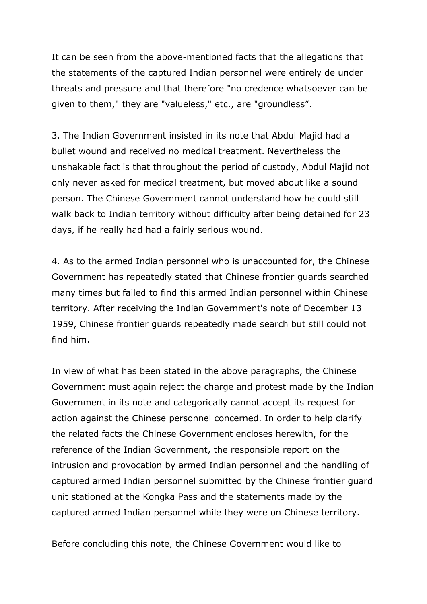It can be seen from the above-mentioned facts that the allegations that the statements of the captured Indian personnel were entirely de under threats and pressure and that therefore "no credence whatsoever can be given to them," they are "valueless," etc., are "groundless".

3. The Indian Government insisted in its note that Abdul Majid had a bullet wound and received no medical treatment. Nevertheless the unshakable fact is that throughout the period of custody, Abdul Majid not only never asked for medical treatment, but moved about like a sound person. The Chinese Government cannot understand how he could still walk back to Indian territory without difficulty after being detained for 23 days, if he really had had a fairly serious wound.

4. As to the armed Indian personnel who is unaccounted for, the Chinese Government has repeatedly stated that Chinese frontier guards searched many times but failed to find this armed Indian personnel within Chinese territory. After receiving the Indian Government's note of December 13 1959, Chinese frontier guards repeatedly made search but still could not find him.

In view of what has been stated in the above paragraphs, the Chinese Government must again reject the charge and protest made by the Indian Government in its note and categorically cannot accept its request for action against the Chinese personnel concerned. In order to help clarify the related facts the Chinese Government encloses herewith, for the reference of the Indian Government, the responsible report on the intrusion and provocation by armed Indian personnel and the handling of captured armed Indian personnel submitted by the Chinese frontier guard unit stationed at the Kongka Pass and the statements made by the captured armed Indian personnel while they were on Chinese territory.

Before concluding this note, the Chinese Government would like to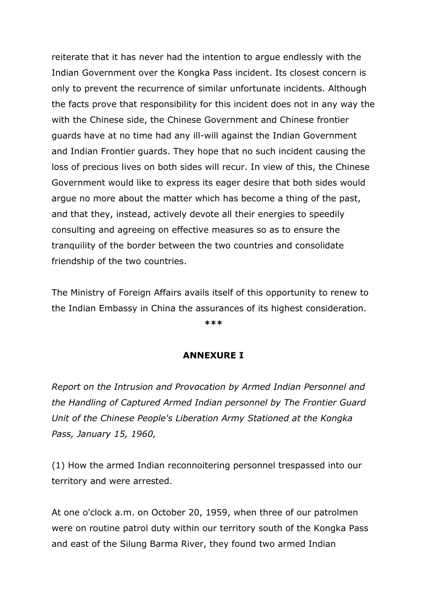reiterate that it has never had the intention to argue endlessly with the Indian Government over the Kongka Pass incident. Its closest concern is only to prevent the recurrence of similar unfortunate incidents. Although the facts prove that responsibility for this incident does not in any way the with the Chinese side, the Chinese Government and Chinese frontier guards have at no time had any ill-will against the Indian Government and Indian Frontier guards. They hope that no such incident causing the loss of precious lives on both sides will recur. In view of this, the Chinese Government would like to express its eager desire that both sides would argue no more about the matter which has become a thing of the past, and that they, instead, actively devote all their energies to speedily consulting and agreeing on effective measures so as to ensure the tranquility of the border between the two countries and consolidate friendship of the two countries.

The Ministry of Foreign Affairs avails itself of this opportunity to renew to the Indian Embassy in China the assurances of its highest consideration. **\*\*\***

## **ANNEXURE I**

*Report on the Intrusion and Provocation by Armed Indian Personnel and the Handling of Captured Armed Indian personnel by The Frontier Guard Unit of the Chinese People's Liberation Army Stationed at the Kongka Pass, January 15, 1960,*

(1) How the armed Indian reconnoitering personnel trespassed into our territory and were arrested.

At one o'clock a.m. on October 20, 1959, when three of our patrolmen were on routine patrol duty within our territory south of the Kongka Pass and east of the Silung Barma River, they found two armed Indian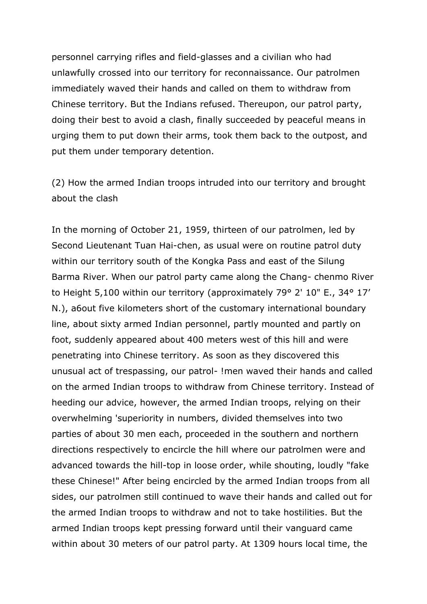personnel carrying rifles and field-glasses and a civilian who had unlawfully crossed into our territory for reconnaissance. Our patrolmen immediately waved their hands and called on them to withdraw from Chinese territory. But the Indians refused. Thereupon, our patrol party, doing their best to avoid a clash, finally succeeded by peaceful means in urging them to put down their arms, took them back to the outpost, and put them under temporary detention.

(2) How the armed Indian troops intruded into our territory and brought about the clash

In the morning of October 21, 1959, thirteen of our patrolmen, led by Second Lieutenant Tuan Hai-chen, as usual were on routine patrol duty within our territory south of the Kongka Pass and east of the Silung Barma River. When our patrol party came along the Chang- chenmo River to Height 5,100 within our territory (approximately 79° 2' 10" E., 34° 17' N.), a6out five kilometers short of the customary international boundary line, about sixty armed Indian personnel, partly mounted and partly on foot, suddenly appeared about 400 meters west of this hill and were penetrating into Chinese territory. As soon as they discovered this unusual act of trespassing, our patrol- !men waved their hands and called on the armed Indian troops to withdraw from Chinese territory. Instead of heeding our advice, however, the armed Indian troops, relying on their overwhelming 'superiority in numbers, divided themselves into two parties of about 30 men each, proceeded in the southern and northern directions respectively to encircle the hill where our patrolmen were and advanced towards the hill-top in loose order, while shouting, loudly "fake these Chinese!" After being encircled by the armed Indian troops from all sides, our patrolmen still continued to wave their hands and called out for the armed Indian troops to withdraw and not to take hostilities. But the armed Indian troops kept pressing forward until their vanguard came within about 30 meters of our patrol party. At 1309 hours local time, the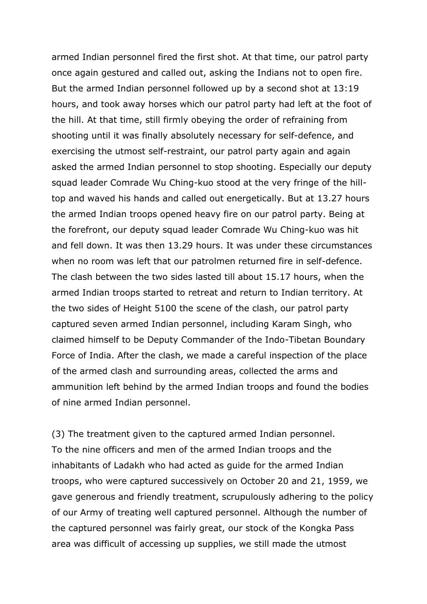armed Indian personnel fired the first shot. At that time, our patrol party once again gestured and called out, asking the Indians not to open fire. But the armed Indian personnel followed up by a second shot at 13:19 hours, and took away horses which our patrol party had left at the foot of the hill. At that time, still firmly obeying the order of refraining from shooting until it was finally absolutely necessary for self-defence, and exercising the utmost self-restraint, our patrol party again and again asked the armed Indian personnel to stop shooting. Especially our deputy squad leader Comrade Wu Ching-kuo stood at the very fringe of the hilltop and waved his hands and called out energetically. But at 13.27 hours the armed Indian troops opened heavy fire on our patrol party. Being at the forefront, our deputy squad leader Comrade Wu Ching-kuo was hit and fell down. It was then 13.29 hours. It was under these circumstances when no room was left that our patrolmen returned fire in self-defence. The clash between the two sides lasted till about 15.17 hours, when the armed Indian troops started to retreat and return to Indian territory. At the two sides of Height 5100 the scene of the clash, our patrol party captured seven armed Indian personnel, including Karam Singh, who claimed himself to be Deputy Commander of the Indo-Tibetan Boundary Force of India. After the clash, we made a careful inspection of the place of the armed clash and surrounding areas, collected the arms and ammunition left behind by the armed Indian troops and found the bodies of nine armed Indian personnel.

(3) The treatment given to the captured armed Indian personnel. To the nine officers and men of the armed Indian troops and the inhabitants of Ladakh who had acted as guide for the armed Indian troops, who were captured successively on October 20 and 21, 1959, we gave generous and friendly treatment, scrupulously adhering to the policy of our Army of treating well captured personnel. Although the number of the captured personnel was fairly great, our stock of the Kongka Pass area was difficult of accessing up supplies, we still made the utmost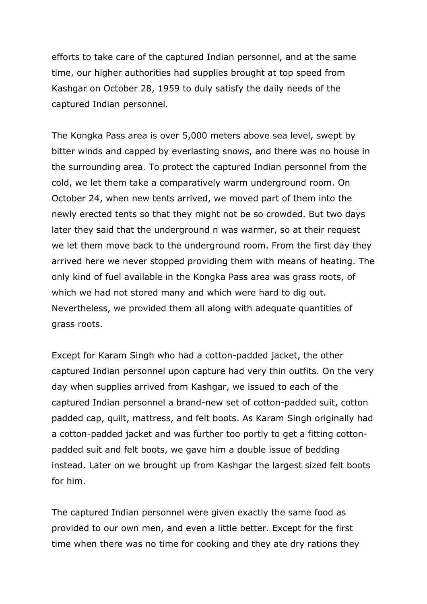efforts to take care of the captured Indian personnel, and at the same time, our higher authorities had supplies brought at top speed from Kashgar on October 28, 1959 to duly satisfy the daily needs of the captured Indian personnel.

The Kongka Pass area is over 5,000 meters above sea level, swept by bitter winds and capped by everlasting snows, and there was no house in the surrounding area. To protect the captured Indian personnel from the cold, we let them take a comparatively warm underground room. On October 24, when new tents arrived, we moved part of them into the newly erected tents so that they might not be so crowded. But two days later they said that the underground n was warmer, so at their request we let them move back to the underground room. From the first day they arrived here we never stopped providing them with means of heating. The only kind of fuel available in the Kongka Pass area was grass roots, of which we had not stored many and which were hard to dig out. Nevertheless, we provided them all along with adequate quantities of grass roots.

Except for Karam Singh who had a cotton-padded jacket, the other captured Indian personnel upon capture had very thin outfits. On the very day when supplies arrived from Kashgar, we issued to each of the captured Indian personnel a brand-new set of cotton-padded suit, cotton padded cap, quilt, mattress, and felt boots. As Karam Singh originally had a cotton-padded jacket and was further too portly to get a fitting cottonpadded suit and felt boots, we gave him a double issue of bedding instead. Later on we brought up from Kashgar the largest sized felt boots for him.

The captured Indian personnel were given exactly the same food as provided to our own men, and even a little better. Except for the first time when there was no time for cooking and they ate dry rations they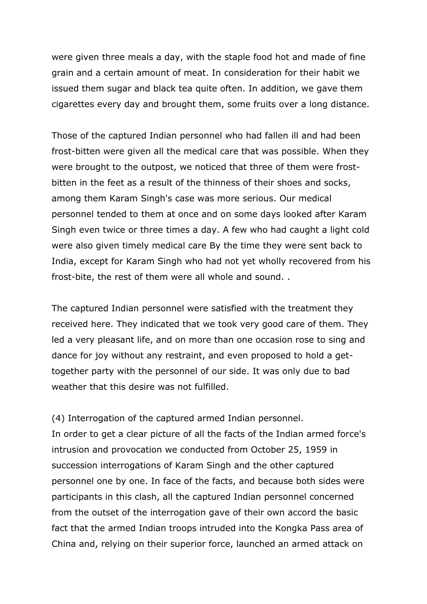were given three meals a day, with the staple food hot and made of fine grain and a certain amount of meat. In consideration for their habit we issued them sugar and black tea quite often. In addition, we gave them cigarettes every day and brought them, some fruits over a long distance.

Those of the captured Indian personnel who had fallen ill and had been frost-bitten were given all the medical care that was possible. When they were brought to the outpost, we noticed that three of them were frostbitten in the feet as a result of the thinness of their shoes and socks, among them Karam Singh's case was more serious. Our medical personnel tended to them at once and on some days looked after Karam Singh even twice or three times a day. A few who had caught a light cold were also given timely medical care By the time they were sent back to India, except for Karam Singh who had not yet wholly recovered from his frost-bite, the rest of them were all whole and sound. .

The captured Indian personnel were satisfied with the treatment they received here. They indicated that we took very good care of them. They led a very pleasant life, and on more than one occasion rose to sing and dance for joy without any restraint, and even proposed to hold a gettogether party with the personnel of our side. It was only due to bad weather that this desire was not fulfilled.

(4) Interrogation of the captured armed Indian personnel. In order to get a clear picture of all the facts of the Indian armed force's intrusion and provocation we conducted from October 25, 1959 in succession interrogations of Karam Singh and the other captured personnel one by one. In face of the facts, and because both sides were participants in this clash, all the captured Indian personnel concerned from the outset of the interrogation gave of their own accord the basic fact that the armed Indian troops intruded into the Kongka Pass area of China and, relying on their superior force, launched an armed attack on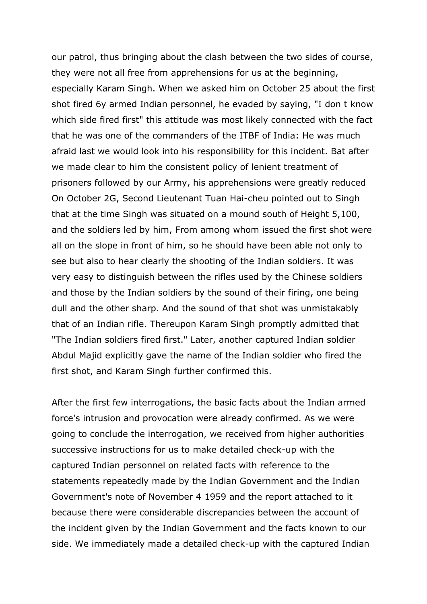our patrol, thus bringing about the clash between the two sides of course, they were not all free from apprehensions for us at the beginning, especially Karam Singh. When we asked him on October 25 about the first shot fired 6y armed Indian personnel, he evaded by saying, "I don t know which side fired first" this attitude was most likely connected with the fact that he was one of the commanders of the ITBF of India: He was much afraid last we would look into his responsibility for this incident. Bat after we made clear to him the consistent policy of lenient treatment of prisoners followed by our Army, his apprehensions were greatly reduced On October 2G, Second Lieutenant Tuan Hai-cheu pointed out to Singh that at the time Singh was situated on a mound south of Height 5,100, and the soldiers led by him, From among whom issued the first shot were all on the slope in front of him, so he should have been able not only to see but also to hear clearly the shooting of the Indian soldiers. It was very easy to distinguish between the rifles used by the Chinese soldiers and those by the Indian soldiers by the sound of their firing, one being dull and the other sharp. And the sound of that shot was unmistakably that of an Indian rifle. Thereupon Karam Singh promptly admitted that "The Indian soldiers fired first." Later, another captured Indian soldier Abdul Majid explicitly gave the name of the Indian soldier who fired the first shot, and Karam Singh further confirmed this.

After the first few interrogations, the basic facts about the Indian armed force's intrusion and provocation were already confirmed. As we were going to conclude the interrogation, we received from higher authorities successive instructions for us to make detailed check-up with the captured Indian personnel on related facts with reference to the statements repeatedly made by the Indian Government and the Indian Government's note of November 4 1959 and the report attached to it because there were considerable discrepancies between the account of the incident given by the Indian Government and the facts known to our side. We immediately made a detailed check-up with the captured Indian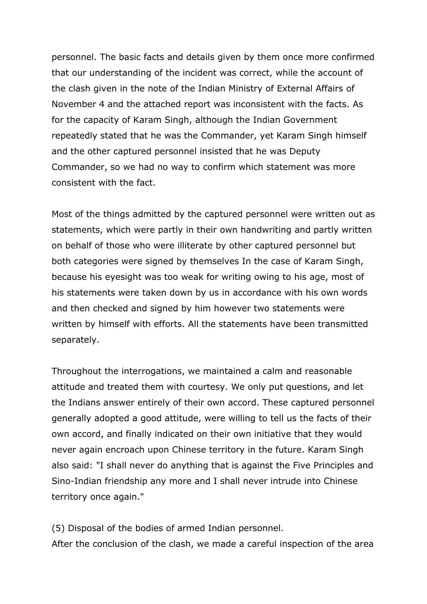personnel. The basic facts and details given by them once more confirmed that our understanding of the incident was correct, while the account of the clash given in the note of the Indian Ministry of External Affairs of November 4 and the attached report was inconsistent with the facts. As for the capacity of Karam Singh, although the Indian Government repeatedly stated that he was the Commander, yet Karam Singh himself and the other captured personnel insisted that he was Deputy Commander, so we had no way to confirm which statement was more consistent with the fact.

Most of the things admitted by the captured personnel were written out as statements, which were partly in their own handwriting and partly written on behalf of those who were illiterate by other captured personnel but both categories were signed by themselves In the case of Karam Singh, because his eyesight was too weak for writing owing to his age, most of his statements were taken down by us in accordance with his own words and then checked and signed by him however two statements were written by himself with efforts. All the statements have been transmitted separately.

Throughout the interrogations, we maintained a calm and reasonable attitude and treated them with courtesy. We only put questions, and let the Indians answer entirely of their own accord. These captured personnel generally adopted a good attitude, were willing to tell us the facts of their own accord, and finally indicated on their own initiative that they would never again encroach upon Chinese territory in the future. Karam Singh also said: "I shall never do anything that is against the Five Principles and Sino-Indian friendship any more and I shall never intrude into Chinese territory once again."

(5) Disposal of the bodies of armed Indian personnel. After the conclusion of the clash, we made a careful inspection of the area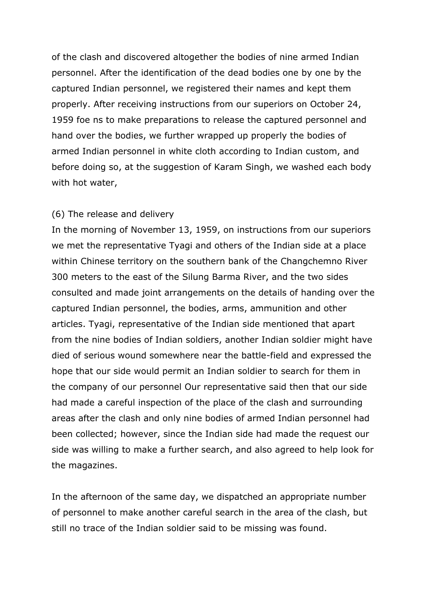of the clash and discovered altogether the bodies of nine armed Indian personnel. After the identification of the dead bodies one by one by the captured Indian personnel, we registered their names and kept them properly. After receiving instructions from our superiors on October 24, 1959 foe ns to make preparations to release the captured personnel and hand over the bodies, we further wrapped up properly the bodies of armed Indian personnel in white cloth according to Indian custom, and before doing so, at the suggestion of Karam Singh, we washed each body with hot water,

### (6) The release and delivery

In the morning of November 13, 1959, on instructions from our superiors we met the representative Tyagi and others of the Indian side at a place within Chinese territory on the southern bank of the Changchemno River 300 meters to the east of the Silung Barma River, and the two sides consulted and made joint arrangements on the details of handing over the captured Indian personnel, the bodies, arms, ammunition and other articles. Tyagi, representative of the Indian side mentioned that apart from the nine bodies of Indian soldiers, another Indian soldier might have died of serious wound somewhere near the battle-field and expressed the hope that our side would permit an Indian soldier to search for them in the company of our personnel Our representative said then that our side had made a careful inspection of the place of the clash and surrounding areas after the clash and only nine bodies of armed Indian personnel had been collected; however, since the Indian side had made the request our side was willing to make a further search, and also agreed to help look for the magazines.

In the afternoon of the same day, we dispatched an appropriate number of personnel to make another careful search in the area of the clash, but still no trace of the Indian soldier said to be missing was found.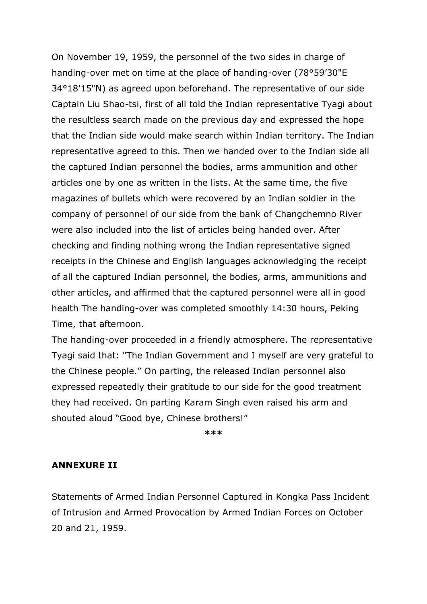On November 19, 1959, the personnel of the two sides in charge of handing-over met on time at the place of handing-over (78°59'30"E 34°18'15"N) as agreed upon beforehand. The representative of our side Captain Liu Shao-tsi, first of all told the Indian representative Tyagi about the resultless search made on the previous day and expressed the hope that the Indian side would make search within Indian territory. The Indian representative agreed to this. Then we handed over to the Indian side all the captured Indian personnel the bodies, arms ammunition and other articles one by one as written in the lists. At the same time, the five magazines of bullets which were recovered by an Indian soldier in the company of personnel of our side from the bank of Changchemno River were also included into the list of articles being handed over. After checking and finding nothing wrong the Indian representative signed receipts in the Chinese and English languages acknowledging the receipt of all the captured Indian personnel, the bodies, arms, ammunitions and other articles, and affirmed that the captured personnel were all in good health The handing-over was completed smoothly 14:30 hours, Peking Time, that afternoon.

The handing-over proceeded in a friendly atmosphere. The representative Tyagi said that: "The Indian Government and I myself are very grateful to the Chinese people." On parting, the released Indian personnel also expressed repeatedly their gratitude to our side for the good treatment they had received. On parting Karam Singh even raised his arm and shouted aloud "Good bye, Chinese brothers!"

**\*\*\***

### **ANNEXURE II**

Statements of Armed Indian Personnel Captured in Kongka Pass Incident of Intrusion and Armed Provocation by Armed Indian Forces on October 20 and 21, 1959.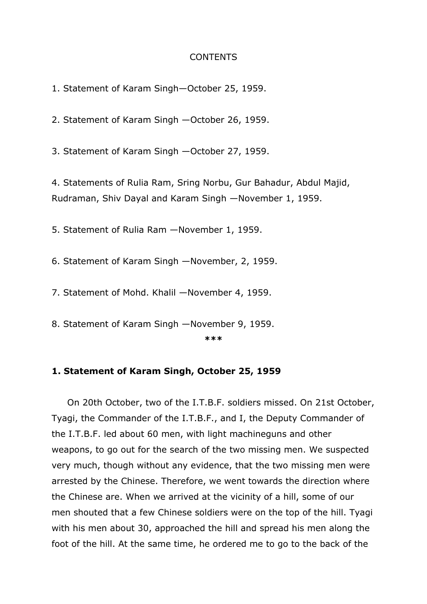### **CONTENTS**

1. Statement of Karam Singh—October 25, 1959.

2. Statement of Karam Singh —October 26, 1959.

3. Statement of Karam Singh —October 27, 1959.

4. Statements of Rulia Ram, Sring Norbu, Gur Bahadur, Abdul Majid, Rudraman, Shiv Dayal and Karam Singh —November 1, 1959.

5. Statement of Rulia Ram —November 1, 1959.

6. Statement of Karam Singh —November, 2, 1959.

7. Statement of Mohd. Khalil —November 4, 1959.

8. Statement of Karam Singh —November 9, 1959.

**\*\*\***

### **1. Statement of Karam Singh, October 25, 1959**

On 20th October, two of the I.T.B.F. soldiers missed. On 21st October, Tyagi, the Commander of the I.T.B.F., and I, the Deputy Commander of the I.T.B.F. led about 60 men, with light machineguns and other weapons, to go out for the search of the two missing men. We suspected very much, though without any evidence, that the two missing men were arrested by the Chinese. Therefore, we went towards the direction where the Chinese are. When we arrived at the vicinity of a hill, some of our men shouted that a few Chinese soldiers were on the top of the hill. Tyagi with his men about 30, approached the hill and spread his men along the foot of the hill. At the same time, he ordered me to go to the back of the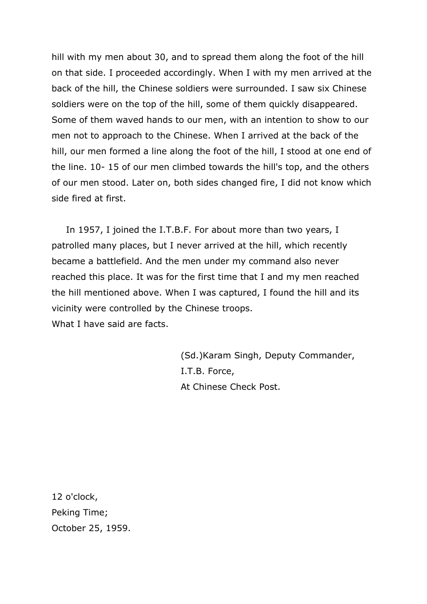hill with my men about 30, and to spread them along the foot of the hill on that side. I proceeded accordingly. When I with my men arrived at the back of the hill, the Chinese soldiers were surrounded. I saw six Chinese soldiers were on the top of the hill, some of them quickly disappeared. Some of them waved hands to our men, with an intention to show to our men not to approach to the Chinese. When I arrived at the back of the hill, our men formed a line along the foot of the hill, I stood at one end of the line. 10- 15 of our men climbed towards the hill's top, and the others of our men stood. Later on, both sides changed fire, I did not know which side fired at first.

In 1957, I joined the I.T.B.F. For about more than two years, I patrolled many places, but I never arrived at the hill, which recently became a battlefield. And the men under my command also never reached this place. It was for the first time that I and my men reached the hill mentioned above. When I was captured, I found the hill and its vicinity were controlled by the Chinese troops. What I have said are facts.

> (Sd.)Karam Singh, Deputy Commander, I.T.B. Force, At Chinese Check Post.

12 o'clock, Peking Time; October 25, 1959.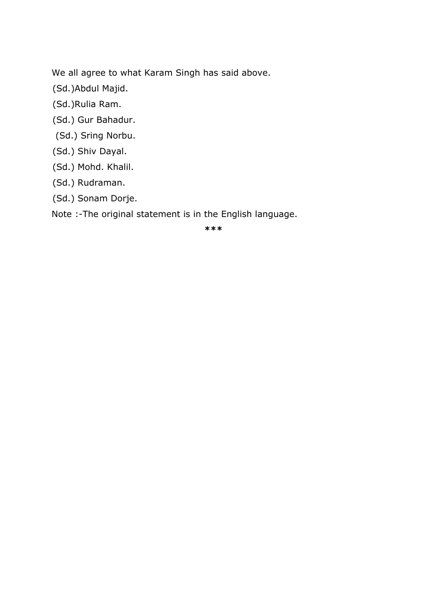We all agree to what Karam Singh has said above.

(Sd.)Abdul Majid.

(Sd.)Rulia Ram.

(Sd.) Gur Bahadur.

(Sd.) Sring Norbu.

(Sd.) Shiv Dayal.

(Sd.) Mohd. Khalil.

(Sd.) Rudraman.

(Sd.) Sonam Dorje.

Note :-The original statement is in the English language.

**\*\*\***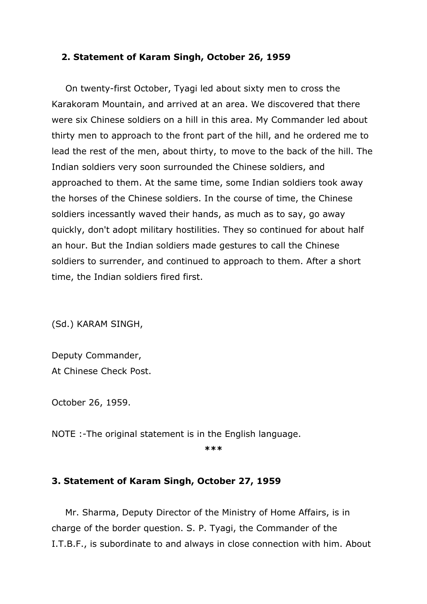### **2. Statement of Karam Singh, October 26, 1959**

On twenty-first October, Tyagi led about sixty men to cross the Karakoram Mountain, and arrived at an area. We discovered that there were six Chinese soldiers on a hill in this area. My Commander led about thirty men to approach to the front part of the hill, and he ordered me to lead the rest of the men, about thirty, to move to the back of the hill. The Indian soldiers very soon surrounded the Chinese soldiers, and approached to them. At the same time, some Indian soldiers took away the horses of the Chinese soldiers. In the course of time, the Chinese soldiers incessantly waved their hands, as much as to say, go away quickly, don't adopt military hostilities. They so continued for about half an hour. But the Indian soldiers made gestures to call the Chinese soldiers to surrender, and continued to approach to them. After a short time, the Indian soldiers fired first.

(Sd.) KARAM SINGH,

Deputy Commander, At Chinese Check Post.

October 26, 1959.

NOTE :-The original statement is in the English language.

**\*\*\***

### **3. Statement of Karam Singh, October 27, 1959**

Mr. Sharma, Deputy Director of the Ministry of Home Affairs, is in charge of the border question. S. P. Tyagi, the Commander of the I.T.B.F., is subordinate to and always in close connection with him. About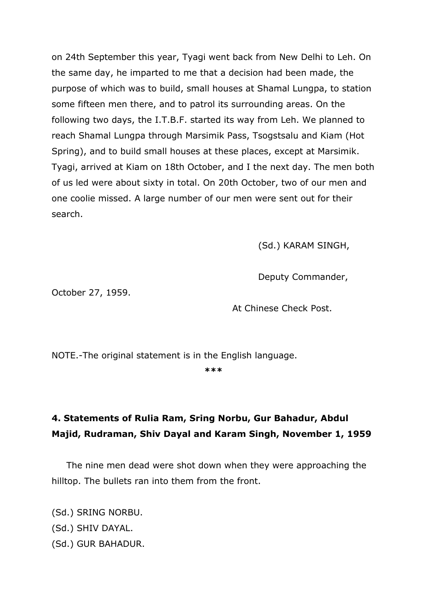on 24th September this year, Tyagi went back from New Delhi to Leh. On the same day, he imparted to me that a decision had been made, the purpose of which was to build, small houses at Shamal Lungpa, to station some fifteen men there, and to patrol its surrounding areas. On the following two days, the I.T.B.F. started its way from Leh. We planned to reach Shamal Lungpa through Marsimik Pass, Tsogstsalu and Kiam (Hot Spring), and to build small houses at these places, except at Marsimik. Tyagi, arrived at Kiam on 18th October, and I the next day. The men both of us led were about sixty in total. On 20th October, two of our men and one coolie missed. A large number of our men were sent out for their search.

(Sd.) KARAM SINGH,

Deputy Commander,

October 27, 1959.

At Chinese Check Post.

NOTE.-The original statement is in the English language.

**\*\*\***

# **4. Statements of Rulia Ram, Sring Norbu, Gur Bahadur, Abdul Majid, Rudraman, Shiv Dayal and Karam Singh, November 1, 1959**

The nine men dead were shot down when they were approaching the hilltop. The bullets ran into them from the front.

(Sd.) SRING NORBU. (Sd.) SHIV DAYAL. (Sd.) GUR BAHADUR.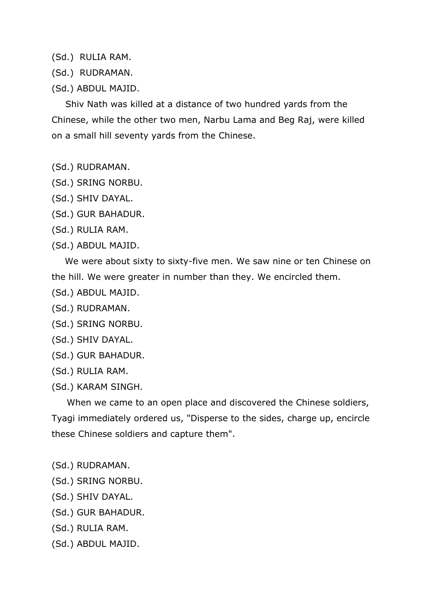(Sd.) RULIA RAM.

- (Sd.) RUDRAMAN.
- (Sd.) ABDUL MAJID.

Shiv Nath was killed at a distance of two hundred yards from the Chinese, while the other two men, Narbu Lama and Beg Raj, were killed on a small hill seventy yards from the Chinese.

- (Sd.) RUDRAMAN.
- (Sd.) SRING NORBU.
- (Sd.) SHIV DAYAL.
- (Sd.) GUR BAHADUR.
- (Sd.) RULIA RAM.
- (Sd.) ABDUL MAJID.

We were about sixty to sixty-five men. We saw nine or ten Chinese on the hill. We were greater in number than they. We encircled them.

- (Sd.) ABDUL MAJID.
- (Sd.) RUDRAMAN.
- (Sd.) SRING NORBU.
- (Sd.) SHIV DAYAL.
- (Sd.) GUR BAHADUR.
- (Sd.) RULIA RAM.
- (Sd.) KARAM SINGH.

When we came to an open place and discovered the Chinese soldiers, Tyagi immediately ordered us, "Disperse to the sides, charge up, encircle these Chinese soldiers and capture them".

- (Sd.) RUDRAMAN.
- (Sd.) SRING NORBU.
- (Sd.) SHIV DAYAL.
- (Sd.) GUR BAHADUR.
- (Sd.) RULIA RAM.
- (Sd.) ABDUL MAJID.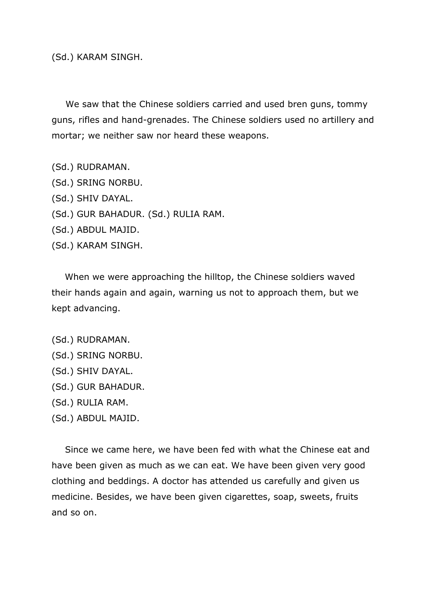(Sd.) KARAM SINGH.

We saw that the Chinese soldiers carried and used bren guns, tommy guns, rifles and hand-grenades. The Chinese soldiers used no artillery and mortar; we neither saw nor heard these weapons.

- (Sd.) RUDRAMAN.
- (Sd.) SRING NORBU.
- (Sd.) SHIV DAYAL.
- (Sd.) GUR BAHADUR. (Sd.) RULIA RAM.
- (Sd.) ABDUL MAJID.
- (Sd.) KARAM SINGH.

When we were approaching the hilltop, the Chinese soldiers waved their hands again and again, warning us not to approach them, but we kept advancing.

- (Sd.) RUDRAMAN.
- (Sd.) SRING NORBU.
- (Sd.) SHIV DAYAL.
- (Sd.) GUR BAHADUR.
- (Sd.) RULIA RAM.
- (Sd.) ABDUL MAJID.

Since we came here, we have been fed with what the Chinese eat and have been given as much as we can eat. We have been given very good clothing and beddings. A doctor has attended us carefully and given us medicine. Besides, we have been given cigarettes, soap, sweets, fruits and so on.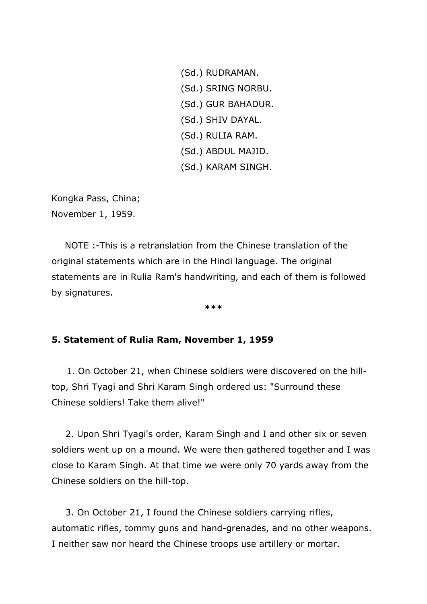(Sd.) RUDRAMAN. (Sd.) SRING NORBU. (Sd.) GUR BAHADUR. (Sd.) SHIV DAYAL. (Sd.) RULIA RAM. (Sd.) ABDUL MAJID. (Sd.) KARAM SINGH.

Kongka Pass, China; November 1, 1959.

NOTE :-This is a retranslation from the Chinese translation of the original statements which are in the Hindi language. The original statements are in Rulia Ram's handwriting, and each of them is followed by signatures.

**\*\*\***

### **5. Statement of Rulia Ram, November 1, 1959**

1. On October 21, when Chinese soldiers were discovered on the hilltop, Shri Tyagi and Shri Karam Singh ordered us: "Surround these Chinese soldiers! Take them alive!"

2. Upon Shri Tyagi's order, Karam Singh and I and other six or seven soldiers went up on a mound. We were then gathered together and I was close to Karam Singh. At that time we were only 70 yards away from the Chinese soldiers on the hill-top.

3. On October 21, I found the Chinese soldiers carrying rifles, automatic rifles, tommy guns and hand-grenades, and no other weapons. I neither saw nor heard the Chinese troops use artillery or mortar.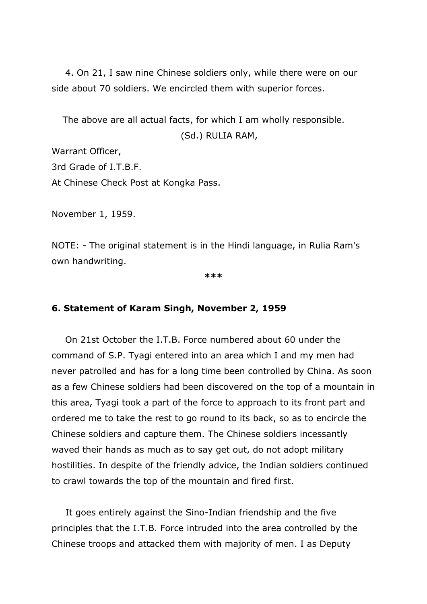4. On 21, I saw nine Chinese soldiers only, while there were on our side about 70 soldiers. We encircled them with superior forces.

The above are all actual facts, for which I am wholly responsible. (Sd.) RULIA RAM,

Warrant Officer, 3rd Grade of I.T.B.F. At Chinese Check Post at Kongka Pass.

November 1, 1959.

NOTE: - The original statement is in the Hindi language, in Rulia Ram's own handwriting.

**\*\*\***

#### **6. Statement of Karam Singh, November 2, 1959**

On 21st October the I.T.B. Force numbered about 60 under the command of S.P. Tyagi entered into an area which I and my men had never patrolled and has for a long time been controlled by China. As soon as a few Chinese soldiers had been discovered on the top of a mountain in this area, Tyagi took a part of the force to approach to its front part and ordered me to take the rest to go round to its back, so as to encircle the Chinese soldiers and capture them. The Chinese soldiers incessantly waved their hands as much as to say get out, do not adopt military hostilities. In despite of the friendly advice, the Indian soldiers continued to crawl towards the top of the mountain and fired first.

It goes entirely against the Sino-Indian friendship and the five principles that the I.T.B. Force intruded into the area controlled by the Chinese troops and attacked them with majority of men. I as Deputy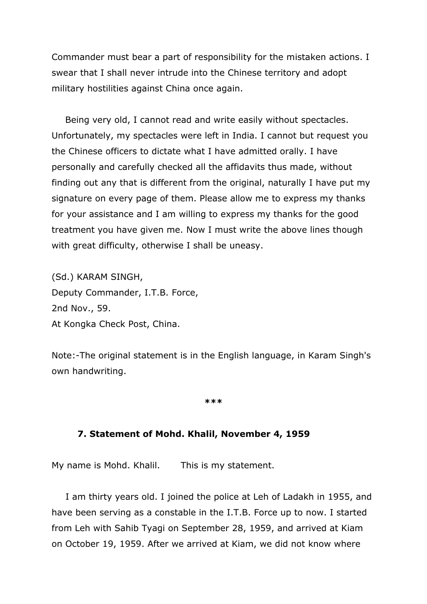Commander must bear a part of responsibility for the mistaken actions. I swear that I shall never intrude into the Chinese territory and adopt military hostilities against China once again.

Being very old, I cannot read and write easily without spectacles. Unfortunately, my spectacles were left in India. I cannot but request you the Chinese officers to dictate what I have admitted orally. I have personally and carefully checked all the affidavits thus made, without finding out any that is different from the original, naturally I have put my signature on every page of them. Please allow me to express my thanks for your assistance and I am willing to express my thanks for the good treatment you have given me. Now I must write the above lines though with great difficulty, otherwise I shall be uneasy.

(Sd.) KARAM SINGH, Deputy Commander, I.T.B. Force, 2nd Nov., 59. At Kongka Check Post, China.

Note:-The original statement is in the English language, in Karam Singh's own handwriting.

**\*\*\***

## **7. Statement of Mohd. Khalil, November 4, 1959**

My name is Mohd. Khalil. This is my statement.

I am thirty years old. I joined the police at Leh of Ladakh in 1955, and have been serving as a constable in the I.T.B. Force up to now. I started from Leh with Sahib Tyagi on September 28, 1959, and arrived at Kiam on October 19, 1959. After we arrived at Kiam, we did not know where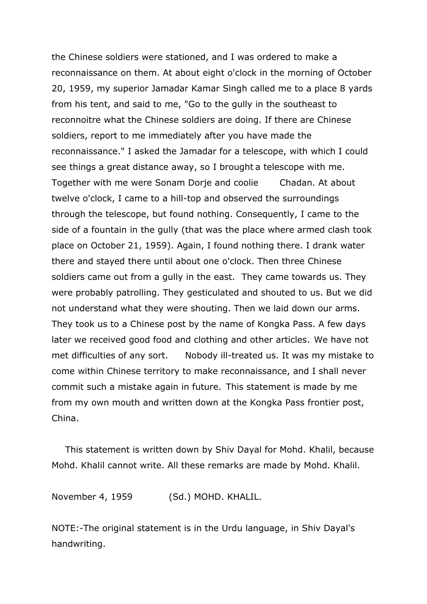the Chinese soldiers were stationed, and I was ordered to make a reconnaissance on them. At about eight o'clock in the morning of October 20, 1959, my superior Jamadar Kamar Singh called me to a place 8 yards from his tent, and said to me, "Go to the gully in the southeast to reconnoitre what the Chinese soldiers are doing. If there are Chinese soldiers, report to me immediately after you have made the reconnaissance." I asked the Jamadar for a telescope, with which I could see things a great distance away, so I brought a telescope with me. Together with me were Sonam Dorje and coolie Chadan. At about twelve o'clock, I came to a hill-top and observed the surroundings through the telescope, but found nothing. Consequently, I came to the side of a fountain in the gully (that was the place where armed clash took place on October 21, 1959). Again, I found nothing there. I drank water there and stayed there until about one o'clock. Then three Chinese soldiers came out from a gully in the east. They came towards us. They were probably patrolling. They gesticulated and shouted to us. But we did not understand what they were shouting. Then we laid down our arms. They took us to a Chinese post by the name of Kongka Pass. A few days later we received good food and clothing and other articles. We have not met difficulties of any sort. Nobody ill-treated us. It was my mistake to come within Chinese territory to make reconnaissance, and I shall never commit such a mistake again in future. This statement is made by me from my own mouth and written down at the Kongka Pass frontier post, China.

This statement is written down by Shiv Dayal for Mohd. Khalil, because Mohd. Khalil cannot write. All these remarks are made by Mohd. Khalil.

November 4, 1959 (Sd.) MOHD. KHALIL.

NOTE:-The original statement is in the Urdu language, in Shiv Dayal's handwriting.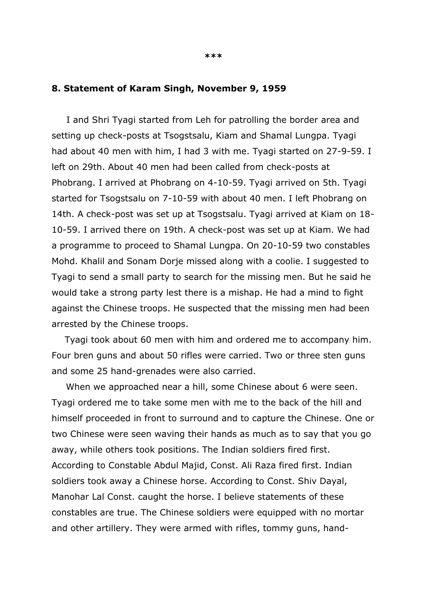### **8. Statement of Karam Singh, November 9, 1959**

I and Shri Tyagi started from Leh for patrolling the border area and setting up check-posts at Tsogstsalu, Kiam and Shamal Lungpa. Tyagi had about 40 men with him, I had 3 with me. Tyagi started on 27-9-59. I left on 29th. About 40 men had been called from check-posts at Phobrang. I arrived at Phobrang on 4-10-59. Tyagi arrived on 5th. Tyagi started for Tsogstsalu on 7-10-59 with about 40 men. I left Phobrang on 14th. A check-post was set up at Tsogstsalu. Tyagi arrived at Kiam on 18- 10-59. I arrived there on 19th. A check-post was set up at Kiam. We had a programme to proceed to Shamal Lungpa. On 20-10-59 two constables Mohd. Khalil and Sonam Dorje missed along with a coolie. I suggested to Tyagi to send a small party to search for the missing men. But he said he would take a strong party lest there is a mishap. He had a mind to fight against the Chinese troops. He suspected that the missing men had been arrested by the Chinese troops.

Tyagi took about 60 men with him and ordered me to accompany him. Four bren guns and about 50 rifles were carried. Two or three sten guns and some 25 hand-grenades were also carried.

When we approached near a hill, some Chinese about 6 were seen. Tyagi ordered me to take some men with me to the back of the hill and himself proceeded in front to surround and to capture the Chinese. One or two Chinese were seen waving their hands as much as to say that you go away, while others took positions. The Indian soldiers fired first. According to Constable Abdul Majid, Const. Ali Raza fired first. Indian soldiers took away a Chinese horse. According to Const. Shiv Dayal, Manohar Lal Const. caught the horse. I believe statements of these constables are true. The Chinese soldiers were equipped with no mortar and other artillery. They were armed with rifles, tommy guns, hand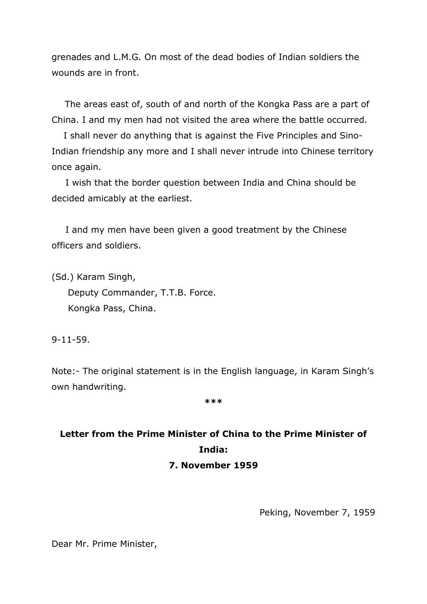grenades and L.M.G. On most of the dead bodies of Indian soldiers the wounds are in front.

The areas east of, south of and north of the Kongka Pass are a part of China. I and my men had not visited the area where the battle occurred.

I shall never do anything that is against the Five Principles and Sino-Indian friendship any more and I shall never intrude into Chinese territory once again.

I wish that the border question between India and China should be decided amicably at the earliest.

I and my men have been given a good treatment by the Chinese officers and soldiers.

(Sd.) Karam Singh,

Deputy Commander, T.T.B. Force. Kongka Pass, China.

9-11-59.

Note:- The original statement is in the English language, in Karam Singh's own handwriting.

**\*\*\***

# **Letter from the Prime Minister of China to the Prime Minister of India: 7. November 1959**

Peking, November 7, 1959

Dear Mr. Prime Minister,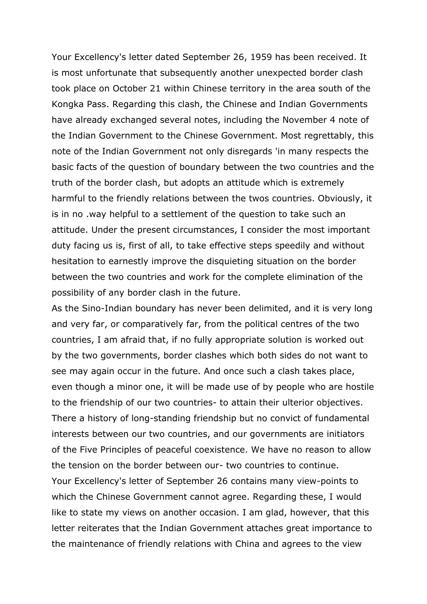Your Excellency's letter dated September 26, 1959 has been received. It is most unfortunate that subsequently another unexpected border clash took place on October 21 within Chinese territory in the area south of the Kongka Pass. Regarding this clash, the Chinese and Indian Governments have already exchanged several notes, including the November 4 note of the Indian Government to the Chinese Government. Most regrettably, this note of the Indian Government not only disregards 'in many respects the basic facts of the question of boundary between the two countries and the truth of the border clash, but adopts an attitude which is extremely harmful to the friendly relations between the twos countries. Obviously, it is in no .way helpful to a settlement of the question to take such an attitude. Under the present circumstances, I consider the most important duty facing us is, first of all, to take effective steps speedily and without hesitation to earnestly improve the disquieting situation on the border between the two countries and work for the complete elimination of the possibility of any border clash in the future.

As the Sino-Indian boundary has never been delimited, and it is very long and very far, or comparatively far, from the political centres of the two countries, I am afraid that, if no fully appropriate solution is worked out by the two governments, border clashes which both sides do not want to see may again occur in the future. And once such a clash takes place, even though a minor one, it will be made use of by people who are hostile to the friendship of our two countries- to attain their ulterior objectives. There a history of long-standing friendship but no convict of fundamental interests between our two countries, and our governments are initiators of the Five Principles of peaceful coexistence. We have no reason to allow the tension on the border between our- two countries to continue. Your Excellency's letter of September 26 contains many view-points to which the Chinese Government cannot agree. Regarding these, I would like to state my views on another occasion. I am glad, however, that this letter reiterates that the Indian Government attaches great importance to the maintenance of friendly relations with China and agrees to the view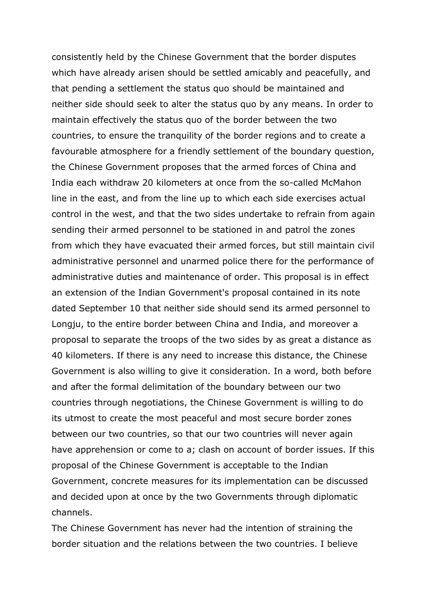consistently held by the Chinese Government that the border disputes which have already arisen should be settled amicably and peacefully, and that pending a settlement the status quo should be maintained and neither side should seek to alter the status quo by any means. In order to maintain effectively the status quo of the border between the two countries, to ensure the tranquility of the border regions and to create a favourable atmosphere for a friendly settlement of the boundary question, the Chinese Government proposes that the armed forces of China and India each withdraw 20 kilometers at once from the so-called McMahon line in the east, and from the line up to which each side exercises actual control in the west, and that the two sides undertake to refrain from again sending their armed personnel to be stationed in and patrol the zones from which they have evacuated their armed forces, but still maintain civil administrative personnel and unarmed police there for the performance of administrative duties and maintenance of order. This proposal is in effect an extension of the Indian Government's proposal contained in its note dated September 10 that neither side should send its armed personnel to Longju, to the entire border between China and India, and moreover a proposal to separate the troops of the two sides by as great a distance as 40 kilometers. If there is any need to increase this distance, the Chinese Government is also willing to give it consideration. In a word, both before and after the formal delimitation of the boundary between our two countries through negotiations, the Chinese Government is willing to do its utmost to create the most peaceful and most secure border zones between our two countries, so that our two countries will never again have apprehension or come to a; clash on account of border issues. If this proposal of the Chinese Government is acceptable to the Indian Government, concrete measures for its implementation can be discussed and decided upon at once by the two Governments through diplomatic channels.

The Chinese Government has never had the intention of straining the border situation and the relations between the two countries. I believe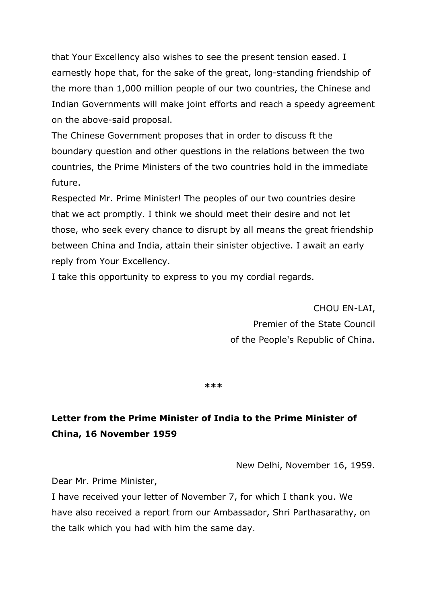that Your Excellency also wishes to see the present tension eased. I earnestly hope that, for the sake of the great, long-standing friendship of the more than 1,000 million people of our two countries, the Chinese and Indian Governments will make joint efforts and reach a speedy agreement on the above-said proposal.

The Chinese Government proposes that in order to discuss ft the boundary question and other questions in the relations between the two countries, the Prime Ministers of the two countries hold in the immediate future.

Respected Mr. Prime Minister! The peoples of our two countries desire that we act promptly. I think we should meet their desire and not let those, who seek every chance to disrupt by all means the great friendship between China and India, attain their sinister objective. I await an early reply from Your Excellency.

I take this opportunity to express to you my cordial regards.

CHOU EN-LAI, Premier of the State Council of the People's Republic of China.

**\*\*\***

# **Letter from the Prime Minister of India to the Prime Minister of China, 16 November 1959**

New Delhi, November 16, 1959.

Dear Mr. Prime Minister,

I have received your letter of November 7, for which I thank you. We have also received a report from our Ambassador, Shri Parthasarathy, on the talk which you had with him the same day.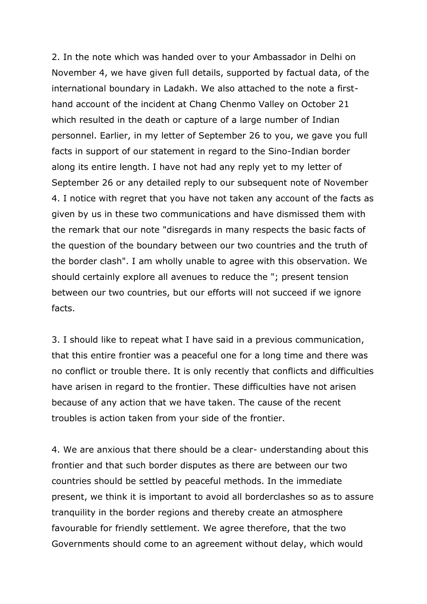2. In the note which was handed over to your Ambassador in Delhi on November 4, we have given full details, supported by factual data, of the international boundary in Ladakh. We also attached to the note a firsthand account of the incident at Chang Chenmo Valley on October 21 which resulted in the death or capture of a large number of Indian personnel. Earlier, in my letter of September 26 to you, we gave you full facts in support of our statement in regard to the Sino-Indian border along its entire length. I have not had any reply yet to my letter of September 26 or any detailed reply to our subsequent note of November 4. I notice with regret that you have not taken any account of the facts as given by us in these two communications and have dismissed them with the remark that our note "disregards in many respects the basic facts of the question of the boundary between our two countries and the truth of the border clash". I am wholly unable to agree with this observation. We should certainly explore all avenues to reduce the "; present tension between our two countries, but our efforts will not succeed if we ignore facts.

3. I should like to repeat what I have said in a previous communication, that this entire frontier was a peaceful one for a long time and there was no conflict or trouble there. It is only recently that conflicts and difficulties have arisen in regard to the frontier. These difficulties have not arisen because of any action that we have taken. The cause of the recent troubles is action taken from your side of the frontier.

4. We are anxious that there should be a clear- understanding about this frontier and that such border disputes as there are between our two countries should be settled by peaceful methods. In the immediate present, we think it is important to avoid all borderclashes so as to assure tranquility in the border regions and thereby create an atmosphere favourable for friendly settlement. We agree therefore, that the two Governments should come to an agreement without delay, which would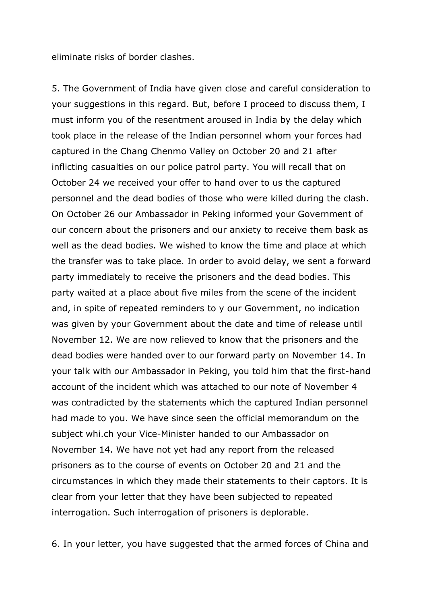eliminate risks of border clashes.

5. The Government of India have given close and careful consideration to your suggestions in this regard. But, before I proceed to discuss them, I must inform you of the resentment aroused in India by the delay which took place in the release of the Indian personnel whom your forces had captured in the Chang Chenmo Valley on October 20 and 21 after inflicting casualties on our police patrol party. You will recall that on October 24 we received your offer to hand over to us the captured personnel and the dead bodies of those who were killed during the clash. On October 26 our Ambassador in Peking informed your Government of our concern about the prisoners and our anxiety to receive them bask as well as the dead bodies. We wished to know the time and place at which the transfer was to take place. In order to avoid delay, we sent a forward party immediately to receive the prisoners and the dead bodies. This party waited at a place about five miles from the scene of the incident and, in spite of repeated reminders to y our Government, no indication was given by your Government about the date and time of release until November 12. We are now relieved to know that the prisoners and the dead bodies were handed over to our forward party on November 14. In your talk with our Ambassador in Peking, you told him that the first-hand account of the incident which was attached to our note of November 4 was contradicted by the statements which the captured Indian personnel had made to you. We have since seen the official memorandum on the subject whi.ch your Vice-Minister handed to our Ambassador on November 14. We have not yet had any report from the released prisoners as to the course of events on October 20 and 21 and the circumstances in which they made their statements to their captors. It is clear from your letter that they have been subjected to repeated interrogation. Such interrogation of prisoners is deplorable.

6. In your letter, you have suggested that the armed forces of China and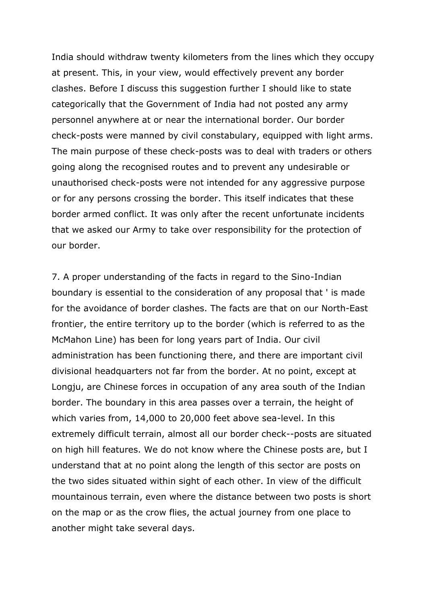India should withdraw twenty kilometers from the lines which they occupy at present. This, in your view, would effectively prevent any border clashes. Before I discuss this suggestion further I should like to state categorically that the Government of India had not posted any army personnel anywhere at or near the international border. Our border check-posts were manned by civil constabulary, equipped with light arms. The main purpose of these check-posts was to deal with traders or others going along the recognised routes and to prevent any undesirable or unauthorised check-posts were not intended for any aggressive purpose or for any persons crossing the border. This itself indicates that these border armed conflict. It was only after the recent unfortunate incidents that we asked our Army to take over responsibility for the protection of our border.

7. A proper understanding of the facts in regard to the Sino-Indian boundary is essential to the consideration of any proposal that ' is made for the avoidance of border clashes. The facts are that on our North-East frontier, the entire territory up to the border (which is referred to as the McMahon Line) has been for long years part of India. Our civil administration has been functioning there, and there are important civil divisional headquarters not far from the border. At no point, except at Longju, are Chinese forces in occupation of any area south of the Indian border. The boundary in this area passes over a terrain, the height of which varies from, 14,000 to 20,000 feet above sea-level. In this extremely difficult terrain, almost all our border check--posts are situated on high hill features. We do not know where the Chinese posts are, but I understand that at no point along the length of this sector are posts on the two sides situated within sight of each other. In view of the difficult mountainous terrain, even where the distance between two posts is short on the map or as the crow flies, the actual journey from one place to another might take several days.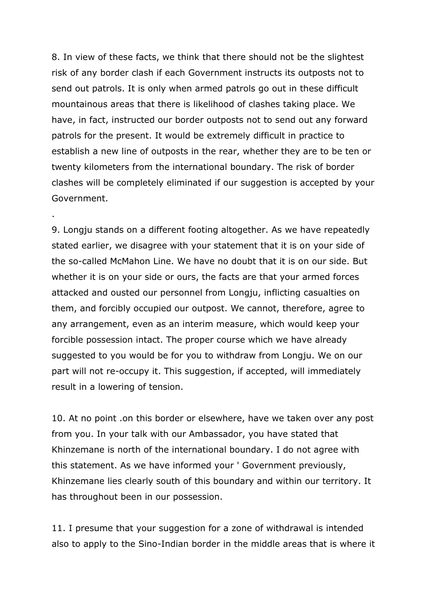8. In view of these facts, we think that there should not be the slightest risk of any border clash if each Government instructs its outposts not to send out patrols. It is only when armed patrols go out in these difficult mountainous areas that there is likelihood of clashes taking place. We have, in fact, instructed our border outposts not to send out any forward patrols for the present. It would be extremely difficult in practice to establish a new line of outposts in the rear, whether they are to be ten or twenty kilometers from the international boundary. The risk of border clashes will be completely eliminated if our suggestion is accepted by your Government.

9. Longju stands on a different footing altogether. As we have repeatedly stated earlier, we disagree with your statement that it is on your side of the so-called McMahon Line. We have no doubt that it is on our side. But whether it is on your side or ours, the facts are that your armed forces attacked and ousted our personnel from Longju, inflicting casualties on them, and forcibly occupied our outpost. We cannot, therefore, agree to any arrangement, even as an interim measure, which would keep your forcible possession intact. The proper course which we have already suggested to you would be for you to withdraw from Longju. We on our part will not re-occupy it. This suggestion, if accepted, will immediately result in a lowering of tension.

.

10. At no point .on this border or elsewhere, have we taken over any post from you. In your talk with our Ambassador, you have stated that Khinzemane is north of the international boundary. I do not agree with this statement. As we have informed your ' Government previously, Khinzemane lies clearly south of this boundary and within our territory. It has throughout been in our possession.

11. I presume that your suggestion for a zone of withdrawal is intended also to apply to the Sino-Indian border in the middle areas that is where it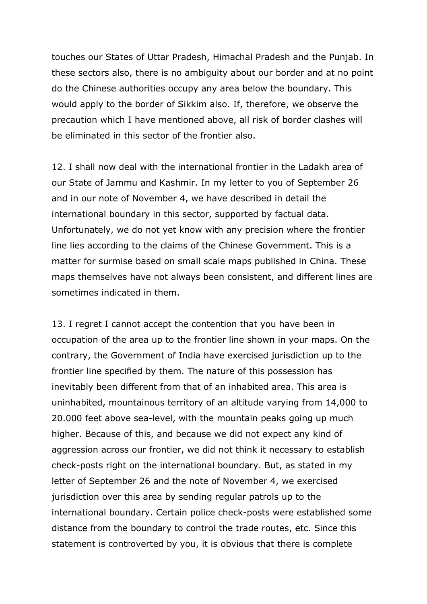touches our States of Uttar Pradesh, Himachal Pradesh and the Punjab. In these sectors also, there is no ambiguity about our border and at no point do the Chinese authorities occupy any area below the boundary. This would apply to the border of Sikkim also. If, therefore, we observe the precaution which I have mentioned above, all risk of border clashes will be eliminated in this sector of the frontier also.

12. I shall now deal with the international frontier in the Ladakh area of our State of Jammu and Kashmir. In my letter to you of September 26 and in our note of November 4, we have described in detail the international boundary in this sector, supported by factual data. Unfortunately, we do not yet know with any precision where the frontier line lies according to the claims of the Chinese Government. This is a matter for surmise based on small scale maps published in China. These maps themselves have not always been consistent, and different lines are sometimes indicated in them.

13. I regret I cannot accept the contention that you have been in occupation of the area up to the frontier line shown in your maps. On the contrary, the Government of India have exercised jurisdiction up to the frontier line specified by them. The nature of this possession has inevitably been different from that of an inhabited area. This area is uninhabited, mountainous territory of an altitude varying from 14,000 to 20.000 feet above sea-level, with the mountain peaks going up much higher. Because of this, and because we did not expect any kind of aggression across our frontier, we did not think it necessary to establish check-posts right on the international boundary. But, as stated in my letter of September 26 and the note of November 4, we exercised jurisdiction over this area by sending regular patrols up to the international boundary. Certain police check-posts were established some distance from the boundary to control the trade routes, etc. Since this statement is controverted by you, it is obvious that there is complete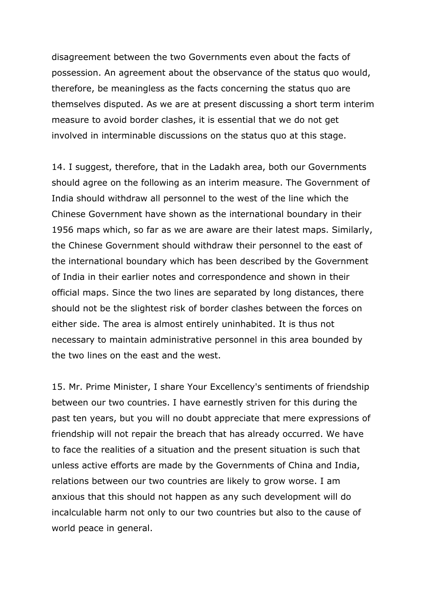disagreement between the two Governments even about the facts of possession. An agreement about the observance of the status quo would, therefore, be meaningless as the facts concerning the status quo are themselves disputed. As we are at present discussing a short term interim measure to avoid border clashes, it is essential that we do not get involved in interminable discussions on the status quo at this stage.

14. I suggest, therefore, that in the Ladakh area, both our Governments should agree on the following as an interim measure. The Government of India should withdraw all personnel to the west of the line which the Chinese Government have shown as the international boundary in their 1956 maps which, so far as we are aware are their latest maps. Similarly, the Chinese Government should withdraw their personnel to the east of the international boundary which has been described by the Government of India in their earlier notes and correspondence and shown in their official maps. Since the two lines are separated by long distances, there should not be the slightest risk of border clashes between the forces on either side. The area is almost entirely uninhabited. It is thus not necessary to maintain administrative personnel in this area bounded by the two lines on the east and the west.

15. Mr. Prime Minister, I share Your Excellency's sentiments of friendship between our two countries. I have earnestly striven for this during the past ten years, but you will no doubt appreciate that mere expressions of friendship will not repair the breach that has already occurred. We have to face the realities of a situation and the present situation is such that unless active efforts are made by the Governments of China and India, relations between our two countries are likely to grow worse. I am anxious that this should not happen as any such development will do incalculable harm not only to our two countries but also to the cause of world peace in general.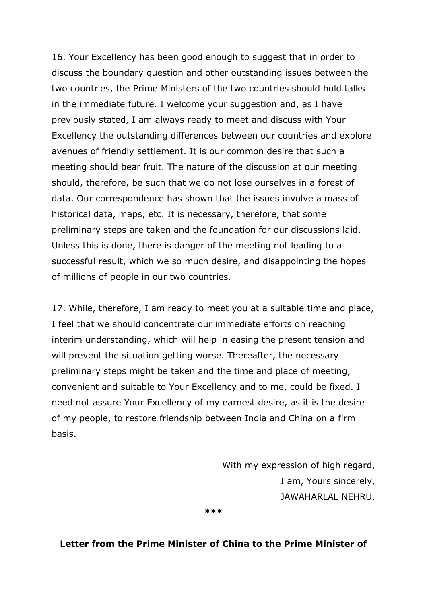16. Your Excellency has been good enough to suggest that in order to discuss the boundary question and other outstanding issues between the two countries, the Prime Ministers of the two countries should hold talks in the immediate future. I welcome your suggestion and, as I have previously stated, I am always ready to meet and discuss with Your Excellency the outstanding differences between our countries and explore avenues of friendly settlement. It is our common desire that such a meeting should bear fruit. The nature of the discussion at our meeting should, therefore, be such that we do not lose ourselves in a forest of data. Our correspondence has shown that the issues involve a mass of historical data, maps, etc. It is necessary, therefore, that some preliminary steps are taken and the foundation for our discussions laid. Unless this is done, there is danger of the meeting not leading to a successful result, which we so much desire, and disappointing the hopes of millions of people in our two countries.

17. While, therefore, I am ready to meet you at a suitable time and place, I feel that we should concentrate our immediate efforts on reaching interim understanding, which will help in easing the present tension and will prevent the situation getting worse. Thereafter, the necessary preliminary steps might be taken and the time and place of meeting, convenient and suitable to Your Excellency and to me, could be fixed. I need not assure Your Excellency of my earnest desire, as it is the desire of my people, to restore friendship between India and China on a firm basis.

> With my expression of high regard, I am, Yours sincerely, JAWAHARLAL NEHRU.

**\*\*\***

#### **Letter from the Prime Minister of China to the Prime Minister of**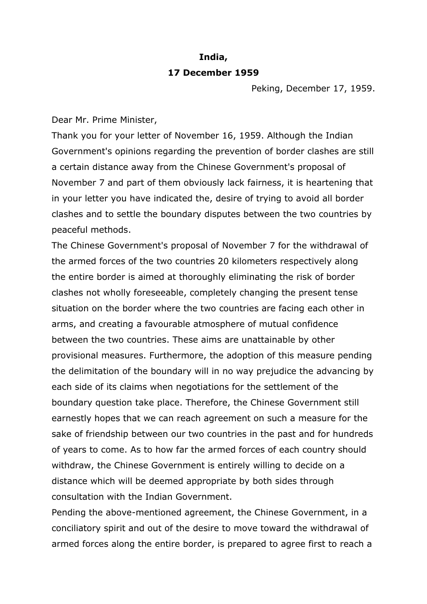# **India, 17 December 1959**

Peking, December 17, 1959.

Dear Mr. Prime Minister,

Thank you for your letter of November 16, 1959. Although the Indian Government's opinions regarding the prevention of border clashes are still a certain distance away from the Chinese Government's proposal of November 7 and part of them obviously lack fairness, it is heartening that in your letter you have indicated the, desire of trying to avoid all border clashes and to settle the boundary disputes between the two countries by peaceful methods.

The Chinese Government's proposal of November 7 for the withdrawal of the armed forces of the two countries 20 kilometers respectively along the entire border is aimed at thoroughly eliminating the risk of border clashes not wholly foreseeable, completely changing the present tense situation on the border where the two countries are facing each other in arms, and creating a favourable atmosphere of mutual confidence between the two countries. These aims are unattainable by other provisional measures. Furthermore, the adoption of this measure pending the delimitation of the boundary will in no way prejudice the advancing by each side of its claims when negotiations for the settlement of the boundary question take place. Therefore, the Chinese Government still earnestly hopes that we can reach agreement on such a measure for the sake of friendship between our two countries in the past and for hundreds of years to come. As to how far the armed forces of each country should withdraw, the Chinese Government is entirely willing to decide on a distance which will be deemed appropriate by both sides through consultation with the Indian Government.

Pending the above-mentioned agreement, the Chinese Government, in a conciliatory spirit and out of the desire to move toward the withdrawal of armed forces along the entire border, is prepared to agree first to reach a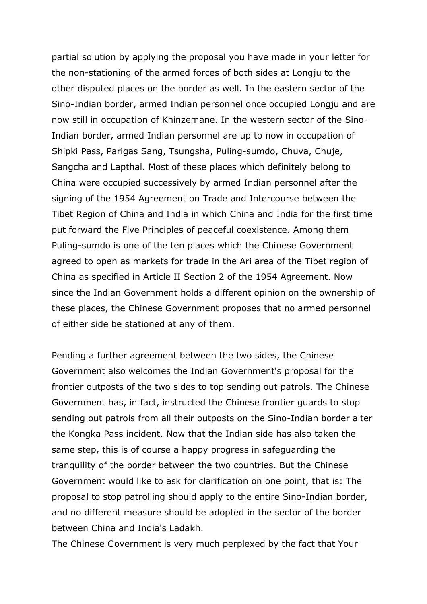partial solution by applying the proposal you have made in your letter for the non-stationing of the armed forces of both sides at Longju to the other disputed places on the border as well. In the eastern sector of the Sino-Indian border, armed Indian personnel once occupied Longju and are now still in occupation of Khinzemane. In the western sector of the Sino-Indian border, armed Indian personnel are up to now in occupation of Shipki Pass, Parigas Sang, Tsungsha, Puling-sumdo, Chuva, Chuje, Sangcha and Lapthal. Most of these places which definitely belong to China were occupied successively by armed Indian personnel after the signing of the 1954 Agreement on Trade and Intercourse between the Tibet Region of China and India in which China and India for the first time put forward the Five Principles of peaceful coexistence. Among them Puling-sumdo is one of the ten places which the Chinese Government agreed to open as markets for trade in the Ari area of the Tibet region of China as specified in Article II Section 2 of the 1954 Agreement. Now since the Indian Government holds a different opinion on the ownership of these places, the Chinese Government proposes that no armed personnel of either side be stationed at any of them.

Pending a further agreement between the two sides, the Chinese Government also welcomes the Indian Government's proposal for the frontier outposts of the two sides to top sending out patrols. The Chinese Government has, in fact, instructed the Chinese frontier guards to stop sending out patrols from all their outposts on the Sino-Indian border alter the Kongka Pass incident. Now that the Indian side has also taken the same step, this is of course a happy progress in safeguarding the tranquility of the border between the two countries. But the Chinese Government would like to ask for clarification on one point, that is: The proposal to stop patrolling should apply to the entire Sino-Indian border, and no different measure should be adopted in the sector of the border between China and India's Ladakh.

The Chinese Government is very much perplexed by the fact that Your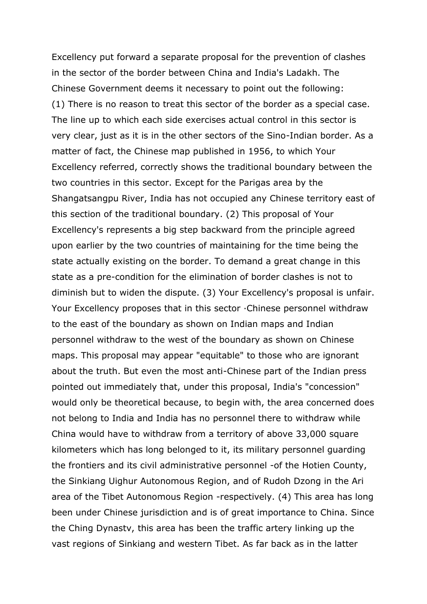Excellency put forward a separate proposal for the prevention of clashes in the sector of the border between China and India's Ladakh. The Chinese Government deems it necessary to point out the following: (1) There is no reason to treat this sector of the border as a special case. The line up to which each side exercises actual control in this sector is very clear, just as it is in the other sectors of the Sino-Indian border. As a matter of fact, the Chinese map published in 1956, to which Your Excellency referred, correctly shows the traditional boundary between the two countries in this sector. Except for the Parigas area by the Shangatsangpu River, India has not occupied any Chinese territory east of this section of the traditional boundary. (2) This proposal of Your Excellency's represents a big step backward from the principle agreed upon earlier by the two countries of maintaining for the time being the state actually existing on the border. To demand a great change in this state as a pre-condition for the elimination of border clashes is not to diminish but to widen the dispute. (3) Your Excellency's proposal is unfair. Your Excellency proposes that in this sector ·Chinese personnel withdraw to the east of the boundary as shown on Indian maps and Indian personnel withdraw to the west of the boundary as shown on Chinese maps. This proposal may appear "equitable" to those who are ignorant about the truth. But even the most anti-Chinese part of the Indian press pointed out immediately that, under this proposal, India's "concession" would only be theoretical because, to begin with, the area concerned does not belong to India and India has no personnel there to withdraw while China would have to withdraw from a territory of above 33,000 square kilometers which has long belonged to it, its military personnel guarding the frontiers and its civil administrative personnel -of the Hotien County, the Sinkiang Uighur Autonomous Region, and of Rudoh Dzong in the Ari area of the Tibet Autonomous Region -respectively. (4) This area has long been under Chinese jurisdiction and is of great importance to China. Since the Ching Dynastv, this area has been the traffic artery linking up the vast regions of Sinkiang and western Tibet. As far back as in the latter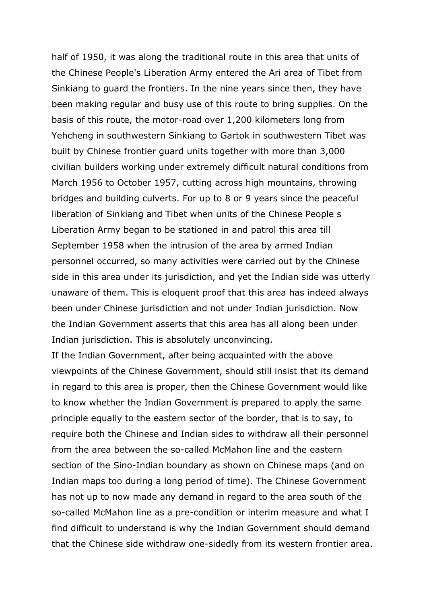half of 1950, it was along the traditional route in this area that units of the Chinese People's Liberation Army entered the Ari area of Tibet from Sinkiang to guard the frontiers. In the nine years since then, they have been making regular and busy use of this route to bring supplies. On the basis of this route, the motor-road over 1,200 kilometers long from Yehcheng in southwestern Sinkiang to Gartok in southwestern Tibet was built by Chinese frontier guard units together with more than 3,000 civilian builders working under extremely difficult natural conditions from March 1956 to October 1957, cutting across high mountains, throwing bridges and building culverts. For up to 8 or 9 years since the peaceful liberation of Sinkiang and Tibet when units of the Chinese People s Liberation Army began to be stationed in and patrol this area till September 1958 when the intrusion of the area by armed Indian personnel occurred, so many activities were carried out by the Chinese side in this area under its jurisdiction, and yet the Indian side was utterly unaware of them. This is eloquent proof that this area has indeed always been under Chinese jurisdiction and not under Indian jurisdiction. Now the Indian Government asserts that this area has all along been under Indian jurisdiction. This is absolutely unconvincing.

If the Indian Government, after being acquainted with the above viewpoints of the Chinese Government, should still insist that its demand in regard to this area is proper, then the Chinese Government would like to know whether the Indian Government is prepared to apply the same principle equally to the eastern sector of the border, that is to say, to require both the Chinese and Indian sides to withdraw all their personnel from the area between the so-called McMahon line and the eastern section of the Sino-Indian boundary as shown on Chinese maps (and on Indian maps too during a long period of time). The Chinese Government has not up to now made any demand in regard to the area south of the so-called McMahon line as a pre-condition or interim measure and what I find difficult to understand is why the Indian Government should demand that the Chinese side withdraw one-sidedly from its western frontier area.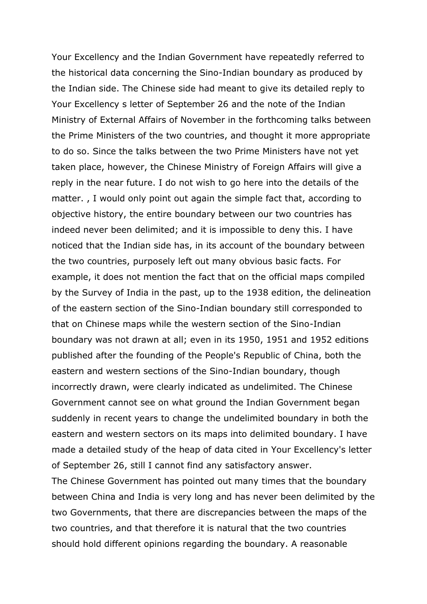Your Excellency and the Indian Government have repeatedly referred to the historical data concerning the Sino-Indian boundary as produced by the Indian side. The Chinese side had meant to give its detailed reply to Your Excellency s letter of September 26 and the note of the Indian Ministry of External Affairs of November in the forthcoming talks between the Prime Ministers of the two countries, and thought it more appropriate to do so. Since the talks between the two Prime Ministers have not yet taken place, however, the Chinese Ministry of Foreign Affairs will give a reply in the near future. I do not wish to go here into the details of the matter. , I would only point out again the simple fact that, according to objective history, the entire boundary between our two countries has indeed never been delimited; and it is impossible to deny this. I have noticed that the Indian side has, in its account of the boundary between the two countries, purposely left out many obvious basic facts. For example, it does not mention the fact that on the official maps compiled by the Survey of India in the past, up to the 1938 edition, the delineation of the eastern section of the Sino-Indian boundary still corresponded to that on Chinese maps while the western section of the Sino-Indian boundary was not drawn at all; even in its 1950, 1951 and 1952 editions published after the founding of the People's Republic of China, both the eastern and western sections of the Sino-Indian boundary, though incorrectly drawn, were clearly indicated as undelimited. The Chinese Government cannot see on what ground the Indian Government began suddenly in recent years to change the undelimited boundary in both the eastern and western sectors on its maps into delimited boundary. I have made a detailed study of the heap of data cited in Your Excellency's letter of September 26, still I cannot find any satisfactory answer.

The Chinese Government has pointed out many times that the boundary between China and India is very long and has never been delimited by the two Governments, that there are discrepancies between the maps of the two countries, and that therefore it is natural that the two countries should hold different opinions regarding the boundary. A reasonable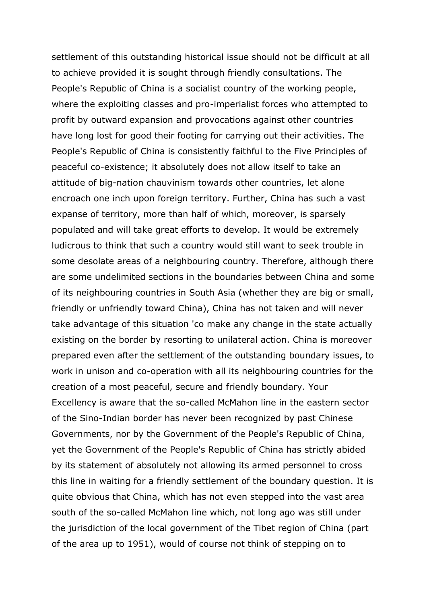settlement of this outstanding historical issue should not be difficult at all to achieve provided it is sought through friendly consultations. The People's Republic of China is a socialist country of the working people, where the exploiting classes and pro-imperialist forces who attempted to profit by outward expansion and provocations against other countries have long lost for good their footing for carrying out their activities. The People's Republic of China is consistently faithful to the Five Principles of peaceful co-existence; it absolutely does not allow itself to take an attitude of big-nation chauvinism towards other countries, let alone encroach one inch upon foreign territory. Further, China has such a vast expanse of territory, more than half of which, moreover, is sparsely populated and will take great efforts to develop. It would be extremely ludicrous to think that such a country would still want to seek trouble in some desolate areas of a neighbouring country. Therefore, although there are some undelimited sections in the boundaries between China and some of its neighbouring countries in South Asia (whether they are big or small, friendly or unfriendly toward China), China has not taken and will never take advantage of this situation 'co make any change in the state actually existing on the border by resorting to unilateral action. China is moreover prepared even after the settlement of the outstanding boundary issues, to work in unison and co-operation with all its neighbouring countries for the creation of a most peaceful, secure and friendly boundary. Your Excellency is aware that the so-called McMahon line in the eastern sector of the Sino-Indian border has never been recognized by past Chinese Governments, nor by the Government of the People's Republic of China, yet the Government of the People's Republic of China has strictly abided by its statement of absolutely not allowing its armed personnel to cross this line in waiting for a friendly settlement of the boundary question. It is quite obvious that China, which has not even stepped into the vast area south of the so-called McMahon line which, not long ago was still under the jurisdiction of the local government of the Tibet region of China (part of the area up to 1951), would of course not think of stepping on to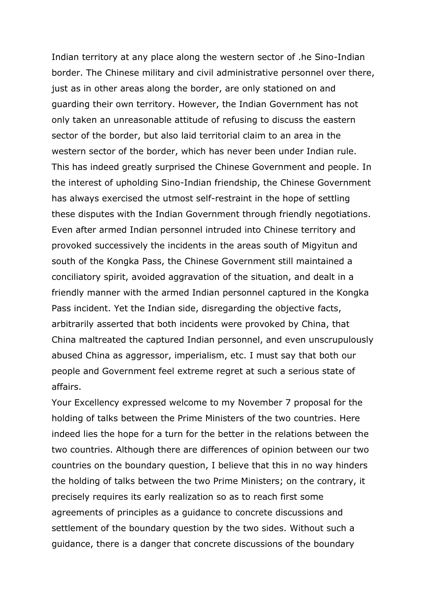Indian territory at any place along the western sector of .he Sino-Indian border. The Chinese military and civil administrative personnel over there, just as in other areas along the border, are only stationed on and guarding their own territory. However, the Indian Government has not only taken an unreasonable attitude of refusing to discuss the eastern sector of the border, but also laid territorial claim to an area in the western sector of the border, which has never been under Indian rule. This has indeed greatly surprised the Chinese Government and people. In the interest of upholding Sino-Indian friendship, the Chinese Government has always exercised the utmost self-restraint in the hope of settling these disputes with the Indian Government through friendly negotiations. Even after armed Indian personnel intruded into Chinese territory and provoked successively the incidents in the areas south of Migyitun and south of the Kongka Pass, the Chinese Government still maintained a conciliatory spirit, avoided aggravation of the situation, and dealt in a friendly manner with the armed Indian personnel captured in the Kongka Pass incident. Yet the Indian side, disregarding the objective facts, arbitrarily asserted that both incidents were provoked by China, that China maltreated the captured Indian personnel, and even unscrupulously abused China as aggressor, imperialism, etc. I must say that both our people and Government feel extreme regret at such a serious state of affairs.

Your Excellency expressed welcome to my November 7 proposal for the holding of talks between the Prime Ministers of the two countries. Here indeed lies the hope for a turn for the better in the relations between the two countries. Although there are differences of opinion between our two countries on the boundary question, I believe that this in no way hinders the holding of talks between the two Prime Ministers; on the contrary, it precisely requires its early realization so as to reach first some agreements of principles as a guidance to concrete discussions and settlement of the boundary question by the two sides. Without such a guidance, there is a danger that concrete discussions of the boundary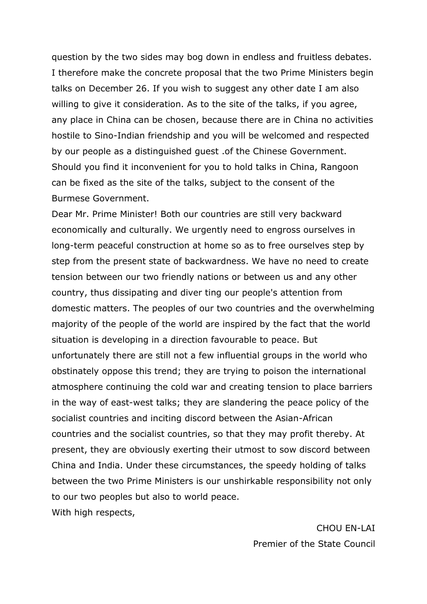question by the two sides may bog down in endless and fruitless debates. I therefore make the concrete proposal that the two Prime Ministers begin talks on December 26. If you wish to suggest any other date I am also willing to give it consideration. As to the site of the talks, if you agree, any place in China can be chosen, because there are in China no activities hostile to Sino-Indian friendship and you will be welcomed and respected by our people as a distinguished guest .of the Chinese Government. Should you find it inconvenient for you to hold talks in China, Rangoon can be fixed as the site of the talks, subject to the consent of the Burmese Government.

Dear Mr. Prime Minister! Both our countries are still very backward economically and culturally. We urgently need to engross ourselves in long-term peaceful construction at home so as to free ourselves step by step from the present state of backwardness. We have no need to create tension between our two friendly nations or between us and any other country, thus dissipating and diver ting our people's attention from domestic matters. The peoples of our two countries and the overwhelming majority of the people of the world are inspired by the fact that the world situation is developing in a direction favourable to peace. But unfortunately there are still not a few influential groups in the world who obstinately oppose this trend; they are trying to poison the international atmosphere continuing the cold war and creating tension to place barriers in the way of east-west talks; they are slandering the peace policy of the socialist countries and inciting discord between the Asian-African countries and the socialist countries, so that they may profit thereby. At present, they are obviously exerting their utmost to sow discord between China and India. Under these circumstances, the speedy holding of talks between the two Prime Ministers is our unshirkable responsibility not only to our two peoples but also to world peace. With high respects,

> CHOU EN-LAI Premier of the State Council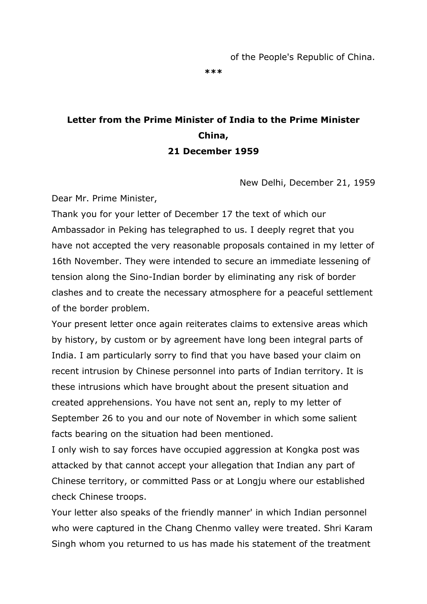**\*\*\***

# **Letter from the Prime Minister of India to the Prime Minister China, 21 December 1959**

New Delhi, December 21, 1959

Dear Mr. Prime Minister,

Thank you for your letter of December 17 the text of which our Ambassador in Peking has telegraphed to us. I deeply regret that you have not accepted the very reasonable proposals contained in my letter of 16th November. They were intended to secure an immediate lessening of tension along the Sino-Indian border by eliminating any risk of border clashes and to create the necessary atmosphere for a peaceful settlement of the border problem.

Your present letter once again reiterates claims to extensive areas which by history, by custom or by agreement have long been integral parts of India. I am particularly sorry to find that you have based your claim on recent intrusion by Chinese personnel into parts of Indian territory. It is these intrusions which have brought about the present situation and created apprehensions. You have not sent an, reply to my letter of September 26 to you and our note of November in which some salient facts bearing on the situation had been mentioned.

I only wish to say forces have occupied aggression at Kongka post was attacked by that cannot accept your allegation that Indian any part of Chinese territory, or committed Pass or at Longju where our established check Chinese troops.

Your letter also speaks of the friendly manner' in which Indian personnel who were captured in the Chang Chenmo valley were treated. Shri Karam Singh whom you returned to us has made his statement of the treatment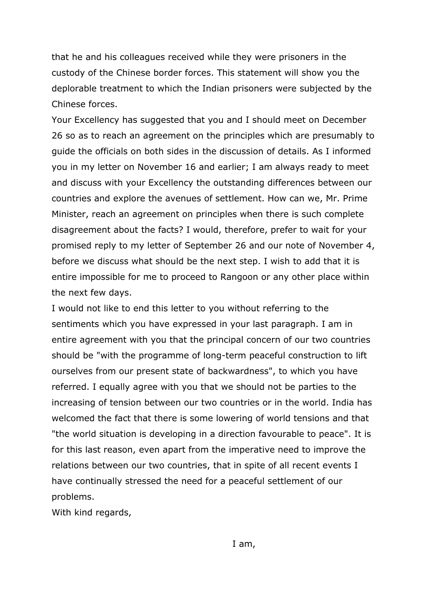that he and his colleagues received while they were prisoners in the custody of the Chinese border forces. This statement will show you the deplorable treatment to which the Indian prisoners were subjected by the Chinese forces.

Your Excellency has suggested that you and I should meet on December 26 so as to reach an agreement on the principles which are presumably to guide the officials on both sides in the discussion of details. As I informed you in my letter on November 16 and earlier; I am always ready to meet and discuss with your Excellency the outstanding differences between our countries and explore the avenues of settlement. How can we, Mr. Prime Minister, reach an agreement on principles when there is such complete disagreement about the facts? I would, therefore, prefer to wait for your promised reply to my letter of September 26 and our note of November 4, before we discuss what should be the next step. I wish to add that it is entire impossible for me to proceed to Rangoon or any other place within the next few days.

I would not like to end this letter to you without referring to the sentiments which you have expressed in your last paragraph. I am in entire agreement with you that the principal concern of our two countries should be "with the programme of long-term peaceful construction to lift ourselves from our present state of backwardness", to which you have referred. I equally agree with you that we should not be parties to the increasing of tension between our two countries or in the world. India has welcomed the fact that there is some lowering of world tensions and that "the world situation is developing in a direction favourable to peace". It is for this last reason, even apart from the imperative need to improve the relations between our two countries, that in spite of all recent events I have continually stressed the need for a peaceful settlement of our problems.

With kind regards,

I am,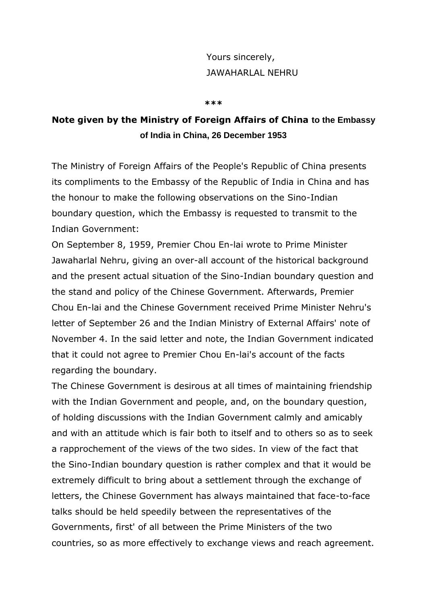Yours sincerely, JAWAHARLAL NEHRU

**\*\*\***

# **Note given by the Ministry of Foreign Affairs of China to the Embassy of India in China, 26 December 1953**

The Ministry of Foreign Affairs of the People's Republic of China presents its compliments to the Embassy of the Republic of India in China and has the honour to make the following observations on the Sino-Indian boundary question, which the Embassy is requested to transmit to the Indian Government:

On September 8, 1959, Premier Chou En-lai wrote to Prime Minister Jawaharlal Nehru, giving an over-all account of the historical background and the present actual situation of the Sino-Indian boundary question and the stand and policy of the Chinese Government. Afterwards, Premier Chou En-lai and the Chinese Government received Prime Minister Nehru's letter of September 26 and the Indian Ministry of External Affairs' note of November 4. In the said letter and note, the Indian Government indicated that it could not agree to Premier Chou En-lai's account of the facts regarding the boundary.

The Chinese Government is desirous at all times of maintaining friendship with the Indian Government and people, and, on the boundary question, of holding discussions with the Indian Government calmly and amicably and with an attitude which is fair both to itself and to others so as to seek a rapprochement of the views of the two sides. In view of the fact that the Sino-Indian boundary question is rather complex and that it would be extremely difficult to bring about a settlement through the exchange of letters, the Chinese Government has always maintained that face-to-face talks should be held speedily between the representatives of the Governments, first' of all between the Prime Ministers of the two countries, so as more effectively to exchange views and reach agreement.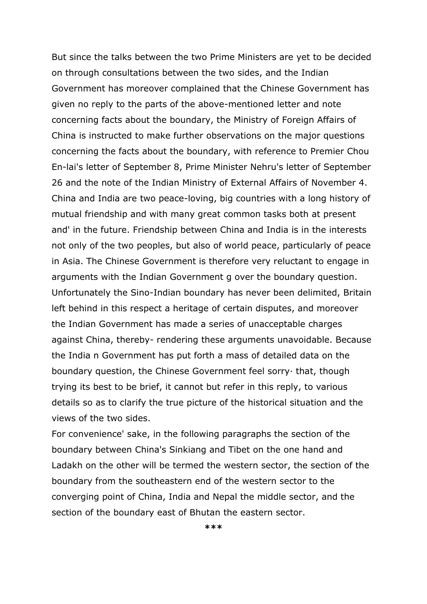But since the talks between the two Prime Ministers are yet to be decided on through consultations between the two sides, and the Indian Government has moreover complained that the Chinese Government has given no reply to the parts of the above-mentioned letter and note concerning facts about the boundary, the Ministry of Foreign Affairs of China is instructed to make further observations on the major questions concerning the facts about the boundary, with reference to Premier Chou En-lai's letter of September 8, Prime Minister Nehru's letter of September 26 and the note of the Indian Ministry of External Affairs of November 4. China and India are two peace-loving, big countries with a long history of mutual friendship and with many great common tasks both at present and' in the future. Friendship between China and India is in the interests not only of the two peoples, but also of world peace, particularly of peace in Asia. The Chinese Government is therefore very reluctant to engage in arguments with the Indian Government g over the boundary question. Unfortunately the Sino-Indian boundary has never been delimited, Britain left behind in this respect a heritage of certain disputes, and moreover the Indian Government has made a series of unacceptable charges against China, thereby- rendering these arguments unavoidable. Because the India n Government has put forth a mass of detailed data on the boundary question, the Chinese Government feel sorry· that, though trying its best to be brief, it cannot but refer in this reply, to various details so as to clarify the true picture of the historical situation and the views of the two sides.

For convenience' sake, in the following paragraphs the section of the boundary between China's Sinkiang and Tibet on the one hand and Ladakh on the other will be termed the western sector, the section of the boundary from the southeastern end of the western sector to the converging point of China, India and Nepal the middle sector, and the section of the boundary east of Bhutan the eastern sector.

**\*\*\***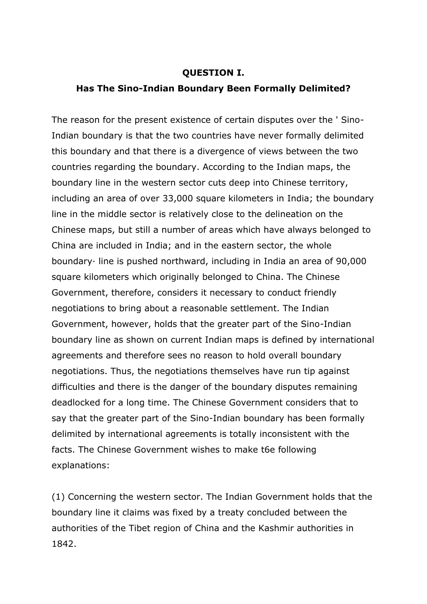### **QUESTION I.**

### **Has The Sino-Indian Boundary Been Formally Delimited?**

The reason for the present existence of certain disputes over the ' Sino-Indian boundary is that the two countries have never formally delimited this boundary and that there is a divergence of views between the two countries regarding the boundary. According to the Indian maps, the boundary line in the western sector cuts deep into Chinese territory, including an area of over 33,000 square kilometers in India; the boundary line in the middle sector is relatively close to the delineation on the Chinese maps, but still a number of areas which have always belonged to China are included in India; and in the eastern sector, the whole boundary· line is pushed northward, including in India an area of 90,000 square kilometers which originally belonged to China. The Chinese Government, therefore, considers it necessary to conduct friendly negotiations to bring about a reasonable settlement. The Indian Government, however, holds that the greater part of the Sino-Indian boundary line as shown on current Indian maps is defined by international agreements and therefore sees no reason to hold overall boundary negotiations. Thus, the negotiations themselves have run tip against difficulties and there is the danger of the boundary disputes remaining deadlocked for a long time. The Chinese Government considers that to say that the greater part of the Sino-Indian boundary has been formally delimited by international agreements is totally inconsistent with the facts. The Chinese Government wishes to make t6e following explanations:

(1) Concerning the western sector. The Indian Government holds that the boundary line it claims was fixed by a treaty concluded between the authorities of the Tibet region of China and the Kashmir authorities in 1842.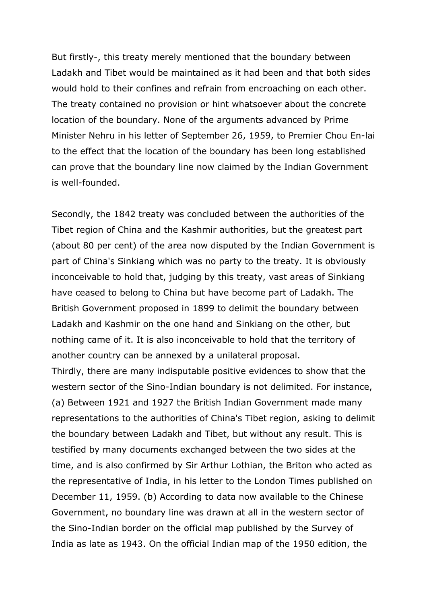But firstly-, this treaty merely mentioned that the boundary between Ladakh and Tibet would be maintained as it had been and that both sides would hold to their confines and refrain from encroaching on each other. The treaty contained no provision or hint whatsoever about the concrete location of the boundary. None of the arguments advanced by Prime Minister Nehru in his letter of September 26, 1959, to Premier Chou En-lai to the effect that the location of the boundary has been long established can prove that the boundary line now claimed by the Indian Government is well-founded.

Secondly, the 1842 treaty was concluded between the authorities of the Tibet region of China and the Kashmir authorities, but the greatest part (about 80 per cent) of the area now disputed by the Indian Government is part of China's Sinkiang which was no party to the treaty. It is obviously inconceivable to hold that, judging by this treaty, vast areas of Sinkiang have ceased to belong to China but have become part of Ladakh. The British Government proposed in 1899 to delimit the boundary between Ladakh and Kashmir on the one hand and Sinkiang on the other, but nothing came of it. It is also inconceivable to hold that the territory of another country can be annexed by a unilateral proposal.

Thirdly, there are many indisputable positive evidences to show that the western sector of the Sino-Indian boundary is not delimited. For instance, (a) Between 1921 and 1927 the British Indian Government made many representations to the authorities of China's Tibet region, asking to delimit the boundary between Ladakh and Tibet, but without any result. This is testified by many documents exchanged between the two sides at the time, and is also confirmed by Sir Arthur Lothian, the Briton who acted as the representative of India, in his letter to the London Times published on December 11, 1959. (b) According to data now available to the Chinese Government, no boundary line was drawn at all in the western sector of the Sino-Indian border on the official map published by the Survey of India as late as 1943. On the official Indian map of the 1950 edition, the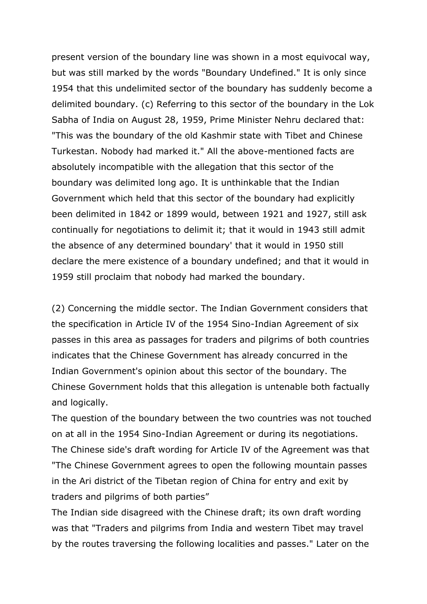present version of the boundary line was shown in a most equivocal way, but was still marked by the words "Boundary Undefined." It is only since 1954 that this undelimited sector of the boundary has suddenly become a delimited boundary. (c) Referring to this sector of the boundary in the Lok Sabha of India on August 28, 1959, Prime Minister Nehru declared that: "This was the boundary of the old Kashmir state with Tibet and Chinese Turkestan. Nobody had marked it." All the above-mentioned facts are absolutely incompatible with the allegation that this sector of the boundary was delimited long ago. It is unthinkable that the Indian Government which held that this sector of the boundary had explicitly been delimited in 1842 or 1899 would, between 1921 and 1927, still ask continually for negotiations to delimit it; that it would in 1943 still admit the absence of any determined boundary' that it would in 1950 still declare the mere existence of a boundary undefined; and that it would in 1959 still proclaim that nobody had marked the boundary.

(2) Concerning the middle sector. The Indian Government considers that the specification in Article IV of the 1954 Sino-Indian Agreement of six passes in this area as passages for traders and pilgrims of both countries indicates that the Chinese Government has already concurred in the Indian Government's opinion about this sector of the boundary. The Chinese Government holds that this allegation is untenable both factually and logically.

The question of the boundary between the two countries was not touched on at all in the 1954 Sino-Indian Agreement or during its negotiations. The Chinese side's draft wording for Article IV of the Agreement was that "The Chinese Government agrees to open the following mountain passes in the Ari district of the Tibetan region of China for entry and exit by traders and pilgrims of both parties"

The Indian side disagreed with the Chinese draft; its own draft wording was that "Traders and pilgrims from India and western Tibet may travel by the routes traversing the following localities and passes." Later on the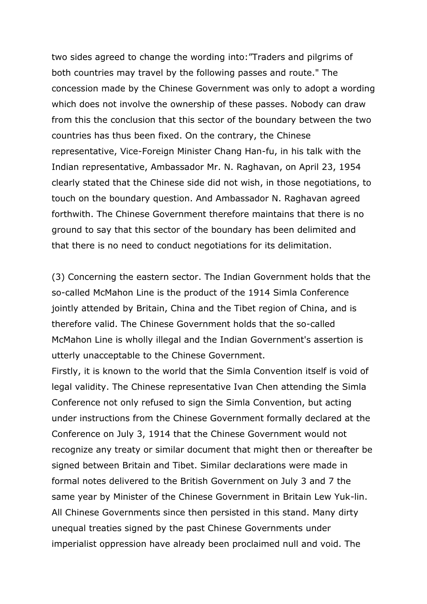two sides agreed to change the wording into:"Traders and pilgrims of both countries may travel by the following passes and route." The concession made by the Chinese Government was only to adopt a wording which does not involve the ownership of these passes. Nobody can draw from this the conclusion that this sector of the boundary between the two countries has thus been fixed. On the contrary, the Chinese representative, Vice-Foreign Minister Chang Han-fu, in his talk with the Indian representative, Ambassador Mr. N. Raghavan, on April 23, 1954 clearly stated that the Chinese side did not wish, in those negotiations, to touch on the boundary question. And Ambassador N. Raghavan agreed forthwith. The Chinese Government therefore maintains that there is no ground to say that this sector of the boundary has been delimited and that there is no need to conduct negotiations for its delimitation.

(3) Concerning the eastern sector. The Indian Government holds that the so-called McMahon Line is the product of the 1914 Simla Conference jointly attended by Britain, China and the Tibet region of China, and is therefore valid. The Chinese Government holds that the so-called McMahon Line is wholly illegal and the Indian Government's assertion is utterly unacceptable to the Chinese Government.

Firstly, it is known to the world that the Simla Convention itself is void of legal validity. The Chinese representative Ivan Chen attending the Simla Conference not only refused to sign the Simla Convention, but acting under instructions from the Chinese Government formally declared at the Conference on July 3, 1914 that the Chinese Government would not recognize any treaty or similar document that might then or thereafter be signed between Britain and Tibet. Similar declarations were made in formal notes delivered to the British Government on July 3 and 7 the same year by Minister of the Chinese Government in Britain Lew Yuk-lin. All Chinese Governments since then persisted in this stand. Many dirty unequal treaties signed by the past Chinese Governments under imperialist oppression have already been proclaimed null and void. The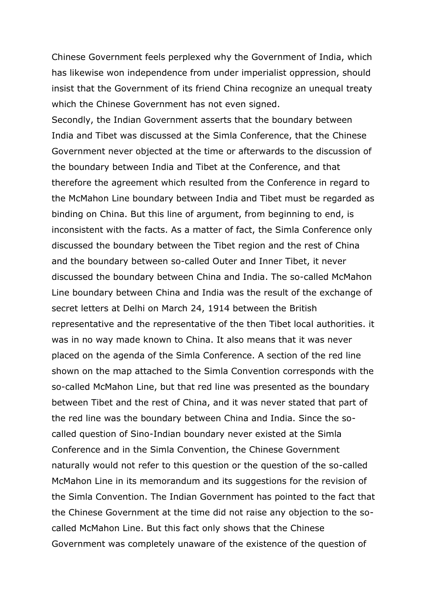Chinese Government feels perplexed why the Government of India, which has likewise won independence from under imperialist oppression, should insist that the Government of its friend China recognize an unequal treaty which the Chinese Government has not even signed.

Secondly, the Indian Government asserts that the boundary between India and Tibet was discussed at the Simla Conference, that the Chinese Government never objected at the time or afterwards to the discussion of the boundary between India and Tibet at the Conference, and that therefore the agreement which resulted from the Conference in regard to the McMahon Line boundary between India and Tibet must be regarded as binding on China. But this line of argument, from beginning to end, is inconsistent with the facts. As a matter of fact, the Simla Conference only discussed the boundary between the Tibet region and the rest of China and the boundary between so-called Outer and Inner Tibet, it never discussed the boundary between China and India. The so-called McMahon Line boundary between China and India was the result of the exchange of secret letters at Delhi on March 24, 1914 between the British representative and the representative of the then Tibet local authorities. it was in no way made known to China. It also means that it was never placed on the agenda of the Simla Conference. A section of the red line shown on the map attached to the Simla Convention corresponds with the so-called McMahon Line, but that red line was presented as the boundary between Tibet and the rest of China, and it was never stated that part of the red line was the boundary between China and India. Since the socalled question of Sino-Indian boundary never existed at the Simla Conference and in the Simla Convention, the Chinese Government naturally would not refer to this question or the question of the so-called McMahon Line in its memorandum and its suggestions for the revision of the Simla Convention. The Indian Government has pointed to the fact that the Chinese Government at the time did not raise any objection to the socalled McMahon Line. But this fact only shows that the Chinese Government was completely unaware of the existence of the question of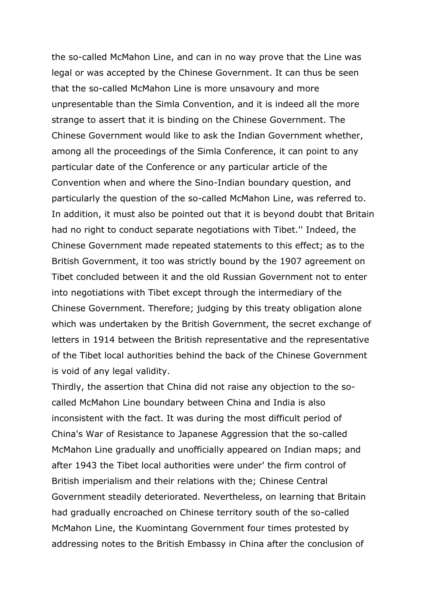the so-called McMahon Line, and can in no way prove that the Line was legal or was accepted by the Chinese Government. It can thus be seen that the so-called McMahon Line is more unsavoury and more unpresentable than the Simla Convention, and it is indeed all the more strange to assert that it is binding on the Chinese Government. The Chinese Government would like to ask the Indian Government whether, among all the proceedings of the Simla Conference, it can point to any particular date of the Conference or any particular article of the Convention when and where the Sino-Indian boundary question, and particularly the question of the so-called McMahon Line, was referred to. In addition, it must also be pointed out that it is beyond doubt that Britain had no right to conduct separate negotiations with Tibet.'' Indeed, the Chinese Government made repeated statements to this effect; as to the British Government, it too was strictly bound by the 1907 agreement on Tibet concluded between it and the old Russian Government not to enter into negotiations with Tibet except through the intermediary of the Chinese Government. Therefore; judging by this treaty obligation alone which was undertaken by the British Government, the secret exchange of letters in 1914 between the British representative and the representative of the Tibet local authorities behind the back of the Chinese Government is void of any legal validity.

Thirdly, the assertion that China did not raise any objection to the socalled McMahon Line boundary between China and India is also inconsistent with the fact. It was during the most difficult period of China's War of Resistance to Japanese Aggression that the so-called McMahon Line gradually and unofficially appeared on Indian maps; and after 1943 the Tibet local authorities were under' the firm control of British imperialism and their relations with the; Chinese Central Government steadily deteriorated. Nevertheless, on learning that Britain had gradually encroached on Chinese territory south of the so-called McMahon Line, the Kuomintang Government four times protested by addressing notes to the British Embassy in China after the conclusion of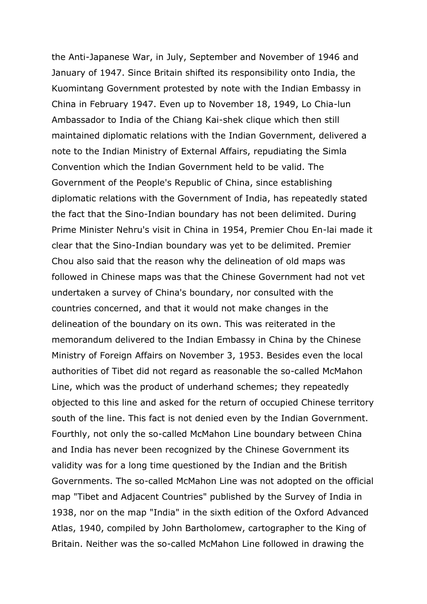the Anti-Japanese War, in July, September and November of 1946 and January of 1947. Since Britain shifted its responsibility onto India, the Kuomintang Government protested by note with the Indian Embassy in China in February 1947. Even up to November 18, 1949, Lo Chia-lun Ambassador to India of the Chiang Kai-shek clique which then still maintained diplomatic relations with the Indian Government, delivered a note to the Indian Ministry of External Affairs, repudiating the Simla Convention which the Indian Government held to be valid. The Government of the People's Republic of China, since establishing diplomatic relations with the Government of India, has repeatedly stated the fact that the Sino-Indian boundary has not been delimited. During Prime Minister Nehru's visit in China in 1954, Premier Chou En-lai made it clear that the Sino-Indian boundary was yet to be delimited. Premier Chou also said that the reason why the delineation of old maps was followed in Chinese maps was that the Chinese Government had not vet undertaken a survey of China's boundary, nor consulted with the countries concerned, and that it would not make changes in the delineation of the boundary on its own. This was reiterated in the memorandum delivered to the Indian Embassy in China by the Chinese Ministry of Foreign Affairs on November 3, 1953. Besides even the local authorities of Tibet did not regard as reasonable the so-called McMahon Line, which was the product of underhand schemes; they repeatedly objected to this line and asked for the return of occupied Chinese territory south of the line. This fact is not denied even by the Indian Government. Fourthly, not only the so-called McMahon Line boundary between China and India has never been recognized by the Chinese Government its validity was for a long time questioned by the Indian and the British Governments. The so-called McMahon Line was not adopted on the official map "Tibet and Adjacent Countries" published by the Survey of India in 1938, nor on the map "India" in the sixth edition of the Oxford Advanced Atlas, 1940, compiled by John Bartholomew, cartographer to the King of Britain. Neither was the so-called McMahon Line followed in drawing the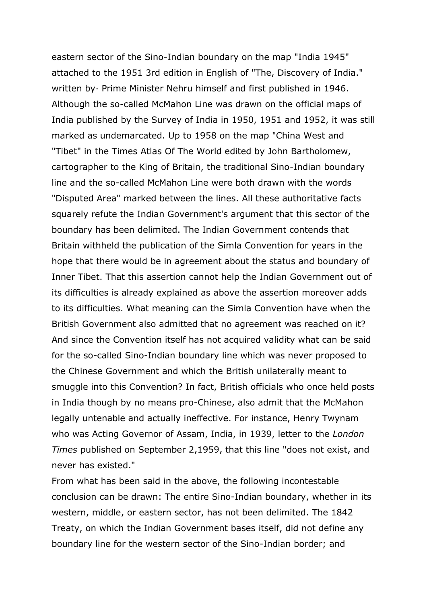eastern sector of the Sino-Indian boundary on the map "India 1945" attached to the 1951 3rd edition in English of "The, Discovery of India." written by· Prime Minister Nehru himself and first published in 1946. Although the so-called McMahon Line was drawn on the official maps of India published by the Survey of India in 1950, 1951 and 1952, it was still marked as undemarcated. Up to 1958 on the map "China West and "Tibet" in the Times Atlas Of The World edited by John Bartholomew, cartographer to the King of Britain, the traditional Sino-Indian boundary line and the so-called McMahon Line were both drawn with the words "Disputed Area" marked between the lines. All these authoritative facts squarely refute the Indian Government's argument that this sector of the boundary has been delimited. The Indian Government contends that Britain withheld the publication of the Simla Convention for years in the hope that there would be in agreement about the status and boundary of Inner Tibet. That this assertion cannot help the Indian Government out of its difficulties is already explained as above the assertion moreover adds to its difficulties. What meaning can the Simla Convention have when the British Government also admitted that no agreement was reached on it? And since the Convention itself has not acquired validity what can be said for the so-called Sino-Indian boundary line which was never proposed to the Chinese Government and which the British unilaterally meant to smuggle into this Convention? In fact, British officials who once held posts in India though by no means pro-Chinese, also admit that the McMahon legally untenable and actually ineffective. For instance, Henry Twynam who was Acting Governor of Assam, India, in 1939, letter to the *London Times* published on September 2,1959, that this line "does not exist, and never has existed."

From what has been said in the above, the following incontestable conclusion can be drawn: The entire Sino-Indian boundary, whether in its western, middle, or eastern sector, has not been delimited. The 1842 Treaty, on which the Indian Government bases itself, did not define any boundary line for the western sector of the Sino-Indian border; and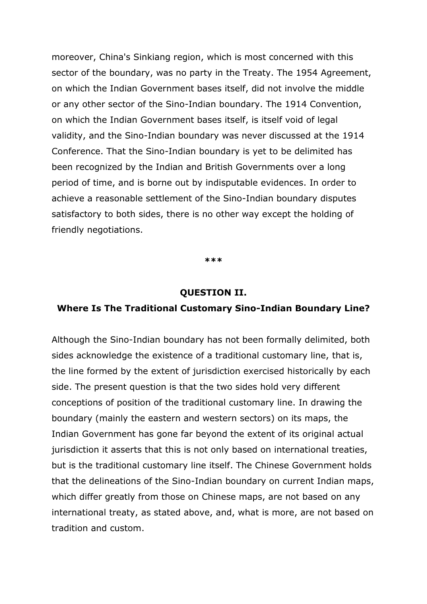moreover, China's Sinkiang region, which is most concerned with this sector of the boundary, was no party in the Treaty. The 1954 Agreement, on which the Indian Government bases itself, did not involve the middle or any other sector of the Sino-Indian boundary. The 1914 Convention, on which the Indian Government bases itself, is itself void of legal validity, and the Sino-Indian boundary was never discussed at the 1914 Conference. That the Sino-Indian boundary is yet to be delimited has been recognized by the Indian and British Governments over a long period of time, and is borne out by indisputable evidences. In order to achieve a reasonable settlement of the Sino-Indian boundary disputes satisfactory to both sides, there is no other way except the holding of friendly negotiations.

**\*\*\***

#### **QUESTION II.**

### **Where Is The Traditional Customary Sino-Indian Boundary Line?**

Although the Sino-Indian boundary has not been formally delimited, both sides acknowledge the existence of a traditional customary line, that is, the line formed by the extent of jurisdiction exercised historically by each side. The present question is that the two sides hold very different conceptions of position of the traditional customary line. In drawing the boundary (mainly the eastern and western sectors) on its maps, the Indian Government has gone far beyond the extent of its original actual jurisdiction it asserts that this is not only based on international treaties, but is the traditional customary line itself. The Chinese Government holds that the delineations of the Sino-Indian boundary on current Indian maps, which differ greatly from those on Chinese maps, are not based on any international treaty, as stated above, and, what is more, are not based on tradition and custom.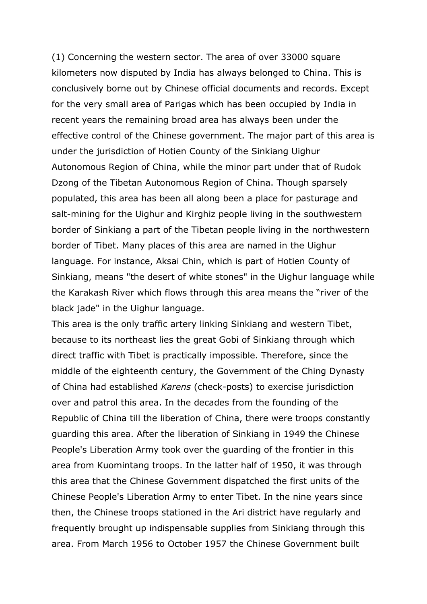(1) Concerning the western sector. The area of over 33000 square kilometers now disputed by India has always belonged to China. This is conclusively borne out by Chinese official documents and records. Except for the very small area of Parigas which has been occupied by India in recent years the remaining broad area has always been under the effective control of the Chinese government. The major part of this area is under the jurisdiction of Hotien County of the Sinkiang Uighur Autonomous Region of China, while the minor part under that of Rudok Dzong of the Tibetan Autonomous Region of China. Though sparsely populated, this area has been all along been a place for pasturage and salt-mining for the Uighur and Kirghiz people living in the southwestern border of Sinkiang a part of the Tibetan people living in the northwestern border of Tibet. Many places of this area are named in the Uighur language. For instance, Aksai Chin, which is part of Hotien County of Sinkiang, means "the desert of white stones" in the Uighur language while the Karakash River which flows through this area means the "river of the black jade" in the Uighur language.

This area is the only traffic artery linking Sinkiang and western Tibet, because to its northeast lies the great Gobi of Sinkiang through which direct traffic with Tibet is practically impossible. Therefore, since the middle of the eighteenth century, the Government of the Ching Dynasty of China had established *Karens* (check-posts) to exercise jurisdiction over and patrol this area. In the decades from the founding of the Republic of China till the liberation of China, there were troops constantly guarding this area. After the liberation of Sinkiang in 1949 the Chinese People's Liberation Army took over the guarding of the frontier in this area from Kuomintang troops. In the latter half of 1950, it was through this area that the Chinese Government dispatched the first units of the Chinese People's Liberation Army to enter Tibet. In the nine years since then, the Chinese troops stationed in the Ari district have regularly and frequently brought up indispensable supplies from Sinkiang through this area. From March 1956 to October 1957 the Chinese Government built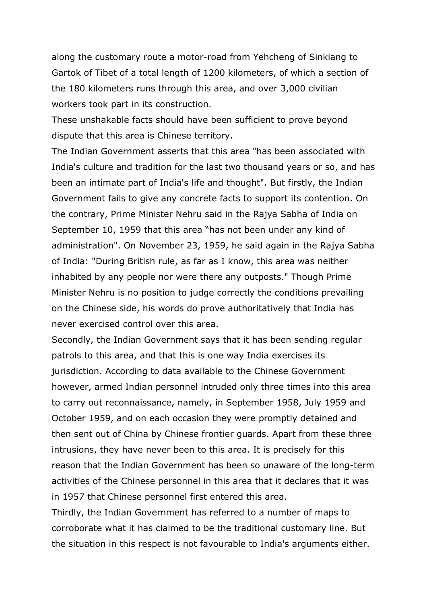along the customary route a motor-road from Yehcheng of Sinkiang to Gartok of Tibet of a total length of 1200 kilometers, of which a section of the 180 kilometers runs through this area, and over 3,000 civilian workers took part in its construction.

These unshakable facts should have been sufficient to prove beyond dispute that this area is Chinese territory.

The Indian Government asserts that this area "has been associated with India's culture and tradition for the last two thousand years or so, and has been an intimate part of India's life and thought". But firstly, the Indian Government fails to give any concrete facts to support its contention. On the contrary, Prime Minister Nehru said in the Rajya Sabha of India on September 10, 1959 that this area "has not been under any kind of administration". On November 23, 1959, he said again in the Rajya Sabha of India: "During British rule, as far as I know, this area was neither inhabited by any people nor were there any outposts." Though Prime Minister Nehru is no position to judge correctly the conditions prevailing on the Chinese side, his words do prove authoritatively that India has never exercised control over this area.

Secondly, the Indian Government says that it has been sending regular patrols to this area, and that this is one way India exercises its jurisdiction. According to data available to the Chinese Government however, armed Indian personnel intruded only three times into this area to carry out reconnaissance, namely, in September 1958, July 1959 and October 1959, and on each occasion they were promptly detained and then sent out of China by Chinese frontier guards. Apart from these three intrusions, they have never been to this area. It is precisely for this reason that the Indian Government has been so unaware of the long-term activities of the Chinese personnel in this area that it declares that it was in 1957 that Chinese personnel first entered this area.

Thirdly, the Indian Government has referred to a number of maps to corroborate what it has claimed to be the traditional customary line. But the situation in this respect is not favourable to India's arguments either.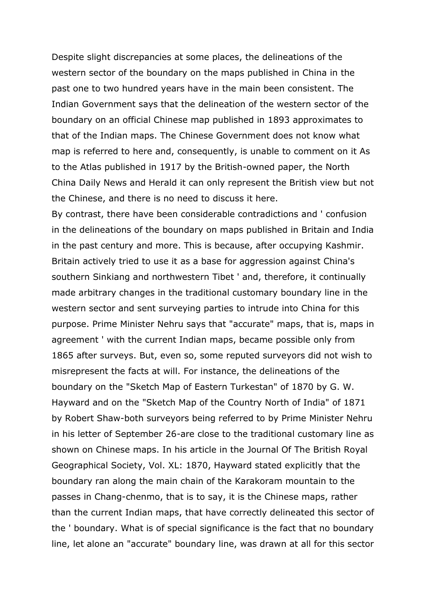Despite slight discrepancies at some places, the delineations of the western sector of the boundary on the maps published in China in the past one to two hundred years have in the main been consistent. The Indian Government says that the delineation of the western sector of the boundary on an official Chinese map published in 1893 approximates to that of the Indian maps. The Chinese Government does not know what map is referred to here and, consequently, is unable to comment on it As to the Atlas published in 1917 by the British-owned paper, the North China Daily News and Herald it can only represent the British view but not the Chinese, and there is no need to discuss it here.

By contrast, there have been considerable contradictions and ' confusion in the delineations of the boundary on maps published in Britain and India in the past century and more. This is because, after occupying Kashmir. Britain actively tried to use it as a base for aggression against China's southern Sinkiang and northwestern Tibet ' and, therefore, it continually made arbitrary changes in the traditional customary boundary line in the western sector and sent surveying parties to intrude into China for this purpose. Prime Minister Nehru says that "accurate" maps, that is, maps in agreement ' with the current Indian maps, became possible only from 1865 after surveys. But, even so, some reputed surveyors did not wish to misrepresent the facts at will. For instance, the delineations of the boundary on the "Sketch Map of Eastern Turkestan" of 1870 by G. W. Hayward and on the "Sketch Map of the Country North of India" of 1871 by Robert Shaw-both surveyors being referred to by Prime Minister Nehru in his letter of September 26-are close to the traditional customary line as shown on Chinese maps. In his article in the Journal Of The British Royal Geographical Society, Vol. XL: 1870, Hayward stated explicitly that the boundary ran along the main chain of the Karakoram mountain to the passes in Chang-chenmo, that is to say, it is the Chinese maps, rather than the current Indian maps, that have correctly delineated this sector of the ' boundary. What is of special significance is the fact that no boundary line, let alone an "accurate" boundary line, was drawn at all for this sector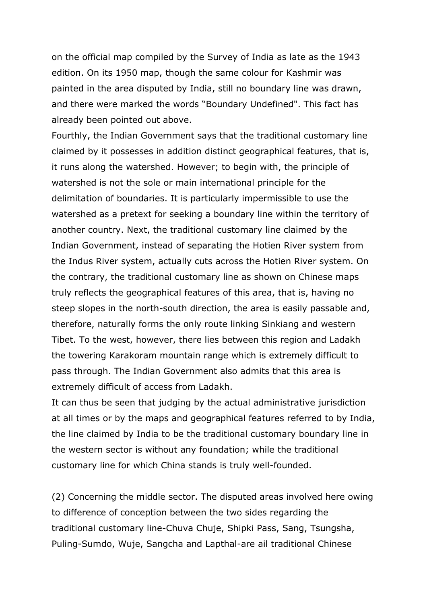on the official map compiled by the Survey of India as late as the 1943 edition. On its 1950 map, though the same colour for Kashmir was painted in the area disputed by India, still no boundary line was drawn, and there were marked the words "Boundary Undefined". This fact has already been pointed out above.

Fourthly, the Indian Government says that the traditional customary line claimed by it possesses in addition distinct geographical features, that is, it runs along the watershed. However; to begin with, the principle of watershed is not the sole or main international principle for the delimitation of boundaries. It is particularly impermissible to use the watershed as a pretext for seeking a boundary line within the territory of another country. Next, the traditional customary line claimed by the Indian Government, instead of separating the Hotien River system from the Indus River system, actually cuts across the Hotien River system. On the contrary, the traditional customary line as shown on Chinese maps truly reflects the geographical features of this area, that is, having no steep slopes in the north-south direction, the area is easily passable and, therefore, naturally forms the only route linking Sinkiang and western Tibet. To the west, however, there lies between this region and Ladakh the towering Karakoram mountain range which is extremely difficult to pass through. The Indian Government also admits that this area is extremely difficult of access from Ladakh.

It can thus be seen that judging by the actual administrative jurisdiction at all times or by the maps and geographical features referred to by India, the line claimed by India to be the traditional customary boundary line in the western sector is without any foundation; while the traditional customary line for which China stands is truly well-founded.

(2) Concerning the middle sector. The disputed areas involved here owing to difference of conception between the two sides regarding the traditional customary line-Chuva Chuje, Shipki Pass, Sang, Tsungsha, Puling-Sumdo, Wuje, Sangcha and Lapthal-are ail traditional Chinese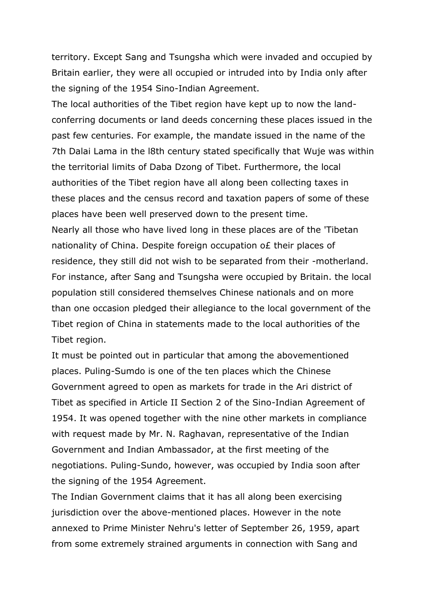territory. Except Sang and Tsungsha which were invaded and occupied by Britain earlier, they were all occupied or intruded into by India only after the signing of the 1954 Sino-Indian Agreement.

The local authorities of the Tibet region have kept up to now the landconferring documents or land deeds concerning these places issued in the past few centuries. For example, the mandate issued in the name of the 7th Dalai Lama in the l8th century stated specifically that Wuje was within the territorial limits of Daba Dzong of Tibet. Furthermore, the local authorities of the Tibet region have all along been collecting taxes in these places and the census record and taxation papers of some of these places have been well preserved down to the present time. Nearly all those who have lived long in these places are of the 'Tibetan nationality of China. Despite foreign occupation o£ their places of residence, they still did not wish to be separated from their -motherland. For instance, after Sang and Tsungsha were occupied by Britain. the local population still considered themselves Chinese nationals and on more than one occasion pledged their allegiance to the local government of the Tibet region of China in statements made to the local authorities of the Tibet region.

It must be pointed out in particular that among the abovementioned places. Puling-Sumdo is one of the ten places which the Chinese Government agreed to open as markets for trade in the Ari district of Tibet as specified in Article II Section 2 of the Sino-Indian Agreement of 1954. It was opened together with the nine other markets in compliance with request made by Mr. N. Raghavan, representative of the Indian Government and Indian Ambassador, at the first meeting of the negotiations. Puling-Sundo, however, was occupied by India soon after the signing of the 1954 Agreement.

The Indian Government claims that it has all along been exercising jurisdiction over the above-mentioned places. However in the note annexed to Prime Minister Nehru's letter of September 26, 1959, apart from some extremely strained arguments in connection with Sang and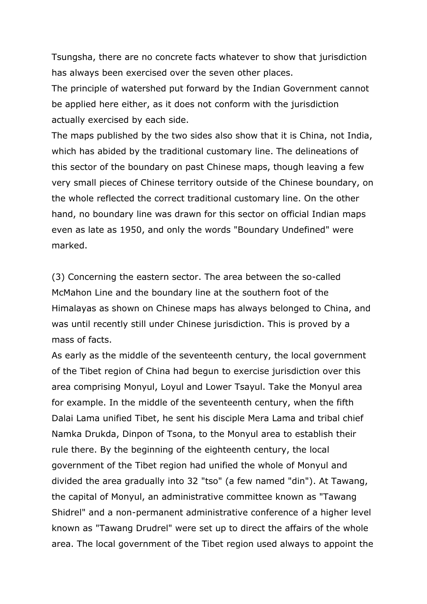Tsungsha, there are no concrete facts whatever to show that jurisdiction has always been exercised over the seven other places.

The principle of watershed put forward by the Indian Government cannot be applied here either, as it does not conform with the jurisdiction actually exercised by each side.

The maps published by the two sides also show that it is China, not India, which has abided by the traditional customary line. The delineations of this sector of the boundary on past Chinese maps, though leaving a few very small pieces of Chinese territory outside of the Chinese boundary, on the whole reflected the correct traditional customary line. On the other hand, no boundary line was drawn for this sector on official Indian maps even as late as 1950, and only the words "Boundary Undefined" were marked.

(3) Concerning the eastern sector. The area between the so-called McMahon Line and the boundary line at the southern foot of the Himalayas as shown on Chinese maps has always belonged to China, and was until recently still under Chinese jurisdiction. This is proved by a mass of facts.

As early as the middle of the seventeenth century, the local government of the Tibet region of China had begun to exercise jurisdiction over this area comprising Monyul, Loyul and Lower Tsayul. Take the Monyul area for example. In the middle of the seventeenth century, when the fifth Dalai Lama unified Tibet, he sent his disciple Mera Lama and tribal chief Namka Drukda, Dinpon of Tsona, to the Monyul area to establish their rule there. By the beginning of the eighteenth century, the local government of the Tibet region had unified the whole of Monyul and divided the area gradually into 32 "tso" (a few named "din"). At Tawang, the capital of Monyul, an administrative committee known as "Tawang Shidrel" and a non-permanent administrative conference of a higher level known as "Tawang Drudrel" were set up to direct the affairs of the whole area. The local government of the Tibet region used always to appoint the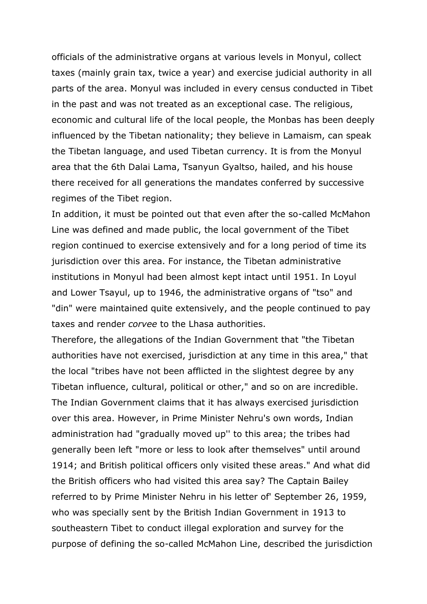officials of the administrative organs at various levels in Monyul, collect taxes (mainly grain tax, twice a year) and exercise judicial authority in all parts of the area. Monyul was included in every census conducted in Tibet in the past and was not treated as an exceptional case. The religious, economic and cultural life of the local people, the Monbas has been deeply influenced by the Tibetan nationality; they believe in Lamaism, can speak the Tibetan language, and used Tibetan currency. It is from the Monyul area that the 6th Dalai Lama, Tsanyun Gyaltso, hailed, and his house there received for all generations the mandates conferred by successive regimes of the Tibet region.

In addition, it must be pointed out that even after the so-called McMahon Line was defined and made public, the local government of the Tibet region continued to exercise extensively and for a long period of time its jurisdiction over this area. For instance, the Tibetan administrative institutions in Monyul had been almost kept intact until 1951. In Loyul and Lower Tsayul, up to 1946, the administrative organs of "tso" and "din" were maintained quite extensively, and the people continued to pay taxes and render *corvee* to the Lhasa authorities.

Therefore, the allegations of the Indian Government that "the Tibetan authorities have not exercised, jurisdiction at any time in this area," that the local "tribes have not been afflicted in the slightest degree by any Tibetan influence, cultural, political or other," and so on are incredible. The Indian Government claims that it has always exercised jurisdiction over this area. However, in Prime Minister Nehru's own words, Indian administration had "gradually moved up'' to this area; the tribes had generally been left "more or less to look after themselves" until around 1914; and British political officers only visited these areas." And what did the British officers who had visited this area say? The Captain Bailey referred to by Prime Minister Nehru in his letter of' September 26, 1959, who was specially sent by the British Indian Government in 1913 to southeastern Tibet to conduct illegal exploration and survey for the purpose of defining the so-called McMahon Line, described the jurisdiction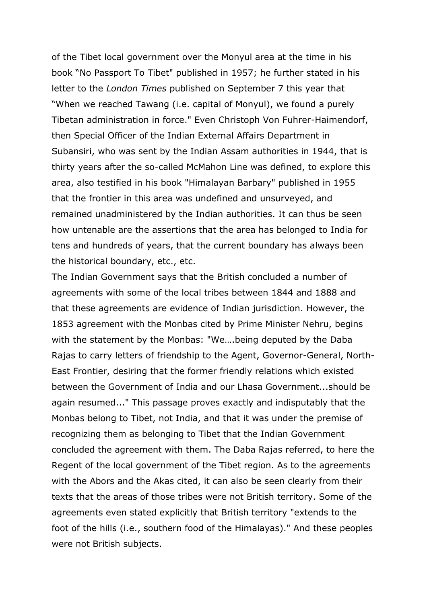of the Tibet local government over the Monyul area at the time in his book "No Passport To Tibet" published in 1957; he further stated in his letter to the *London Times* published on September 7 this year that "When we reached Tawang (i.e. capital of Monyul), we found a purely Tibetan administration in force." Even Christoph Von Fuhrer-Haimendorf, then Special Officer of the Indian External Affairs Department in Subansiri, who was sent by the Indian Assam authorities in 1944, that is thirty years after the so-called McMahon Line was defined, to explore this area, also testified in his book "Himalayan Barbary" published in 1955 that the frontier in this area was undefined and unsurveyed, and remained unadministered by the Indian authorities. It can thus be seen how untenable are the assertions that the area has belonged to India for tens and hundreds of years, that the current boundary has always been the historical boundary, etc., etc.

The Indian Government says that the British concluded a number of agreements with some of the local tribes between 1844 and 1888 and that these agreements are evidence of Indian jurisdiction. However, the 1853 agreement with the Monbas cited by Prime Minister Nehru, begins with the statement by the Monbas: "We….being deputed by the Daba Rajas to carry letters of friendship to the Agent, Governor-General, North-East Frontier, desiring that the former friendly relations which existed between the Government of India and our Lhasa Government...should be again resumed..." This passage proves exactly and indisputably that the Monbas belong to Tibet, not India, and that it was under the premise of recognizing them as belonging to Tibet that the Indian Government concluded the agreement with them. The Daba Rajas referred, to here the Regent of the local government of the Tibet region. As to the agreements with the Abors and the Akas cited, it can also be seen clearly from their texts that the areas of those tribes were not British territory. Some of the agreements even stated explicitly that British territory "extends to the foot of the hills (i.e., southern food of the Himalayas)." And these peoples were not British subjects.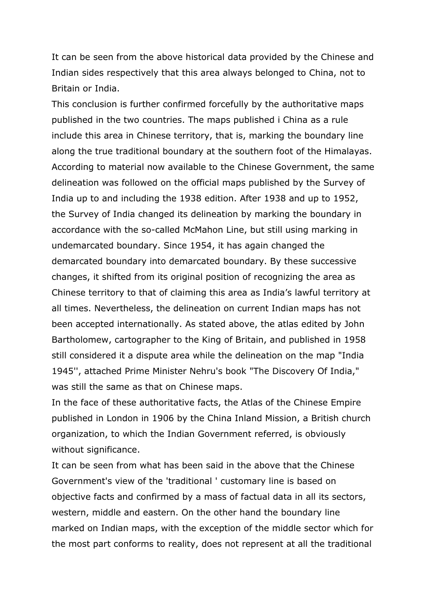It can be seen from the above historical data provided by the Chinese and Indian sides respectively that this area always belonged to China, not to Britain or India.

This conclusion is further confirmed forcefully by the authoritative maps published in the two countries. The maps published i China as a rule include this area in Chinese territory, that is, marking the boundary line along the true traditional boundary at the southern foot of the Himalayas. According to material now available to the Chinese Government, the same delineation was followed on the official maps published by the Survey of India up to and including the 1938 edition. After 1938 and up to 1952, the Survey of India changed its delineation by marking the boundary in accordance with the so-called McMahon Line, but still using marking in undemarcated boundary. Since 1954, it has again changed the demarcated boundary into demarcated boundary. By these successive changes, it shifted from its original position of recognizing the area as Chinese territory to that of claiming this area as India's lawful territory at all times. Nevertheless, the delineation on current Indian maps has not been accepted internationally. As stated above, the atlas edited by John Bartholomew, cartographer to the King of Britain, and published in 1958 still considered it a dispute area while the delineation on the map "India 1945'', attached Prime Minister Nehru's book "The Discovery Of India," was still the same as that on Chinese maps.

In the face of these authoritative facts, the Atlas of the Chinese Empire published in London in 1906 by the China Inland Mission, a British church organization, to which the Indian Government referred, is obviously without significance.

It can be seen from what has been said in the above that the Chinese Government's view of the 'traditional ' customary line is based on objective facts and confirmed by a mass of factual data in all its sectors, western, middle and eastern. On the other hand the boundary line marked on Indian maps, with the exception of the middle sector which for the most part conforms to reality, does not represent at all the traditional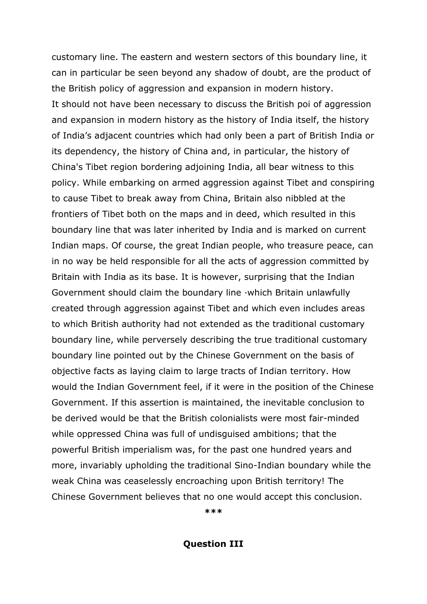customary line. The eastern and western sectors of this boundary line, it can in particular be seen beyond any shadow of doubt, are the product of the British policy of aggression and expansion in modern history. It should not have been necessary to discuss the British poi of aggression and expansion in modern history as the history of India itself, the history of India's adjacent countries which had only been a part of British India or its dependency, the history of China and, in particular, the history of China's Tibet region bordering adjoining India, all bear witness to this policy. While embarking on armed aggression against Tibet and conspiring to cause Tibet to break away from China, Britain also nibbled at the frontiers of Tibet both on the maps and in deed, which resulted in this boundary line that was later inherited by India and is marked on current Indian maps. Of course, the great Indian people, who treasure peace, can in no way be held responsible for all the acts of aggression committed by Britain with India as its base. It is however, surprising that the Indian Government should claim the boundary line ·which Britain unlawfully created through aggression against Tibet and which even includes areas to which British authority had not extended as the traditional customary boundary line, while perversely describing the true traditional customary boundary line pointed out by the Chinese Government on the basis of objective facts as laying claim to large tracts of Indian territory. How would the Indian Government feel, if it were in the position of the Chinese Government. If this assertion is maintained, the inevitable conclusion to be derived would be that the British colonialists were most fair-minded while oppressed China was full of undisguised ambitions; that the powerful British imperialism was, for the past one hundred years and more, invariably upholding the traditional Sino-Indian boundary while the weak China was ceaselessly encroaching upon British territory! The Chinese Government believes that no one would accept this conclusion.

**\*\*\***

**Question III**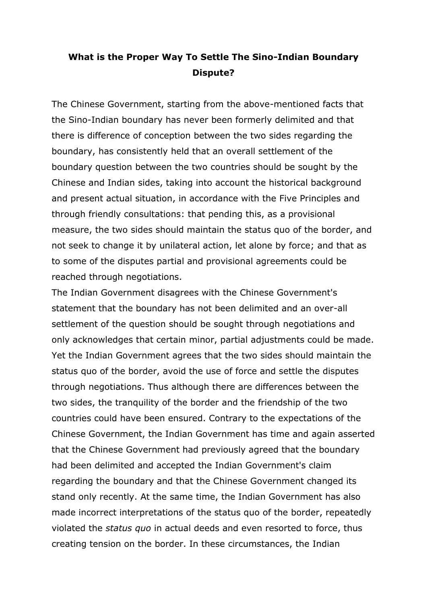# **What is the Proper Way To Settle The Sino-Indian Boundary Dispute?**

The Chinese Government, starting from the above-mentioned facts that the Sino-Indian boundary has never been formerly delimited and that there is difference of conception between the two sides regarding the boundary, has consistently held that an overall settlement of the boundary question between the two countries should be sought by the Chinese and Indian sides, taking into account the historical background and present actual situation, in accordance with the Five Principles and through friendly consultations: that pending this, as a provisional measure, the two sides should maintain the status quo of the border, and not seek to change it by unilateral action, let alone by force; and that as to some of the disputes partial and provisional agreements could be reached through negotiations.

The Indian Government disagrees with the Chinese Government's statement that the boundary has not been delimited and an over-all settlement of the question should be sought through negotiations and only acknowledges that certain minor, partial adjustments could be made. Yet the Indian Government agrees that the two sides should maintain the status quo of the border, avoid the use of force and settle the disputes through negotiations. Thus although there are differences between the two sides, the tranquility of the border and the friendship of the two countries could have been ensured. Contrary to the expectations of the Chinese Government, the Indian Government has time and again asserted that the Chinese Government had previously agreed that the boundary had been delimited and accepted the Indian Government's claim regarding the boundary and that the Chinese Government changed its stand only recently. At the same time, the Indian Government has also made incorrect interpretations of the status quo of the border, repeatedly violated the *status quo* in actual deeds and even resorted to force, thus creating tension on the border. In these circumstances, the Indian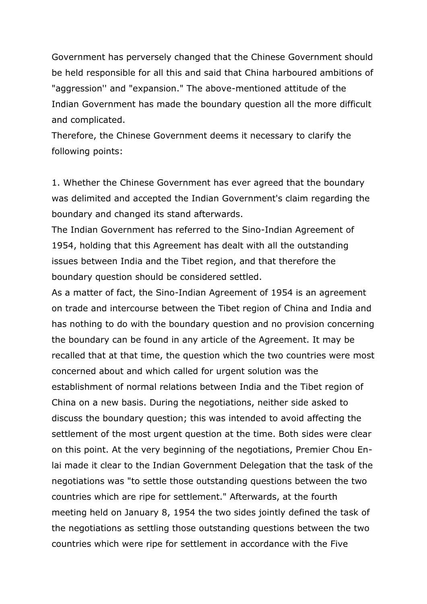Government has perversely changed that the Chinese Government should be held responsible for all this and said that China harboured ambitions of "aggression'' and "expansion." The above-mentioned attitude of the Indian Government has made the boundary question all the more difficult and complicated.

Therefore, the Chinese Government deems it necessary to clarify the following points:

1. Whether the Chinese Government has ever agreed that the boundary was delimited and accepted the Indian Government's claim regarding the boundary and changed its stand afterwards.

The Indian Government has referred to the Sino-Indian Agreement of 1954, holding that this Agreement has dealt with all the outstanding issues between India and the Tibet region, and that therefore the boundary question should be considered settled.

As a matter of fact, the Sino-Indian Agreement of 1954 is an agreement on trade and intercourse between the Tibet region of China and India and has nothing to do with the boundary question and no provision concerning the boundary can be found in any article of the Agreement. It may be recalled that at that time, the question which the two countries were most concerned about and which called for urgent solution was the establishment of normal relations between India and the Tibet region of China on a new basis. During the negotiations, neither side asked to discuss the boundary question; this was intended to avoid affecting the settlement of the most urgent question at the time. Both sides were clear on this point. At the very beginning of the negotiations, Premier Chou Enlai made it clear to the Indian Government Delegation that the task of the negotiations was "to settle those outstanding questions between the two countries which are ripe for settlement." Afterwards, at the fourth meeting held on January 8, 1954 the two sides jointly defined the task of the negotiations as settling those outstanding questions between the two countries which were ripe for settlement in accordance with the Five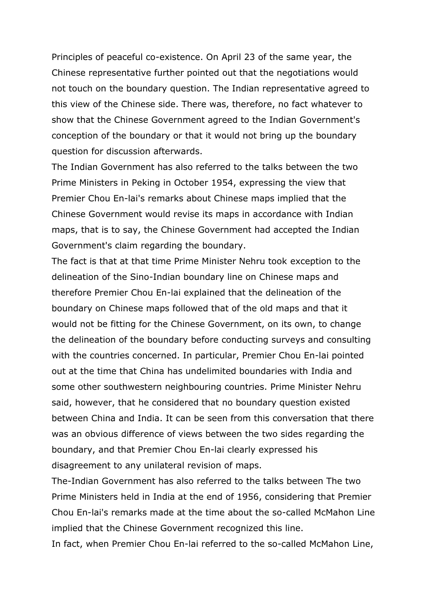Principles of peaceful co-existence. On April 23 of the same year, the Chinese representative further pointed out that the negotiations would not touch on the boundary question. The Indian representative agreed to this view of the Chinese side. There was, therefore, no fact whatever to show that the Chinese Government agreed to the Indian Government's conception of the boundary or that it would not bring up the boundary question for discussion afterwards.

The Indian Government has also referred to the talks between the two Prime Ministers in Peking in October 1954, expressing the view that Premier Chou En-lai's remarks about Chinese maps implied that the Chinese Government would revise its maps in accordance with Indian maps, that is to say, the Chinese Government had accepted the Indian Government's claim regarding the boundary.

The fact is that at that time Prime Minister Nehru took exception to the delineation of the Sino-Indian boundary line on Chinese maps and therefore Premier Chou En-lai explained that the delineation of the boundary on Chinese maps followed that of the old maps and that it would not be fitting for the Chinese Government, on its own, to change the delineation of the boundary before conducting surveys and consulting with the countries concerned. In particular, Premier Chou En-lai pointed out at the time that China has undelimited boundaries with India and some other southwestern neighbouring countries. Prime Minister Nehru said, however, that he considered that no boundary question existed between China and India. It can be seen from this conversation that there was an obvious difference of views between the two sides regarding the boundary, and that Premier Chou En-lai clearly expressed his disagreement to any unilateral revision of maps.

The-Indian Government has also referred to the talks between The two Prime Ministers held in India at the end of 1956, considering that Premier Chou En-lai's remarks made at the time about the so-called McMahon Line implied that the Chinese Government recognized this line.

In fact, when Premier Chou En-lai referred to the so-called McMahon Line,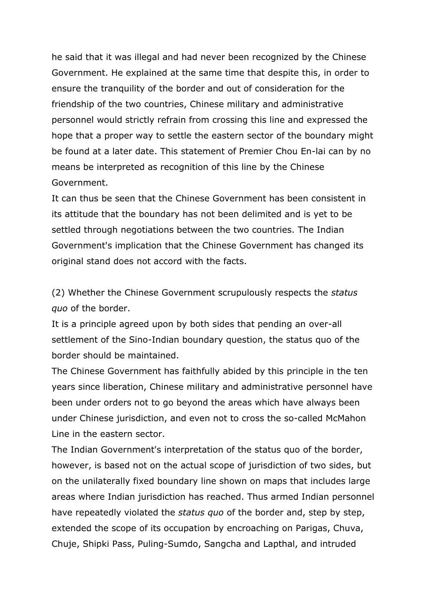he said that it was illegal and had never been recognized by the Chinese Government. He explained at the same time that despite this, in order to ensure the tranquility of the border and out of consideration for the friendship of the two countries, Chinese military and administrative personnel would strictly refrain from crossing this line and expressed the hope that a proper way to settle the eastern sector of the boundary might be found at a later date. This statement of Premier Chou En-lai can by no means be interpreted as recognition of this line by the Chinese Government.

It can thus be seen that the Chinese Government has been consistent in its attitude that the boundary has not been delimited and is yet to be settled through negotiations between the two countries. The Indian Government's implication that the Chinese Government has changed its original stand does not accord with the facts.

(2) Whether the Chinese Government scrupulously respects the *status quo* of the border.

It is a principle agreed upon by both sides that pending an over-all settlement of the Sino-Indian boundary question, the status quo of the border should be maintained.

The Chinese Government has faithfully abided by this principle in the ten years since liberation, Chinese military and administrative personnel have been under orders not to go beyond the areas which have always been under Chinese jurisdiction, and even not to cross the so-called McMahon Line in the eastern sector.

The Indian Government's interpretation of the status quo of the border, however, is based not on the actual scope of jurisdiction of two sides, but on the unilaterally fixed boundary line shown on maps that includes large areas where Indian jurisdiction has reached. Thus armed Indian personnel have repeatedly violated the *status quo* of the border and, step by step, extended the scope of its occupation by encroaching on Parigas, Chuva, Chuje, Shipki Pass, Puling-Sumdo, Sangcha and Lapthal, and intruded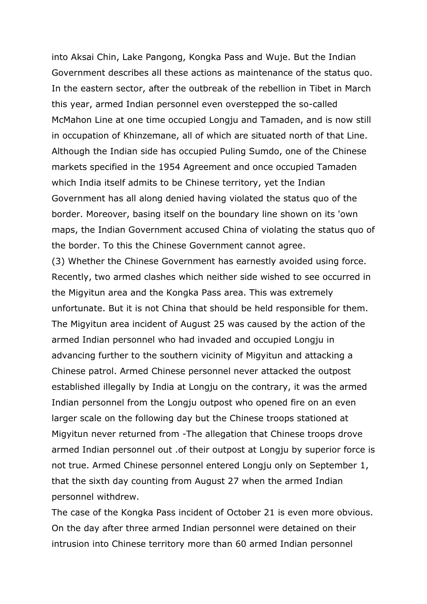into Aksai Chin, Lake Pangong, Kongka Pass and Wuje. But the Indian Government describes all these actions as maintenance of the status quo. In the eastern sector, after the outbreak of the rebellion in Tibet in March this year, armed Indian personnel even overstepped the so-called McMahon Line at one time occupied Longju and Tamaden, and is now still in occupation of Khinzemane, all of which are situated north of that Line. Although the Indian side has occupied Puling Sumdo, one of the Chinese markets specified in the 1954 Agreement and once occupied Tamaden which India itself admits to be Chinese territory, yet the Indian Government has all along denied having violated the status quo of the border. Moreover, basing itself on the boundary line shown on its 'own maps, the Indian Government accused China of violating the status quo of the border. To this the Chinese Government cannot agree.

(3) Whether the Chinese Government has earnestly avoided using force. Recently, two armed clashes which neither side wished to see occurred in the Migyitun area and the Kongka Pass area. This was extremely unfortunate. But it is not China that should be held responsible for them. The Migyitun area incident of August 25 was caused by the action of the armed Indian personnel who had invaded and occupied Longju in advancing further to the southern vicinity of Migyitun and attacking a Chinese patrol. Armed Chinese personnel never attacked the outpost established illegally by India at Longju on the contrary, it was the armed Indian personnel from the Longju outpost who opened fire on an even larger scale on the following day but the Chinese troops stationed at Migyitun never returned from -The allegation that Chinese troops drove armed Indian personnel out .of their outpost at Longju by superior force is not true. Armed Chinese personnel entered Longju only on September 1, that the sixth day counting from August 27 when the armed Indian personnel withdrew.

The case of the Kongka Pass incident of October 21 is even more obvious. On the day after three armed Indian personnel were detained on their intrusion into Chinese territory more than 60 armed Indian personnel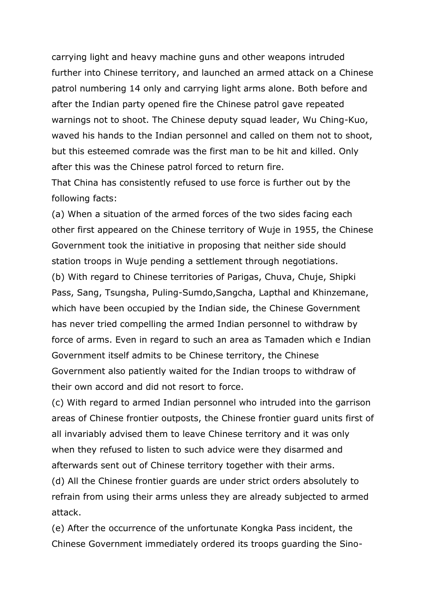carrying light and heavy machine guns and other weapons intruded further into Chinese territory, and launched an armed attack on a Chinese patrol numbering 14 only and carrying light arms alone. Both before and after the Indian party opened fire the Chinese patrol gave repeated warnings not to shoot. The Chinese deputy squad leader, Wu Ching-Kuo, waved his hands to the Indian personnel and called on them not to shoot, but this esteemed comrade was the first man to be hit and killed. Only after this was the Chinese patrol forced to return fire.

That China has consistently refused to use force is further out by the following facts:

(a) When a situation of the armed forces of the two sides facing each other first appeared on the Chinese territory of Wuje in 1955, the Chinese Government took the initiative in proposing that neither side should station troops in Wuje pending a settlement through negotiations. (b) With regard to Chinese territories of Parigas, Chuva, Chuje, Shipki Pass, Sang, Tsungsha, Puling-Sumdo,Sangcha, Lapthal and Khinzemane, which have been occupied by the Indian side, the Chinese Government has never tried compelling the armed Indian personnel to withdraw by force of arms. Even in regard to such an area as Tamaden which e Indian Government itself admits to be Chinese territory, the Chinese Government also patiently waited for the Indian troops to withdraw of their own accord and did not resort to force.

(c) With regard to armed Indian personnel who intruded into the garrison areas of Chinese frontier outposts, the Chinese frontier guard units first of all invariably advised them to leave Chinese territory and it was only when they refused to listen to such advice were they disarmed and afterwards sent out of Chinese territory together with their arms. (d) All the Chinese frontier guards are under strict orders absolutely to

refrain from using their arms unless they are already subjected to armed attack.

(e) After the occurrence of the unfortunate Kongka Pass incident, the Chinese Government immediately ordered its troops guarding the Sino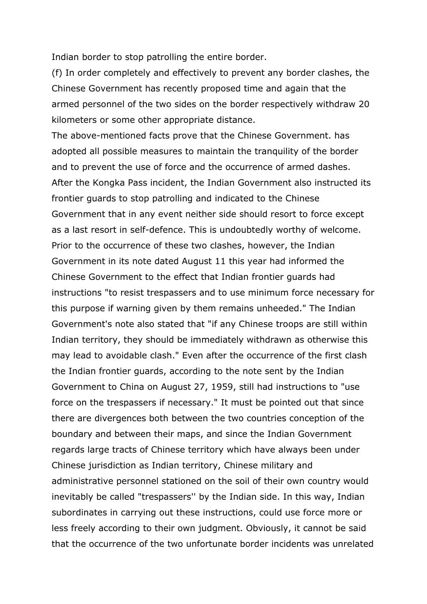Indian border to stop patrolling the entire border.

(f) In order completely and effectively to prevent any border clashes, the Chinese Government has recently proposed time and again that the armed personnel of the two sides on the border respectively withdraw 20 kilometers or some other appropriate distance.

The above-mentioned facts prove that the Chinese Government. has adopted all possible measures to maintain the tranquility of the border and to prevent the use of force and the occurrence of armed dashes. After the Kongka Pass incident, the Indian Government also instructed its frontier guards to stop patrolling and indicated to the Chinese Government that in any event neither side should resort to force except as a last resort in self-defence. This is undoubtedly worthy of welcome. Prior to the occurrence of these two clashes, however, the Indian Government in its note dated August 11 this year had informed the Chinese Government to the effect that Indian frontier guards had instructions "to resist trespassers and to use minimum force necessary for this purpose if warning given by them remains unheeded." The Indian Government's note also stated that "if any Chinese troops are still within Indian territory, they should be immediately withdrawn as otherwise this may lead to avoidable clash." Even after the occurrence of the first clash the Indian frontier guards, according to the note sent by the Indian Government to China on August 27, 1959, still had instructions to "use force on the trespassers if necessary." It must be pointed out that since there are divergences both between the two countries conception of the boundary and between their maps, and since the Indian Government regards large tracts of Chinese territory which have always been under Chinese jurisdiction as Indian territory, Chinese military and administrative personnel stationed on the soil of their own country would inevitably be called "trespassers'' by the Indian side. In this way, Indian subordinates in carrying out these instructions, could use force more or less freely according to their own judgment. Obviously, it cannot be said that the occurrence of the two unfortunate border incidents was unrelated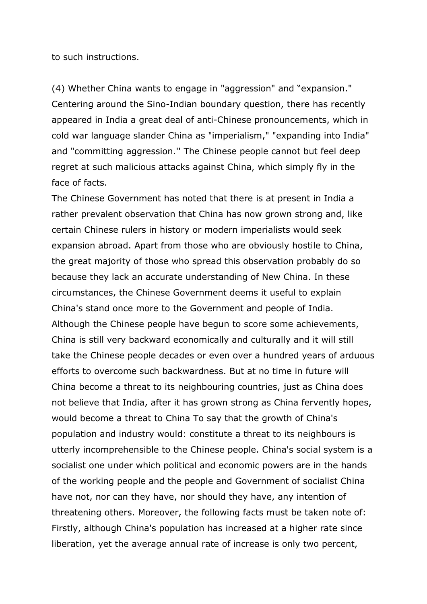to such instructions.

(4) Whether China wants to engage in "aggression" and "expansion." Centering around the Sino-Indian boundary question, there has recently appeared in India a great deal of anti-Chinese pronouncements, which in cold war language slander China as "imperialism," "expanding into India" and "committing aggression.'' The Chinese people cannot but feel deep regret at such malicious attacks against China, which simply fly in the face of facts.

The Chinese Government has noted that there is at present in India a rather prevalent observation that China has now grown strong and, like certain Chinese rulers in history or modern imperialists would seek expansion abroad. Apart from those who are obviously hostile to China, the great majority of those who spread this observation probably do so because they lack an accurate understanding of New China. In these circumstances, the Chinese Government deems it useful to explain China's stand once more to the Government and people of India. Although the Chinese people have begun to score some achievements, China is still very backward economically and culturally and it will still take the Chinese people decades or even over a hundred years of arduous efforts to overcome such backwardness. But at no time in future will China become a threat to its neighbouring countries, just as China does not believe that India, after it has grown strong as China fervently hopes, would become a threat to China To say that the growth of China's population and industry would: constitute a threat to its neighbours is utterly incomprehensible to the Chinese people. China's social system is a socialist one under which political and economic powers are in the hands of the working people and the people and Government of socialist China have not, nor can they have, nor should they have, any intention of threatening others. Moreover, the following facts must be taken note of: Firstly, although China's population has increased at a higher rate since liberation, yet the average annual rate of increase is only two percent,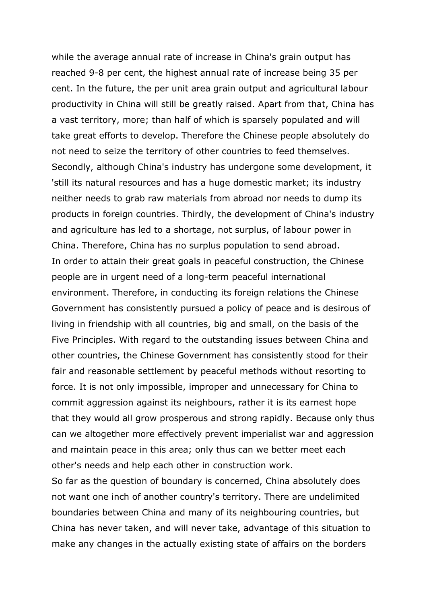while the average annual rate of increase in China's grain output has reached 9-8 per cent, the highest annual rate of increase being 35 per cent. In the future, the per unit area grain output and agricultural labour productivity in China will still be greatly raised. Apart from that, China has a vast territory, more; than half of which is sparsely populated and will take great efforts to develop. Therefore the Chinese people absolutely do not need to seize the territory of other countries to feed themselves. Secondly, although China's industry has undergone some development, it 'still its natural resources and has a huge domestic market; its industry neither needs to grab raw materials from abroad nor needs to dump its products in foreign countries. Thirdly, the development of China's industry and agriculture has led to a shortage, not surplus, of labour power in China. Therefore, China has no surplus population to send abroad. In order to attain their great goals in peaceful construction, the Chinese people are in urgent need of a long-term peaceful international environment. Therefore, in conducting its foreign relations the Chinese Government has consistently pursued a policy of peace and is desirous of living in friendship with all countries, big and small, on the basis of the Five Principles. With regard to the outstanding issues between China and other countries, the Chinese Government has consistently stood for their fair and reasonable settlement by peaceful methods without resorting to force. It is not only impossible, improper and unnecessary for China to commit aggression against its neighbours, rather it is its earnest hope that they would all grow prosperous and strong rapidly. Because only thus can we altogether more effectively prevent imperialist war and aggression and maintain peace in this area; only thus can we better meet each other's needs and help each other in construction work.

So far as the question of boundary is concerned, China absolutely does not want one inch of another country's territory. There are undelimited boundaries between China and many of its neighbouring countries, but China has never taken, and will never take, advantage of this situation to make any changes in the actually existing state of affairs on the borders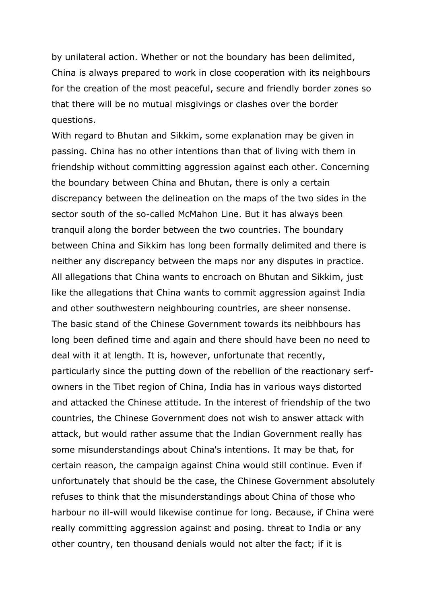by unilateral action. Whether or not the boundary has been delimited, China is always prepared to work in close cooperation with its neighbours for the creation of the most peaceful, secure and friendly border zones so that there will be no mutual misgivings or clashes over the border questions.

With regard to Bhutan and Sikkim, some explanation may be given in passing. China has no other intentions than that of living with them in friendship without committing aggression against each other. Concerning the boundary between China and Bhutan, there is only a certain discrepancy between the delineation on the maps of the two sides in the sector south of the so-called McMahon Line. But it has always been tranquil along the border between the two countries. The boundary between China and Sikkim has long been formally delimited and there is neither any discrepancy between the maps nor any disputes in practice. All allegations that China wants to encroach on Bhutan and Sikkim, just like the allegations that China wants to commit aggression against India and other southwestern neighbouring countries, are sheer nonsense. The basic stand of the Chinese Government towards its neibhbours has long been defined time and again and there should have been no need to deal with it at length. It is, however, unfortunate that recently, particularly since the putting down of the rebellion of the reactionary serfowners in the Tibet region of China, India has in various ways distorted and attacked the Chinese attitude. In the interest of friendship of the two countries, the Chinese Government does not wish to answer attack with attack, but would rather assume that the Indian Government really has some misunderstandings about China's intentions. It may be that, for certain reason, the campaign against China would still continue. Even if unfortunately that should be the case, the Chinese Government absolutely refuses to think that the misunderstandings about China of those who harbour no ill-will would likewise continue for long. Because, if China were really committing aggression against and posing. threat to India or any other country, ten thousand denials would not alter the fact; if it is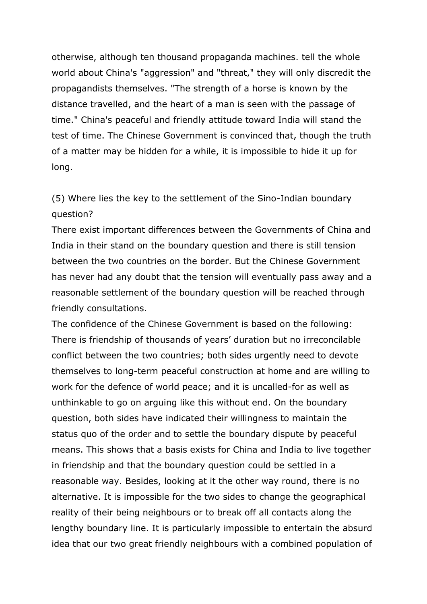otherwise, although ten thousand propaganda machines. tell the whole world about China's "aggression" and "threat," they will only discredit the propagandists themselves. "The strength of a horse is known by the distance travelled, and the heart of a man is seen with the passage of time." China's peaceful and friendly attitude toward India will stand the test of time. The Chinese Government is convinced that, though the truth of a matter may be hidden for a while, it is impossible to hide it up for long.

## (5) Where lies the key to the settlement of the Sino-Indian boundary question?

There exist important differences between the Governments of China and India in their stand on the boundary question and there is still tension between the two countries on the border. But the Chinese Government has never had any doubt that the tension will eventually pass away and a reasonable settlement of the boundary question will be reached through friendly consultations.

The confidence of the Chinese Government is based on the following: There is friendship of thousands of years' duration but no irreconcilable conflict between the two countries; both sides urgently need to devote themselves to long-term peaceful construction at home and are willing to work for the defence of world peace; and it is uncalled-for as well as unthinkable to go on arguing like this without end. On the boundary question, both sides have indicated their willingness to maintain the status quo of the order and to settle the boundary dispute by peaceful means. This shows that a basis exists for China and India to live together in friendship and that the boundary question could be settled in a reasonable way. Besides, looking at it the other way round, there is no alternative. It is impossible for the two sides to change the geographical reality of their being neighbours or to break off all contacts along the lengthy boundary line. It is particularly impossible to entertain the absurd idea that our two great friendly neighbours with a combined population of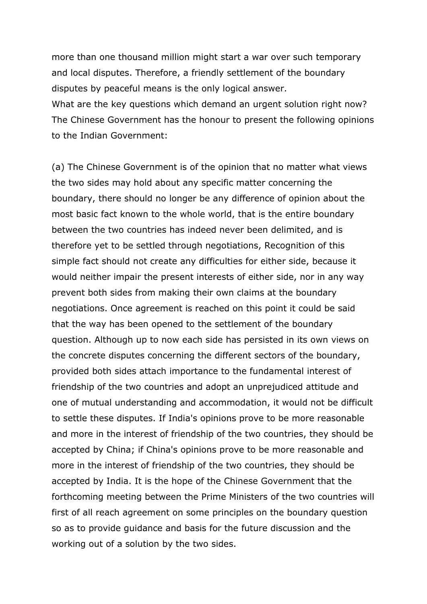more than one thousand million might start a war over such temporary and local disputes. Therefore, a friendly settlement of the boundary disputes by peaceful means is the only logical answer. What are the key questions which demand an urgent solution right now? The Chinese Government has the honour to present the following opinions to the Indian Government:

(a) The Chinese Government is of the opinion that no matter what views the two sides may hold about any specific matter concerning the boundary, there should no longer be any difference of opinion about the most basic fact known to the whole world, that is the entire boundary between the two countries has indeed never been delimited, and is therefore yet to be settled through negotiations, Recognition of this simple fact should not create any difficulties for either side, because it would neither impair the present interests of either side, nor in any way prevent both sides from making their own claims at the boundary negotiations. Once agreement is reached on this point it could be said that the way has been opened to the settlement of the boundary question. Although up to now each side has persisted in its own views on the concrete disputes concerning the different sectors of the boundary, provided both sides attach importance to the fundamental interest of friendship of the two countries and adopt an unprejudiced attitude and one of mutual understanding and accommodation, it would not be difficult to settle these disputes. If India's opinions prove to be more reasonable and more in the interest of friendship of the two countries, they should be accepted by China; if China's opinions prove to be more reasonable and more in the interest of friendship of the two countries, they should be accepted by India. It is the hope of the Chinese Government that the forthcoming meeting between the Prime Ministers of the two countries will first of all reach agreement on some principles on the boundary question so as to provide guidance and basis for the future discussion and the working out of a solution by the two sides.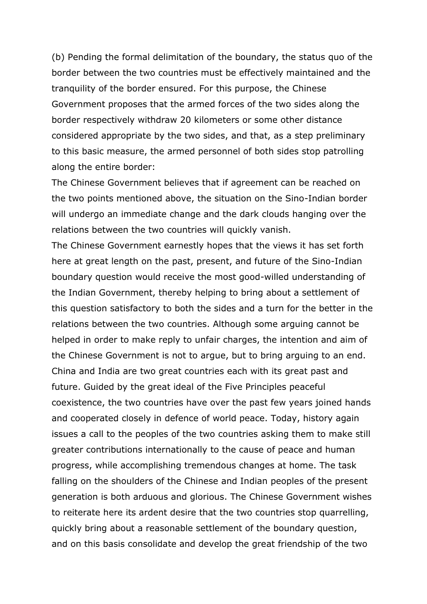(b) Pending the formal delimitation of the boundary, the status quo of the border between the two countries must be effectively maintained and the tranquility of the border ensured. For this purpose, the Chinese Government proposes that the armed forces of the two sides along the border respectively withdraw 20 kilometers or some other distance considered appropriate by the two sides, and that, as a step preliminary to this basic measure, the armed personnel of both sides stop patrolling along the entire border:

The Chinese Government believes that if agreement can be reached on the two points mentioned above, the situation on the Sino-Indian border will undergo an immediate change and the dark clouds hanging over the relations between the two countries will quickly vanish.

The Chinese Government earnestly hopes that the views it has set forth here at great length on the past, present, and future of the Sino-Indian boundary question would receive the most good-willed understanding of the Indian Government, thereby helping to bring about a settlement of this question satisfactory to both the sides and a turn for the better in the relations between the two countries. Although some arguing cannot be helped in order to make reply to unfair charges, the intention and aim of the Chinese Government is not to argue, but to bring arguing to an end. China and India are two great countries each with its great past and future. Guided by the great ideal of the Five Principles peaceful coexistence, the two countries have over the past few years joined hands and cooperated closely in defence of world peace. Today, history again issues a call to the peoples of the two countries asking them to make still greater contributions internationally to the cause of peace and human progress, while accomplishing tremendous changes at home. The task falling on the shoulders of the Chinese and Indian peoples of the present generation is both arduous and glorious. The Chinese Government wishes to reiterate here its ardent desire that the two countries stop quarrelling, quickly bring about a reasonable settlement of the boundary question, and on this basis consolidate and develop the great friendship of the two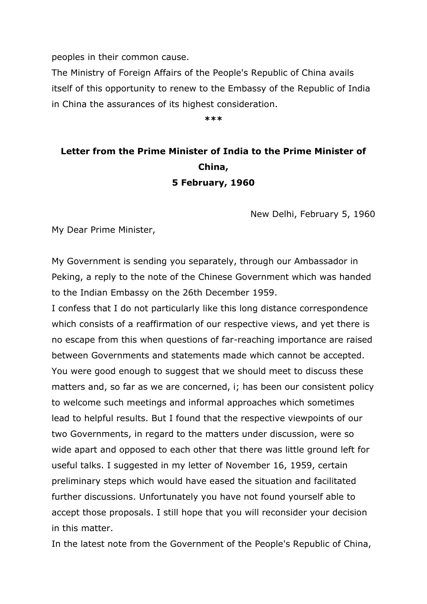peoples in their common cause.

The Ministry of Foreign Affairs of the People's Republic of China avails itself of this opportunity to renew to the Embassy of the Republic of India in China the assurances of its highest consideration.

**\*\*\***

## **Letter from the Prime Minister of India to the Prime Minister of China, 5 February, 1960**

New Delhi, February 5, 1960

My Dear Prime Minister,

My Government is sending you separately, through our Ambassador in Peking, a reply to the note of the Chinese Government which was handed to the Indian Embassy on the 26th December 1959.

I confess that I do not particularly like this long distance correspondence which consists of a reaffirmation of our respective views, and yet there is no escape from this when questions of far-reaching importance are raised between Governments and statements made which cannot be accepted. You were good enough to suggest that we should meet to discuss these matters and, so far as we are concerned, i; has been our consistent policy to welcome such meetings and informal approaches which sometimes lead to helpful results. But I found that the respective viewpoints of our two Governments, in regard to the matters under discussion, were so wide apart and opposed to each other that there was little ground left for useful talks. I suggested in my letter of November 16, 1959, certain preliminary steps which would have eased the situation and facilitated further discussions. Unfortunately you have not found yourself able to accept those proposals. I still hope that you will reconsider your decision in this matter.

In the latest note from the Government of the People's Republic of China,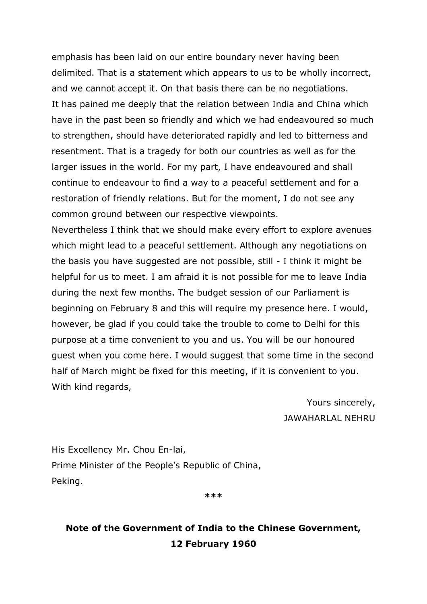emphasis has been laid on our entire boundary never having been delimited. That is a statement which appears to us to be wholly incorrect, and we cannot accept it. On that basis there can be no negotiations. It has pained me deeply that the relation between India and China which have in the past been so friendly and which we had endeavoured so much to strengthen, should have deteriorated rapidly and led to bitterness and resentment. That is a tragedy for both our countries as well as for the larger issues in the world. For my part, I have endeavoured and shall continue to endeavour to find a way to a peaceful settlement and for a restoration of friendly relations. But for the moment, I do not see any common ground between our respective viewpoints.

Nevertheless I think that we should make every effort to explore avenues which might lead to a peaceful settlement. Although any negotiations on the basis you have suggested are not possible, still - I think it might be helpful for us to meet. I am afraid it is not possible for me to leave India during the next few months. The budget session of our Parliament is beginning on February 8 and this will require my presence here. I would, however, be glad if you could take the trouble to come to Delhi for this purpose at a time convenient to you and us. You will be our honoured guest when you come here. I would suggest that some time in the second half of March might be fixed for this meeting, if it is convenient to you. With kind regards,

> Yours sincerely, JAWAHARLAL NEHRU

His Excellency Mr. Chou En-lai, Prime Minister of the People's Republic of China, Peking.

**\*\*\***

## **Note of the Government of India to the Chinese Government, 12 February 1960**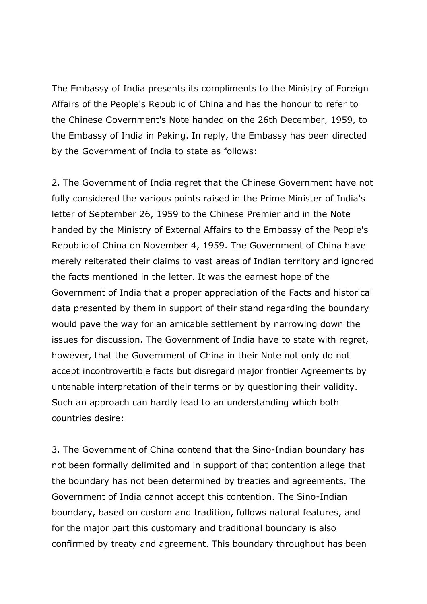The Embassy of India presents its compliments to the Ministry of Foreign Affairs of the People's Republic of China and has the honour to refer to the Chinese Government's Note handed on the 26th December, 1959, to the Embassy of India in Peking. In reply, the Embassy has been directed by the Government of India to state as follows:

2. The Government of India regret that the Chinese Government have not fully considered the various points raised in the Prime Minister of India's letter of September 26, 1959 to the Chinese Premier and in the Note handed by the Ministry of External Affairs to the Embassy of the People's Republic of China on November 4, 1959. The Government of China have merely reiterated their claims to vast areas of Indian territory and ignored the facts mentioned in the letter. It was the earnest hope of the Government of India that a proper appreciation of the Facts and historical data presented by them in support of their stand regarding the boundary would pave the way for an amicable settlement by narrowing down the issues for discussion. The Government of India have to state with regret, however, that the Government of China in their Note not only do not accept incontrovertible facts but disregard major frontier Agreements by untenable interpretation of their terms or by questioning their validity. Such an approach can hardly lead to an understanding which both countries desire:

3. The Government of China contend that the Sino-Indian boundary has not been formally delimited and in support of that contention allege that the boundary has not been determined by treaties and agreements. The Government of India cannot accept this contention. The Sino-Indian boundary, based on custom and tradition, follows natural features, and for the major part this customary and traditional boundary is also confirmed by treaty and agreement. This boundary throughout has been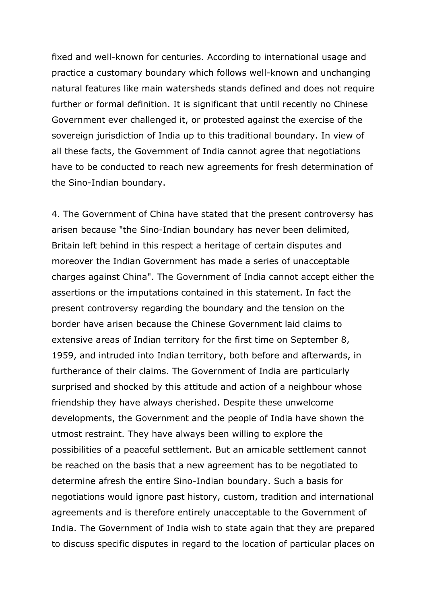fixed and well-known for centuries. According to international usage and practice a customary boundary which follows well-known and unchanging natural features like main watersheds stands defined and does not require further or formal definition. It is significant that until recently no Chinese Government ever challenged it, or protested against the exercise of the sovereign jurisdiction of India up to this traditional boundary. In view of all these facts, the Government of India cannot agree that negotiations have to be conducted to reach new agreements for fresh determination of the Sino-Indian boundary.

4. The Government of China have stated that the present controversy has arisen because "the Sino-Indian boundary has never been delimited, Britain left behind in this respect a heritage of certain disputes and moreover the Indian Government has made a series of unacceptable charges against China". The Government of India cannot accept either the assertions or the imputations contained in this statement. In fact the present controversy regarding the boundary and the tension on the border have arisen because the Chinese Government laid claims to extensive areas of Indian territory for the first time on September 8, 1959, and intruded into Indian territory, both before and afterwards, in furtherance of their claims. The Government of India are particularly surprised and shocked by this attitude and action of a neighbour whose friendship they have always cherished. Despite these unwelcome developments, the Government and the people of India have shown the utmost restraint. They have always been willing to explore the possibilities of a peaceful settlement. But an amicable settlement cannot be reached on the basis that a new agreement has to be negotiated to determine afresh the entire Sino-Indian boundary. Such a basis for negotiations would ignore past history, custom, tradition and international agreements and is therefore entirely unacceptable to the Government of India. The Government of India wish to state again that they are prepared to discuss specific disputes in regard to the location of particular places on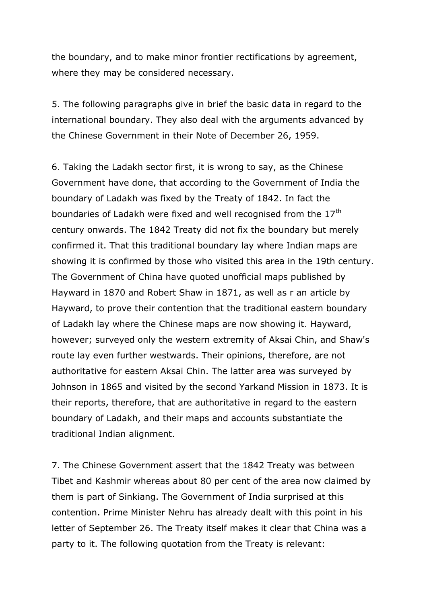the boundary, and to make minor frontier rectifications by agreement, where they may be considered necessary.

5. The following paragraphs give in brief the basic data in regard to the international boundary. They also deal with the arguments advanced by the Chinese Government in their Note of December 26, 1959.

6. Taking the Ladakh sector first, it is wrong to say, as the Chinese Government have done, that according to the Government of India the boundary of Ladakh was fixed by the Treaty of 1842. In fact the boundaries of Ladakh were fixed and well recognised from the 17<sup>th</sup> century onwards. The 1842 Treaty did not fix the boundary but merely confirmed it. That this traditional boundary lay where Indian maps are showing it is confirmed by those who visited this area in the 19th century. The Government of China have quoted unofficial maps published by Hayward in 1870 and Robert Shaw in 1871, as well as r an article by Hayward, to prove their contention that the traditional eastern boundary of Ladakh lay where the Chinese maps are now showing it. Hayward, however; surveyed only the western extremity of Aksai Chin, and Shaw's route lay even further westwards. Their opinions, therefore, are not authoritative for eastern Aksai Chin. The latter area was surveyed by Johnson in 1865 and visited by the second Yarkand Mission in 1873. It is their reports, therefore, that are authoritative in regard to the eastern boundary of Ladakh, and their maps and accounts substantiate the traditional Indian alignment.

7. The Chinese Government assert that the 1842 Treaty was between Tibet and Kashmir whereas about 80 per cent of the area now claimed by them is part of Sinkiang. The Government of India surprised at this contention. Prime Minister Nehru has already dealt with this point in his letter of September 26. The Treaty itself makes it clear that China was a party to it. The following quotation from the Treaty is relevant: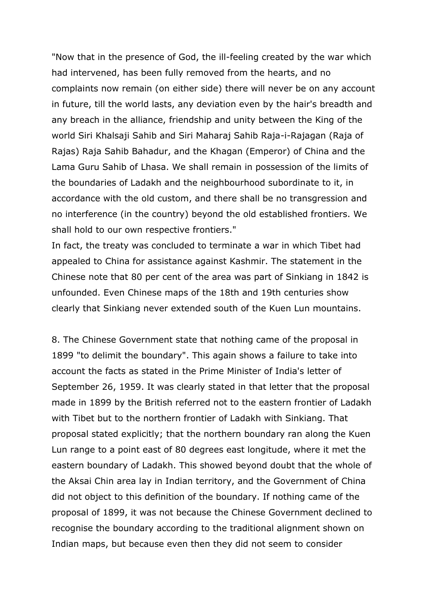"Now that in the presence of God, the ill-feeling created by the war which had intervened, has been fully removed from the hearts, and no complaints now remain (on either side) there will never be on any account in future, till the world lasts, any deviation even by the hair's breadth and any breach in the alliance, friendship and unity between the King of the world Siri Khalsaji Sahib and Siri Maharaj Sahib Raja-i-Rajagan (Raja of Rajas) Raja Sahib Bahadur, and the Khagan (Emperor) of China and the Lama Guru Sahib of Lhasa. We shall remain in possession of the limits of the boundaries of Ladakh and the neighbourhood subordinate to it, in accordance with the old custom, and there shall be no transgression and no interference (in the country) beyond the old established frontiers. We shall hold to our own respective frontiers."

In fact, the treaty was concluded to terminate a war in which Tibet had appealed to China for assistance against Kashmir. The statement in the Chinese note that 80 per cent of the area was part of Sinkiang in 1842 is unfounded. Even Chinese maps of the 18th and 19th centuries show clearly that Sinkiang never extended south of the Kuen Lun mountains.

8. The Chinese Government state that nothing came of the proposal in 1899 "to delimit the boundary". This again shows a failure to take into account the facts as stated in the Prime Minister of India's letter of September 26, 1959. It was clearly stated in that letter that the proposal made in 1899 by the British referred not to the eastern frontier of Ladakh with Tibet but to the northern frontier of Ladakh with Sinkiang. That proposal stated explicitly; that the northern boundary ran along the Kuen Lun range to a point east of 80 degrees east longitude, where it met the eastern boundary of Ladakh. This showed beyond doubt that the whole of the Aksai Chin area lay in Indian territory, and the Government of China did not object to this definition of the boundary. If nothing came of the proposal of 1899, it was not because the Chinese Government declined to recognise the boundary according to the traditional alignment shown on Indian maps, but because even then they did not seem to consider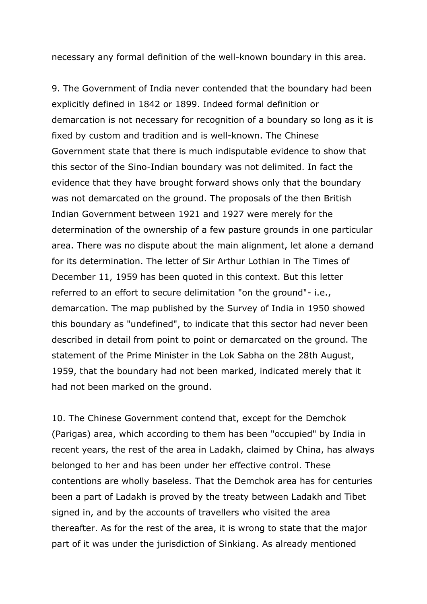necessary any formal definition of the well-known boundary in this area.

9. The Government of India never contended that the boundary had been explicitly defined in 1842 or 1899. Indeed formal definition or demarcation is not necessary for recognition of a boundary so long as it is fixed by custom and tradition and is well-known. The Chinese Government state that there is much indisputable evidence to show that this sector of the Sino-Indian boundary was not delimited. In fact the evidence that they have brought forward shows only that the boundary was not demarcated on the ground. The proposals of the then British Indian Government between 1921 and 1927 were merely for the determination of the ownership of a few pasture grounds in one particular area. There was no dispute about the main alignment, let alone a demand for its determination. The letter of Sir Arthur Lothian in The Times of December 11, 1959 has been quoted in this context. But this letter referred to an effort to secure delimitation "on the ground"- i.e., demarcation. The map published by the Survey of India in 1950 showed this boundary as "undefined", to indicate that this sector had never been described in detail from point to point or demarcated on the ground. The statement of the Prime Minister in the Lok Sabha on the 28th August, 1959, that the boundary had not been marked, indicated merely that it had not been marked on the ground.

10. The Chinese Government contend that, except for the Demchok (Parigas) area, which according to them has been "occupied" by India in recent years, the rest of the area in Ladakh, claimed by China, has always belonged to her and has been under her effective control. These contentions are wholly baseless. That the Demchok area has for centuries been a part of Ladakh is proved by the treaty between Ladakh and Tibet signed in, and by the accounts of travellers who visited the area thereafter. As for the rest of the area, it is wrong to state that the major part of it was under the jurisdiction of Sinkiang. As already mentioned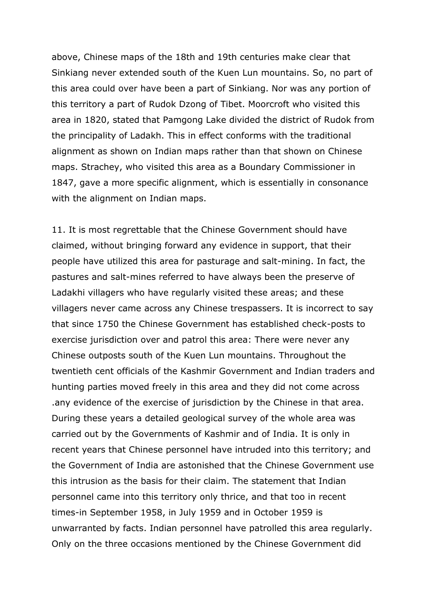above, Chinese maps of the 18th and 19th centuries make clear that Sinkiang never extended south of the Kuen Lun mountains. So, no part of this area could over have been a part of Sinkiang. Nor was any portion of this territory a part of Rudok Dzong of Tibet. Moorcroft who visited this area in 1820, stated that Pamgong Lake divided the district of Rudok from the principality of Ladakh. This in effect conforms with the traditional alignment as shown on Indian maps rather than that shown on Chinese maps. Strachey, who visited this area as a Boundary Commissioner in 1847, gave a more specific alignment, which is essentially in consonance with the alignment on Indian maps.

11. It is most regrettable that the Chinese Government should have claimed, without bringing forward any evidence in support, that their people have utilized this area for pasturage and salt-mining. In fact, the pastures and salt-mines referred to have always been the preserve of Ladakhi villagers who have regularly visited these areas; and these villagers never came across any Chinese trespassers. It is incorrect to say that since 1750 the Chinese Government has established check-posts to exercise jurisdiction over and patrol this area: There were never any Chinese outposts south of the Kuen Lun mountains. Throughout the twentieth cent officials of the Kashmir Government and Indian traders and hunting parties moved freely in this area and they did not come across .any evidence of the exercise of jurisdiction by the Chinese in that area. During these years a detailed geological survey of the whole area was carried out by the Governments of Kashmir and of India. It is only in recent years that Chinese personnel have intruded into this territory; and the Government of India are astonished that the Chinese Government use this intrusion as the basis for their claim. The statement that Indian personnel came into this territory only thrice, and that too in recent times-in September 1958, in July 1959 and in October 1959 is unwarranted by facts. Indian personnel have patrolled this area regularly. Only on the three occasions mentioned by the Chinese Government did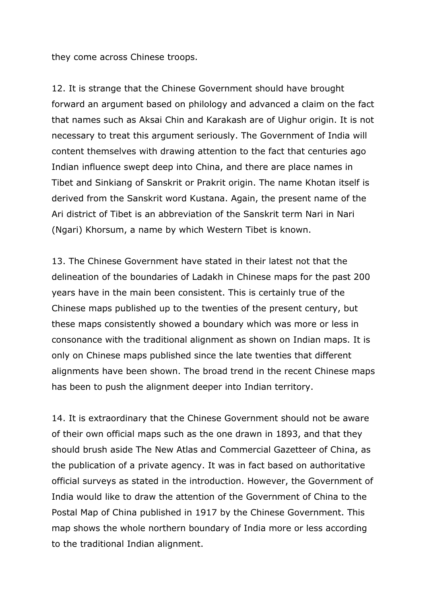they come across Chinese troops.

12. It is strange that the Chinese Government should have brought forward an argument based on philology and advanced a claim on the fact that names such as Aksai Chin and Karakash are of Uighur origin. It is not necessary to treat this argument seriously. The Government of India will content themselves with drawing attention to the fact that centuries ago Indian influence swept deep into China, and there are place names in Tibet and Sinkiang of Sanskrit or Prakrit origin. The name Khotan itself is derived from the Sanskrit word Kustana. Again, the present name of the Ari district of Tibet is an abbreviation of the Sanskrit term Nari in Nari (Ngari) Khorsum, a name by which Western Tibet is known.

13. The Chinese Government have stated in their latest not that the delineation of the boundaries of Ladakh in Chinese maps for the past 200 years have in the main been consistent. This is certainly true of the Chinese maps published up to the twenties of the present century, but these maps consistently showed a boundary which was more or less in consonance with the traditional alignment as shown on Indian maps. It is only on Chinese maps published since the late twenties that different alignments have been shown. The broad trend in the recent Chinese maps has been to push the alignment deeper into Indian territory.

14. It is extraordinary that the Chinese Government should not be aware of their own official maps such as the one drawn in 1893, and that they should brush aside The New Atlas and Commercial Gazetteer of China, as the publication of a private agency. It was in fact based on authoritative official surveys as stated in the introduction. However, the Government of India would like to draw the attention of the Government of China to the Postal Map of China published in 1917 by the Chinese Government. This map shows the whole northern boundary of India more or less according to the traditional Indian alignment.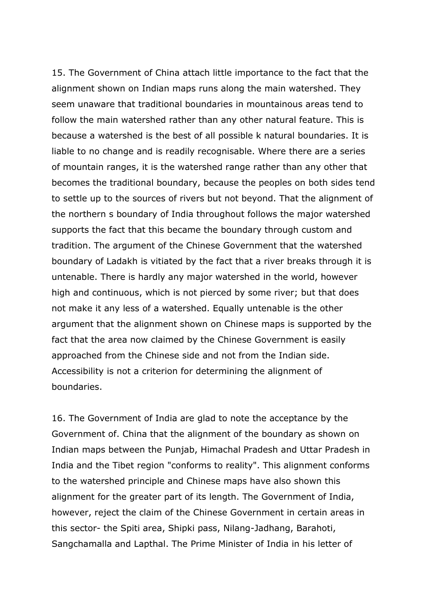15. The Government of China attach little importance to the fact that the alignment shown on Indian maps runs along the main watershed. They seem unaware that traditional boundaries in mountainous areas tend to follow the main watershed rather than any other natural feature. This is because a watershed is the best of all possible k natural boundaries. It is liable to no change and is readily recognisable. Where there are a series of mountain ranges, it is the watershed range rather than any other that becomes the traditional boundary, because the peoples on both sides tend to settle up to the sources of rivers but not beyond. That the alignment of the northern s boundary of India throughout follows the major watershed supports the fact that this became the boundary through custom and tradition. The argument of the Chinese Government that the watershed boundary of Ladakh is vitiated by the fact that a river breaks through it is untenable. There is hardly any major watershed in the world, however high and continuous, which is not pierced by some river; but that does not make it any less of a watershed. Equally untenable is the other argument that the alignment shown on Chinese maps is supported by the fact that the area now claimed by the Chinese Government is easily approached from the Chinese side and not from the Indian side. Accessibility is not a criterion for determining the alignment of boundaries.

16. The Government of India are glad to note the acceptance by the Government of. China that the alignment of the boundary as shown on Indian maps between the Punjab, Himachal Pradesh and Uttar Pradesh in India and the Tibet region "conforms to reality". This alignment conforms to the watershed principle and Chinese maps have also shown this alignment for the greater part of its length. The Government of India, however, reject the claim of the Chinese Government in certain areas in this sector- the Spiti area, Shipki pass, Nilang-Jadhang, Barahoti, Sangchamalla and Lapthal. The Prime Minister of India in his letter of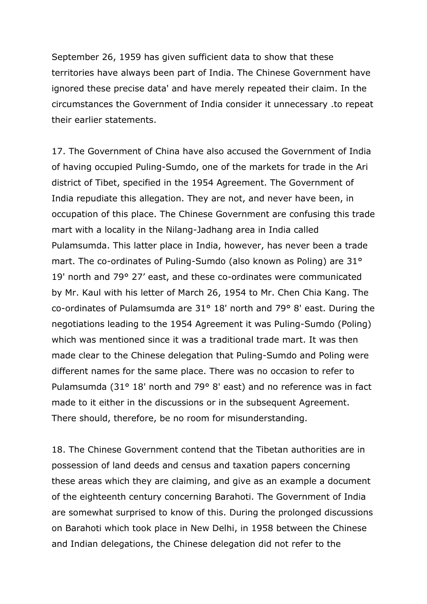September 26, 1959 has given sufficient data to show that these territories have always been part of India. The Chinese Government have ignored these precise data' and have merely repeated their claim. In the circumstances the Government of India consider it unnecessary .to repeat their earlier statements.

17. The Government of China have also accused the Government of India of having occupied Puling-Sumdo, one of the markets for trade in the Ari district of Tibet, specified in the 1954 Agreement. The Government of India repudiate this allegation. They are not, and never have been, in occupation of this place. The Chinese Government are confusing this trade mart with a locality in the Nilang-Jadhang area in India called Pulamsumda. This latter place in India, however, has never been a trade mart. The co-ordinates of Puling-Sumdo (also known as Poling) are 31° 19' north and 79° 27' east, and these co-ordinates were communicated by Mr. Kaul with his letter of March 26, 1954 to Mr. Chen Chia Kang. The co-ordinates of Pulamsumda are 31° 18' north and 79° 8' east. During the negotiations leading to the 1954 Agreement it was Puling-Sumdo (Poling) which was mentioned since it was a traditional trade mart. It was then made clear to the Chinese delegation that Puling-Sumdo and Poling were different names for the same place. There was no occasion to refer to Pulamsumda (31° 18' north and 79° 8' east) and no reference was in fact made to it either in the discussions or in the subsequent Agreement. There should, therefore, be no room for misunderstanding.

18. The Chinese Government contend that the Tibetan authorities are in possession of land deeds and census and taxation papers concerning these areas which they are claiming, and give as an example a document of the eighteenth century concerning Barahoti. The Government of India are somewhat surprised to know of this. During the prolonged discussions on Barahoti which took place in New Delhi, in 1958 between the Chinese and Indian delegations, the Chinese delegation did not refer to the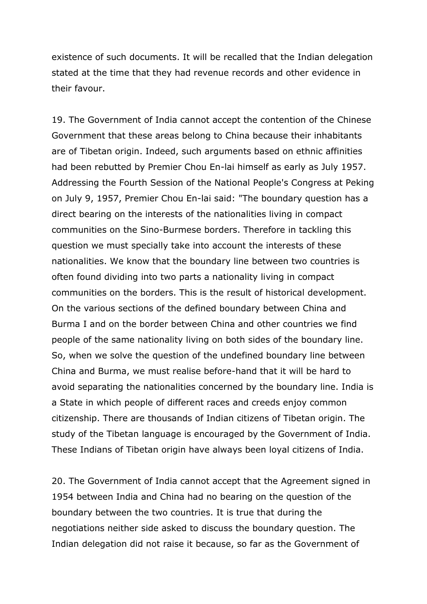existence of such documents. It will be recalled that the Indian delegation stated at the time that they had revenue records and other evidence in their favour.

19. The Government of India cannot accept the contention of the Chinese Government that these areas belong to China because their inhabitants are of Tibetan origin. Indeed, such arguments based on ethnic affinities had been rebutted by Premier Chou En-lai himself as early as July 1957. Addressing the Fourth Session of the National People's Congress at Peking on July 9, 1957, Premier Chou En-lai said: "The boundary question has a direct bearing on the interests of the nationalities living in compact communities on the Sino-Burmese borders. Therefore in tackling this question we must specially take into account the interests of these nationalities. We know that the boundary line between two countries is often found dividing into two parts a nationality living in compact communities on the borders. This is the result of historical development. On the various sections of the defined boundary between China and Burma I and on the border between China and other countries we find people of the same nationality living on both sides of the boundary line. So, when we solve the question of the undefined boundary line between China and Burma, we must realise before-hand that it will be hard to avoid separating the nationalities concerned by the boundary line. India is a State in which people of different races and creeds enjoy common citizenship. There are thousands of Indian citizens of Tibetan origin. The study of the Tibetan language is encouraged by the Government of India. These Indians of Tibetan origin have always been loyal citizens of India.

20. The Government of India cannot accept that the Agreement signed in 1954 between India and China had no bearing on the question of the boundary between the two countries. It is true that during the negotiations neither side asked to discuss the boundary question. The Indian delegation did not raise it because, so far as the Government of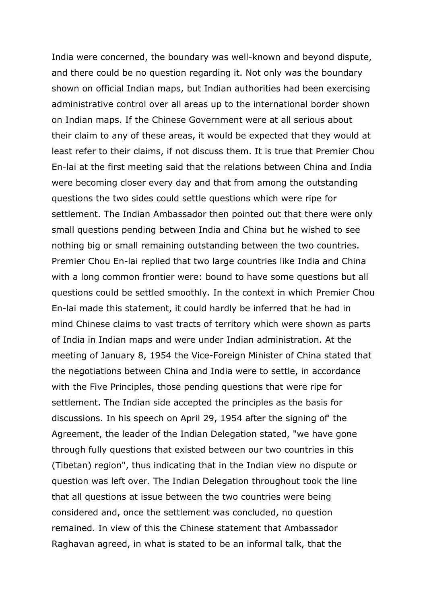India were concerned, the boundary was well-known and beyond dispute, and there could be no question regarding it. Not only was the boundary shown on official Indian maps, but Indian authorities had been exercising administrative control over all areas up to the international border shown on Indian maps. If the Chinese Government were at all serious about their claim to any of these areas, it would be expected that they would at least refer to their claims, if not discuss them. It is true that Premier Chou En-lai at the first meeting said that the relations between China and India were becoming closer every day and that from among the outstanding questions the two sides could settle questions which were ripe for settlement. The Indian Ambassador then pointed out that there were only small questions pending between India and China but he wished to see nothing big or small remaining outstanding between the two countries. Premier Chou En-lai replied that two large countries like India and China with a long common frontier were: bound to have some questions but all questions could be settled smoothly. In the context in which Premier Chou En-lai made this statement, it could hardly be inferred that he had in mind Chinese claims to vast tracts of territory which were shown as parts of India in Indian maps and were under Indian administration. At the meeting of January 8, 1954 the Vice-Foreign Minister of China stated that the negotiations between China and India were to settle, in accordance with the Five Principles, those pending questions that were ripe for settlement. The Indian side accepted the principles as the basis for discussions. In his speech on April 29, 1954 after the signing of' the Agreement, the leader of the Indian Delegation stated, "we have gone through fully questions that existed between our two countries in this (Tibetan) region", thus indicating that in the Indian view no dispute or question was left over. The Indian Delegation throughout took the line that all questions at issue between the two countries were being considered and, once the settlement was concluded, no question remained. In view of this the Chinese statement that Ambassador Raghavan agreed, in what is stated to be an informal talk, that the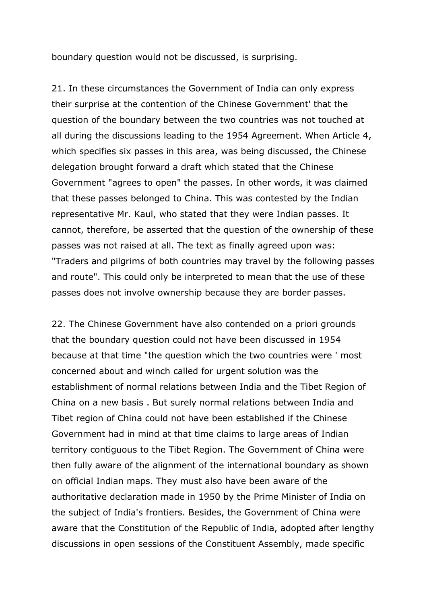boundary question would not be discussed, is surprising.

21. In these circumstances the Government of India can only express their surprise at the contention of the Chinese Government' that the question of the boundary between the two countries was not touched at all during the discussions leading to the 1954 Agreement. When Article 4, which specifies six passes in this area, was being discussed, the Chinese delegation brought forward a draft which stated that the Chinese Government "agrees to open" the passes. In other words, it was claimed that these passes belonged to China. This was contested by the Indian representative Mr. Kaul, who stated that they were Indian passes. It cannot, therefore, be asserted that the question of the ownership of these passes was not raised at all. The text as finally agreed upon was: "Traders and pilgrims of both countries may travel by the following passes and route". This could only be interpreted to mean that the use of these passes does not involve ownership because they are border passes.

22. The Chinese Government have also contended on a priori grounds that the boundary question could not have been discussed in 1954 because at that time "the question which the two countries were ' most concerned about and winch called for urgent solution was the establishment of normal relations between India and the Tibet Region of China on a new basis . But surely normal relations between India and Tibet region of China could not have been established if the Chinese Government had in mind at that time claims to large areas of Indian territory contiguous to the Tibet Region. The Government of China were then fully aware of the alignment of the international boundary as shown on official Indian maps. They must also have been aware of the authoritative declaration made in 1950 by the Prime Minister of India on the subject of India's frontiers. Besides, the Government of China were aware that the Constitution of the Republic of India, adopted after lengthy discussions in open sessions of the Constituent Assembly, made specific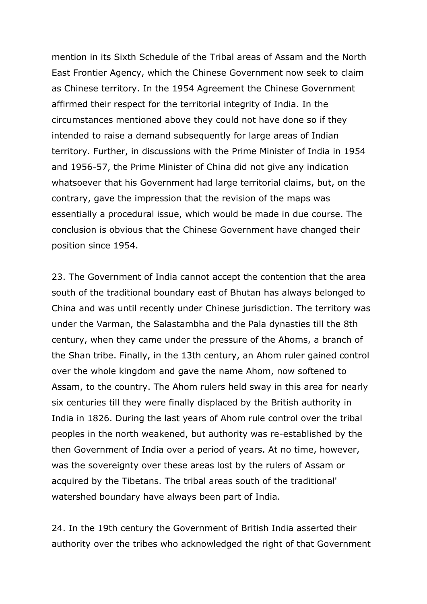mention in its Sixth Schedule of the Tribal areas of Assam and the North East Frontier Agency, which the Chinese Government now seek to claim as Chinese territory. In the 1954 Agreement the Chinese Government affirmed their respect for the territorial integrity of India. In the circumstances mentioned above they could not have done so if they intended to raise a demand subsequently for large areas of Indian territory. Further, in discussions with the Prime Minister of India in 1954 and 1956-57, the Prime Minister of China did not give any indication whatsoever that his Government had large territorial claims, but, on the contrary, gave the impression that the revision of the maps was essentially a procedural issue, which would be made in due course. The conclusion is obvious that the Chinese Government have changed their position since 1954.

23. The Government of India cannot accept the contention that the area south of the traditional boundary east of Bhutan has always belonged to China and was until recently under Chinese jurisdiction. The territory was under the Varman, the Salastambha and the Pala dynasties till the 8th century, when they came under the pressure of the Ahoms, a branch of the Shan tribe. Finally, in the 13th century, an Ahom ruler gained control over the whole kingdom and gave the name Ahom, now softened to Assam, to the country. The Ahom rulers held sway in this area for nearly six centuries till they were finally displaced by the British authority in India in 1826. During the last years of Ahom rule control over the tribal peoples in the north weakened, but authority was re-established by the then Government of India over a period of years. At no time, however, was the sovereignty over these areas lost by the rulers of Assam or acquired by the Tibetans. The tribal areas south of the traditional' watershed boundary have always been part of India.

24. In the 19th century the Government of British India asserted their authority over the tribes who acknowledged the right of that Government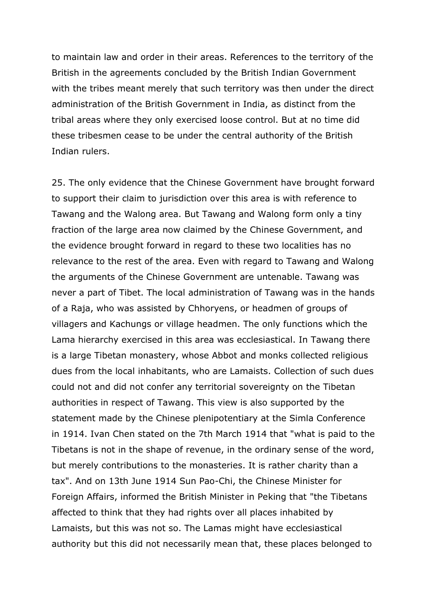to maintain law and order in their areas. References to the territory of the British in the agreements concluded by the British Indian Government with the tribes meant merely that such territory was then under the direct administration of the British Government in India, as distinct from the tribal areas where they only exercised loose control. But at no time did these tribesmen cease to be under the central authority of the British Indian rulers.

25. The only evidence that the Chinese Government have brought forward to support their claim to jurisdiction over this area is with reference to Tawang and the Walong area. But Tawang and Walong form only a tiny fraction of the large area now claimed by the Chinese Government, and the evidence brought forward in regard to these two localities has no relevance to the rest of the area. Even with regard to Tawang and Walong the arguments of the Chinese Government are untenable. Tawang was never a part of Tibet. The local administration of Tawang was in the hands of a Raja, who was assisted by Chhoryens, or headmen of groups of villagers and Kachungs or village headmen. The only functions which the Lama hierarchy exercised in this area was ecclesiastical. In Tawang there is a large Tibetan monastery, whose Abbot and monks collected religious dues from the local inhabitants, who are Lamaists. Collection of such dues could not and did not confer any territorial sovereignty on the Tibetan authorities in respect of Tawang. This view is also supported by the statement made by the Chinese plenipotentiary at the Simla Conference in 1914. Ivan Chen stated on the 7th March 1914 that "what is paid to the Tibetans is not in the shape of revenue, in the ordinary sense of the word, but merely contributions to the monasteries. It is rather charity than a tax". And on 13th June 1914 Sun Pao-Chi, the Chinese Minister for Foreign Affairs, informed the British Minister in Peking that "the Tibetans affected to think that they had rights over all places inhabited by Lamaists, but this was not so. The Lamas might have ecclesiastical authority but this did not necessarily mean that, these places belonged to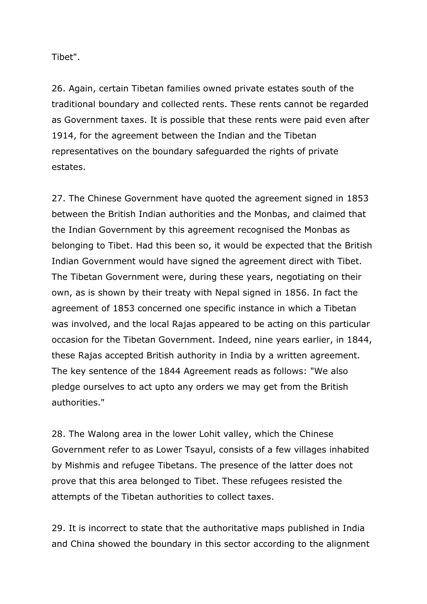Tibet".

26. Again, certain Tibetan families owned private estates south of the traditional boundary and collected rents. These rents cannot be regarded as Government taxes. It is possible that these rents were paid even after 1914, for the agreement between the Indian and the Tibetan representatives on the boundary safeguarded the rights of private estates.

27. The Chinese Government have quoted the agreement signed in 1853 between the British Indian authorities and the Monbas, and claimed that the Indian Government by this agreement recognised the Monbas as belonging to Tibet. Had this been so, it would be expected that the British Indian Government would have signed the agreement direct with Tibet. The Tibetan Government were, during these years, negotiating on their own, as is shown by their treaty with Nepal signed in 1856. In fact the agreement of 1853 concerned one specific instance in which a Tibetan was involved, and the local Rajas appeared to be acting on this particular occasion for the Tibetan Government. Indeed, nine years earlier, in 1844, these Rajas accepted British authority in India by a written agreement. The key sentence of the 1844 Agreement reads as follows: "We also pledge ourselves to act upto any orders we may get from the British authorities."

28. The Walong area in the lower Lohit valley, which the Chinese Government refer to as Lower Tsayul, consists of a few villages inhabited by Mishmis and refugee Tibetans. The presence of the latter does not prove that this area belonged to Tibet. These refugees resisted the attempts of the Tibetan authorities to collect taxes.

29. It is incorrect to state that the authoritative maps published in India and China showed the boundary in this sector according to the alignment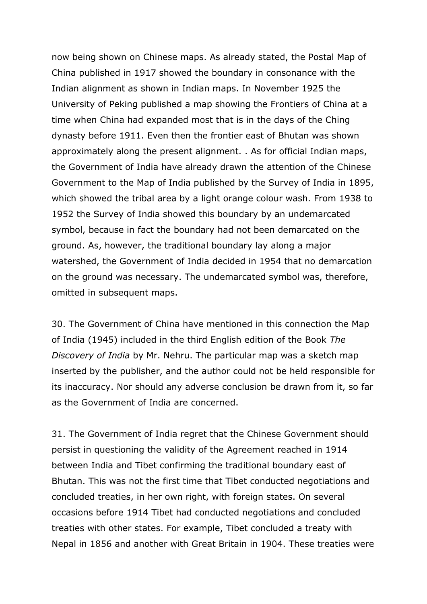now being shown on Chinese maps. As already stated, the Postal Map of China published in 1917 showed the boundary in consonance with the Indian alignment as shown in Indian maps. In November 1925 the University of Peking published a map showing the Frontiers of China at a time when China had expanded most that is in the days of the Ching dynasty before 1911. Even then the frontier east of Bhutan was shown approximately along the present alignment. . As for official Indian maps, the Government of India have already drawn the attention of the Chinese Government to the Map of India published by the Survey of India in 1895, which showed the tribal area by a light orange colour wash. From 1938 to 1952 the Survey of India showed this boundary by an undemarcated symbol, because in fact the boundary had not been demarcated on the ground. As, however, the traditional boundary lay along a major watershed, the Government of India decided in 1954 that no demarcation on the ground was necessary. The undemarcated symbol was, therefore, omitted in subsequent maps.

30. The Government of China have mentioned in this connection the Map of India (1945) included in the third English edition of the Book *The Discovery of India* by Mr. Nehru. The particular map was a sketch map inserted by the publisher, and the author could not be held responsible for its inaccuracy. Nor should any adverse conclusion be drawn from it, so far as the Government of India are concerned.

31. The Government of India regret that the Chinese Government should persist in questioning the validity of the Agreement reached in 1914 between India and Tibet confirming the traditional boundary east of Bhutan. This was not the first time that Tibet conducted negotiations and concluded treaties, in her own right, with foreign states. On several occasions before 1914 Tibet had conducted negotiations and concluded treaties with other states. For example, Tibet concluded a treaty with Nepal in 1856 and another with Great Britain in 1904. These treaties were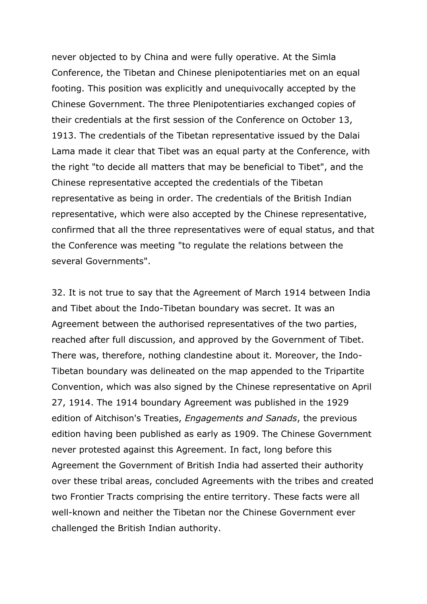never objected to by China and were fully operative. At the Simla Conference, the Tibetan and Chinese plenipotentiaries met on an equal footing. This position was explicitly and unequivocally accepted by the Chinese Government. The three Plenipotentiaries exchanged copies of their credentials at the first session of the Conference on October 13, 1913. The credentials of the Tibetan representative issued by the Dalai Lama made it clear that Tibet was an equal party at the Conference, with the right "to decide all matters that may be beneficial to Tibet", and the Chinese representative accepted the credentials of the Tibetan representative as being in order. The credentials of the British Indian representative, which were also accepted by the Chinese representative, confirmed that all the three representatives were of equal status, and that the Conference was meeting "to regulate the relations between the several Governments".

32. It is not true to say that the Agreement of March 1914 between India and Tibet about the Indo-Tibetan boundary was secret. It was an Agreement between the authorised representatives of the two parties, reached after full discussion, and approved by the Government of Tibet. There was, therefore, nothing clandestine about it. Moreover, the Indo-Tibetan boundary was delineated on the map appended to the Tripartite Convention, which was also signed by the Chinese representative on April 27, 1914. The 1914 boundary Agreement was published in the 1929 edition of Aitchison's Treaties, *Engagements and Sanads*, the previous edition having been published as early as 1909. The Chinese Government never protested against this Agreement. In fact, long before this Agreement the Government of British India had asserted their authority over these tribal areas, concluded Agreements with the tribes and created two Frontier Tracts comprising the entire territory. These facts were all well-known and neither the Tibetan nor the Chinese Government ever challenged the British Indian authority.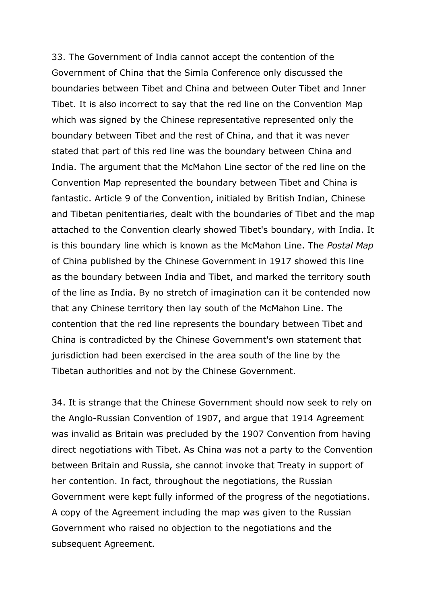33. The Government of India cannot accept the contention of the Government of China that the Simla Conference only discussed the boundaries between Tibet and China and between Outer Tibet and Inner Tibet. It is also incorrect to say that the red line on the Convention Map which was signed by the Chinese representative represented only the boundary between Tibet and the rest of China, and that it was never stated that part of this red line was the boundary between China and India. The argument that the McMahon Line sector of the red line on the Convention Map represented the boundary between Tibet and China is fantastic. Article 9 of the Convention, initialed by British Indian, Chinese and Tibetan penitentiaries, dealt with the boundaries of Tibet and the map attached to the Convention clearly showed Tibet's boundary, with India. It is this boundary line which is known as the McMahon Line. The *Postal Map* of China published by the Chinese Government in 1917 showed this line as the boundary between India and Tibet, and marked the territory south of the line as India. By no stretch of imagination can it be contended now that any Chinese territory then lay south of the McMahon Line. The contention that the red line represents the boundary between Tibet and China is contradicted by the Chinese Government's own statement that jurisdiction had been exercised in the area south of the line by the Tibetan authorities and not by the Chinese Government.

34. It is strange that the Chinese Government should now seek to rely on the Anglo-Russian Convention of 1907, and argue that 1914 Agreement was invalid as Britain was precluded by the 1907 Convention from having direct negotiations with Tibet. As China was not a party to the Convention between Britain and Russia, she cannot invoke that Treaty in support of her contention. In fact, throughout the negotiations, the Russian Government were kept fully informed of the progress of the negotiations. A copy of the Agreement including the map was given to the Russian Government who raised no objection to the negotiations and the subsequent Agreement.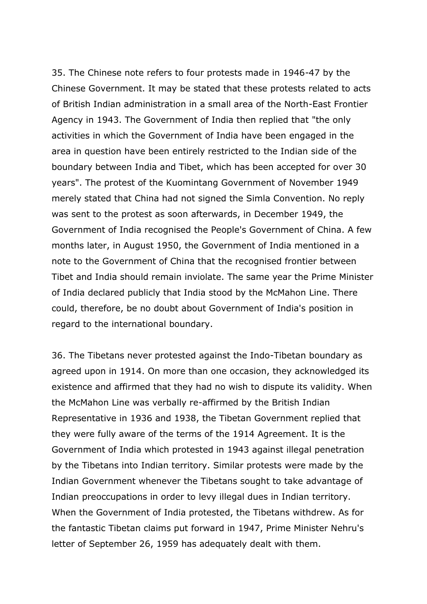35. The Chinese note refers to four protests made in 1946-47 by the Chinese Government. It may be stated that these protests related to acts of British Indian administration in a small area of the North-East Frontier Agency in 1943. The Government of India then replied that "the only activities in which the Government of India have been engaged in the area in question have been entirely restricted to the Indian side of the boundary between India and Tibet, which has been accepted for over 30 years". The protest of the Kuomintang Government of November 1949 merely stated that China had not signed the Simla Convention. No reply was sent to the protest as soon afterwards, in December 1949, the Government of India recognised the People's Government of China. A few months later, in August 1950, the Government of India mentioned in a note to the Government of China that the recognised frontier between Tibet and India should remain inviolate. The same year the Prime Minister of India declared publicly that India stood by the McMahon Line. There could, therefore, be no doubt about Government of India's position in regard to the international boundary.

36. The Tibetans never protested against the Indo-Tibetan boundary as agreed upon in 1914. On more than one occasion, they acknowledged its existence and affirmed that they had no wish to dispute its validity. When the McMahon Line was verbally re-affirmed by the British Indian Representative in 1936 and 1938, the Tibetan Government replied that they were fully aware of the terms of the 1914 Agreement. It is the Government of India which protested in 1943 against illegal penetration by the Tibetans into Indian territory. Similar protests were made by the Indian Government whenever the Tibetans sought to take advantage of Indian preoccupations in order to levy illegal dues in Indian territory. When the Government of India protested, the Tibetans withdrew. As for the fantastic Tibetan claims put forward in 1947, Prime Minister Nehru's letter of September 26, 1959 has adequately dealt with them.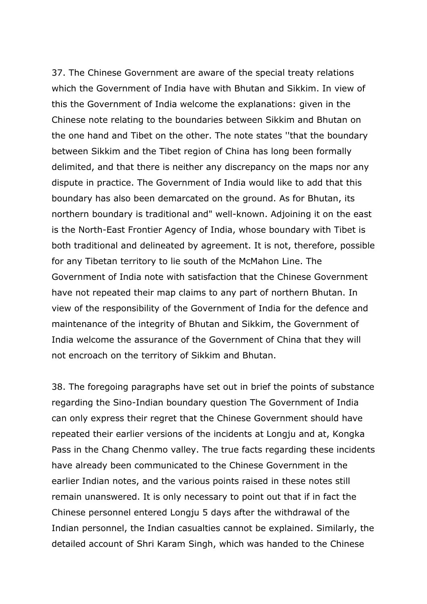37. The Chinese Government are aware of the special treaty relations which the Government of India have with Bhutan and Sikkim. In view of this the Government of India welcome the explanations: given in the Chinese note relating to the boundaries between Sikkim and Bhutan on the one hand and Tibet on the other. The note states ''that the boundary between Sikkim and the Tibet region of China has long been formally delimited, and that there is neither any discrepancy on the maps nor any dispute in practice. The Government of India would like to add that this boundary has also been demarcated on the ground. As for Bhutan, its northern boundary is traditional and" well-known. Adjoining it on the east is the North-East Frontier Agency of India, whose boundary with Tibet is both traditional and delineated by agreement. It is not, therefore, possible for any Tibetan territory to lie south of the McMahon Line. The Government of India note with satisfaction that the Chinese Government have not repeated their map claims to any part of northern Bhutan. In view of the responsibility of the Government of India for the defence and maintenance of the integrity of Bhutan and Sikkim, the Government of India welcome the assurance of the Government of China that they will not encroach on the territory of Sikkim and Bhutan.

38. The foregoing paragraphs have set out in brief the points of substance regarding the Sino-Indian boundary question The Government of India can only express their regret that the Chinese Government should have repeated their earlier versions of the incidents at Longju and at, Kongka Pass in the Chang Chenmo valley. The true facts regarding these incidents have already been communicated to the Chinese Government in the earlier Indian notes, and the various points raised in these notes still remain unanswered. It is only necessary to point out that if in fact the Chinese personnel entered Longju 5 days after the withdrawal of the Indian personnel, the Indian casualties cannot be explained. Similarly, the detailed account of Shri Karam Singh, which was handed to the Chinese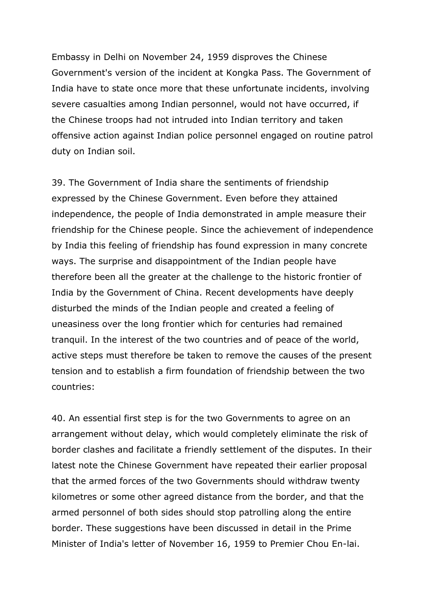Embassy in Delhi on November 24, 1959 disproves the Chinese Government's version of the incident at Kongka Pass. The Government of India have to state once more that these unfortunate incidents, involving severe casualties among Indian personnel, would not have occurred, if the Chinese troops had not intruded into Indian territory and taken offensive action against Indian police personnel engaged on routine patrol duty on Indian soil.

39. The Government of India share the sentiments of friendship expressed by the Chinese Government. Even before they attained independence, the people of India demonstrated in ample measure their friendship for the Chinese people. Since the achievement of independence by India this feeling of friendship has found expression in many concrete ways. The surprise and disappointment of the Indian people have therefore been all the greater at the challenge to the historic frontier of India by the Government of China. Recent developments have deeply disturbed the minds of the Indian people and created a feeling of uneasiness over the long frontier which for centuries had remained tranquil. In the interest of the two countries and of peace of the world, active steps must therefore be taken to remove the causes of the present tension and to establish a firm foundation of friendship between the two countries:

40. An essential first step is for the two Governments to agree on an arrangement without delay, which would completely eliminate the risk of border clashes and facilitate a friendly settlement of the disputes. In their latest note the Chinese Government have repeated their earlier proposal that the armed forces of the two Governments should withdraw twenty kilometres or some other agreed distance from the border, and that the armed personnel of both sides should stop patrolling along the entire border. These suggestions have been discussed in detail in the Prime Minister of India's letter of November 16, 1959 to Premier Chou En-lai.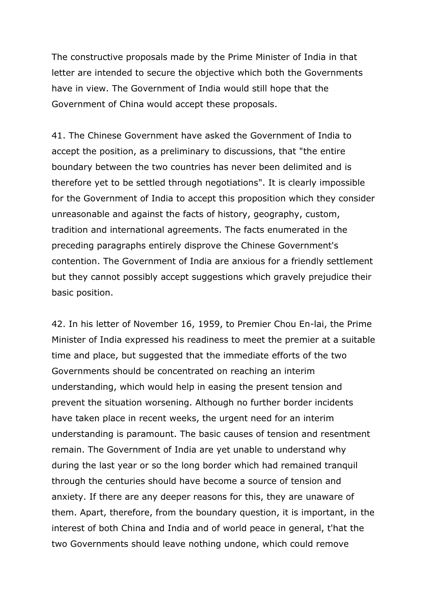The constructive proposals made by the Prime Minister of India in that letter are intended to secure the objective which both the Governments have in view. The Government of India would still hope that the Government of China would accept these proposals.

41. The Chinese Government have asked the Government of India to accept the position, as a preliminary to discussions, that "the entire boundary between the two countries has never been delimited and is therefore yet to be settled through negotiations". It is clearly impossible for the Government of India to accept this proposition which they consider unreasonable and against the facts of history, geography, custom, tradition and international agreements. The facts enumerated in the preceding paragraphs entirely disprove the Chinese Government's contention. The Government of India are anxious for a friendly settlement but they cannot possibly accept suggestions which gravely prejudice their basic position.

42. In his letter of November 16, 1959, to Premier Chou En-lai, the Prime Minister of India expressed his readiness to meet the premier at a suitable time and place, but suggested that the immediate efforts of the two Governments should be concentrated on reaching an interim understanding, which would help in easing the present tension and prevent the situation worsening. Although no further border incidents have taken place in recent weeks, the urgent need for an interim understanding is paramount. The basic causes of tension and resentment remain. The Government of India are yet unable to understand why during the last year or so the long border which had remained tranquil through the centuries should have become a source of tension and anxiety. If there are any deeper reasons for this, they are unaware of them. Apart, therefore, from the boundary question, it is important, in the interest of both China and India and of world peace in general, t'hat the two Governments should leave nothing undone, which could remove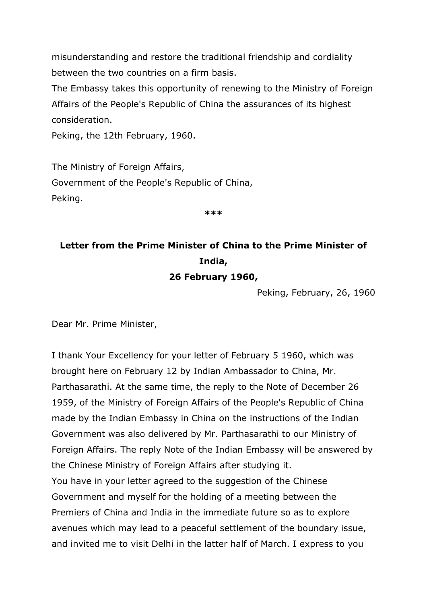misunderstanding and restore the traditional friendship and cordiality between the two countries on a firm basis.

The Embassy takes this opportunity of renewing to the Ministry of Foreign Affairs of the People's Republic of China the assurances of its highest consideration.

Peking, the 12th February, 1960.

The Ministry of Foreign Affairs, Government of the People's Republic of China, Peking.

**\*\*\***

# **Letter from the Prime Minister of China to the Prime Minister of India,**

#### **26 February 1960,**

Peking, February, 26, 1960

Dear Mr. Prime Minister,

I thank Your Excellency for your letter of February 5 1960, which was brought here on February 12 by Indian Ambassador to China, Mr. Parthasarathi. At the same time, the reply to the Note of December 26 1959, of the Ministry of Foreign Affairs of the People's Republic of China made by the Indian Embassy in China on the instructions of the Indian Government was also delivered by Mr. Parthasarathi to our Ministry of Foreign Affairs. The reply Note of the Indian Embassy will be answered by the Chinese Ministry of Foreign Affairs after studying it. You have in your letter agreed to the suggestion of the Chinese Government and myself for the holding of a meeting between the Premiers of China and India in the immediate future so as to explore avenues which may lead to a peaceful settlement of the boundary issue, and invited me to visit Delhi in the latter half of March. I express to you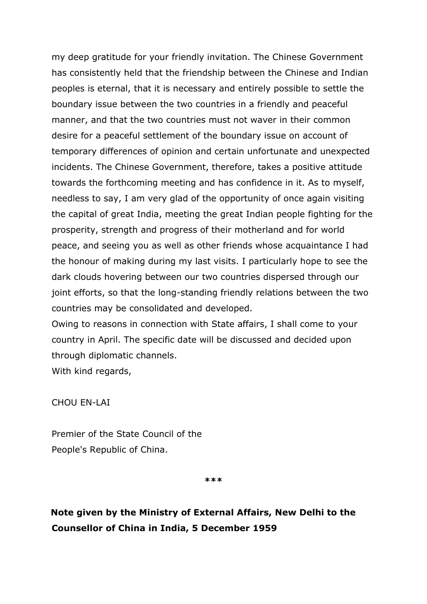my deep gratitude for your friendly invitation. The Chinese Government has consistently held that the friendship between the Chinese and Indian peoples is eternal, that it is necessary and entirely possible to settle the boundary issue between the two countries in a friendly and peaceful manner, and that the two countries must not waver in their common desire for a peaceful settlement of the boundary issue on account of temporary differences of opinion and certain unfortunate and unexpected incidents. The Chinese Government, therefore, takes a positive attitude towards the forthcoming meeting and has confidence in it. As to myself, needless to say, I am very glad of the opportunity of once again visiting the capital of great India, meeting the great Indian people fighting for the prosperity, strength and progress of their motherland and for world peace, and seeing you as well as other friends whose acquaintance I had the honour of making during my last visits. I particularly hope to see the dark clouds hovering between our two countries dispersed through our joint efforts, so that the long-standing friendly relations between the two countries may be consolidated and developed.

Owing to reasons in connection with State affairs, I shall come to your country in April. The specific date will be discussed and decided upon through diplomatic channels.

With kind regards,

CHOU EN-LAI

Premier of the State Council of the People's Republic of China.

**\*\*\***

**Note given by the Ministry of External Affairs, New Delhi to the Counsellor of China in India, 5 December 1959**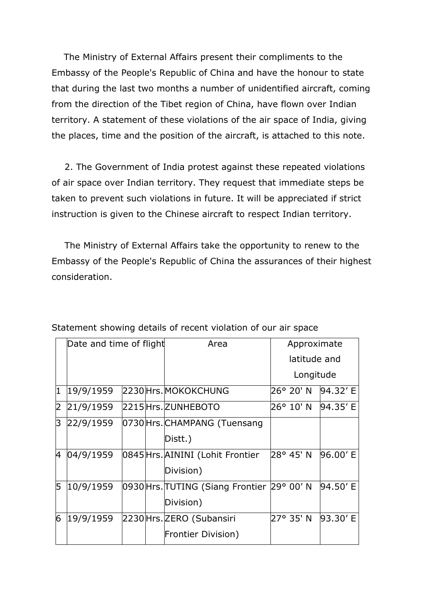The Ministry of External Affairs present their compliments to the Embassy of the People's Republic of China and have the honour to state that during the last two months a number of unidentified aircraft, coming from the direction of the Tibet region of China, have flown over Indian territory. A statement of these violations of the air space of India, giving the places, time and the position of the aircraft, is attached to this note.

2. The Government of India protest against these repeated violations of air space over Indian territory. They request that immediate steps be taken to prevent such violations in future. It will be appreciated if strict instruction is given to the Chinese aircraft to respect Indian territory.

The Ministry of External Affairs take the opportunity to renew to the Embassy of the People's Republic of China the assurances of their highest consideration.

|    | Date and time of flight |  | Area                                       | Approximate  |           |          |  |
|----|-------------------------|--|--------------------------------------------|--------------|-----------|----------|--|
|    |                         |  |                                            | latitude and |           |          |  |
|    |                         |  |                                            | Longitude    |           |          |  |
| 1  | 19/9/1959               |  | 2230 Hrs. MOKOKCHUNG                       |              | 26° 20' N | 94.32' E |  |
| 2  | 21/9/1959               |  | 2215 Hrs. ZUNHEBOTO                        |              | 26° 10' N | 94.35' E |  |
| B. | 22/9/1959               |  | 0730 Hrs. CHAMPANG (Tuensang               |              |           |          |  |
|    |                         |  | Distt.)                                    |              |           |          |  |
| 4  | 04/9/1959               |  | 0845 Hrs. AININI (Lohit Frontier           |              | 28° 45' N | 96.00'E  |  |
|    |                         |  | Division)                                  |              |           |          |  |
| 5  | 10/9/1959               |  | 0930 Hrs. TUTING (Siang Frontier 29° 00' N |              |           | 94.50'E  |  |
|    |                         |  | Division)                                  |              |           |          |  |
| 6  | 19/9/1959               |  | 2230 Hrs. ZERO (Subansiri                  |              | 27° 35' N | 93.30'E  |  |
|    |                         |  | <b>Frontier Division)</b>                  |              |           |          |  |

Statement showing details of recent violation of our air space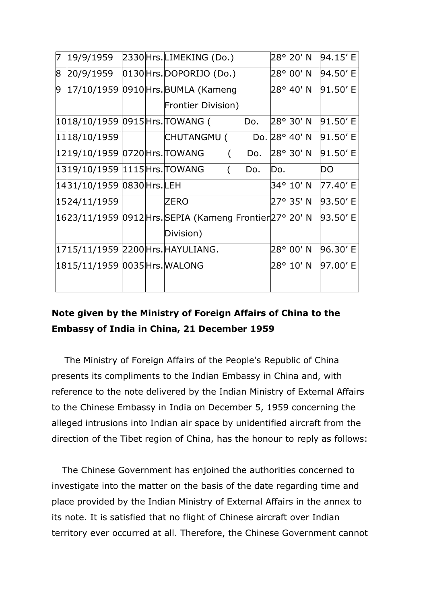| 7 | 19/9/1959                  |  | 2330 Hrs. LIMEKING (Do.)                                |     | 28° 20' N |  | 94.15'E   |
|---|----------------------------|--|---------------------------------------------------------|-----|-----------|--|-----------|
| 8 | 20/9/1959                  |  | $ 0130 $ Hrs. DOPORIJO (Do.)                            |     | 28° 00' N |  | 94.50'E   |
| 9 |                            |  | 17/10/1959 0910 Hrs. BUMLA (Kameng                      |     | 28° 40' N |  | 91.50'E   |
|   |                            |  | <b>Frontier Division)</b>                               |     |           |  |           |
|   |                            |  | 10 18/10 / 1959 0915 Hrs. TOWANG (                      | Do. | 28° 30' N |  | 91.50'E   |
|   | 11 18/10/1959              |  | CHUTANGMU (Do. 28° 40' N                                |     |           |  | 91.50' E  |
|   |                            |  | 12 19 / 10 / 1959 0720 Hrs. TOWANG                      | Do. | 28° 30' N |  | 91.50'E   |
|   |                            |  |                                                         | Do. | Do.       |  | <b>DO</b> |
|   | 1431/10/1959 0830 Hrs. LEH |  |                                                         |     | 34° 10' N |  | 77.40' E  |
|   | 1524/11/1959               |  | <b>ZERO</b>                                             |     | 27° 35' N |  | 93.50'E   |
|   |                            |  | 1623/11/1959 0912 Hrs. SEPIA (Kameng Frontier 27° 20' N |     |           |  | 93.50'E   |
|   |                            |  | Division)                                               |     |           |  |           |
|   |                            |  | 17 15 / 11 / 1959 2200 Hrs. HAYULIANG.                  |     | 28° 00' N |  | 96.30'E   |
|   |                            |  | 18 15 / 11 / 1959 0035 Hrs. WALONG                      |     | 28° 10' N |  | 97.00'E   |
|   |                            |  |                                                         |     |           |  |           |

## **Note given by the Ministry of Foreign Affairs of China to the Embassy of India in China, 21 December 1959**

The Ministry of Foreign Affairs of the People's Republic of China presents its compliments to the Indian Embassy in China and, with reference to the note delivered by the Indian Ministry of External Affairs to the Chinese Embassy in India on December 5, 1959 concerning the alleged intrusions into Indian air space by unidentified aircraft from the direction of the Tibet region of China, has the honour to reply as follows:

The Chinese Government has enjoined the authorities concerned to investigate into the matter on the basis of the date regarding time and place provided by the Indian Ministry of External Affairs in the annex to its note. It is satisfied that no flight of Chinese aircraft over Indian territory ever occurred at all. Therefore, the Chinese Government cannot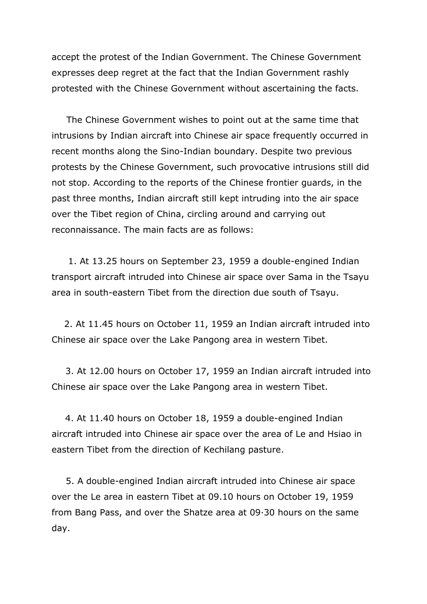accept the protest of the Indian Government. The Chinese Government expresses deep regret at the fact that the Indian Government rashly protested with the Chinese Government without ascertaining the facts.

The Chinese Government wishes to point out at the same time that intrusions by Indian aircraft into Chinese air space frequently occurred in recent months along the Sino-Indian boundary. Despite two previous protests by the Chinese Government, such provocative intrusions still did not stop. According to the reports of the Chinese frontier guards, in the past three months, Indian aircraft still kept intruding into the air space over the Tibet region of China, circling around and carrying out reconnaissance. The main facts are as follows:

1. At 13.25 hours on September 23, 1959 a double-engined Indian transport aircraft intruded into Chinese air space over Sama in the Tsayu area in south-eastern Tibet from the direction due south of Tsayu.

2. At 11.45 hours on October 11, 1959 an Indian aircraft intruded into Chinese air space over the Lake Pangong area in western Tibet.

3. At 12.00 hours on October 17, 1959 an Indian aircraft intruded into Chinese air space over the Lake Pangong area in western Tibet.

4. At 11.40 hours on October 18, 1959 a double-engined Indian aircraft intruded into Chinese air space over the area of Le and Hsiao in eastern Tibet from the direction of Kechilang pasture.

5. A double-engined Indian aircraft intruded into Chinese air space over the Le area in eastern Tibet at 09.10 hours on October 19, 1959 from Bang Pass, and over the Shatze area at 09·30 hours on the same day.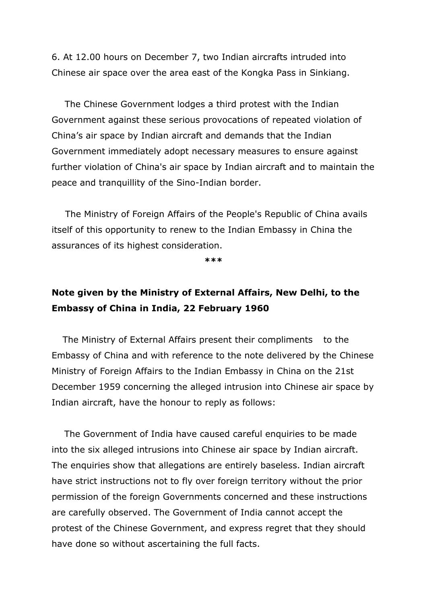6. At 12.00 hours on December 7, two Indian aircrafts intruded into Chinese air space over the area east of the Kongka Pass in Sinkiang.

The Chinese Government lodges a third protest with the Indian Government against these serious provocations of repeated violation of China's air space by Indian aircraft and demands that the Indian Government immediately adopt necessary measures to ensure against further violation of China's air space by Indian aircraft and to maintain the peace and tranquillity of the Sino-Indian border.

The Ministry of Foreign Affairs of the People's Republic of China avails itself of this opportunity to renew to the Indian Embassy in China the assurances of its highest consideration.

**\*\*\***

## **Note given by the Ministry of External Affairs, New Delhi, to the Embassy of China in India, 22 February 1960**

The Ministry of External Affairs present their compliments to the Embassy of China and with reference to the note delivered by the Chinese Ministry of Foreign Affairs to the Indian Embassy in China on the 21st December 1959 concerning the alleged intrusion into Chinese air space by Indian aircraft, have the honour to reply as follows:

The Government of India have caused careful enquiries to be made into the six alleged intrusions into Chinese air space by Indian aircraft. The enquiries show that allegations are entirely baseless. Indian aircraft have strict instructions not to fly over foreign territory without the prior permission of the foreign Governments concerned and these instructions are carefully observed. The Government of India cannot accept the protest of the Chinese Government, and express regret that they should have done so without ascertaining the full facts.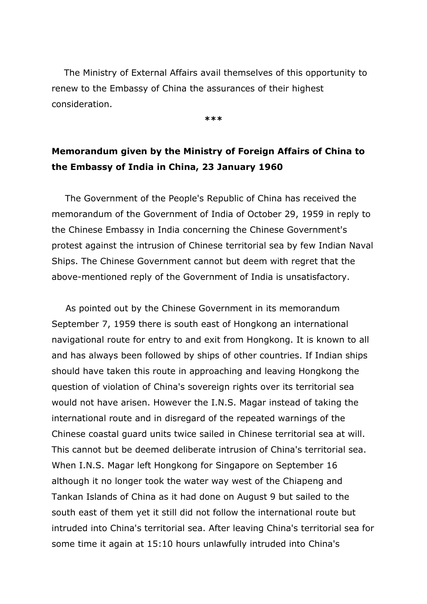The Ministry of External Affairs avail themselves of this opportunity to renew to the Embassy of China the assurances of their highest consideration.

**\*\*\***

## **Memorandum given by the Ministry of Foreign Affairs of China to the Embassy of India in China, 23 January 1960**

The Government of the People's Republic of China has received the memorandum of the Government of India of October 29, 1959 in reply to the Chinese Embassy in India concerning the Chinese Government's protest against the intrusion of Chinese territorial sea by few Indian Naval Ships. The Chinese Government cannot but deem with regret that the above-mentioned reply of the Government of India is unsatisfactory.

As pointed out by the Chinese Government in its memorandum September 7, 1959 there is south east of Hongkong an international navigational route for entry to and exit from Hongkong. It is known to all and has always been followed by ships of other countries. If Indian ships should have taken this route in approaching and leaving Hongkong the question of violation of China's sovereign rights over its territorial sea would not have arisen. However the I.N.S. Magar instead of taking the international route and in disregard of the repeated warnings of the Chinese coastal guard units twice sailed in Chinese territorial sea at will. This cannot but be deemed deliberate intrusion of China's territorial sea. When I.N.S. Magar left Hongkong for Singapore on September 16 although it no longer took the water way west of the Chiapeng and Tankan Islands of China as it had done on August 9 but sailed to the south east of them yet it still did not follow the international route but intruded into China's territorial sea. After leaving China's territorial sea for some time it again at 15:10 hours unlawfully intruded into China's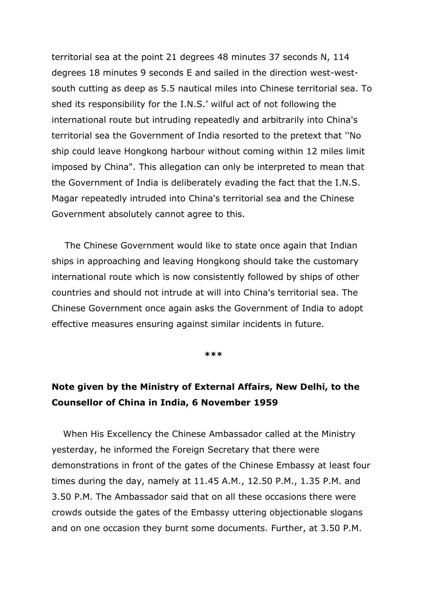territorial sea at the point 21 degrees 48 minutes 37 seconds N, 114 degrees 18 minutes 9 seconds E and sailed in the direction west-westsouth cutting as deep as 5.5 nautical miles into Chinese territorial sea. To shed its responsibility for the I.N.S.' wilful act of not following the international route but intruding repeatedly and arbitrarily into China's territorial sea the Government of India resorted to the pretext that ''No ship could leave Hongkong harbour without coming within 12 miles limit imposed by China". This allegation can only be interpreted to mean that the Government of India is deliberately evading the fact that the I.N.S. Magar repeatedly intruded into China's territorial sea and the Chinese Government absolutely cannot agree to this.

The Chinese Government would like to state once again that Indian ships in approaching and leaving Hongkong should take the customary international route which is now consistently followed by ships of other countries and should not intrude at will into China's territorial sea. The Chinese Government once again asks the Government of India to adopt effective measures ensuring against similar incidents in future.

**\*\*\***

## **Note given by the Ministry of External Affairs, New Delhi, to the Counsellor of China in India, 6 November 1959**

When His Excellency the Chinese Ambassador called at the Ministry yesterday, he informed the Foreign Secretary that there were demonstrations in front of the gates of the Chinese Embassy at least four times during the day, namely at 11.45 A.M., 12.50 P.M., 1.35 P.M. and 3.50 P.M. The Ambassador said that on all these occasions there were crowds outside the gates of the Embassy uttering objectionable slogans and on one occasion they burnt some documents. Further, at 3.50 P.M.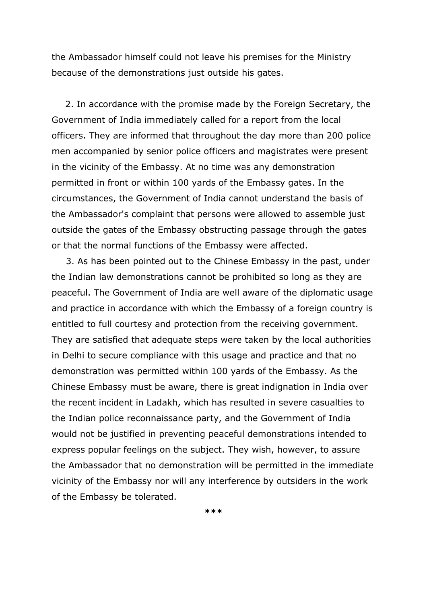the Ambassador himself could not leave his premises for the Ministry because of the demonstrations just outside his gates.

2. In accordance with the promise made by the Foreign Secretary, the Government of India immediately called for a report from the local officers. They are informed that throughout the day more than 200 police men accompanied by senior police officers and magistrates were present in the vicinity of the Embassy. At no time was any demonstration permitted in front or within 100 yards of the Embassy gates. In the circumstances, the Government of India cannot understand the basis of the Ambassador's complaint that persons were allowed to assemble just outside the gates of the Embassy obstructing passage through the gates or that the normal functions of the Embassy were affected.

3. As has been pointed out to the Chinese Embassy in the past, under the Indian law demonstrations cannot be prohibited so long as they are peaceful. The Government of India are well aware of the diplomatic usage and practice in accordance with which the Embassy of a foreign country is entitled to full courtesy and protection from the receiving government. They are satisfied that adequate steps were taken by the local authorities in Delhi to secure compliance with this usage and practice and that no demonstration was permitted within 100 yards of the Embassy. As the Chinese Embassy must be aware, there is great indignation in India over the recent incident in Ladakh, which has resulted in severe casualties to the Indian police reconnaissance party, and the Government of India would not be justified in preventing peaceful demonstrations intended to express popular feelings on the subject. They wish, however, to assure the Ambassador that no demonstration will be permitted in the immediate vicinity of the Embassy nor will any interference by outsiders in the work of the Embassy be tolerated.

**\*\*\***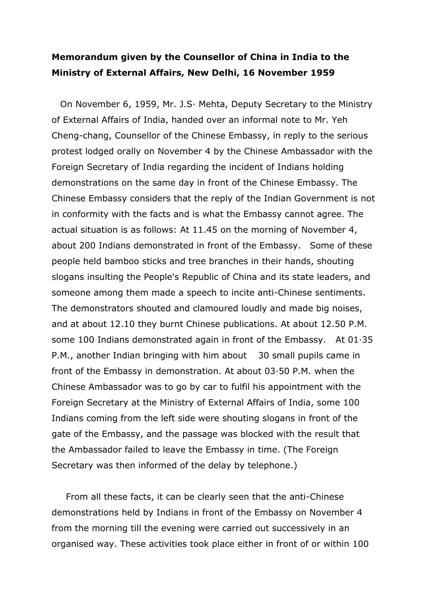#### **Memorandum given by the Counsellor of China in India to the Ministry of External Affairs, New Delhi, 16 November 1959**

On November 6, 1959, Mr. J.S· Mehta, Deputy Secretary to the Ministry of External Affairs of India, handed over an informal note to Mr. Yeh Cheng-chang, Counsellor of the Chinese Embassy, in reply to the serious protest lodged orally on November 4 by the Chinese Ambassador with the Foreign Secretary of India regarding the incident of Indians holding demonstrations on the same day in front of the Chinese Embassy. The Chinese Embassy considers that the reply of the Indian Government is not in conformity with the facts and is what the Embassy cannot agree. The actual situation is as follows: At 11.45 on the morning of November 4, about 200 Indians demonstrated in front of the Embassy. Some of these people held bamboo sticks and tree branches in their hands, shouting slogans insulting the People's Republic of China and its state leaders, and someone among them made a speech to incite anti-Chinese sentiments. The demonstrators shouted and clamoured loudly and made big noises, and at about 12.10 they burnt Chinese publications. At about 12.50 P.M. some 100 Indians demonstrated again in front of the Embassy. At 01·35 P.M., another Indian bringing with him about 30 small pupils came in front of the Embassy in demonstration. At about 03·50 P.M. when the Chinese Ambassador was to go by car to fulfil his appointment with the Foreign Secretary at the Ministry of External Affairs of India, some 100 Indians coming from the left side were shouting slogans in front of the gate of the Embassy, and the passage was blocked with the result that the Ambassador failed to leave the Embassy in time. (The Foreign Secretary was then informed of the delay by telephone.)

From all these facts, it can be clearly seen that the anti-Chinese demonstrations held by Indians in front of the Embassy on November 4 from the morning till the evening were carried out successively in an organised way. These activities took place either in front of or within 100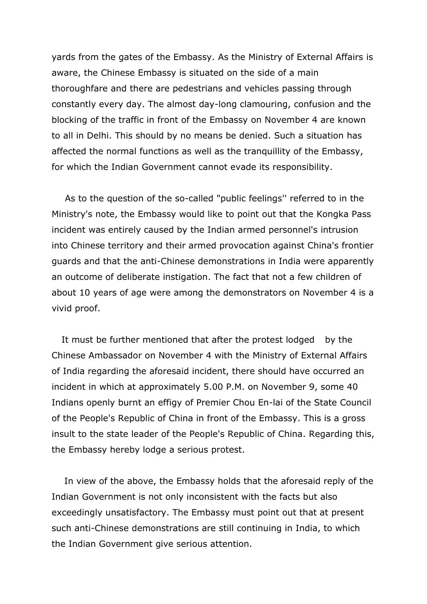yards from the gates of the Embassy. As the Ministry of External Affairs is aware, the Chinese Embassy is situated on the side of a main thoroughfare and there are pedestrians and vehicles passing through constantly every day. The almost day-long clamouring, confusion and the blocking of the traffic in front of the Embassy on November 4 are known to all in Delhi. This should by no means be denied. Such a situation has affected the normal functions as well as the tranquillity of the Embassy, for which the Indian Government cannot evade its responsibility.

As to the question of the so-called "public feelings'' referred to in the Ministry's note, the Embassy would like to point out that the Kongka Pass incident was entirely caused by the Indian armed personnel's intrusion into Chinese territory and their armed provocation against China's frontier guards and that the anti-Chinese demonstrations in India were apparently an outcome of deliberate instigation. The fact that not a few children of about 10 years of age were among the demonstrators on November 4 is a vivid proof.

It must be further mentioned that after the protest lodged by the Chinese Ambassador on November 4 with the Ministry of External Affairs of India regarding the aforesaid incident, there should have occurred an incident in which at approximately 5.00 P.M. on November 9, some 40 Indians openly burnt an effigy of Premier Chou En-lai of the State Council of the People's Republic of China in front of the Embassy. This is a gross insult to the state leader of the People's Republic of China. Regarding this, the Embassy hereby lodge a serious protest.

In view of the above, the Embassy holds that the aforesaid reply of the Indian Government is not only inconsistent with the facts but also exceedingly unsatisfactory. The Embassy must point out that at present such anti-Chinese demonstrations are still continuing in India, to which the Indian Government give serious attention.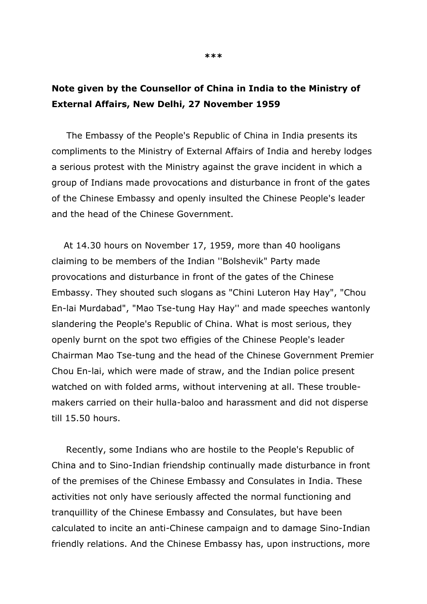## **Note given by the Counsellor of China in India to the Ministry of External Affairs, New Delhi, 27 November 1959**

The Embassy of the People's Republic of China in India presents its compliments to the Ministry of External Affairs of India and hereby lodges a serious protest with the Ministry against the grave incident in which a group of Indians made provocations and disturbance in front of the gates of the Chinese Embassy and openly insulted the Chinese People's leader and the head of the Chinese Government.

At 14.30 hours on November 17, 1959, more than 40 hooligans claiming to be members of the Indian ''Bolshevik" Party made provocations and disturbance in front of the gates of the Chinese Embassy. They shouted such slogans as "Chini Luteron Hay Hay", "Chou En-lai Murdabad", "Mao Tse-tung Hay Hay'' and made speeches wantonly slandering the People's Republic of China. What is most serious, they openly burnt on the spot two effigies of the Chinese People's leader Chairman Mao Tse-tung and the head of the Chinese Government Premier Chou En-lai, which were made of straw, and the Indian police present watched on with folded arms, without intervening at all. These troublemakers carried on their hulla-baloo and harassment and did not disperse till 15.50 hours.

Recently, some Indians who are hostile to the People's Republic of China and to Sino-Indian friendship continually made disturbance in front of the premises of the Chinese Embassy and Consulates in India. These activities not only have seriously affected the normal functioning and tranquillity of the Chinese Embassy and Consulates, but have been calculated to incite an anti-Chinese campaign and to damage Sino-Indian friendly relations. And the Chinese Embassy has, upon instructions, more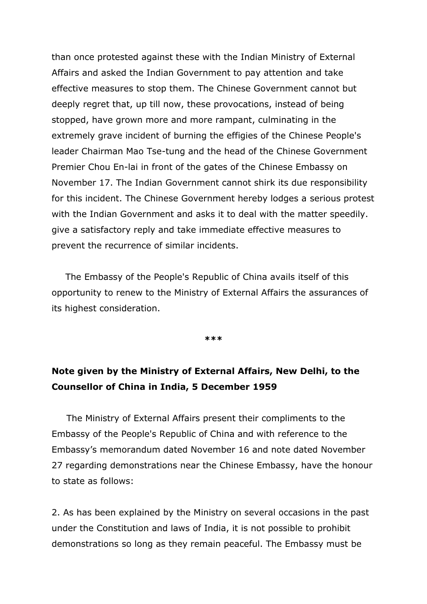than once protested against these with the Indian Ministry of External Affairs and asked the Indian Government to pay attention and take effective measures to stop them. The Chinese Government cannot but deeply regret that, up till now, these provocations, instead of being stopped, have grown more and more rampant, culminating in the extremely grave incident of burning the effigies of the Chinese People's leader Chairman Mao Tse-tung and the head of the Chinese Government Premier Chou En-lai in front of the gates of the Chinese Embassy on November 17. The Indian Government cannot shirk its due responsibility for this incident. The Chinese Government hereby lodges a serious protest with the Indian Government and asks it to deal with the matter speedily. give a satisfactory reply and take immediate effective measures to prevent the recurrence of similar incidents.

The Embassy of the People's Republic of China avails itself of this opportunity to renew to the Ministry of External Affairs the assurances of its highest consideration.

**\*\*\***

## **Note given by the Ministry of External Affairs, New Delhi, to the Counsellor of China in India, 5 December 1959**

The Ministry of External Affairs present their compliments to the Embassy of the People's Republic of China and with reference to the Embassy's memorandum dated November 16 and note dated November 27 regarding demonstrations near the Chinese Embassy, have the honour to state as follows:

2. As has been explained by the Ministry on several occasions in the past under the Constitution and laws of India, it is not possible to prohibit demonstrations so long as they remain peaceful. The Embassy must be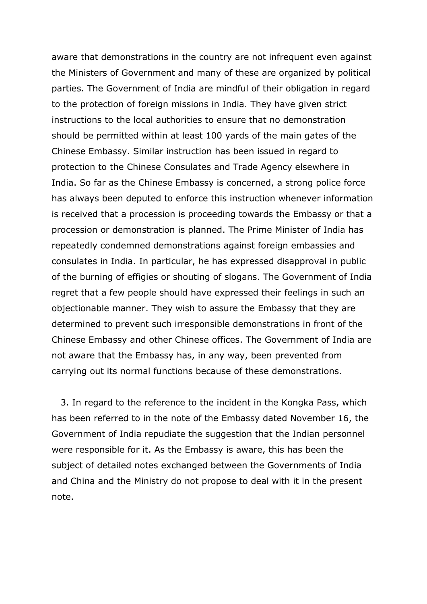aware that demonstrations in the country are not infrequent even against the Ministers of Government and many of these are organized by political parties. The Government of India are mindful of their obligation in regard to the protection of foreign missions in India. They have given strict instructions to the local authorities to ensure that no demonstration should be permitted within at least 100 yards of the main gates of the Chinese Embassy. Similar instruction has been issued in regard to protection to the Chinese Consulates and Trade Agency elsewhere in India. So far as the Chinese Embassy is concerned, a strong police force has always been deputed to enforce this instruction whenever information is received that a procession is proceeding towards the Embassy or that a procession or demonstration is planned. The Prime Minister of India has repeatedly condemned demonstrations against foreign embassies and consulates in India. In particular, he has expressed disapproval in public of the burning of effigies or shouting of slogans. The Government of India regret that a few people should have expressed their feelings in such an objectionable manner. They wish to assure the Embassy that they are determined to prevent such irresponsible demonstrations in front of the Chinese Embassy and other Chinese offices. The Government of India are not aware that the Embassy has, in any way, been prevented from carrying out its normal functions because of these demonstrations.

3. In regard to the reference to the incident in the Kongka Pass, which has been referred to in the note of the Embassy dated November 16, the Government of India repudiate the suggestion that the Indian personnel were responsible for it. As the Embassy is aware, this has been the subject of detailed notes exchanged between the Governments of India and China and the Ministry do not propose to deal with it in the present note.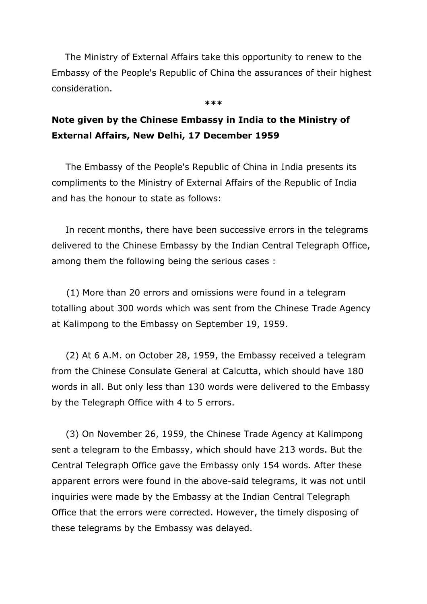The Ministry of External Affairs take this opportunity to renew to the Embassy of the People's Republic of China the assurances of their highest consideration.

**\*\*\***

## **Note given by the Chinese Embassy in India to the Ministry of External Affairs, New Delhi, 17 December 1959**

The Embassy of the People's Republic of China in India presents its compliments to the Ministry of External Affairs of the Republic of India and has the honour to state as follows:

In recent months, there have been successive errors in the telegrams delivered to the Chinese Embassy by the Indian Central Telegraph Office, among them the following being the serious cases :

(1) More than 20 errors and omissions were found in a telegram totalling about 300 words which was sent from the Chinese Trade Agency at Kalimpong to the Embassy on September 19, 1959.

(2) At 6 A.M. on October 28, 1959, the Embassy received a telegram from the Chinese Consulate General at Calcutta, which should have 180 words in all. But only less than 130 words were delivered to the Embassy by the Telegraph Office with 4 to 5 errors.

(3) On November 26, 1959, the Chinese Trade Agency at Kalimpong sent a telegram to the Embassy, which should have 213 words. But the Central Telegraph Office gave the Embassy only 154 words. After these apparent errors were found in the above-said telegrams, it was not until inquiries were made by the Embassy at the Indian Central Telegraph Office that the errors were corrected. However, the timely disposing of these telegrams by the Embassy was delayed.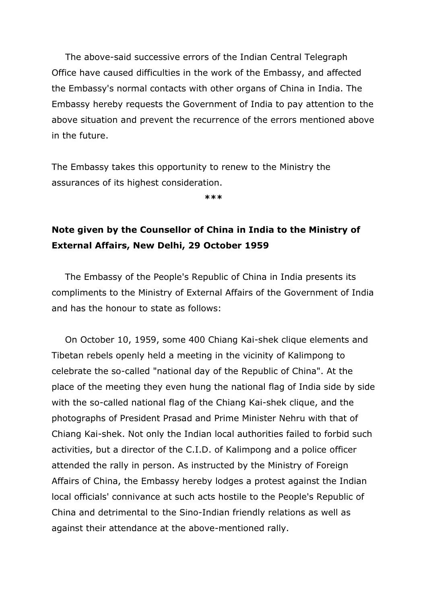The above-said successive errors of the Indian Central Telegraph Office have caused difficulties in the work of the Embassy, and affected the Embassy's normal contacts with other organs of China in India. The Embassy hereby requests the Government of India to pay attention to the above situation and prevent the recurrence of the errors mentioned above in the future.

The Embassy takes this opportunity to renew to the Ministry the assurances of its highest consideration.

**\*\*\***

## **Note given by the Counsellor of China in India to the Ministry of External Affairs, New Delhi, 29 October 1959**

The Embassy of the People's Republic of China in India presents its compliments to the Ministry of External Affairs of the Government of India and has the honour to state as follows:

On October 10, 1959, some 400 Chiang Kai-shek clique elements and Tibetan rebels openly held a meeting in the vicinity of Kalimpong to celebrate the so-called "national day of the Republic of China". At the place of the meeting they even hung the national flag of India side by side with the so-called national flag of the Chiang Kai-shek clique, and the photographs of President Prasad and Prime Minister Nehru with that of Chiang Kai-shek. Not only the Indian local authorities failed to forbid such activities, but a director of the C.I.D. of Kalimpong and a police officer attended the rally in person. As instructed by the Ministry of Foreign Affairs of China, the Embassy hereby lodges a protest against the Indian local officials' connivance at such acts hostile to the People's Republic of China and detrimental to the Sino-Indian friendly relations as well as against their attendance at the above-mentioned rally.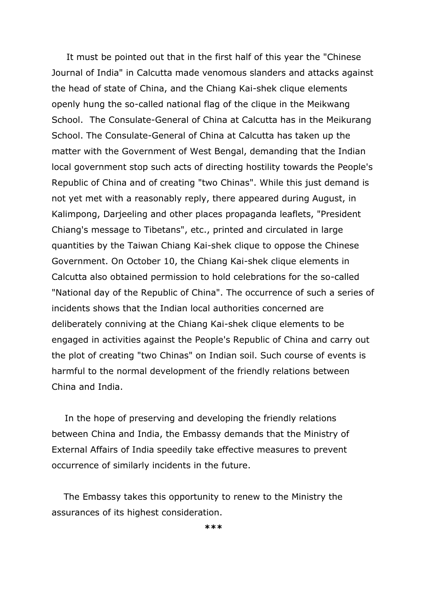It must be pointed out that in the first half of this year the "Chinese Journal of India" in Calcutta made venomous slanders and attacks against the head of state of China, and the Chiang Kai-shek clique elements openly hung the so-called national flag of the clique in the Meikwang School. The Consulate-General of China at Calcutta has in the Meikurang School. The Consulate-General of China at Calcutta has taken up the matter with the Government of West Bengal, demanding that the Indian local government stop such acts of directing hostility towards the People's Republic of China and of creating "two Chinas". While this just demand is not yet met with a reasonably reply, there appeared during August, in Kalimpong, Darjeeling and other places propaganda leaflets, "President Chiang's message to Tibetans", etc., printed and circulated in large quantities by the Taiwan Chiang Kai-shek clique to oppose the Chinese Government. On October 10, the Chiang Kai-shek clique elements in Calcutta also obtained permission to hold celebrations for the so-called "National day of the Republic of China". The occurrence of such a series of incidents shows that the Indian local authorities concerned are deliberately conniving at the Chiang Kai-shek clique elements to be engaged in activities against the People's Republic of China and carry out the plot of creating "two Chinas" on Indian soil. Such course of events is harmful to the normal development of the friendly relations between China and India.

In the hope of preserving and developing the friendly relations between China and India, the Embassy demands that the Ministry of External Affairs of India speedily take effective measures to prevent occurrence of similarly incidents in the future.

The Embassy takes this opportunity to renew to the Ministry the assurances of its highest consideration.

**\*\*\***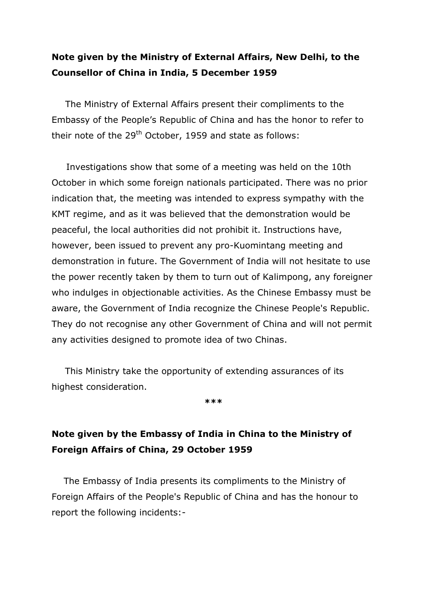#### **Note given by the Ministry of External Affairs, New Delhi, to the Counsellor of China in India, 5 December 1959**

The Ministry of External Affairs present their compliments to the Embassy of the People's Republic of China and has the honor to refer to their note of the  $29<sup>th</sup>$  October, 1959 and state as follows:

Investigations show that some of a meeting was held on the 10th October in which some foreign nationals participated. There was no prior indication that, the meeting was intended to express sympathy with the KMT regime, and as it was believed that the demonstration would be peaceful, the local authorities did not prohibit it. Instructions have, however, been issued to prevent any pro-Kuomintang meeting and demonstration in future. The Government of India will not hesitate to use the power recently taken by them to turn out of Kalimpong, any foreigner who indulges in objectionable activities. As the Chinese Embassy must be aware, the Government of India recognize the Chinese People's Republic. They do not recognise any other Government of China and will not permit any activities designed to promote idea of two Chinas.

This Ministry take the opportunity of extending assurances of its highest consideration.

**\*\*\***

## **Note given by the Embassy of India in China to the Ministry of Foreign Affairs of China, 29 October 1959**

The Embassy of India presents its compliments to the Ministry of Foreign Affairs of the People's Republic of China and has the honour to report the following incidents:-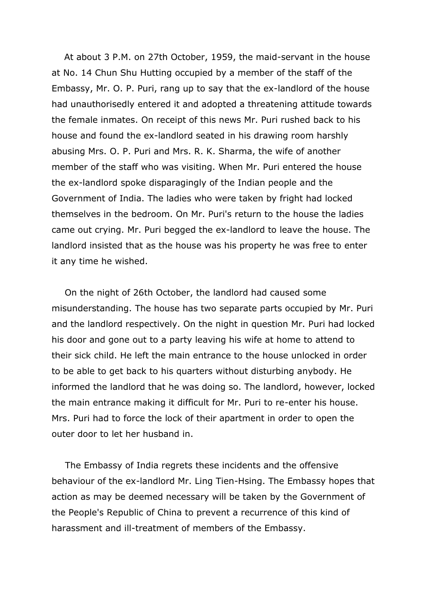At about 3 P.M. on 27th October, 1959, the maid-servant in the house at No. 14 Chun Shu Hutting occupied by a member of the staff of the Embassy, Mr. O. P. Puri, rang up to say that the ex-landlord of the house had unauthorisedly entered it and adopted a threatening attitude towards the female inmates. On receipt of this news Mr. Puri rushed back to his house and found the ex-landlord seated in his drawing room harshly abusing Mrs. O. P. Puri and Mrs. R. K. Sharma, the wife of another member of the staff who was visiting. When Mr. Puri entered the house the ex-landlord spoke disparagingly of the Indian people and the Government of India. The ladies who were taken by fright had locked themselves in the bedroom. On Mr. Puri's return to the house the ladies came out crying. Mr. Puri begged the ex-landlord to leave the house. The landlord insisted that as the house was his property he was free to enter it any time he wished.

On the night of 26th October, the landlord had caused some misunderstanding. The house has two separate parts occupied by Mr. Puri and the landlord respectively. On the night in question Mr. Puri had locked his door and gone out to a party leaving his wife at home to attend to their sick child. He left the main entrance to the house unlocked in order to be able to get back to his quarters without disturbing anybody. He informed the landlord that he was doing so. The landlord, however, locked the main entrance making it difficult for Mr. Puri to re-enter his house. Mrs. Puri had to force the lock of their apartment in order to open the outer door to let her husband in.

The Embassy of India regrets these incidents and the offensive behaviour of the ex-landlord Mr. Ling Tien-Hsing. The Embassy hopes that action as may be deemed necessary will be taken by the Government of the People's Republic of China to prevent a recurrence of this kind of harassment and ill-treatment of members of the Embassy.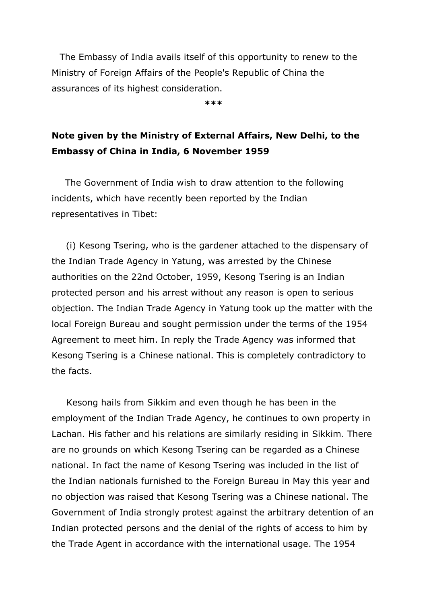The Embassy of India avails itself of this opportunity to renew to the Ministry of Foreign Affairs of the People's Republic of China the assurances of its highest consideration.

**\*\*\***

## **Note given by the Ministry of External Affairs, New Delhi, to the Embassy of China in India, 6 November 1959**

The Government of India wish to draw attention to the following incidents, which have recently been reported by the Indian representatives in Tibet:

(i) Kesong Tsering, who is the gardener attached to the dispensary of the Indian Trade Agency in Yatung, was arrested by the Chinese authorities on the 22nd October, 1959, Kesong Tsering is an Indian protected person and his arrest without any reason is open to serious objection. The Indian Trade Agency in Yatung took up the matter with the local Foreign Bureau and sought permission under the terms of the 1954 Agreement to meet him. In reply the Trade Agency was informed that Kesong Tsering is a Chinese national. This is completely contradictory to the facts.

Kesong hails from Sikkim and even though he has been in the employment of the Indian Trade Agency, he continues to own property in Lachan. His father and his relations are similarly residing in Sikkim. There are no grounds on which Kesong Tsering can be regarded as a Chinese national. In fact the name of Kesong Tsering was included in the list of the Indian nationals furnished to the Foreign Bureau in May this year and no objection was raised that Kesong Tsering was a Chinese national. The Government of India strongly protest against the arbitrary detention of an Indian protected persons and the denial of the rights of access to him by the Trade Agent in accordance with the international usage. The 1954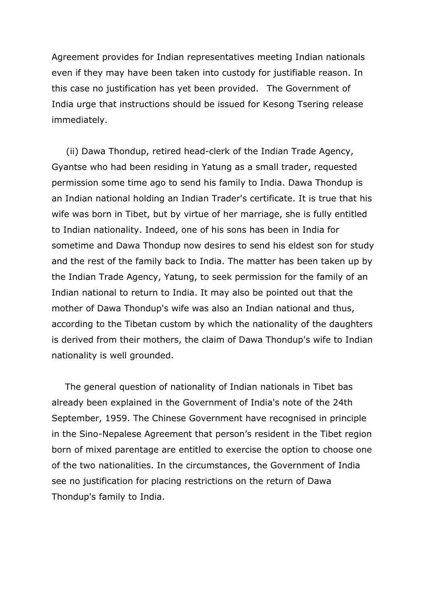Agreement provides for Indian representatives meeting Indian nationals even if they may have been taken into custody for justifiable reason. In this case no justification has yet been provided. The Government of India urge that instructions should be issued for Kesong Tsering release immediately.

(ii) Dawa Thondup, retired head-clerk of the Indian Trade Agency, Gyantse who had been residing in Yatung as a small trader, requested permission some time ago to send his family to India. Dawa Thondup is an Indian national holding an Indian Trader's certificate. It is true that his wife was born in Tibet, but by virtue of her marriage, she is fully entitled to Indian nationality. Indeed, one of his sons has been in India for sometime and Dawa Thondup now desires to send his eldest son for study and the rest of the family back to India. The matter has been taken up by the Indian Trade Agency, Yatung, to seek permission for the family of an Indian national to return to India. It may also be pointed out that the mother of Dawa Thondup's wife was also an Indian national and thus, according to the Tibetan custom by which the nationality of the daughters is derived from their mothers, the claim of Dawa Thondup's wife to Indian nationality is well grounded.

The general question of nationality of Indian nationals in Tibet bas already been explained in the Government of India's note of the 24th September, 1959. The Chinese Government have recognised in principle in the Sino-Nepalese Agreement that person's resident in the Tibet region born of mixed parentage are entitled to exercise the option to choose one of the two nationalities. In the circumstances, the Government of India see no justification for placing restrictions on the return of Dawa Thondup's family to India.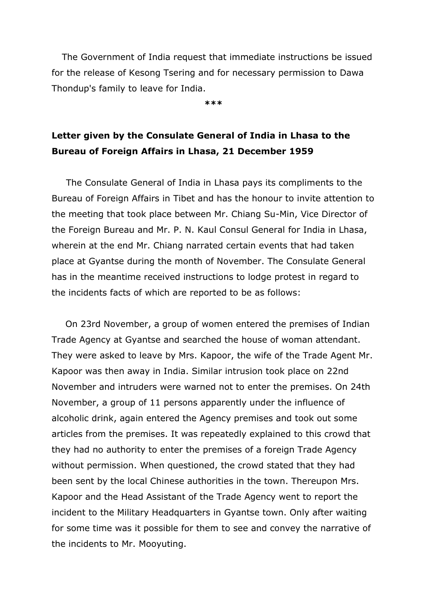The Government of India request that immediate instructions be issued for the release of Kesong Tsering and for necessary permission to Dawa Thondup's family to leave for India.

**\*\*\***

## **Letter given by the Consulate General of India in Lhasa to the Bureau of Foreign Affairs in Lhasa, 21 December 1959**

The Consulate General of India in Lhasa pays its compliments to the Bureau of Foreign Affairs in Tibet and has the honour to invite attention to the meeting that took place between Mr. Chiang Su-Min, Vice Director of the Foreign Bureau and Mr. P. N. Kaul Consul General for India in Lhasa, wherein at the end Mr. Chiang narrated certain events that had taken place at Gyantse during the month of November. The Consulate General has in the meantime received instructions to lodge protest in regard to the incidents facts of which are reported to be as follows:

On 23rd November, a group of women entered the premises of Indian Trade Agency at Gyantse and searched the house of woman attendant. They were asked to leave by Mrs. Kapoor, the wife of the Trade Agent Mr. Kapoor was then away in India. Similar intrusion took place on 22nd November and intruders were warned not to enter the premises. On 24th November, a group of 11 persons apparently under the influence of alcoholic drink, again entered the Agency premises and took out some articles from the premises. It was repeatedly explained to this crowd that they had no authority to enter the premises of a foreign Trade Agency without permission. When questioned, the crowd stated that they had been sent by the local Chinese authorities in the town. Thereupon Mrs. Kapoor and the Head Assistant of the Trade Agency went to report the incident to the Military Headquarters in Gyantse town. Only after waiting for some time was it possible for them to see and convey the narrative of the incidents to Mr. Mooyuting.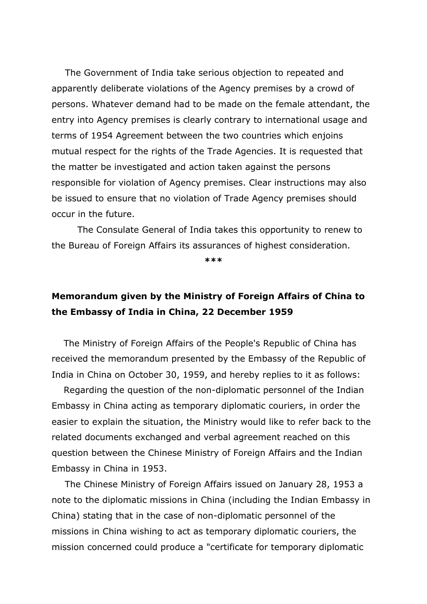The Government of India take serious objection to repeated and apparently deliberate violations of the Agency premises by a crowd of persons. Whatever demand had to be made on the female attendant, the entry into Agency premises is clearly contrary to international usage and terms of 1954 Agreement between the two countries which enjoins mutual respect for the rights of the Trade Agencies. It is requested that the matter be investigated and action taken against the persons responsible for violation of Agency premises. Clear instructions may also be issued to ensure that no violation of Trade Agency premises should occur in the future.

The Consulate General of India takes this opportunity to renew to the Bureau of Foreign Affairs its assurances of highest consideration.

**\*\*\***

## **Memorandum given by the Ministry of Foreign Affairs of China to the Embassy of India in China, 22 December 1959**

The Ministry of Foreign Affairs of the People's Republic of China has received the memorandum presented by the Embassy of the Republic of India in China on October 30, 1959, and hereby replies to it as follows:

Regarding the question of the non-diplomatic personnel of the Indian Embassy in China acting as temporary diplomatic couriers, in order the easier to explain the situation, the Ministry would like to refer back to the related documents exchanged and verbal agreement reached on this question between the Chinese Ministry of Foreign Affairs and the Indian Embassy in China in 1953.

The Chinese Ministry of Foreign Affairs issued on January 28, 1953 a note to the diplomatic missions in China (including the Indian Embassy in China) stating that in the case of non-diplomatic personnel of the missions in China wishing to act as temporary diplomatic couriers, the mission concerned could produce a "certificate for temporary diplomatic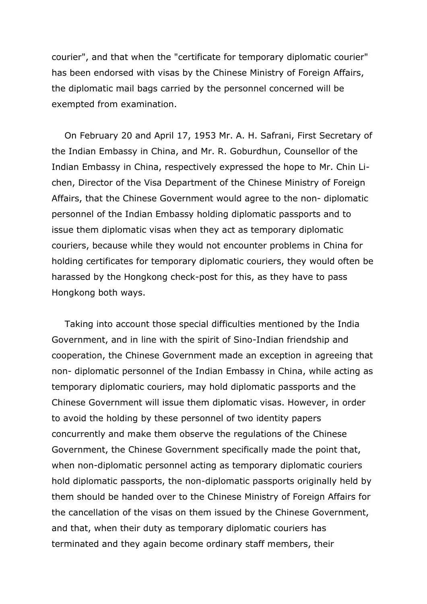courier", and that when the "certificate for temporary diplomatic courier" has been endorsed with visas by the Chinese Ministry of Foreign Affairs, the diplomatic mail bags carried by the personnel concerned will be exempted from examination.

On February 20 and April 17, 1953 Mr. A. H. Safrani, First Secretary of the Indian Embassy in China, and Mr. R. Goburdhun, Counsellor of the Indian Embassy in China, respectively expressed the hope to Mr. Chin Lichen, Director of the Visa Department of the Chinese Ministry of Foreign Affairs, that the Chinese Government would agree to the non- diplomatic personnel of the Indian Embassy holding diplomatic passports and to issue them diplomatic visas when they act as temporary diplomatic couriers, because while they would not encounter problems in China for holding certificates for temporary diplomatic couriers, they would often be harassed by the Hongkong check-post for this, as they have to pass Hongkong both ways.

Taking into account those special difficulties mentioned by the India Government, and in line with the spirit of Sino-Indian friendship and cooperation, the Chinese Government made an exception in agreeing that non- diplomatic personnel of the Indian Embassy in China, while acting as temporary diplomatic couriers, may hold diplomatic passports and the Chinese Government will issue them diplomatic visas. However, in order to avoid the holding by these personnel of two identity papers concurrently and make them observe the regulations of the Chinese Government, the Chinese Government specifically made the point that, when non-diplomatic personnel acting as temporary diplomatic couriers hold diplomatic passports, the non-diplomatic passports originally held by them should be handed over to the Chinese Ministry of Foreign Affairs for the cancellation of the visas on them issued by the Chinese Government, and that, when their duty as temporary diplomatic couriers has terminated and they again become ordinary staff members, their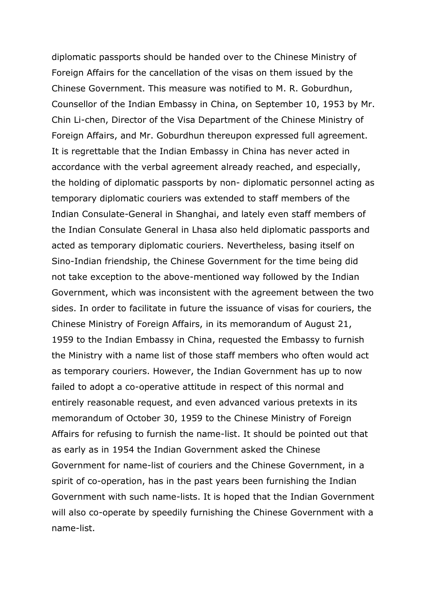diplomatic passports should be handed over to the Chinese Ministry of Foreign Affairs for the cancellation of the visas on them issued by the Chinese Government. This measure was notified to M. R. Goburdhun, Counsellor of the Indian Embassy in China, on September 10, 1953 by Mr. Chin Li-chen, Director of the Visa Department of the Chinese Ministry of Foreign Affairs, and Mr. Goburdhun thereupon expressed full agreement. It is regrettable that the Indian Embassy in China has never acted in accordance with the verbal agreement already reached, and especially, the holding of diplomatic passports by non- diplomatic personnel acting as temporary diplomatic couriers was extended to staff members of the Indian Consulate-General in Shanghai, and lately even staff members of the Indian Consulate General in Lhasa also held diplomatic passports and acted as temporary diplomatic couriers. Nevertheless, basing itself on Sino-Indian friendship, the Chinese Government for the time being did not take exception to the above-mentioned way followed by the Indian Government, which was inconsistent with the agreement between the two sides. In order to facilitate in future the issuance of visas for couriers, the Chinese Ministry of Foreign Affairs, in its memorandum of August 21, 1959 to the Indian Embassy in China, requested the Embassy to furnish the Ministry with a name list of those staff members who often would act as temporary couriers. However, the Indian Government has up to now failed to adopt a co-operative attitude in respect of this normal and entirely reasonable request, and even advanced various pretexts in its memorandum of October 30, 1959 to the Chinese Ministry of Foreign Affairs for refusing to furnish the name-list. It should be pointed out that as early as in 1954 the Indian Government asked the Chinese Government for name-list of couriers and the Chinese Government, in a spirit of co-operation, has in the past years been furnishing the Indian Government with such name-lists. It is hoped that the Indian Government will also co-operate by speedily furnishing the Chinese Government with a name-list.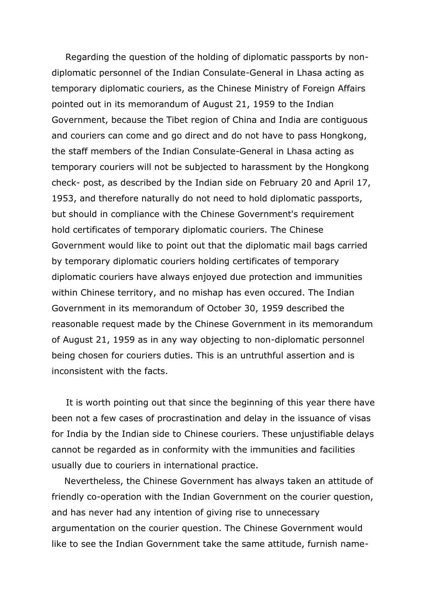Regarding the question of the holding of diplomatic passports by nondiplomatic personnel of the Indian Consulate-General in Lhasa acting as temporary diplomatic couriers, as the Chinese Ministry of Foreign Affairs pointed out in its memorandum of August 21, 1959 to the Indian Government, because the Tibet region of China and India are contiguous and couriers can come and go direct and do not have to pass Hongkong, the staff members of the Indian Consulate-General in Lhasa acting as temporary couriers will not be subjected to harassment by the Hongkong check- post, as described by the Indian side on February 20 and April 17, 1953, and therefore naturally do not need to hold diplomatic passports, but should in compliance with the Chinese Government's requirement hold certificates of temporary diplomatic couriers. The Chinese Government would like to point out that the diplomatic mail bags carried by temporary diplomatic couriers holding certificates of temporary diplomatic couriers have always enjoyed due protection and immunities within Chinese territory, and no mishap has even occured. The Indian Government in its memorandum of October 30, 1959 described the reasonable request made by the Chinese Government in its memorandum of August 21, 1959 as in any way objecting to non-diplomatic personnel being chosen for couriers duties. This is an untruthful assertion and is inconsistent with the facts.

It is worth pointing out that since the beginning of this year there have been not a few cases of procrastination and delay in the issuance of visas for India by the Indian side to Chinese couriers. These unjustifiable delays cannot be regarded as in conformity with the immunities and facilities usually due to couriers in international practice.

Nevertheless, the Chinese Government has always taken an attitude of friendly co-operation with the Indian Government on the courier question, and has never had any intention of giving rise to unnecessary argumentation on the courier question. The Chinese Government would like to see the Indian Government take the same attitude, furnish name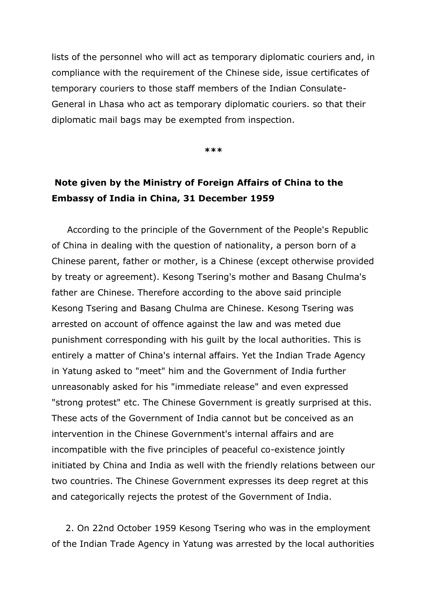lists of the personnel who will act as temporary diplomatic couriers and, in compliance with the requirement of the Chinese side, issue certificates of temporary couriers to those staff members of the Indian Consulate-General in Lhasa who act as temporary diplomatic couriers. so that their diplomatic mail bags may be exempted from inspection.

**\*\*\***

## **Note given by the Ministry of Foreign Affairs of China to the Embassy of India in China, 31 December 1959**

According to the principle of the Government of the People's Republic of China in dealing with the question of nationality, a person born of a Chinese parent, father or mother, is a Chinese (except otherwise provided by treaty or agreement). Kesong Tsering's mother and Basang Chulma's father are Chinese. Therefore according to the above said principle Kesong Tsering and Basang Chulma are Chinese. Kesong Tsering was arrested on account of offence against the law and was meted due punishment corresponding with his guilt by the local authorities. This is entirely a matter of China's internal affairs. Yet the Indian Trade Agency in Yatung asked to "meet" him and the Government of India further unreasonably asked for his "immediate release" and even expressed "strong protest" etc. The Chinese Government is greatly surprised at this. These acts of the Government of India cannot but be conceived as an intervention in the Chinese Government's internal affairs and are incompatible with the five principles of peaceful co-existence jointly initiated by China and India as well with the friendly relations between our two countries. The Chinese Government expresses its deep regret at this and categorically rejects the protest of the Government of India.

2. On 22nd October 1959 Kesong Tsering who was in the employment of the Indian Trade Agency in Yatung was arrested by the local authorities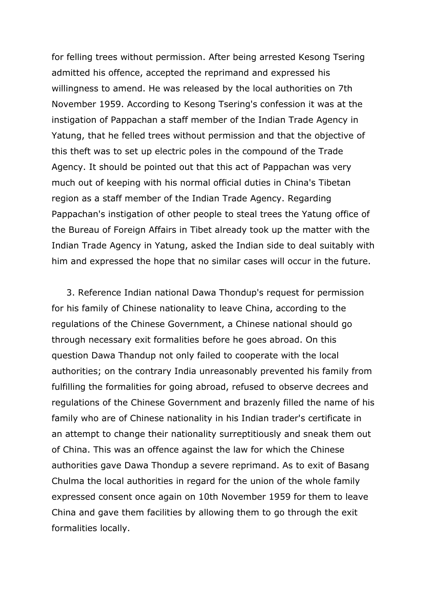for felling trees without permission. After being arrested Kesong Tsering admitted his offence, accepted the reprimand and expressed his willingness to amend. He was released by the local authorities on 7th November 1959. According to Kesong Tsering's confession it was at the instigation of Pappachan a staff member of the Indian Trade Agency in Yatung, that he felled trees without permission and that the objective of this theft was to set up electric poles in the compound of the Trade Agency. It should be pointed out that this act of Pappachan was very much out of keeping with his normal official duties in China's Tibetan region as a staff member of the Indian Trade Agency. Regarding Pappachan's instigation of other people to steal trees the Yatung office of the Bureau of Foreign Affairs in Tibet already took up the matter with the Indian Trade Agency in Yatung, asked the Indian side to deal suitably with him and expressed the hope that no similar cases will occur in the future.

3. Reference Indian national Dawa Thondup's request for permission for his family of Chinese nationality to leave China, according to the regulations of the Chinese Government, a Chinese national should go through necessary exit formalities before he goes abroad. On this question Dawa Thandup not only failed to cooperate with the local authorities; on the contrary India unreasonably prevented his family from fulfilling the formalities for going abroad, refused to observe decrees and regulations of the Chinese Government and brazenly filled the name of his family who are of Chinese nationality in his Indian trader's certificate in an attempt to change their nationality surreptitiously and sneak them out of China. This was an offence against the law for which the Chinese authorities gave Dawa Thondup a severe reprimand. As to exit of Basang Chulma the local authorities in regard for the union of the whole family expressed consent once again on 10th November 1959 for them to leave China and gave them facilities by allowing them to go through the exit formalities locally.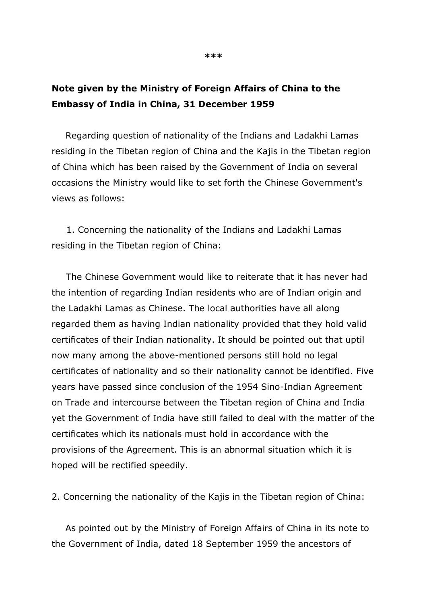## **Note given by the Ministry of Foreign Affairs of China to the Embassy of India in China, 31 December 1959**

Regarding question of nationality of the Indians and Ladakhi Lamas residing in the Tibetan region of China and the Kajis in the Tibetan region of China which has been raised by the Government of India on several occasions the Ministry would like to set forth the Chinese Government's views as follows:

1. Concerning the nationality of the Indians and Ladakhi Lamas residing in the Tibetan region of China:

The Chinese Government would like to reiterate that it has never had the intention of regarding Indian residents who are of Indian origin and the Ladakhi Lamas as Chinese. The local authorities have all along regarded them as having Indian nationality provided that they hold valid certificates of their Indian nationality. It should be pointed out that uptil now many among the above-mentioned persons still hold no legal certificates of nationality and so their nationality cannot be identified. Five years have passed since conclusion of the 1954 Sino-Indian Agreement on Trade and intercourse between the Tibetan region of China and India yet the Government of India have still failed to deal with the matter of the certificates which its nationals must hold in accordance with the provisions of the Agreement. This is an abnormal situation which it is hoped will be rectified speedily.

2. Concerning the nationality of the Kajis in the Tibetan region of China:

As pointed out by the Ministry of Foreign Affairs of China in its note to the Government of India, dated 18 September 1959 the ancestors of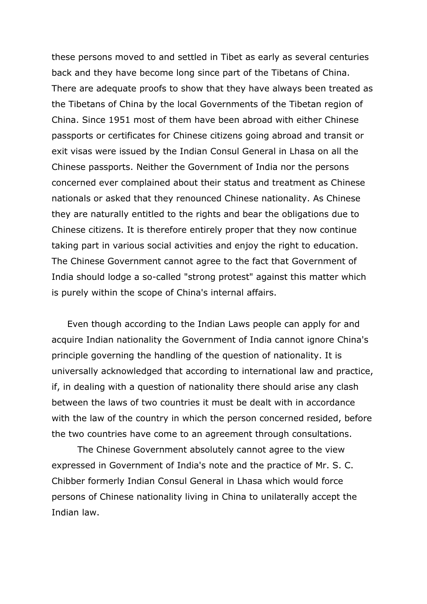these persons moved to and settled in Tibet as early as several centuries back and they have become long since part of the Tibetans of China. There are adequate proofs to show that they have always been treated as the Tibetans of China by the local Governments of the Tibetan region of China. Since 1951 most of them have been abroad with either Chinese passports or certificates for Chinese citizens going abroad and transit or exit visas were issued by the Indian Consul General in Lhasa on all the Chinese passports. Neither the Government of India nor the persons concerned ever complained about their status and treatment as Chinese nationals or asked that they renounced Chinese nationality. As Chinese they are naturally entitled to the rights and bear the obligations due to Chinese citizens. It is therefore entirely proper that they now continue taking part in various social activities and enjoy the right to education. The Chinese Government cannot agree to the fact that Government of India should lodge a so-called "strong protest" against this matter which is purely within the scope of China's internal affairs.

Even though according to the Indian Laws people can apply for and acquire Indian nationality the Government of India cannot ignore China's principle governing the handling of the question of nationality. It is universally acknowledged that according to international law and practice, if, in dealing with a question of nationality there should arise any clash between the laws of two countries it must be dealt with in accordance with the law of the country in which the person concerned resided, before the two countries have come to an agreement through consultations.

The Chinese Government absolutely cannot agree to the view expressed in Government of India's note and the practice of Mr. S. C. Chibber formerly Indian Consul General in Lhasa which would force persons of Chinese nationality living in China to unilaterally accept the Indian law.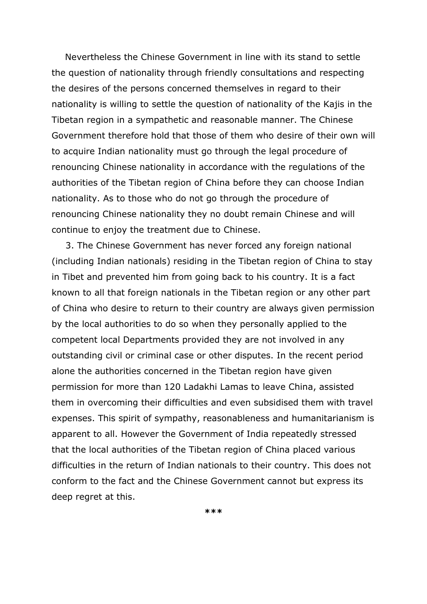Nevertheless the Chinese Government in line with its stand to settle the question of nationality through friendly consultations and respecting the desires of the persons concerned themselves in regard to their nationality is willing to settle the question of nationality of the Kajis in the Tibetan region in a sympathetic and reasonable manner. The Chinese Government therefore hold that those of them who desire of their own will to acquire Indian nationality must go through the legal procedure of renouncing Chinese nationality in accordance with the regulations of the authorities of the Tibetan region of China before they can choose Indian nationality. As to those who do not go through the procedure of renouncing Chinese nationality they no doubt remain Chinese and will continue to enjoy the treatment due to Chinese.

3. The Chinese Government has never forced any foreign national (including Indian nationals) residing in the Tibetan region of China to stay in Tibet and prevented him from going back to his country. It is a fact known to all that foreign nationals in the Tibetan region or any other part of China who desire to return to their country are always given permission by the local authorities to do so when they personally applied to the competent local Departments provided they are not involved in any outstanding civil or criminal case or other disputes. In the recent period alone the authorities concerned in the Tibetan region have given permission for more than 120 Ladakhi Lamas to leave China, assisted them in overcoming their difficulties and even subsidised them with travel expenses. This spirit of sympathy, reasonableness and humanitarianism is apparent to all. However the Government of India repeatedly stressed that the local authorities of the Tibetan region of China placed various difficulties in the return of Indian nationals to their country. This does not conform to the fact and the Chinese Government cannot but express its deep regret at this.

**\*\*\***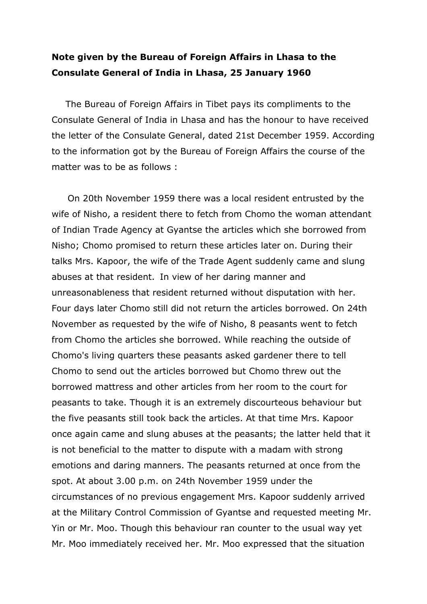#### **Note given by the Bureau of Foreign Affairs in Lhasa to the Consulate General of India in Lhasa, 25 January 1960**

The Bureau of Foreign Affairs in Tibet pays its compliments to the Consulate General of India in Lhasa and has the honour to have received the letter of the Consulate General, dated 21st December 1959. According to the information got by the Bureau of Foreign Affairs the course of the matter was to be as follows :

On 20th November 1959 there was a local resident entrusted by the wife of Nisho, a resident there to fetch from Chomo the woman attendant of Indian Trade Agency at Gyantse the articles which she borrowed from Nisho; Chomo promised to return these articles later on. During their talks Mrs. Kapoor, the wife of the Trade Agent suddenly came and slung abuses at that resident. In view of her daring manner and unreasonableness that resident returned without disputation with her. Four days later Chomo still did not return the articles borrowed. On 24th November as requested by the wife of Nisho, 8 peasants went to fetch from Chomo the articles she borrowed. While reaching the outside of Chomo's living quarters these peasants asked gardener there to tell Chomo to send out the articles borrowed but Chomo threw out the borrowed mattress and other articles from her room to the court for peasants to take. Though it is an extremely discourteous behaviour but the five peasants still took back the articles. At that time Mrs. Kapoor once again came and slung abuses at the peasants; the latter held that it is not beneficial to the matter to dispute with a madam with strong emotions and daring manners. The peasants returned at once from the spot. At about 3.00 p.m. on 24th November 1959 under the circumstances of no previous engagement Mrs. Kapoor suddenly arrived at the Military Control Commission of Gyantse and requested meeting Mr. Yin or Mr. Moo. Though this behaviour ran counter to the usual way yet Mr. Moo immediately received her. Mr. Moo expressed that the situation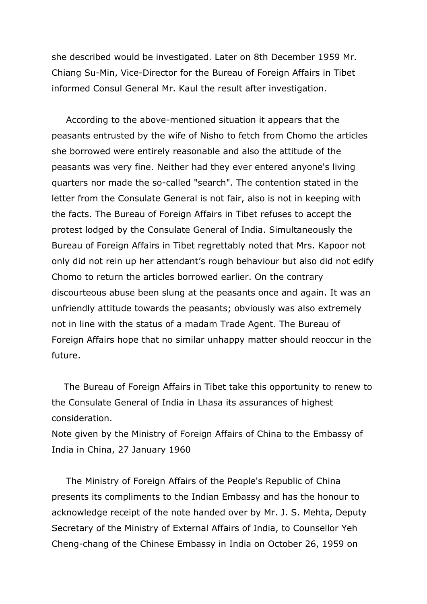she described would be investigated. Later on 8th December 1959 Mr. Chiang Su-Min, Vice-Director for the Bureau of Foreign Affairs in Tibet informed Consul General Mr. Kaul the result after investigation.

According to the above-mentioned situation it appears that the peasants entrusted by the wife of Nisho to fetch from Chomo the articles she borrowed were entirely reasonable and also the attitude of the peasants was very fine. Neither had they ever entered anyone's living quarters nor made the so-called "search". The contention stated in the letter from the Consulate General is not fair, also is not in keeping with the facts. The Bureau of Foreign Affairs in Tibet refuses to accept the protest lodged by the Consulate General of India. Simultaneously the Bureau of Foreign Affairs in Tibet regrettably noted that Mrs. Kapoor not only did not rein up her attendant's rough behaviour but also did not edify Chomo to return the articles borrowed earlier. On the contrary discourteous abuse been slung at the peasants once and again. It was an unfriendly attitude towards the peasants; obviously was also extremely not in line with the status of a madam Trade Agent. The Bureau of Foreign Affairs hope that no similar unhappy matter should reoccur in the future.

The Bureau of Foreign Affairs in Tibet take this opportunity to renew to the Consulate General of India in Lhasa its assurances of highest consideration.

Note given by the Ministry of Foreign Affairs of China to the Embassy of India in China, 27 January 1960

The Ministry of Foreign Affairs of the People's Republic of China presents its compliments to the Indian Embassy and has the honour to acknowledge receipt of the note handed over by Mr. J. S. Mehta, Deputy Secretary of the Ministry of External Affairs of India, to Counsellor Yeh Cheng-chang of the Chinese Embassy in India on October 26, 1959 on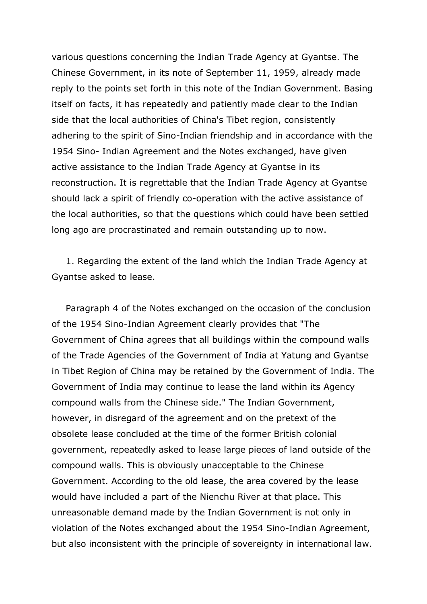various questions concerning the Indian Trade Agency at Gyantse. The Chinese Government, in its note of September 11, 1959, already made reply to the points set forth in this note of the Indian Government. Basing itself on facts, it has repeatedly and patiently made clear to the Indian side that the local authorities of China's Tibet region, consistently adhering to the spirit of Sino-Indian friendship and in accordance with the 1954 Sino- Indian Agreement and the Notes exchanged, have given active assistance to the Indian Trade Agency at Gyantse in its reconstruction. It is regrettable that the Indian Trade Agency at Gyantse should lack a spirit of friendly co-operation with the active assistance of the local authorities, so that the questions which could have been settled long ago are procrastinated and remain outstanding up to now.

1. Regarding the extent of the land which the Indian Trade Agency at Gyantse asked to lease.

Paragraph 4 of the Notes exchanged on the occasion of the conclusion of the 1954 Sino-Indian Agreement clearly provides that "The Government of China agrees that all buildings within the compound walls of the Trade Agencies of the Government of India at Yatung and Gyantse in Tibet Region of China may be retained by the Government of India. The Government of India may continue to lease the land within its Agency compound walls from the Chinese side." The Indian Government, however, in disregard of the agreement and on the pretext of the obsolete lease concluded at the time of the former British colonial government, repeatedly asked to lease large pieces of land outside of the compound walls. This is obviously unacceptable to the Chinese Government. According to the old lease, the area covered by the lease would have included a part of the Nienchu River at that place. This unreasonable demand made by the Indian Government is not only in violation of the Notes exchanged about the 1954 Sino-Indian Agreement, but also inconsistent with the principle of sovereignty in international law.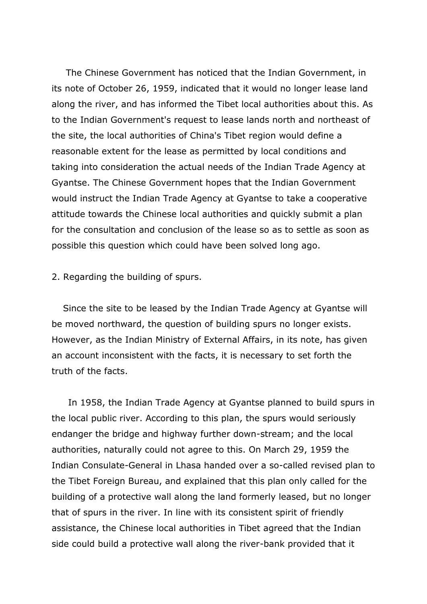The Chinese Government has noticed that the Indian Government, in its note of October 26, 1959, indicated that it would no longer lease land along the river, and has informed the Tibet local authorities about this. As to the Indian Government's request to lease lands north and northeast of the site, the local authorities of China's Tibet region would define a reasonable extent for the lease as permitted by local conditions and taking into consideration the actual needs of the Indian Trade Agency at Gyantse. The Chinese Government hopes that the Indian Government would instruct the Indian Trade Agency at Gyantse to take a cooperative attitude towards the Chinese local authorities and quickly submit a plan for the consultation and conclusion of the lease so as to settle as soon as possible this question which could have been solved long ago.

2. Regarding the building of spurs.

Since the site to be leased by the Indian Trade Agency at Gyantse will be moved northward, the question of building spurs no longer exists. However, as the Indian Ministry of External Affairs, in its note, has given an account inconsistent with the facts, it is necessary to set forth the truth of the facts.

In 1958, the Indian Trade Agency at Gyantse planned to build spurs in the local public river. According to this plan, the spurs would seriously endanger the bridge and highway further down-stream; and the local authorities, naturally could not agree to this. On March 29, 1959 the Indian Consulate-General in Lhasa handed over a so-called revised plan to the Tibet Foreign Bureau, and explained that this plan only called for the building of a protective wall along the land formerly leased, but no longer that of spurs in the river. In line with its consistent spirit of friendly assistance, the Chinese local authorities in Tibet agreed that the Indian side could build a protective wall along the river-bank provided that it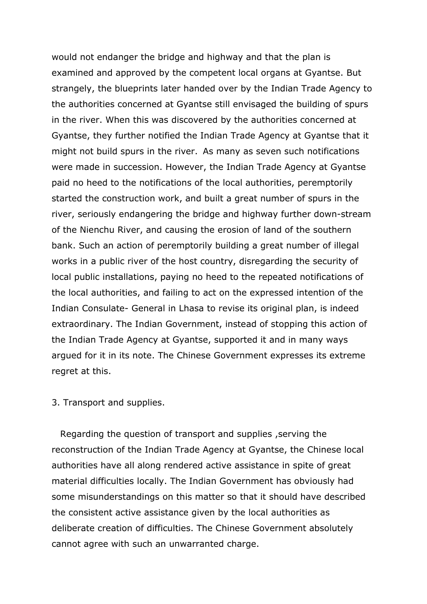would not endanger the bridge and highway and that the plan is examined and approved by the competent local organs at Gyantse. But strangely, the blueprints later handed over by the Indian Trade Agency to the authorities concerned at Gyantse still envisaged the building of spurs in the river. When this was discovered by the authorities concerned at Gyantse, they further notified the Indian Trade Agency at Gyantse that it might not build spurs in the river. As many as seven such notifications were made in succession. However, the Indian Trade Agency at Gyantse paid no heed to the notifications of the local authorities, peremptorily started the construction work, and built a great number of spurs in the river, seriously endangering the bridge and highway further down-stream of the Nienchu River, and causing the erosion of land of the southern bank. Such an action of peremptorily building a great number of illegal works in a public river of the host country, disregarding the security of local public installations, paying no heed to the repeated notifications of the local authorities, and failing to act on the expressed intention of the Indian Consulate- General in Lhasa to revise its original plan, is indeed extraordinary. The Indian Government, instead of stopping this action of the Indian Trade Agency at Gyantse, supported it and in many ways argued for it in its note. The Chinese Government expresses its extreme regret at this.

#### 3. Transport and supplies.

Regarding the question of transport and supplies ,serving the reconstruction of the Indian Trade Agency at Gyantse, the Chinese local authorities have all along rendered active assistance in spite of great material difficulties locally. The Indian Government has obviously had some misunderstandings on this matter so that it should have described the consistent active assistance given by the local authorities as deliberate creation of difficulties. The Chinese Government absolutely cannot agree with such an unwarranted charge.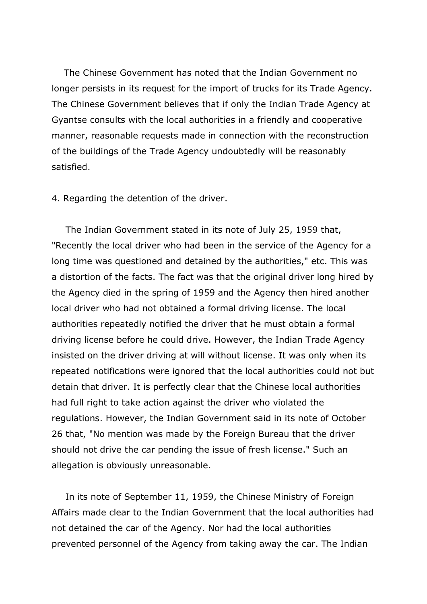The Chinese Government has noted that the Indian Government no longer persists in its request for the import of trucks for its Trade Agency. The Chinese Government believes that if only the Indian Trade Agency at Gyantse consults with the local authorities in a friendly and cooperative manner, reasonable requests made in connection with the reconstruction of the buildings of the Trade Agency undoubtedly will be reasonably satisfied.

4. Regarding the detention of the driver.

The Indian Government stated in its note of July 25, 1959 that, "Recently the local driver who had been in the service of the Agency for a long time was questioned and detained by the authorities," etc. This was a distortion of the facts. The fact was that the original driver long hired by the Agency died in the spring of 1959 and the Agency then hired another local driver who had not obtained a formal driving license. The local authorities repeatedly notified the driver that he must obtain a formal driving license before he could drive. However, the Indian Trade Agency insisted on the driver driving at will without license. It was only when its repeated notifications were ignored that the local authorities could not but detain that driver. It is perfectly clear that the Chinese local authorities had full right to take action against the driver who violated the regulations. However, the Indian Government said in its note of October 26 that, "No mention was made by the Foreign Bureau that the driver should not drive the car pending the issue of fresh license." Such an allegation is obviously unreasonable.

In its note of September 11, 1959, the Chinese Ministry of Foreign Affairs made clear to the Indian Government that the local authorities had not detained the car of the Agency. Nor had the local authorities prevented personnel of the Agency from taking away the car. The Indian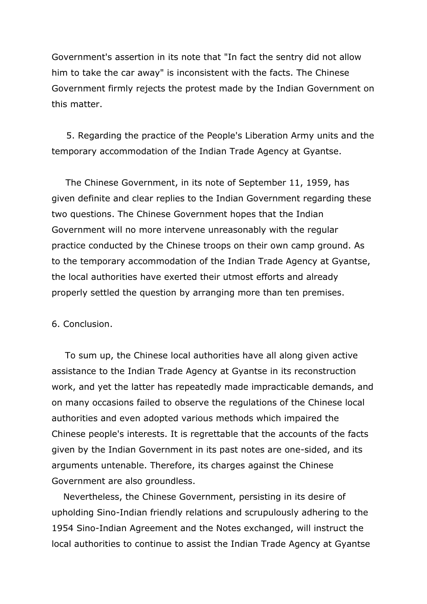Government's assertion in its note that "In fact the sentry did not allow him to take the car away" is inconsistent with the facts. The Chinese Government firmly rejects the protest made by the Indian Government on this matter.

5. Regarding the practice of the People's Liberation Army units and the temporary accommodation of the Indian Trade Agency at Gyantse.

The Chinese Government, in its note of September 11, 1959, has given definite and clear replies to the Indian Government regarding these two questions. The Chinese Government hopes that the Indian Government will no more intervene unreasonably with the regular practice conducted by the Chinese troops on their own camp ground. As to the temporary accommodation of the Indian Trade Agency at Gyantse, the local authorities have exerted their utmost efforts and already properly settled the question by arranging more than ten premises.

6. Conclusion.

To sum up, the Chinese local authorities have all along given active assistance to the Indian Trade Agency at Gyantse in its reconstruction work, and yet the latter has repeatedly made impracticable demands, and on many occasions failed to observe the regulations of the Chinese local authorities and even adopted various methods which impaired the Chinese people's interests. It is regrettable that the accounts of the facts given by the Indian Government in its past notes are one-sided, and its arguments untenable. Therefore, its charges against the Chinese Government are also groundless.

Nevertheless, the Chinese Government, persisting in its desire of upholding Sino-Indian friendly relations and scrupulously adhering to the 1954 Sino-Indian Agreement and the Notes exchanged, will instruct the local authorities to continue to assist the Indian Trade Agency at Gyantse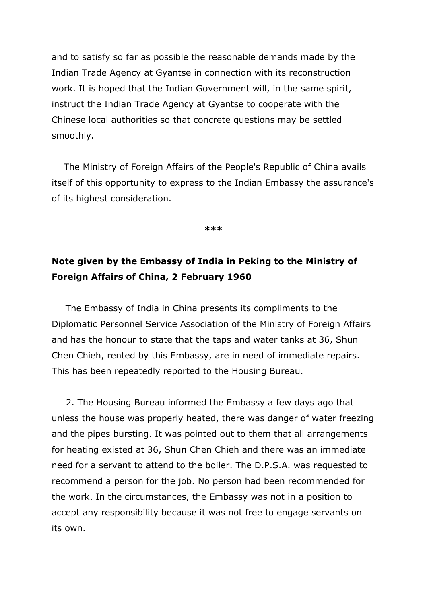and to satisfy so far as possible the reasonable demands made by the Indian Trade Agency at Gyantse in connection with its reconstruction work. It is hoped that the Indian Government will, in the same spirit, instruct the Indian Trade Agency at Gyantse to cooperate with the Chinese local authorities so that concrete questions may be settled smoothly.

The Ministry of Foreign Affairs of the People's Republic of China avails itself of this opportunity to express to the Indian Embassy the assurance's of its highest consideration.

**\*\*\***

## **Note given by the Embassy of India in Peking to the Ministry of Foreign Affairs of China, 2 February 1960**

The Embassy of India in China presents its compliments to the Diplomatic Personnel Service Association of the Ministry of Foreign Affairs and has the honour to state that the taps and water tanks at 36, Shun Chen Chieh, rented by this Embassy, are in need of immediate repairs. This has been repeatedly reported to the Housing Bureau.

2. The Housing Bureau informed the Embassy a few days ago that unless the house was properly heated, there was danger of water freezing and the pipes bursting. It was pointed out to them that all arrangements for heating existed at 36, Shun Chen Chieh and there was an immediate need for a servant to attend to the boiler. The D.P.S.A. was requested to recommend a person for the job. No person had been recommended for the work. In the circumstances, the Embassy was not in a position to accept any responsibility because it was not free to engage servants on its own.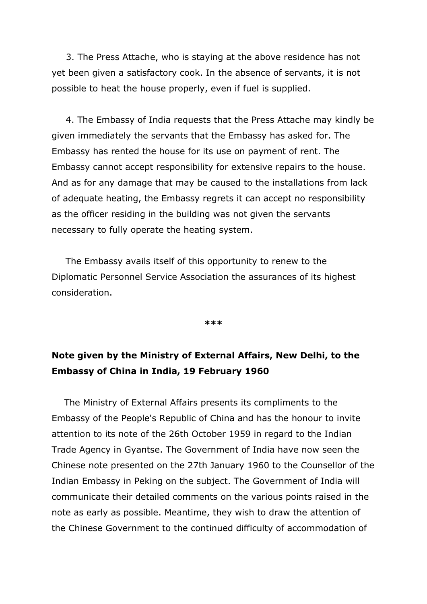3. The Press Attache, who is staying at the above residence has not yet been given a satisfactory cook. In the absence of servants, it is not possible to heat the house properly, even if fuel is supplied.

4. The Embassy of India requests that the Press Attache may kindly be given immediately the servants that the Embassy has asked for. The Embassy has rented the house for its use on payment of rent. The Embassy cannot accept responsibility for extensive repairs to the house. And as for any damage that may be caused to the installations from lack of adequate heating, the Embassy regrets it can accept no responsibility as the officer residing in the building was not given the servants necessary to fully operate the heating system.

The Embassy avails itself of this opportunity to renew to the Diplomatic Personnel Service Association the assurances of its highest consideration.

**\*\*\***

### **Note given by the Ministry of External Affairs, New Delhi, to the Embassy of China in India, 19 February 1960**

The Ministry of External Affairs presents its compliments to the Embassy of the People's Republic of China and has the honour to invite attention to its note of the 26th October 1959 in regard to the Indian Trade Agency in Gyantse. The Government of India have now seen the Chinese note presented on the 27th January 1960 to the Counsellor of the Indian Embassy in Peking on the subject. The Government of India will communicate their detailed comments on the various points raised in the note as early as possible. Meantime, they wish to draw the attention of the Chinese Government to the continued difficulty of accommodation of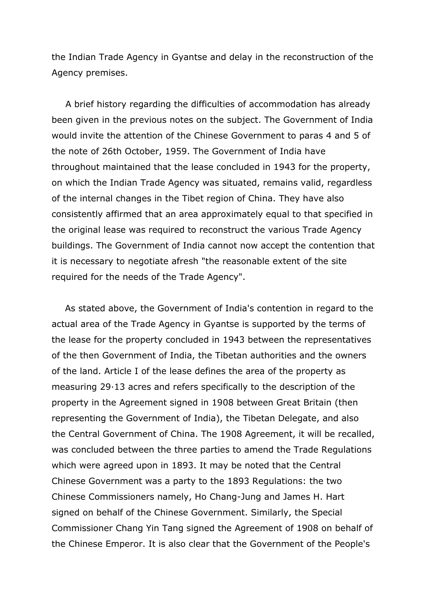the Indian Trade Agency in Gyantse and delay in the reconstruction of the Agency premises.

A brief history regarding the difficulties of accommodation has already been given in the previous notes on the subject. The Government of India would invite the attention of the Chinese Government to paras 4 and 5 of the note of 26th October, 1959. The Government of India have throughout maintained that the lease concluded in 1943 for the property, on which the Indian Trade Agency was situated, remains valid, regardless of the internal changes in the Tibet region of China. They have also consistently affirmed that an area approximately equal to that specified in the original lease was required to reconstruct the various Trade Agency buildings. The Government of India cannot now accept the contention that it is necessary to negotiate afresh "the reasonable extent of the site required for the needs of the Trade Agency".

As stated above, the Government of India's contention in regard to the actual area of the Trade Agency in Gyantse is supported by the terms of the lease for the property concluded in 1943 between the representatives of the then Government of India, the Tibetan authorities and the owners of the land. Article I of the lease defines the area of the property as measuring 29·13 acres and refers specifically to the description of the property in the Agreement signed in 1908 between Great Britain (then representing the Government of India), the Tibetan Delegate, and also the Central Government of China. The 1908 Agreement, it will be recalled, was concluded between the three parties to amend the Trade Regulations which were agreed upon in 1893. It may be noted that the Central Chinese Government was a party to the 1893 Regulations: the two Chinese Commissioners namely, Ho Chang-Jung and James H. Hart signed on behalf of the Chinese Government. Similarly, the Special Commissioner Chang Yin Tang signed the Agreement of 1908 on behalf of the Chinese Emperor. It is also clear that the Government of the People's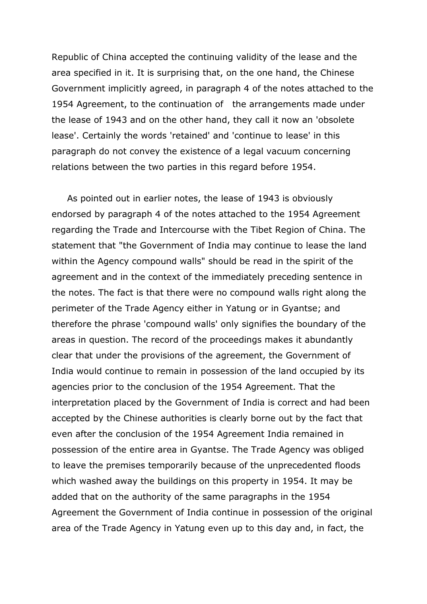Republic of China accepted the continuing validity of the lease and the area specified in it. It is surprising that, on the one hand, the Chinese Government implicitly agreed, in paragraph 4 of the notes attached to the 1954 Agreement, to the continuation of the arrangements made under the lease of 1943 and on the other hand, they call it now an 'obsolete lease'. Certainly the words 'retained' and 'continue to lease' in this paragraph do not convey the existence of a legal vacuum concerning relations between the two parties in this regard before 1954.

As pointed out in earlier notes, the lease of 1943 is obviously endorsed by paragraph 4 of the notes attached to the 1954 Agreement regarding the Trade and Intercourse with the Tibet Region of China. The statement that "the Government of India may continue to lease the land within the Agency compound walls" should be read in the spirit of the agreement and in the context of the immediately preceding sentence in the notes. The fact is that there were no compound walls right along the perimeter of the Trade Agency either in Yatung or in Gyantse; and therefore the phrase 'compound walls' only signifies the boundary of the areas in question. The record of the proceedings makes it abundantly clear that under the provisions of the agreement, the Government of India would continue to remain in possession of the land occupied by its agencies prior to the conclusion of the 1954 Agreement. That the interpretation placed by the Government of India is correct and had been accepted by the Chinese authorities is clearly borne out by the fact that even after the conclusion of the 1954 Agreement India remained in possession of the entire area in Gyantse. The Trade Agency was obliged to leave the premises temporarily because of the unprecedented floods which washed away the buildings on this property in 1954. It may be added that on the authority of the same paragraphs in the 1954 Agreement the Government of India continue in possession of the original area of the Trade Agency in Yatung even up to this day and, in fact, the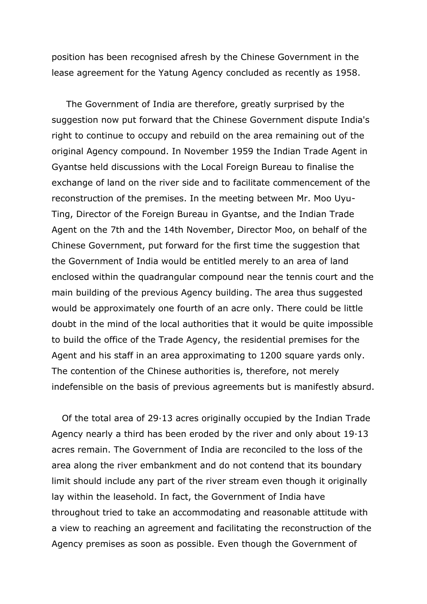position has been recognised afresh by the Chinese Government in the lease agreement for the Yatung Agency concluded as recently as 1958.

The Government of India are therefore, greatly surprised by the suggestion now put forward that the Chinese Government dispute India's right to continue to occupy and rebuild on the area remaining out of the original Agency compound. In November 1959 the Indian Trade Agent in Gyantse held discussions with the Local Foreign Bureau to finalise the exchange of land on the river side and to facilitate commencement of the reconstruction of the premises. In the meeting between Mr. Moo Uyu-Ting, Director of the Foreign Bureau in Gyantse, and the Indian Trade Agent on the 7th and the 14th November, Director Moo, on behalf of the Chinese Government, put forward for the first time the suggestion that the Government of India would be entitled merely to an area of land enclosed within the quadrangular compound near the tennis court and the main building of the previous Agency building. The area thus suggested would be approximately one fourth of an acre only. There could be little doubt in the mind of the local authorities that it would be quite impossible to build the office of the Trade Agency, the residential premises for the Agent and his staff in an area approximating to 1200 square yards only. The contention of the Chinese authorities is, therefore, not merely indefensible on the basis of previous agreements but is manifestly absurd.

Of the total area of 29·13 acres originally occupied by the Indian Trade Agency nearly a third has been eroded by the river and only about 19·13 acres remain. The Government of India are reconciled to the loss of the area along the river embankment and do not contend that its boundary limit should include any part of the river stream even though it originally lay within the leasehold. In fact, the Government of India have throughout tried to take an accommodating and reasonable attitude with a view to reaching an agreement and facilitating the reconstruction of the Agency premises as soon as possible. Even though the Government of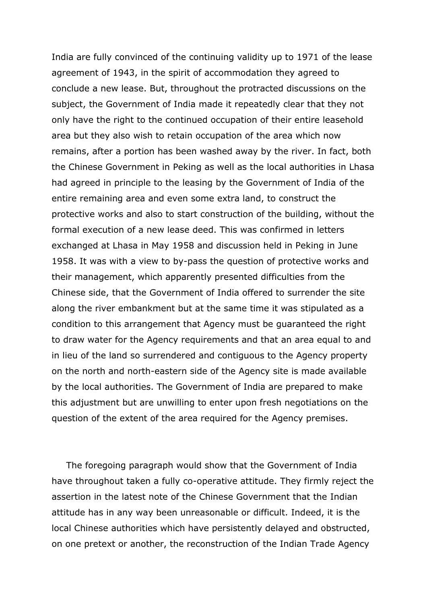India are fully convinced of the continuing validity up to 1971 of the lease agreement of 1943, in the spirit of accommodation they agreed to conclude a new lease. But, throughout the protracted discussions on the subject, the Government of India made it repeatedly clear that they not only have the right to the continued occupation of their entire leasehold area but they also wish to retain occupation of the area which now remains, after a portion has been washed away by the river. In fact, both the Chinese Government in Peking as well as the local authorities in Lhasa had agreed in principle to the leasing by the Government of India of the entire remaining area and even some extra land, to construct the protective works and also to start construction of the building, without the formal execution of a new lease deed. This was confirmed in letters exchanged at Lhasa in May 1958 and discussion held in Peking in June 1958. It was with a view to by-pass the question of protective works and their management, which apparently presented difficulties from the Chinese side, that the Government of India offered to surrender the site along the river embankment but at the same time it was stipulated as a condition to this arrangement that Agency must be guaranteed the right to draw water for the Agency requirements and that an area equal to and in lieu of the land so surrendered and contiguous to the Agency property on the north and north-eastern side of the Agency site is made available by the local authorities. The Government of India are prepared to make this adjustment but are unwilling to enter upon fresh negotiations on the question of the extent of the area required for the Agency premises.

The foregoing paragraph would show that the Government of India have throughout taken a fully co-operative attitude. They firmly reject the assertion in the latest note of the Chinese Government that the Indian attitude has in any way been unreasonable or difficult. Indeed, it is the local Chinese authorities which have persistently delayed and obstructed, on one pretext or another, the reconstruction of the Indian Trade Agency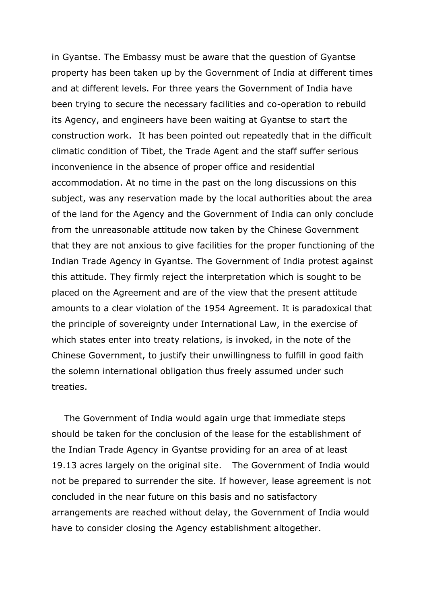in Gyantse. The Embassy must be aware that the question of Gyantse property has been taken up by the Government of India at different times and at different levels. For three years the Government of India have been trying to secure the necessary facilities and co-operation to rebuild its Agency, and engineers have been waiting at Gyantse to start the construction work. It has been pointed out repeatedly that in the difficult climatic condition of Tibet, the Trade Agent and the staff suffer serious inconvenience in the absence of proper office and residential accommodation. At no time in the past on the long discussions on this subject, was any reservation made by the local authorities about the area of the land for the Agency and the Government of India can only conclude from the unreasonable attitude now taken by the Chinese Government that they are not anxious to give facilities for the proper functioning of the Indian Trade Agency in Gyantse. The Government of India protest against this attitude. They firmly reject the interpretation which is sought to be placed on the Agreement and are of the view that the present attitude amounts to a clear violation of the 1954 Agreement. It is paradoxical that the principle of sovereignty under International Law, in the exercise of which states enter into treaty relations, is invoked, in the note of the Chinese Government, to justify their unwillingness to fulfill in good faith the solemn international obligation thus freely assumed under such treaties.

The Government of India would again urge that immediate steps should be taken for the conclusion of the lease for the establishment of the Indian Trade Agency in Gyantse providing for an area of at least 19.13 acres largely on the original site. The Government of India would not be prepared to surrender the site. If however, lease agreement is not concluded in the near future on this basis and no satisfactory arrangements are reached without delay, the Government of India would have to consider closing the Agency establishment altogether.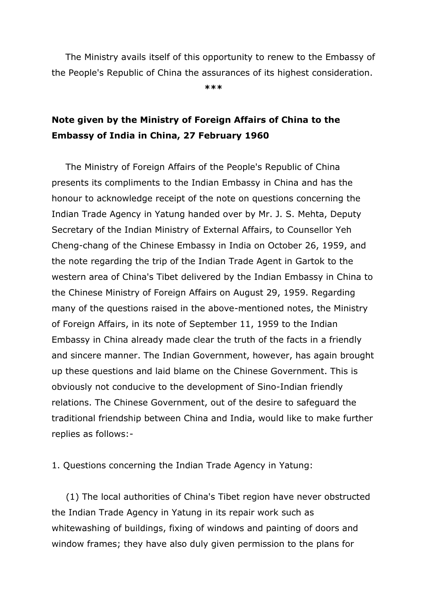The Ministry avails itself of this opportunity to renew to the Embassy of the People's Republic of China the assurances of its highest consideration.

**\*\*\***

## **Note given by the Ministry of Foreign Affairs of China to the Embassy of India in China, 27 February 1960**

The Ministry of Foreign Affairs of the People's Republic of China presents its compliments to the Indian Embassy in China and has the honour to acknowledge receipt of the note on questions concerning the Indian Trade Agency in Yatung handed over by Mr. J. S. Mehta, Deputy Secretary of the Indian Ministry of External Affairs, to Counsellor Yeh Cheng-chang of the Chinese Embassy in India on October 26, 1959, and the note regarding the trip of the Indian Trade Agent in Gartok to the western area of China's Tibet delivered by the Indian Embassy in China to the Chinese Ministry of Foreign Affairs on August 29, 1959. Regarding many of the questions raised in the above-mentioned notes, the Ministry of Foreign Affairs, in its note of September 11, 1959 to the Indian Embassy in China already made clear the truth of the facts in a friendly and sincere manner. The Indian Government, however, has again brought up these questions and laid blame on the Chinese Government. This is obviously not conducive to the development of Sino-Indian friendly relations. The Chinese Government, out of the desire to safeguard the traditional friendship between China and India, would like to make further replies as follows:-

1. Questions concerning the Indian Trade Agency in Yatung:

(1) The local authorities of China's Tibet region have never obstructed the Indian Trade Agency in Yatung in its repair work such as whitewashing of buildings, fixing of windows and painting of doors and window frames; they have also duly given permission to the plans for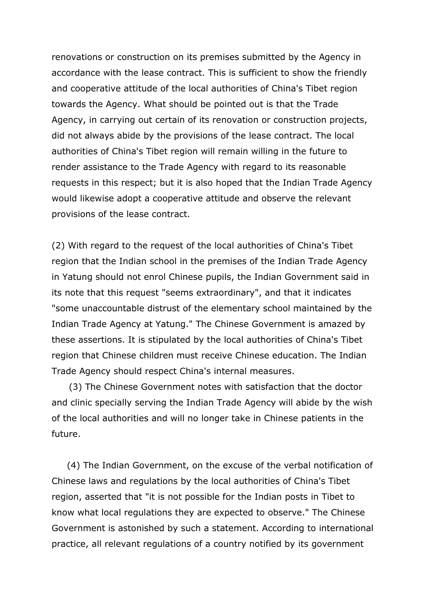renovations or construction on its premises submitted by the Agency in accordance with the lease contract. This is sufficient to show the friendly and cooperative attitude of the local authorities of China's Tibet region towards the Agency. What should be pointed out is that the Trade Agency, in carrying out certain of its renovation or construction projects, did not always abide by the provisions of the lease contract. The local authorities of China's Tibet region will remain willing in the future to render assistance to the Trade Agency with regard to its reasonable requests in this respect; but it is also hoped that the Indian Trade Agency would likewise adopt a cooperative attitude and observe the relevant provisions of the lease contract.

(2) With regard to the request of the local authorities of China's Tibet region that the Indian school in the premises of the Indian Trade Agency in Yatung should not enrol Chinese pupils, the Indian Government said in its note that this request "seems extraordinary", and that it indicates "some unaccountable distrust of the elementary school maintained by the Indian Trade Agency at Yatung." The Chinese Government is amazed by these assertions. It is stipulated by the local authorities of China's Tibet region that Chinese children must receive Chinese education. The Indian Trade Agency should respect China's internal measures.

(3) The Chinese Government notes with satisfaction that the doctor and clinic specially serving the Indian Trade Agency will abide by the wish of the local authorities and will no longer take in Chinese patients in the future.

(4) The Indian Government, on the excuse of the verbal notification of Chinese laws and regulations by the local authorities of China's Tibet region, asserted that "it is not possible for the Indian posts in Tibet to know what local regulations they are expected to observe." The Chinese Government is astonished by such a statement. According to international practice, all relevant regulations of a country notified by its government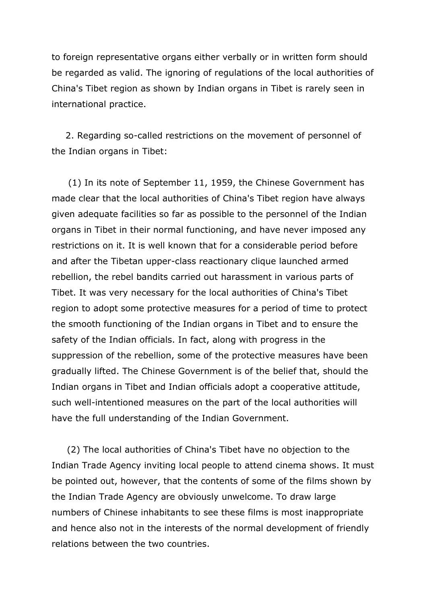to foreign representative organs either verbally or in written form should be regarded as valid. The ignoring of regulations of the local authorities of China's Tibet region as shown by Indian organs in Tibet is rarely seen in international practice.

2. Regarding so-called restrictions on the movement of personnel of the Indian organs in Tibet:

(1) In its note of September 11, 1959, the Chinese Government has made clear that the local authorities of China's Tibet region have always given adequate facilities so far as possible to the personnel of the Indian organs in Tibet in their normal functioning, and have never imposed any restrictions on it. It is well known that for a considerable period before and after the Tibetan upper-class reactionary clique launched armed rebellion, the rebel bandits carried out harassment in various parts of Tibet. It was very necessary for the local authorities of China's Tibet region to adopt some protective measures for a period of time to protect the smooth functioning of the Indian organs in Tibet and to ensure the safety of the Indian officials. In fact, along with progress in the suppression of the rebellion, some of the protective measures have been gradually lifted. The Chinese Government is of the belief that, should the Indian organs in Tibet and Indian officials adopt a cooperative attitude, such well-intentioned measures on the part of the local authorities will have the full understanding of the Indian Government.

(2) The local authorities of China's Tibet have no objection to the Indian Trade Agency inviting local people to attend cinema shows. It must be pointed out, however, that the contents of some of the films shown by the Indian Trade Agency are obviously unwelcome. To draw large numbers of Chinese inhabitants to see these films is most inappropriate and hence also not in the interests of the normal development of friendly relations between the two countries.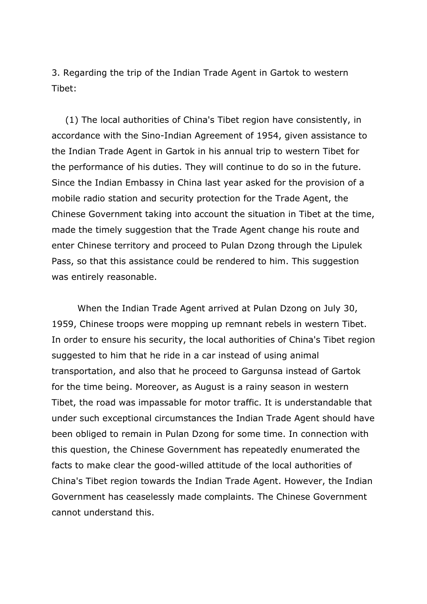3. Regarding the trip of the Indian Trade Agent in Gartok to western Tibet:

(1) The local authorities of China's Tibet region have consistently, in accordance with the Sino-Indian Agreement of 1954, given assistance to the Indian Trade Agent in Gartok in his annual trip to western Tibet for the performance of his duties. They will continue to do so in the future. Since the Indian Embassy in China last year asked for the provision of a mobile radio station and security protection for the Trade Agent, the Chinese Government taking into account the situation in Tibet at the time, made the timely suggestion that the Trade Agent change his route and enter Chinese territory and proceed to Pulan Dzong through the Lipulek Pass, so that this assistance could be rendered to him. This suggestion was entirely reasonable.

When the Indian Trade Agent arrived at Pulan Dzong on July 30, 1959, Chinese troops were mopping up remnant rebels in western Tibet. In order to ensure his security, the local authorities of China's Tibet region suggested to him that he ride in a car instead of using animal transportation, and also that he proceed to Gargunsa instead of Gartok for the time being. Moreover, as August is a rainy season in western Tibet, the road was impassable for motor traffic. It is understandable that under such exceptional circumstances the Indian Trade Agent should have been obliged to remain in Pulan Dzong for some time. In connection with this question, the Chinese Government has repeatedly enumerated the facts to make clear the good-willed attitude of the local authorities of China's Tibet region towards the Indian Trade Agent. However, the Indian Government has ceaselessly made complaints. The Chinese Government cannot understand this.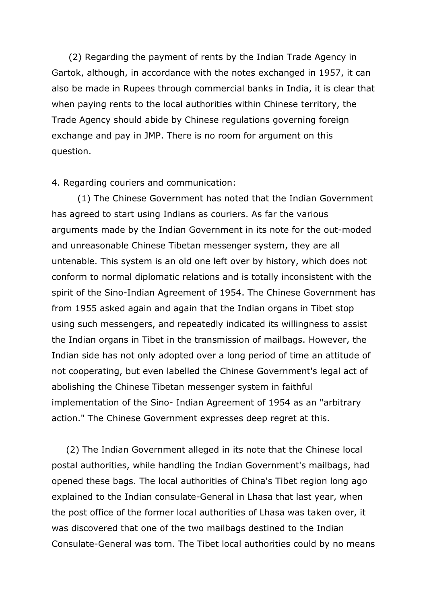(2) Regarding the payment of rents by the Indian Trade Agency in Gartok, although, in accordance with the notes exchanged in 1957, it can also be made in Rupees through commercial banks in India, it is clear that when paying rents to the local authorities within Chinese territory, the Trade Agency should abide by Chinese regulations governing foreign exchange and pay in JMP. There is no room for argument on this question.

#### 4. Regarding couriers and communication:

(1) The Chinese Government has noted that the Indian Government has agreed to start using Indians as couriers. As far the various arguments made by the Indian Government in its note for the out-moded and unreasonable Chinese Tibetan messenger system, they are all untenable. This system is an old one left over by history, which does not conform to normal diplomatic relations and is totally inconsistent with the spirit of the Sino-Indian Agreement of 1954. The Chinese Government has from 1955 asked again and again that the Indian organs in Tibet stop using such messengers, and repeatedly indicated its willingness to assist the Indian organs in Tibet in the transmission of mailbags. However, the Indian side has not only adopted over a long period of time an attitude of not cooperating, but even labelled the Chinese Government's legal act of abolishing the Chinese Tibetan messenger system in faithful implementation of the Sino- Indian Agreement of 1954 as an "arbitrary action." The Chinese Government expresses deep regret at this.

(2) The Indian Government alleged in its note that the Chinese local postal authorities, while handling the Indian Government's mailbags, had opened these bags. The local authorities of China's Tibet region long ago explained to the Indian consulate-General in Lhasa that last year, when the post office of the former local authorities of Lhasa was taken over, it was discovered that one of the two mailbags destined to the Indian Consulate-General was torn. The Tibet local authorities could by no means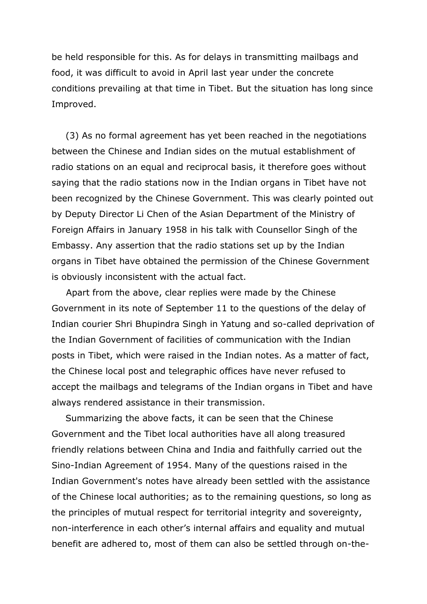be held responsible for this. As for delays in transmitting mailbags and food, it was difficult to avoid in April last year under the concrete conditions prevailing at that time in Tibet. But the situation has long since Improved.

(3) As no formal agreement has yet been reached in the negotiations between the Chinese and Indian sides on the mutual establishment of radio stations on an equal and reciprocal basis, it therefore goes without saying that the radio stations now in the Indian organs in Tibet have not been recognized by the Chinese Government. This was clearly pointed out by Deputy Director Li Chen of the Asian Department of the Ministry of Foreign Affairs in January 1958 in his talk with Counsellor Singh of the Embassy. Any assertion that the radio stations set up by the Indian organs in Tibet have obtained the permission of the Chinese Government is obviously inconsistent with the actual fact.

Apart from the above, clear replies were made by the Chinese Government in its note of September 11 to the questions of the delay of Indian courier Shri Bhupindra Singh in Yatung and so-called deprivation of the Indian Government of facilities of communication with the Indian posts in Tibet, which were raised in the Indian notes. As a matter of fact, the Chinese local post and telegraphic offices have never refused to accept the mailbags and telegrams of the Indian organs in Tibet and have always rendered assistance in their transmission.

Summarizing the above facts, it can be seen that the Chinese Government and the Tibet local authorities have all along treasured friendly relations between China and India and faithfully carried out the Sino-Indian Agreement of 1954. Many of the questions raised in the Indian Government's notes have already been settled with the assistance of the Chinese local authorities; as to the remaining questions, so long as the principles of mutual respect for territorial integrity and sovereignty, non-interference in each other's internal affairs and equality and mutual benefit are adhered to, most of them can also be settled through on-the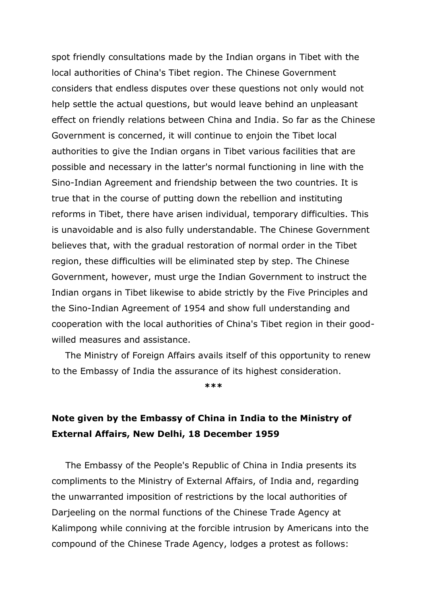spot friendly consultations made by the Indian organs in Tibet with the local authorities of China's Tibet region. The Chinese Government considers that endless disputes over these questions not only would not help settle the actual questions, but would leave behind an unpleasant effect on friendly relations between China and India. So far as the Chinese Government is concerned, it will continue to enjoin the Tibet local authorities to give the Indian organs in Tibet various facilities that are possible and necessary in the latter's normal functioning in line with the Sino-Indian Agreement and friendship between the two countries. It is true that in the course of putting down the rebellion and instituting reforms in Tibet, there have arisen individual, temporary difficulties. This is unavoidable and is also fully understandable. The Chinese Government believes that, with the gradual restoration of normal order in the Tibet region, these difficulties will be eliminated step by step. The Chinese Government, however, must urge the Indian Government to instruct the Indian organs in Tibet likewise to abide strictly by the Five Principles and the Sino-Indian Agreement of 1954 and show full understanding and cooperation with the local authorities of China's Tibet region in their goodwilled measures and assistance.

The Ministry of Foreign Affairs avails itself of this opportunity to renew to the Embassy of India the assurance of its highest consideration.

**\*\*\***

### **Note given by the Embassy of China in India to the Ministry of External Affairs, New Delhi, 18 December 1959**

The Embassy of the People's Republic of China in India presents its compliments to the Ministry of External Affairs, of India and, regarding the unwarranted imposition of restrictions by the local authorities of Darjeeling on the normal functions of the Chinese Trade Agency at Kalimpong while conniving at the forcible intrusion by Americans into the compound of the Chinese Trade Agency, lodges a protest as follows: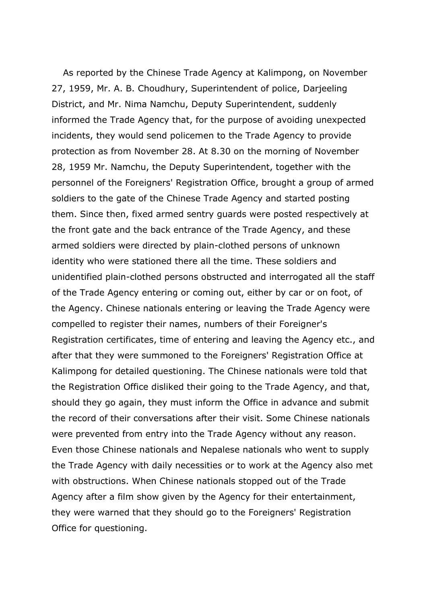As reported by the Chinese Trade Agency at Kalimpong, on November 27, 1959, Mr. A. B. Choudhury, Superintendent of police, Darjeeling District, and Mr. Nima Namchu, Deputy Superintendent, suddenly informed the Trade Agency that, for the purpose of avoiding unexpected incidents, they would send policemen to the Trade Agency to provide protection as from November 28. At 8.30 on the morning of November 28, 1959 Mr. Namchu, the Deputy Superintendent, together with the personnel of the Foreigners' Registration Office, brought a group of armed soldiers to the gate of the Chinese Trade Agency and started posting them. Since then, fixed armed sentry guards were posted respectively at the front gate and the back entrance of the Trade Agency, and these armed soldiers were directed by plain-clothed persons of unknown identity who were stationed there all the time. These soldiers and unidentified plain-clothed persons obstructed and interrogated all the staff of the Trade Agency entering or coming out, either by car or on foot, of the Agency. Chinese nationals entering or leaving the Trade Agency were compelled to register their names, numbers of their Foreigner's Registration certificates, time of entering and leaving the Agency etc., and after that they were summoned to the Foreigners' Registration Office at Kalimpong for detailed questioning. The Chinese nationals were told that the Registration Office disliked their going to the Trade Agency, and that, should they go again, they must inform the Office in advance and submit the record of their conversations after their visit. Some Chinese nationals were prevented from entry into the Trade Agency without any reason. Even those Chinese nationals and Nepalese nationals who went to supply the Trade Agency with daily necessities or to work at the Agency also met with obstructions. When Chinese nationals stopped out of the Trade Agency after a film show given by the Agency for their entertainment, they were warned that they should go to the Foreigners' Registration Office for questioning.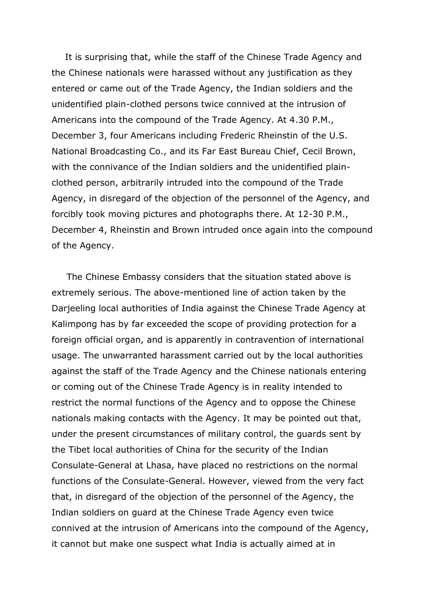It is surprising that, while the staff of the Chinese Trade Agency and the Chinese nationals were harassed without any justification as they entered or came out of the Trade Agency, the Indian soldiers and the unidentified plain-clothed persons twice connived at the intrusion of Americans into the compound of the Trade Agency. At 4.30 P.M., December 3, four Americans including Frederic Rheinstin of the U.S. National Broadcasting Co., and its Far East Bureau Chief, Cecil Brown, with the connivance of the Indian soldiers and the unidentified plainclothed person, arbitrarily intruded into the compound of the Trade Agency, in disregard of the objection of the personnel of the Agency, and forcibly took moving pictures and photographs there. At 12-30 P.M., December 4, Rheinstin and Brown intruded once again into the compound of the Agency.

The Chinese Embassy considers that the situation stated above is extremely serious. The above-mentioned line of action taken by the Darjeeling local authorities of India against the Chinese Trade Agency at Kalimpong has by far exceeded the scope of providing protection for a foreign official organ, and is apparently in contravention of international usage. The unwarranted harassment carried out by the local authorities against the staff of the Trade Agency and the Chinese nationals entering or coming out of the Chinese Trade Agency is in reality intended to restrict the normal functions of the Agency and to oppose the Chinese nationals making contacts with the Agency. It may be pointed out that, under the present circumstances of military control, the guards sent by the Tibet local authorities of China for the security of the Indian Consulate-General at Lhasa, have placed no restrictions on the normal functions of the Consulate-General. However, viewed from the very fact that, in disregard of the objection of the personnel of the Agency, the Indian soldiers on guard at the Chinese Trade Agency even twice connived at the intrusion of Americans into the compound of the Agency, it cannot but make one suspect what India is actually aimed at in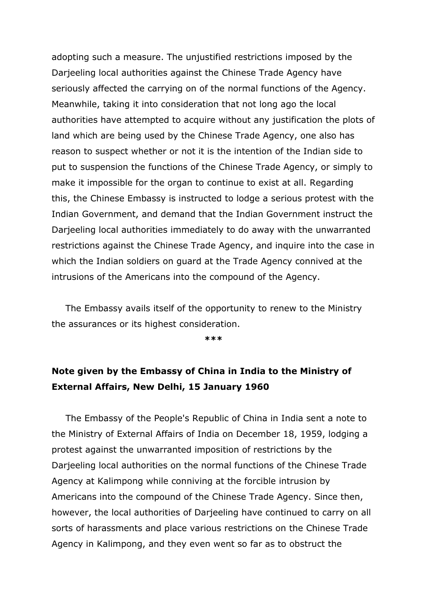adopting such a measure. The unjustified restrictions imposed by the Darjeeling local authorities against the Chinese Trade Agency have seriously affected the carrying on of the normal functions of the Agency. Meanwhile, taking it into consideration that not long ago the local authorities have attempted to acquire without any justification the plots of land which are being used by the Chinese Trade Agency, one also has reason to suspect whether or not it is the intention of the Indian side to put to suspension the functions of the Chinese Trade Agency, or simply to make it impossible for the organ to continue to exist at all. Regarding this, the Chinese Embassy is instructed to lodge a serious protest with the Indian Government, and demand that the Indian Government instruct the Darjeeling local authorities immediately to do away with the unwarranted restrictions against the Chinese Trade Agency, and inquire into the case in which the Indian soldiers on guard at the Trade Agency connived at the intrusions of the Americans into the compound of the Agency.

The Embassy avails itself of the opportunity to renew to the Ministry the assurances or its highest consideration.

**\*\*\***

## **Note given by the Embassy of China in India to the Ministry of External Affairs, New Delhi, 15 January 1960**

The Embassy of the People's Republic of China in India sent a note to the Ministry of External Affairs of India on December 18, 1959, lodging a protest against the unwarranted imposition of restrictions by the Darjeeling local authorities on the normal functions of the Chinese Trade Agency at Kalimpong while conniving at the forcible intrusion by Americans into the compound of the Chinese Trade Agency. Since then, however, the local authorities of Darjeeling have continued to carry on all sorts of harassments and place various restrictions on the Chinese Trade Agency in Kalimpong, and they even went so far as to obstruct the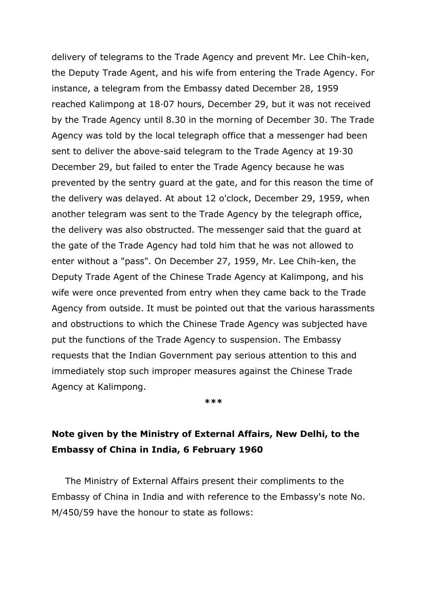delivery of telegrams to the Trade Agency and prevent Mr. Lee Chih-ken, the Deputy Trade Agent, and his wife from entering the Trade Agency. For instance, a telegram from the Embassy dated December 28, 1959 reached Kalimpong at 18·07 hours, December 29, but it was not received by the Trade Agency until 8.30 in the morning of December 30. The Trade Agency was told by the local telegraph office that a messenger had been sent to deliver the above-said telegram to the Trade Agency at 19·30 December 29, but failed to enter the Trade Agency because he was prevented by the sentry guard at the gate, and for this reason the time of the delivery was delayed. At about 12 o'clock, December 29, 1959, when another telegram was sent to the Trade Agency by the telegraph office, the delivery was also obstructed. The messenger said that the guard at the gate of the Trade Agency had told him that he was not allowed to enter without a "pass". On December 27, 1959, Mr. Lee Chih-ken, the Deputy Trade Agent of the Chinese Trade Agency at Kalimpong, and his wife were once prevented from entry when they came back to the Trade Agency from outside. It must be pointed out that the various harassments and obstructions to which the Chinese Trade Agency was subjected have put the functions of the Trade Agency to suspension. The Embassy requests that the Indian Government pay serious attention to this and immediately stop such improper measures against the Chinese Trade Agency at Kalimpong.

**\*\*\***

## **Note given by the Ministry of External Affairs, New Delhi, to the Embassy of China in India, 6 February 1960**

The Ministry of External Affairs present their compliments to the Embassy of China in India and with reference to the Embassy's note No. M/450/59 have the honour to state as follows: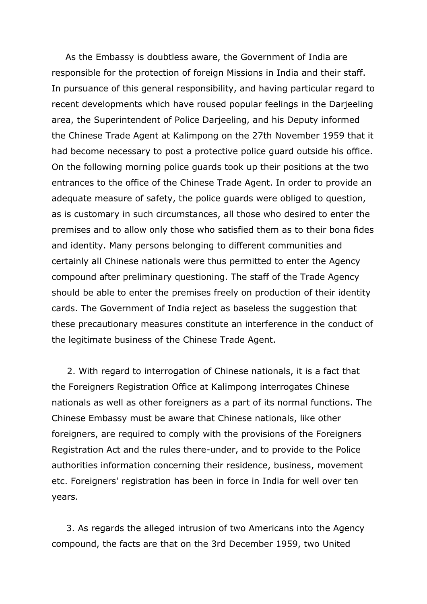As the Embassy is doubtless aware, the Government of India are responsible for the protection of foreign Missions in India and their staff. In pursuance of this general responsibility, and having particular regard to recent developments which have roused popular feelings in the Darjeeling area, the Superintendent of Police Darjeeling, and his Deputy informed the Chinese Trade Agent at Kalimpong on the 27th November 1959 that it had become necessary to post a protective police guard outside his office. On the following morning police guards took up their positions at the two entrances to the office of the Chinese Trade Agent. In order to provide an adequate measure of safety, the police guards were obliged to question, as is customary in such circumstances, all those who desired to enter the premises and to allow only those who satisfied them as to their bona fides and identity. Many persons belonging to different communities and certainly all Chinese nationals were thus permitted to enter the Agency compound after preliminary questioning. The staff of the Trade Agency should be able to enter the premises freely on production of their identity cards. The Government of India reject as baseless the suggestion that these precautionary measures constitute an interference in the conduct of the legitimate business of the Chinese Trade Agent.

2. With regard to interrogation of Chinese nationals, it is a fact that the Foreigners Registration Office at Kalimpong interrogates Chinese nationals as well as other foreigners as a part of its normal functions. The Chinese Embassy must be aware that Chinese nationals, like other foreigners, are required to comply with the provisions of the Foreigners Registration Act and the rules there-under, and to provide to the Police authorities information concerning their residence, business, movement etc. Foreigners' registration has been in force in India for well over ten years.

3. As regards the alleged intrusion of two Americans into the Agency compound, the facts are that on the 3rd December 1959, two United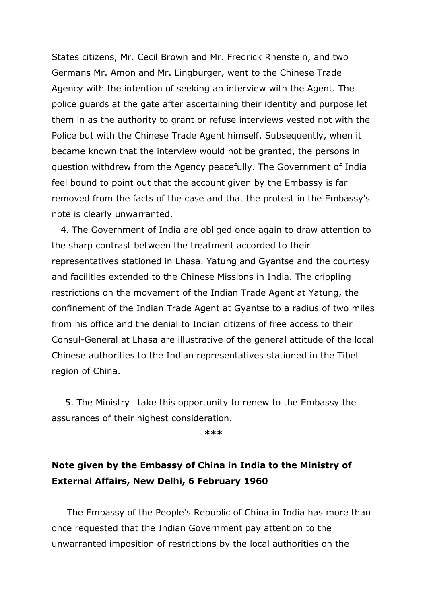States citizens, Mr. Cecil Brown and Mr. Fredrick Rhenstein, and two Germans Mr. Amon and Mr. Lingburger, went to the Chinese Trade Agency with the intention of seeking an interview with the Agent. The police guards at the gate after ascertaining their identity and purpose let them in as the authority to grant or refuse interviews vested not with the Police but with the Chinese Trade Agent himself. Subsequently, when it became known that the interview would not be granted, the persons in question withdrew from the Agency peacefully. The Government of India feel bound to point out that the account given by the Embassy is far removed from the facts of the case and that the protest in the Embassy's note is clearly unwarranted.

4. The Government of India are obliged once again to draw attention to the sharp contrast between the treatment accorded to their representatives stationed in Lhasa. Yatung and Gyantse and the courtesy and facilities extended to the Chinese Missions in India. The crippling restrictions on the movement of the Indian Trade Agent at Yatung, the confinement of the Indian Trade Agent at Gyantse to a radius of two miles from his office and the denial to Indian citizens of free access to their Consul-General at Lhasa are illustrative of the general attitude of the local Chinese authorities to the Indian representatives stationed in the Tibet region of China.

5. The Ministry take this opportunity to renew to the Embassy the assurances of their highest consideration.

**\*\*\***

### **Note given by the Embassy of China in India to the Ministry of External Affairs, New Delhi, 6 February 1960**

The Embassy of the People's Republic of China in India has more than once requested that the Indian Government pay attention to the unwarranted imposition of restrictions by the local authorities on the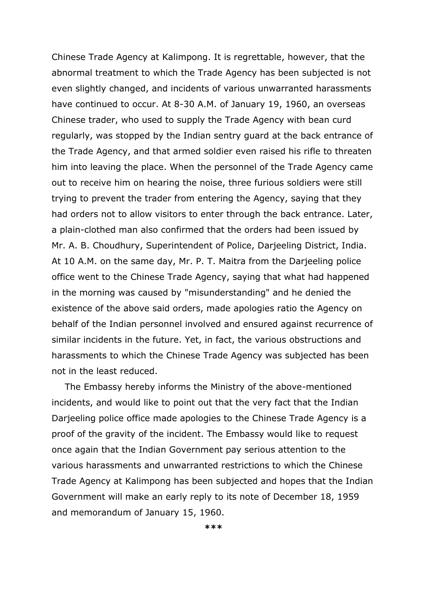Chinese Trade Agency at Kalimpong. It is regrettable, however, that the abnormal treatment to which the Trade Agency has been subjected is not even slightly changed, and incidents of various unwarranted harassments have continued to occur. At 8-30 A.M. of January 19, 1960, an overseas Chinese trader, who used to supply the Trade Agency with bean curd regularly, was stopped by the Indian sentry guard at the back entrance of the Trade Agency, and that armed soldier even raised his rifle to threaten him into leaving the place. When the personnel of the Trade Agency came out to receive him on hearing the noise, three furious soldiers were still trying to prevent the trader from entering the Agency, saying that they had orders not to allow visitors to enter through the back entrance. Later, a plain-clothed man also confirmed that the orders had been issued by Mr. A. B. Choudhury, Superintendent of Police, Darjeeling District, India. At 10 A.M. on the same day, Mr. P. T. Maitra from the Darjeeling police office went to the Chinese Trade Agency, saying that what had happened in the morning was caused by "misunderstanding" and he denied the existence of the above said orders, made apologies ratio the Agency on behalf of the Indian personnel involved and ensured against recurrence of similar incidents in the future. Yet, in fact, the various obstructions and harassments to which the Chinese Trade Agency was subjected has been not in the least reduced.

The Embassy hereby informs the Ministry of the above-mentioned incidents, and would like to point out that the very fact that the Indian Darjeeling police office made apologies to the Chinese Trade Agency is a proof of the gravity of the incident. The Embassy would like to request once again that the Indian Government pay serious attention to the various harassments and unwarranted restrictions to which the Chinese Trade Agency at Kalimpong has been subjected and hopes that the Indian Government will make an early reply to its note of December 18, 1959 and memorandum of January 15, 1960.

**\*\*\***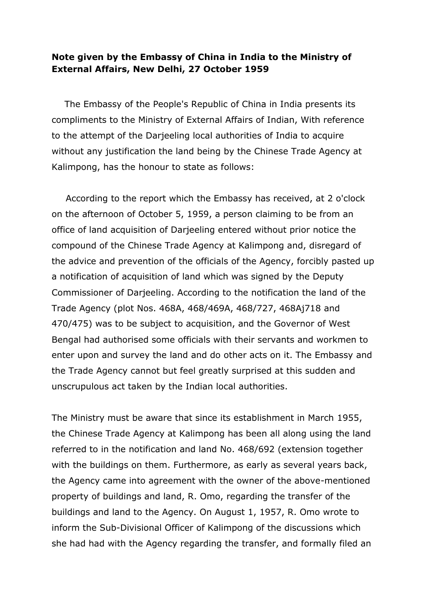#### **Note given by the Embassy of China in India to the Ministry of External Affairs, New Delhi, 27 October 1959**

The Embassy of the People's Republic of China in India presents its compliments to the Ministry of External Affairs of Indian, With reference to the attempt of the Darjeeling local authorities of India to acquire without any justification the land being by the Chinese Trade Agency at Kalimpong, has the honour to state as follows:

According to the report which the Embassy has received, at 2 o'clock on the afternoon of October 5, 1959, a person claiming to be from an office of land acquisition of Darjeeling entered without prior notice the compound of the Chinese Trade Agency at Kalimpong and, disregard of the advice and prevention of the officials of the Agency, forcibly pasted up a notification of acquisition of land which was signed by the Deputy Commissioner of Darjeeling. According to the notification the land of the Trade Agency (plot Nos. 468A, 468/469A, 468/727, 468Aj718 and 470/475) was to be subject to acquisition, and the Governor of West Bengal had authorised some officials with their servants and workmen to enter upon and survey the land and do other acts on it. The Embassy and the Trade Agency cannot but feel greatly surprised at this sudden and unscrupulous act taken by the Indian local authorities.

The Ministry must be aware that since its establishment in March 1955, the Chinese Trade Agency at Kalimpong has been all along using the land referred to in the notification and land No. 468/692 (extension together with the buildings on them. Furthermore, as early as several years back, the Agency came into agreement with the owner of the above-mentioned property of buildings and land, R. Omo, regarding the transfer of the buildings and land to the Agency. On August 1, 1957, R. Omo wrote to inform the Sub-Divisional Officer of Kalimpong of the discussions which she had had with the Agency regarding the transfer, and formally filed an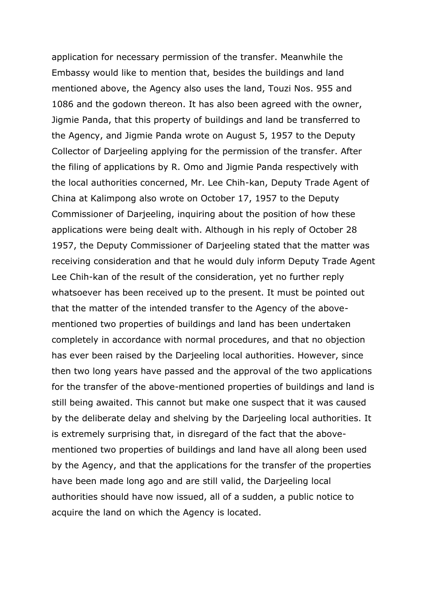application for necessary permission of the transfer. Meanwhile the Embassy would like to mention that, besides the buildings and land mentioned above, the Agency also uses the land, Touzi Nos. 955 and 1086 and the godown thereon. It has also been agreed with the owner, Jigmie Panda, that this property of buildings and land be transferred to the Agency, and Jigmie Panda wrote on August 5, 1957 to the Deputy Collector of Darjeeling applying for the permission of the transfer. After the filing of applications by R. Omo and Jigmie Panda respectively with the local authorities concerned, Mr. Lee Chih-kan, Deputy Trade Agent of China at Kalimpong also wrote on October 17, 1957 to the Deputy Commissioner of Darjeeling, inquiring about the position of how these applications were being dealt with. Although in his reply of October 28 1957, the Deputy Commissioner of Darjeeling stated that the matter was receiving consideration and that he would duly inform Deputy Trade Agent Lee Chih-kan of the result of the consideration, yet no further reply whatsoever has been received up to the present. It must be pointed out that the matter of the intended transfer to the Agency of the abovementioned two properties of buildings and land has been undertaken completely in accordance with normal procedures, and that no objection has ever been raised by the Darjeeling local authorities. However, since then two long years have passed and the approval of the two applications for the transfer of the above-mentioned properties of buildings and land is still being awaited. This cannot but make one suspect that it was caused by the deliberate delay and shelving by the Darjeeling local authorities. It is extremely surprising that, in disregard of the fact that the abovementioned two properties of buildings and land have all along been used by the Agency, and that the applications for the transfer of the properties have been made long ago and are still valid, the Darjeeling local authorities should have now issued, all of a sudden, a public notice to acquire the land on which the Agency is located.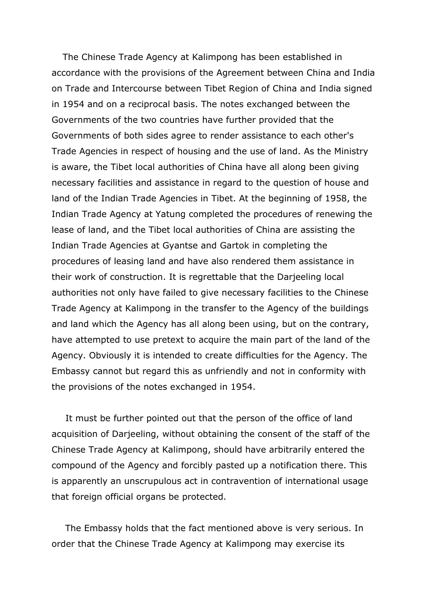The Chinese Trade Agency at Kalimpong has been established in accordance with the provisions of the Agreement between China and India on Trade and Intercourse between Tibet Region of China and India signed in 1954 and on a reciprocal basis. The notes exchanged between the Governments of the two countries have further provided that the Governments of both sides agree to render assistance to each other's Trade Agencies in respect of housing and the use of land. As the Ministry is aware, the Tibet local authorities of China have all along been giving necessary facilities and assistance in regard to the question of house and land of the Indian Trade Agencies in Tibet. At the beginning of 1958, the Indian Trade Agency at Yatung completed the procedures of renewing the lease of land, and the Tibet local authorities of China are assisting the Indian Trade Agencies at Gyantse and Gartok in completing the procedures of leasing land and have also rendered them assistance in their work of construction. It is regrettable that the Darjeeling local authorities not only have failed to give necessary facilities to the Chinese Trade Agency at Kalimpong in the transfer to the Agency of the buildings and land which the Agency has all along been using, but on the contrary, have attempted to use pretext to acquire the main part of the land of the Agency. Obviously it is intended to create difficulties for the Agency. The Embassy cannot but regard this as unfriendly and not in conformity with the provisions of the notes exchanged in 1954.

It must be further pointed out that the person of the office of land acquisition of Darjeeling, without obtaining the consent of the staff of the Chinese Trade Agency at Kalimpong, should have arbitrarily entered the compound of the Agency and forcibly pasted up a notification there. This is apparently an unscrupulous act in contravention of international usage that foreign official organs be protected.

The Embassy holds that the fact mentioned above is very serious. In order that the Chinese Trade Agency at Kalimpong may exercise its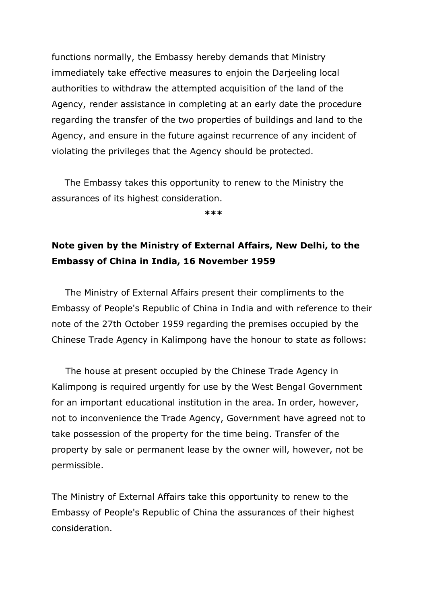functions normally, the Embassy hereby demands that Ministry immediately take effective measures to enjoin the Darjeeling local authorities to withdraw the attempted acquisition of the land of the Agency, render assistance in completing at an early date the procedure regarding the transfer of the two properties of buildings and land to the Agency, and ensure in the future against recurrence of any incident of violating the privileges that the Agency should be protected.

The Embassy takes this opportunity to renew to the Ministry the assurances of its highest consideration.

**\*\*\***

## **Note given by the Ministry of External Affairs, New Delhi, to the Embassy of China in India, 16 November 1959**

The Ministry of External Affairs present their compliments to the Embassy of People's Republic of China in India and with reference to their note of the 27th October 1959 regarding the premises occupied by the Chinese Trade Agency in Kalimpong have the honour to state as follows:

The house at present occupied by the Chinese Trade Agency in Kalimpong is required urgently for use by the West Bengal Government for an important educational institution in the area. In order, however, not to inconvenience the Trade Agency, Government have agreed not to take possession of the property for the time being. Transfer of the property by sale or permanent lease by the owner will, however, not be permissible.

The Ministry of External Affairs take this opportunity to renew to the Embassy of People's Republic of China the assurances of their highest consideration.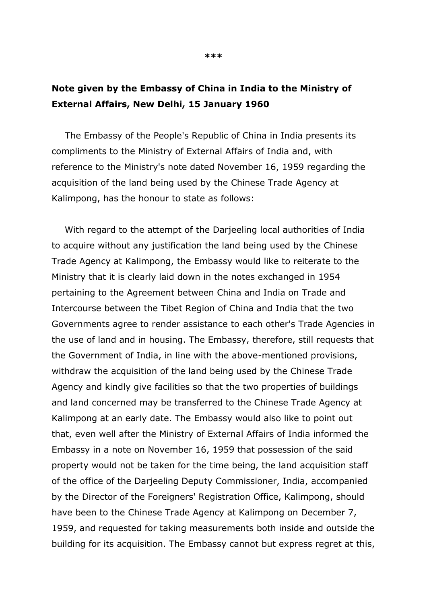#### **Note given by the Embassy of China in India to the Ministry of External Affairs, New Delhi, 15 January 1960**

The Embassy of the People's Republic of China in India presents its compliments to the Ministry of External Affairs of India and, with reference to the Ministry's note dated November 16, 1959 regarding the acquisition of the land being used by the Chinese Trade Agency at Kalimpong, has the honour to state as follows:

With regard to the attempt of the Darjeeling local authorities of India to acquire without any justification the land being used by the Chinese Trade Agency at Kalimpong, the Embassy would like to reiterate to the Ministry that it is clearly laid down in the notes exchanged in 1954 pertaining to the Agreement between China and India on Trade and Intercourse between the Tibet Region of China and India that the two Governments agree to render assistance to each other's Trade Agencies in the use of land and in housing. The Embassy, therefore, still requests that the Government of India, in line with the above-mentioned provisions, withdraw the acquisition of the land being used by the Chinese Trade Agency and kindly give facilities so that the two properties of buildings and land concerned may be transferred to the Chinese Trade Agency at Kalimpong at an early date. The Embassy would also like to point out that, even well after the Ministry of External Affairs of India informed the Embassy in a note on November 16, 1959 that possession of the said property would not be taken for the time being, the land acquisition staff of the office of the Darjeeling Deputy Commissioner, India, accompanied by the Director of the Foreigners' Registration Office, Kalimpong, should have been to the Chinese Trade Agency at Kalimpong on December 7, 1959, and requested for taking measurements both inside and outside the building for its acquisition. The Embassy cannot but express regret at this,

**\*\*\***